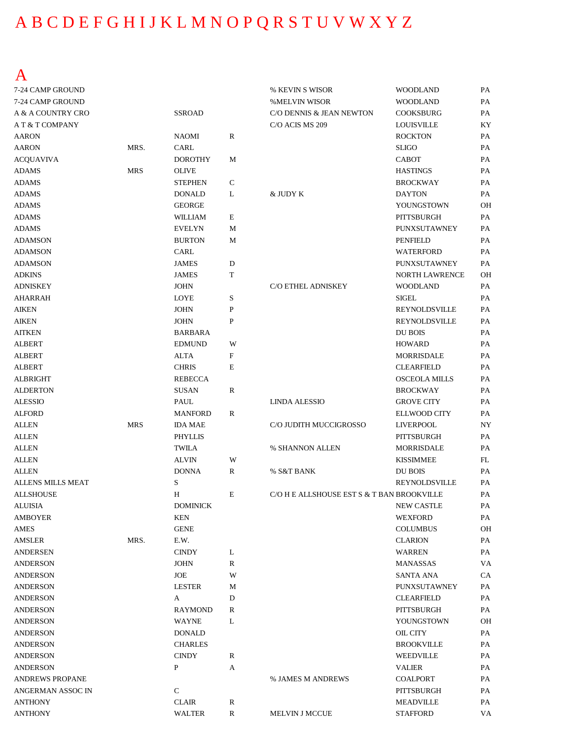## A [B](#page-1-0) [C](#page-6-0) [D](#page-10-0) [E F](#page-13-0) [G](#page-15-0) [H](#page-18-0) [I](#page-22-0) [J](#page-22-0) [K](#page-23-0) [L](#page-26-0) [M](#page-29-0) [N](#page-34-0) [O P](#page-35-0) [Q R](#page-38-0) [S](#page-40-0) [T](#page-47-0) [U](#page-48-0) [V W](#page-49-0) X [Y Z](#page-53-0)

A

| 7-24 CAMP GROUND         |            |                           |              | % KEVIN S WISOR                            | <b>WOODLAND</b>       | PA        |
|--------------------------|------------|---------------------------|--------------|--------------------------------------------|-----------------------|-----------|
| 7-24 CAMP GROUND         |            |                           |              | <b>%MELVIN WISOR</b>                       | <b>WOODLAND</b>       | PA        |
| A & A COUNTRY CRO        |            | SSROAD                    |              | C/O DENNIS & JEAN NEWTON                   | <b>COOKSBURG</b>      | PA        |
| A T & T COMPANY          |            |                           |              | C/O ACIS MS 209                            | <b>LOUISVILLE</b>     | KY        |
| <b>AARON</b>             |            | <b>NAOMI</b>              | ${\bf R}$    |                                            | <b>ROCKTON</b>        | PA        |
| <b>AARON</b>             | MRS.       | CARL                      |              |                                            | <b>SLIGO</b>          | PA        |
| <b>ACQUAVIVA</b>         |            | <b>DOROTHY</b>            | M            |                                            | CABOT                 | PA        |
| <b>ADAMS</b>             | <b>MRS</b> | <b>OLIVE</b>              |              |                                            | <b>HASTINGS</b>       | PA        |
| <b>ADAMS</b>             |            | <b>STEPHEN</b>            | $\mathbf C$  |                                            | <b>BROCKWAY</b>       | PA        |
| <b>ADAMS</b>             |            | <b>DONALD</b>             | L            | & JUDY K                                   | <b>DAYTON</b>         | PA        |
| <b>ADAMS</b>             |            | <b>GEORGE</b>             |              |                                            | YOUNGSTOWN            | OН        |
| ADAMS                    |            | WILLIAM                   | E            |                                            | PITTSBURGH            | PA        |
| ADAMS                    |            | <b>EVELYN</b>             | M            |                                            | PUNXSUTAWNEY          | PA        |
| <b>ADAMSON</b>           |            | <b>BURTON</b>             | M            |                                            | PENFIELD              | PA        |
| <b>ADAMSON</b>           |            | CARL                      |              |                                            | <b>WATERFORD</b>      | PA        |
| <b>ADAMSON</b>           |            | <b>JAMES</b>              | $\mathbf D$  |                                            | PUNXSUTAWNEY          | PA        |
| <b>ADKINS</b>            |            | <b>JAMES</b>              | $\mathbf T$  |                                            | <b>NORTH LAWRENCE</b> | <b>OH</b> |
| <b>ADNISKEY</b>          |            | <b>JOHN</b>               |              | C/O ETHEL ADNISKEY                         | <b>WOODLAND</b>       | PA        |
| <b>AHARRAH</b>           |            | <b>LOYE</b>               | S            |                                            | SIGEL                 | PA        |
| <b>AIKEN</b>             |            | <b>JOHN</b>               | $\, {\bf P}$ |                                            | <b>REYNOLDSVILLE</b>  | PA        |
| <b>AIKEN</b>             |            | <b>JOHN</b>               | P            |                                            | REYNOLDSVILLE         | PA        |
| <b>AITKEN</b>            |            | <b>BARBARA</b>            |              |                                            | DU BOIS               | PA        |
| <b>ALBERT</b>            |            | <b>EDMUND</b>             | W            |                                            | <b>HOWARD</b>         | PA        |
| <b>ALBERT</b>            |            | <b>ALTA</b>               | F            |                                            | <b>MORRISDALE</b>     | PA        |
| <b>ALBERT</b>            |            | <b>CHRIS</b>              | $\mathbf E$  |                                            | <b>CLEARFIELD</b>     | PA        |
| <b>ALBRIGHT</b>          |            | <b>REBECCA</b>            |              |                                            | <b>OSCEOLA MILLS</b>  | PA        |
| <b>ALDERTON</b>          |            | <b>SUSAN</b>              | R            |                                            | <b>BROCKWAY</b>       | PA        |
| <b>ALESSIO</b>           |            | <b>PAUL</b>               |              | <b>LINDA ALESSIO</b>                       | <b>GROVE CITY</b>     | PA        |
| <b>ALFORD</b>            |            | <b>MANFORD</b>            | R            |                                            | <b>ELLWOOD CITY</b>   | PA        |
| <b>ALLEN</b>             | <b>MRS</b> | <b>IDA MAE</b>            |              | C/O JUDITH MUCCIGROSSO                     | <b>LIVERPOOL</b>      | NY        |
| <b>ALLEN</b>             |            | <b>PHYLLIS</b>            |              |                                            | PITTSBURGH            | PA        |
| <b>ALLEN</b>             |            | <b>TWILA</b>              |              | % SHANNON ALLEN                            | <b>MORRISDALE</b>     | PA        |
| <b>ALLEN</b>             |            | <b>ALVIN</b>              | W            |                                            | <b>KISSIMMEE</b>      | FL        |
|                          |            |                           |              |                                            | DU BOIS               | PA        |
| <b>ALLEN</b>             |            | <b>DONNA</b><br>S         | R            | % S&T BANK                                 | REYNOLDSVILLE         | PA        |
| <b>ALLENS MILLS MEAT</b> |            | H                         | E            | C/O H E ALLSHOUSE EST S & T BAN BROOKVILLE |                       |           |
| <b>ALLSHOUSE</b>         |            |                           |              |                                            |                       | PA        |
| <b>ALUISIA</b>           |            | $\operatorname{DOMINICK}$ |              |                                            | NEW CASTLE            | PA        |
| <b>AMBOYER</b>           |            | <b>KEN</b>                |              |                                            | <b>WEXFORD</b>        | PA        |
| AMES                     |            | <b>GENE</b>               |              |                                            | <b>COLUMBUS</b>       | OH        |
| AMSLER                   | MRS.       | E.W.                      |              |                                            | <b>CLARION</b>        | PA        |
| <b>ANDERSEN</b>          |            | <b>CINDY</b>              | L            |                                            | <b>WARREN</b>         | PA        |
| <b>ANDERSON</b>          |            | <b>JOHN</b>               | R            |                                            | <b>MANASSAS</b>       | VA        |
| <b>ANDERSON</b>          |            | <b>JOE</b>                | W            |                                            | <b>SANTA ANA</b>      | CA        |
| <b>ANDERSON</b>          |            | <b>LESTER</b>             | M            |                                            | PUNXSUTAWNEY          | PA        |
| <b>ANDERSON</b>          |            | A                         | D            |                                            | <b>CLEARFIELD</b>     | PA        |
| <b>ANDERSON</b>          |            | <b>RAYMOND</b>            | R            |                                            | PITTSBURGH            | PA        |
| <b>ANDERSON</b>          |            | <b>WAYNE</b>              | L            |                                            | YOUNGSTOWN            | OH        |
| <b>ANDERSON</b>          |            | <b>DONALD</b>             |              |                                            | OIL CITY              | PA        |
| <b>ANDERSON</b>          |            | <b>CHARLES</b>            |              |                                            | <b>BROOKVILLE</b>     | PA        |
| <b>ANDERSON</b>          |            | <b>CINDY</b>              | R            |                                            | WEEDVILLE             | PA        |
| <b>ANDERSON</b>          |            | P                         | A            |                                            | <b>VALIER</b>         | PA        |
| ANDREWS PROPANE          |            |                           |              | % JAMES M ANDREWS                          | <b>COALPORT</b>       | PA        |
| ANGERMAN ASSOC IN        |            | ${\bf C}$                 |              |                                            | PITTSBURGH            | PA        |
| <b>ANTHONY</b>           |            | <b>CLAIR</b>              | $\mathbf R$  |                                            | MEADVILLE             | PA        |
| <b>ANTHONY</b>           |            | <b>WALTER</b>             | R            | MELVIN J MCCUE                             | <b>STAFFORD</b>       | VA        |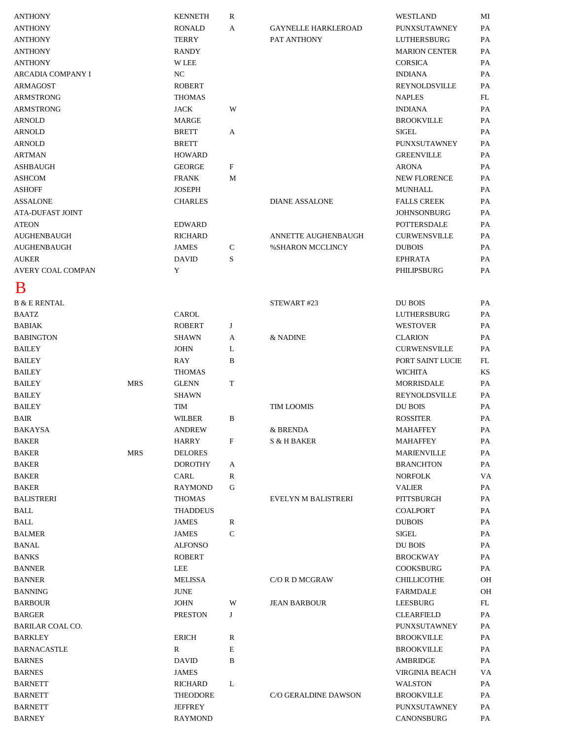<span id="page-1-0"></span>

| <b>ANTHONY</b>          |            | <b>KENNETH</b>  | R            |                            | <b>WESTLAND</b>       | MI |
|-------------------------|------------|-----------------|--------------|----------------------------|-----------------------|----|
| <b>ANTHONY</b>          |            | <b>RONALD</b>   | A            | <b>GAYNELLE HARKLEROAD</b> | <b>PUNXSUTAWNEY</b>   | PA |
| <b>ANTHONY</b>          |            | <b>TERRY</b>    |              | PAT ANTHONY                | LUTHERSBURG           | PA |
| <b>ANTHONY</b>          |            | <b>RANDY</b>    |              |                            | <b>MARION CENTER</b>  | PA |
| <b>ANTHONY</b>          |            | <b>W LEE</b>    |              |                            | <b>CORSICA</b>        | PA |
| ARCADIA COMPANY I       |            | NC              |              |                            | <b>INDIANA</b>        | PA |
| ARMAGOST                |            | <b>ROBERT</b>   |              |                            | REYNOLDSVILLE         | PA |
| ARMSTRONG               |            | <b>THOMAS</b>   |              |                            | <b>NAPLES</b>         | FL |
| ARMSTRONG               |            | <b>JACK</b>     | W            |                            | <b>INDIANA</b>        | PA |
| <b>ARNOLD</b>           |            | <b>MARGE</b>    |              |                            | <b>BROOKVILLE</b>     | PA |
| <b>ARNOLD</b>           |            | <b>BRETT</b>    | A            |                            | <b>SIGEL</b>          | PA |
| <b>ARNOLD</b>           |            | <b>BRETT</b>    |              |                            | PUNXSUTAWNEY          | PA |
| <b>ARTMAN</b>           |            | <b>HOWARD</b>   |              |                            | <b>GREENVILLE</b>     | PA |
| <b>ASHBAUGH</b>         |            | <b>GEORGE</b>   | F            |                            | <b>ARONA</b>          | PA |
| <b>ASHCOM</b>           |            | <b>FRANK</b>    | M            |                            | <b>NEW FLORENCE</b>   | PA |
| <b>ASHOFF</b>           |            | <b>JOSEPH</b>   |              |                            | <b>MUNHALL</b>        | PA |
| <b>ASSALONE</b>         |            | <b>CHARLES</b>  |              | <b>DIANE ASSALONE</b>      | <b>FALLS CREEK</b>    | PA |
| <b>ATA-DUFAST JOINT</b> |            |                 |              |                            | <b>JOHNSONBURG</b>    | PA |
| <b>ATEON</b>            |            | <b>EDWARD</b>   |              |                            | POTTERSDALE           | PA |
| <b>AUGHENBAUGH</b>      |            | <b>RICHARD</b>  |              | ANNETTE AUGHENBAUGH        | <b>CURWENSVILLE</b>   | PA |
| <b>AUGHENBAUGH</b>      |            | <b>JAMES</b>    | C            | <b>%SHARON MCCLINCY</b>    | <b>DUBOIS</b>         | PA |
| <b>AUKER</b>            |            | <b>DAVID</b>    | S            |                            | <b>EPHRATA</b>        | PA |
| AVERY COAL COMPAN       |            | Y               |              |                            | PHILIPSBURG           | PA |
|                         |            |                 |              |                            |                       |    |
| B                       |            |                 |              |                            |                       |    |
| <b>B &amp; E RENTAL</b> |            |                 |              | STEWART #23                | DU BOIS               | PA |
| <b>BAATZ</b>            |            | <b>CAROL</b>    |              |                            | LUTHERSBURG           | PA |
| <b>BABIAK</b>           |            | <b>ROBERT</b>   | J            |                            | <b>WESTOVER</b>       | PA |
| <b>BABINGTON</b>        |            | <b>SHAWN</b>    | A            | & NADINE                   | <b>CLARION</b>        | PA |
| <b>BAILEY</b>           |            | <b>JOHN</b>     | L            |                            | <b>CURWENSVILLE</b>   | PA |
| <b>BAILEY</b>           |            | RAY             | B            |                            | PORT SAINT LUCIE      | FL |
| <b>BAILEY</b>           |            | <b>THOMAS</b>   |              |                            | <b>WICHITA</b>        | KS |
| <b>BAILEY</b>           | <b>MRS</b> | <b>GLENN</b>    | T            |                            | MORRISDALE            | PA |
| <b>BAILEY</b>           |            | <b>SHAWN</b>    |              |                            | <b>REYNOLDSVILLE</b>  | PA |
| <b>BAILEY</b>           |            | <b>TIM</b>      |              | <b>TIM LOOMIS</b>          | DU BOIS               | PA |
| <b>BAIR</b>             |            | <b>WILBER</b>   | B            |                            | <b>ROSSITER</b>       | PA |
| <b>BAKAYSA</b>          |            | <b>ANDREW</b>   |              | & BRENDA                   | MAHAFFEY              | PA |
| <b>BAKER</b>            |            | <b>HARRY</b>    | F            | S & H BAKER                | MAHAFFEY              | PA |
| <b>BAKER</b>            | <b>MRS</b> | <b>DELORES</b>  |              |                            | <b>MARIENVILLE</b>    | PA |
| <b>BAKER</b>            |            | <b>DOROTHY</b>  | A            |                            | <b>BRANCHTON</b>      | PA |
| <b>BAKER</b>            |            | CARL            | R            |                            | <b>NORFOLK</b>        | VA |
| <b>BAKER</b>            |            | <b>RAYMOND</b>  | G            |                            | <b>VALIER</b>         | PA |
| <b>BALISTRERI</b>       |            | <b>THOMAS</b>   |              | EVELYN M BALISTRERI        | PITTSBURGH            | PA |
| $\operatorname{BAL}$    |            | <b>THADDEUS</b> |              |                            | <b>COALPORT</b>       | PA |
| BALL                    |            | <b>JAMES</b>    | R            |                            | <b>DUBOIS</b>         | PA |
| <b>BALMER</b>           |            | <b>JAMES</b>    | $\mathsf{C}$ |                            | <b>SIGEL</b>          | PA |
| <b>BANAL</b>            |            | <b>ALFONSO</b>  |              |                            | DU BOIS               | PA |
| <b>BANKS</b>            |            | <b>ROBERT</b>   |              |                            | <b>BROCKWAY</b>       | PA |
| <b>BANNER</b>           |            | LEE             |              |                            | <b>COOKSBURG</b>      | PA |
| <b>BANNER</b>           |            | <b>MELISSA</b>  |              | C/O R D MCGRAW             | CHILLICOTHE           | OH |
| <b>BANNING</b>          |            | <b>JUNE</b>     |              |                            | FARMDALE              | OH |
| <b>BARBOUR</b>          |            | <b>JOHN</b>     |              | <b>JEAN BARBOUR</b>        | LEESBURG              | FL |
|                         |            |                 | W            |                            |                       |    |
| <b>BARGER</b>           |            | <b>PRESTON</b>  | J            |                            | <b>CLEARFIELD</b>     | PA |
| <b>BARILAR COAL CO.</b> |            |                 |              |                            | PUNXSUTAWNEY          | PA |
| <b>BARKLEY</b>          |            | <b>ERICH</b>    | R            |                            | <b>BROOKVILLE</b>     | PA |
| <b>BARNACASTLE</b>      |            | R               | Е            |                            | <b>BROOKVILLE</b>     | PA |
| <b>BARNES</b>           |            | <b>DAVID</b>    | B            |                            | AMBRIDGE              | PA |
| <b>BARNES</b>           |            | <b>JAMES</b>    |              |                            | <b>VIRGINIA BEACH</b> | VA |
| <b>BARNETT</b>          |            | <b>RICHARD</b>  | L            |                            | <b>WALSTON</b>        | PA |
| <b>BARNETT</b>          |            | THEODORE        |              | C/O GERALDINE DAWSON       | <b>BROOKVILLE</b>     | PA |
| <b>BARNETT</b>          |            | <b>JEFFREY</b>  |              |                            | PUNXSUTAWNEY          | PA |
| <b>BARNEY</b>           |            | <b>RAYMOND</b>  |              |                            | CANONSBURG            | PA |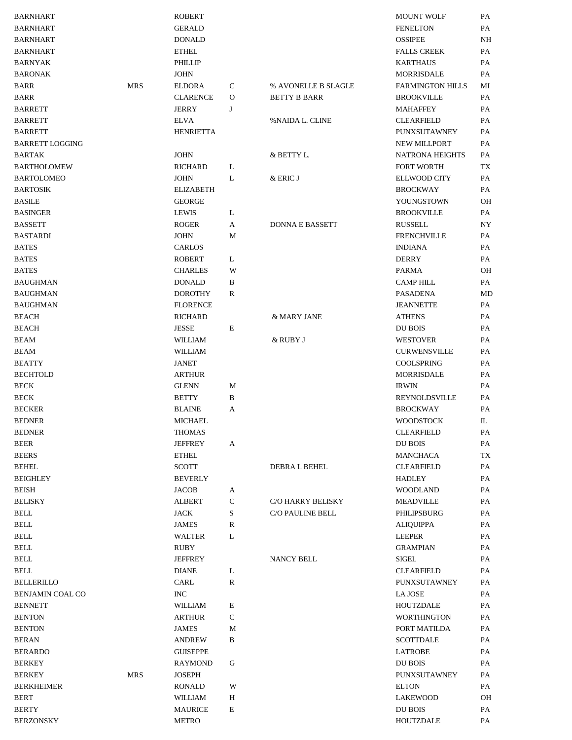| BARNHART                |            | <b>ROBERT</b>    |              |                          | <b>MOUNT WOLF</b>       | PA        |
|-------------------------|------------|------------------|--------------|--------------------------|-------------------------|-----------|
| <b>BARNHART</b>         |            | <b>GERALD</b>    |              |                          | <b>FENELTON</b>         | PA        |
| <b>BARNHART</b>         |            | <b>DONALD</b>    |              |                          | <b>OSSIPEE</b>          | <b>NH</b> |
| BARNHART                |            | <b>ETHEL</b>     |              |                          | <b>FALLS CREEK</b>      | PA        |
| BARNYAK                 |            | <b>PHILLIP</b>   |              |                          | <b>KARTHAUS</b>         | PA        |
| <b>BARONAK</b>          |            | <b>JOHN</b>      |              |                          | <b>MORRISDALE</b>       | PA        |
| BARR                    | <b>MRS</b> | <b>ELDORA</b>    | C            | % AVONELLE B SLAGLE      | <b>FARMINGTON HILLS</b> | МI        |
| <b>BARR</b>             |            | <b>CLARENCE</b>  | $\mathbf{O}$ | <b>BETTY B BARR</b>      | <b>BROOKVILLE</b>       | PA        |
| <b>BARRETT</b>          |            | JERRY            | J            |                          | <b>MAHAFFEY</b>         | PA        |
| <b>BARRETT</b>          |            | ELVA             |              | %NAIDA L. CLINE          | <b>CLEARFIELD</b>       | PA        |
| <b>BARRETT</b>          |            | <b>HENRIETTA</b> |              |                          | PUNXSUTAWNEY            | PA        |
| <b>BARRETT LOGGING</b>  |            |                  |              |                          | <b>NEW MILLPORT</b>     | PA        |
| <b>BARTAK</b>           |            | <b>JOHN</b>      |              | & BETTY L.               | <b>NATRONA HEIGHTS</b>  | PA        |
| BARTHOLOMEW             |            | <b>RICHARD</b>   | L            |                          | FORT WORTH              | TX        |
| <b>BARTOLOMEO</b>       |            | <b>JOHN</b>      | L            | & ERIC J                 | <b>ELLWOOD CITY</b>     | PA        |
| <b>BARTOSIK</b>         |            | <b>ELIZABETH</b> |              |                          | <b>BROCKWAY</b>         | PA        |
| <b>BASILE</b>           |            | <b>GEORGE</b>    |              |                          | YOUNGSTOWN              | <b>OH</b> |
| <b>BASINGER</b>         |            | <b>LEWIS</b>     | L            |                          | <b>BROOKVILLE</b>       | PA        |
| <b>BASSETT</b>          |            | <b>ROGER</b>     | A            | <b>DONNA E BASSETT</b>   | RUSSELL                 | <b>NY</b> |
| <b>BASTARDI</b>         |            | <b>JOHN</b>      | М            |                          | <b>FRENCHVILLE</b>      | PA        |
| <b>BATES</b>            |            | <b>CARLOS</b>    |              |                          | <b>INDIANA</b>          | PA        |
| <b>BATES</b>            |            | <b>ROBERT</b>    | L            |                          | <b>DERRY</b>            | PA        |
| <b>BATES</b>            |            | <b>CHARLES</b>   | W            |                          | <b>PARMA</b>            | <b>OH</b> |
| <b>BAUGHMAN</b>         |            | <b>DONALD</b>    | B            |                          | <b>CAMP HILL</b>        | PA        |
| <b>BAUGHMAN</b>         |            | <b>DOROTHY</b>   | R            |                          | <b>PASADENA</b>         | MD        |
| <b>BAUGHMAN</b>         |            | <b>FLORENCE</b>  |              |                          | <b>JEANNETTE</b>        | PA        |
| <b>BEACH</b>            |            | <b>RICHARD</b>   |              | & MARY JANE              | <b>ATHENS</b>           | PA        |
| <b>BEACH</b>            |            | <b>JESSE</b>     | $\mathbf E$  |                          | $\rm DU$ BOIS           | PA        |
|                         |            |                  |              |                          |                         |           |
| <b>BEAM</b>             |            | <b>WILLIAM</b>   |              | & RUBY J                 | <b>WESTOVER</b>         | PA        |
| BEAM                    |            | WILLIAM          |              |                          | <b>CURWENSVILLE</b>     | PA        |
| BEATTY                  |            | JANET            |              |                          | <b>COOLSPRING</b>       | PA        |
| <b>BECHTOLD</b>         |            | <b>ARTHUR</b>    |              |                          | MORRISDALE              | PA        |
| <b>BECK</b>             |            | <b>GLENN</b>     | M            |                          | <b>IRWIN</b>            | PA        |
| <b>BECK</b>             |            | <b>BETTY</b>     | B            |                          | REYNOLDSVILLE           | PA        |
| <b>BECKER</b>           |            | <b>BLAINE</b>    | A            |                          | <b>BROCKWAY</b>         | PA        |
| <b>BEDNER</b>           |            | <b>MICHAEL</b>   |              |                          | <b>WOODSTOCK</b>        | Ш.        |
| <b>BEDNER</b>           |            | <b>THOMAS</b>    |              |                          | <b>CLEARFIELD</b>       | PA        |
| <b>BEER</b>             |            | <b>JEFFREY</b>   | A            |                          | <b>DU BOIS</b>          | PA        |
| <b>BEERS</b>            |            | <b>ETHEL</b>     |              |                          | MANCHACA                | <b>TX</b> |
| <b>BEHEL</b>            |            | <b>SCOTT</b>     |              | DEBRA L BEHEL            | <b>CLEARFIELD</b>       | PA        |
| <b>BEIGHLEY</b>         |            | <b>BEVERLY</b>   |              |                          | <b>HADLEY</b>           | PA        |
| <b>BEISH</b>            |            | <b>JACOB</b>     | A            |                          | <b>WOODLAND</b>         | PA        |
| <b>BELISKY</b>          |            | <b>ALBERT</b>    | $\mathbf C$  | <b>C/O HARRY BELISKY</b> | MEADVILLE               | PA        |
| <b>BELL</b>             |            | <b>JACK</b>      | S            | C/O PAULINE BELL         | PHILIPSBURG             | PA        |
| <b>BELL</b>             |            | <b>JAMES</b>     | ${\bf R}$    |                          | <b>ALIQUIPPA</b>        | PA        |
| <b>BELL</b>             |            | WALTER           | L            |                          | <b>LEEPER</b>           | PA        |
| <b>BELL</b>             |            | <b>RUBY</b>      |              |                          | <b>GRAMPIAN</b>         | PA        |
| BELL                    |            | <b>JEFFREY</b>   |              | NANCY BELL               | <b>SIGEL</b>            | PA        |
| BELL                    |            | <b>DIANE</b>     | L            |                          | <b>CLEARFIELD</b>       | PA        |
| <b>BELLERILLO</b>       |            | CARL             | ${\bf R}$    |                          | PUNXSUTAWNEY            | PA        |
| <b>BENJAMIN COAL CO</b> |            | $\rm{INC}$       |              |                          | LA JOSE                 | PA        |
| <b>BENNETT</b>          |            | WILLIAM          | E            |                          | <b>HOUTZDALE</b>        | PA        |
| <b>BENTON</b>           |            | <b>ARTHUR</b>    | $\mathsf{C}$ |                          | <b>WORTHINGTON</b>      | PA        |
| <b>BENTON</b>           |            | <b>JAMES</b>     | M            |                          | PORT MATILDA            | PA        |
| <b>BERAN</b>            |            | <b>ANDREW</b>    | B            |                          | <b>SCOTTDALE</b>        | PA        |
| BERARDO                 |            | <b>GUISEPPE</b>  |              |                          | <b>LATROBE</b>          | PA        |
| <b>BERKEY</b>           |            | RAYMOND          | G            |                          | DU BOIS                 | PA        |
| <b>BERKEY</b>           | <b>MRS</b> | <b>JOSEPH</b>    |              |                          | PUNXSUTAWNEY            | PA        |
| <b>BERKHEIMER</b>       |            | <b>RONALD</b>    | W            |                          | <b>ELTON</b>            | PA        |
| <b>BERT</b>             |            | WILLIAM          | H            |                          | LAKEWOOD                | OH        |
| <b>BERTY</b>            |            | <b>MAURICE</b>   | E            |                          | DU BOIS                 | PA        |
| <b>BERZONSKY</b>        |            | <b>METRO</b>     |              |                          | <b>HOUTZDALE</b>        | PA        |
|                         |            |                  |              |                          |                         |           |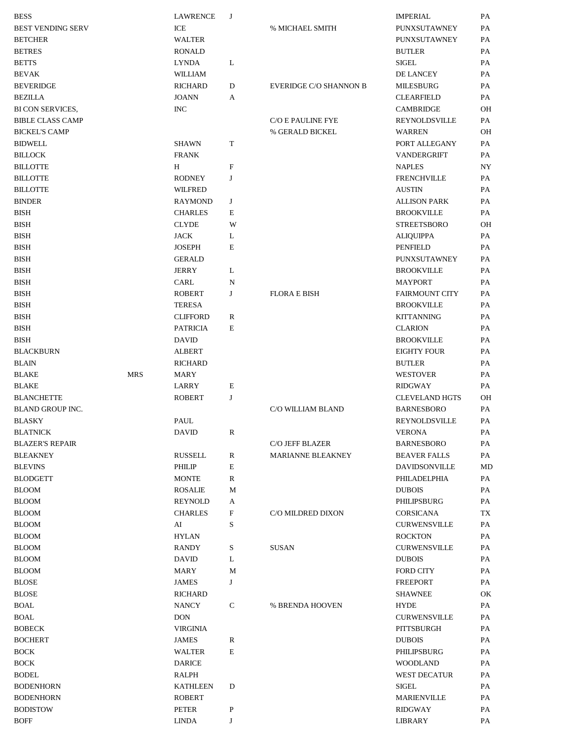| <b>BESS</b>              |            | <b>LAWRENCE</b> | J           |                               | <b>IMPERIAL</b>       | PA        |
|--------------------------|------------|-----------------|-------------|-------------------------------|-----------------------|-----------|
| <b>BEST VENDING SERV</b> |            | ICE             |             | % MICHAEL SMITH               | PUNXSUTAWNEY          | PA        |
| <b>BETCHER</b>           |            | <b>WALTER</b>   |             |                               | PUNXSUTAWNEY          | PA        |
| <b>BETRES</b>            |            | <b>RONALD</b>   |             |                               | <b>BUTLER</b>         | PA        |
| <b>BETTS</b>             |            | <b>LYNDA</b>    | L           |                               | <b>SIGEL</b>          | PA        |
| <b>BEVAK</b>             |            | WILLIAM         |             |                               | DE LANCEY             | PA        |
| <b>BEVERIDGE</b>         |            | <b>RICHARD</b>  | D           | <b>EVERIDGE C/O SHANNON B</b> | <b>MILESBURG</b>      | PA        |
| <b>BEZILLA</b>           |            | <b>JOANN</b>    | A           |                               | <b>CLEARFIELD</b>     | PA        |
| <b>BI CON SERVICES,</b>  |            | <b>INC</b>      |             |                               | <b>CAMBRIDGE</b>      | OH        |
| <b>BIBLE CLASS CAMP</b>  |            |                 |             | C/O E PAULINE FYE             | REYNOLDSVILLE         | PA        |
| <b>BICKEL'S CAMP</b>     |            |                 |             | % GERALD BICKEL               | <b>WARREN</b>         | OH        |
| <b>BIDWELL</b>           |            | <b>SHAWN</b>    | T           |                               | PORT ALLEGANY         | PA        |
| <b>BILLOCK</b>           |            | <b>FRANK</b>    |             |                               | <b>VANDERGRIFT</b>    | PA        |
| <b>BILLOTTE</b>          |            | H               | $\mathbf F$ |                               | <b>NAPLES</b>         | NY        |
| <b>BILLOTTE</b>          |            | <b>RODNEY</b>   | J           |                               | <b>FRENCHVILLE</b>    | PA        |
| <b>BILLOTTE</b>          |            | <b>WILFRED</b>  |             |                               | <b>AUSTIN</b>         | PA        |
| <b>BINDER</b>            |            | <b>RAYMOND</b>  | J           |                               | <b>ALLISON PARK</b>   | PA        |
| <b>BISH</b>              |            | <b>CHARLES</b>  | E           |                               | <b>BROOKVILLE</b>     | PA        |
| <b>BISH</b>              |            | <b>CLYDE</b>    | W           |                               | <b>STREETSBORO</b>    | <b>OH</b> |
| <b>BISH</b>              |            | <b>JACK</b>     | L           |                               | <b>ALIQUIPPA</b>      | PA        |
| <b>BISH</b>              |            | <b>JOSEPH</b>   | E           |                               | <b>PENFIELD</b>       | PA        |
| <b>BISH</b>              |            | <b>GERALD</b>   |             |                               | PUNXSUTAWNEY          | PA        |
| <b>BISH</b>              |            | <b>JERRY</b>    |             |                               | <b>BROOKVILLE</b>     |           |
|                          |            |                 | L           |                               |                       | PA        |
| <b>BISH</b>              |            | CARL            | N           |                               | <b>MAYPORT</b>        | PA        |
| <b>BISH</b>              |            | <b>ROBERT</b>   | J           | <b>FLORA E BISH</b>           | <b>FAIRMOUNT CITY</b> | PA        |
| <b>BISH</b>              |            | <b>TERESA</b>   |             |                               | <b>BROOKVILLE</b>     | PA        |
| <b>BISH</b>              |            | <b>CLIFFORD</b> | R           |                               | <b>KITTANNING</b>     | PA        |
| <b>BISH</b>              |            | <b>PATRICIA</b> | E           |                               | <b>CLARION</b>        | PA        |
| <b>BISH</b>              |            | <b>DAVID</b>    |             |                               | <b>BROOKVILLE</b>     | PA        |
| <b>BLACKBURN</b>         |            | <b>ALBERT</b>   |             |                               | <b>EIGHTY FOUR</b>    | PA        |
| <b>BLAIN</b>             |            | <b>RICHARD</b>  |             |                               | <b>BUTLER</b>         | PA        |
| <b>BLAKE</b>             | <b>MRS</b> | <b>MARY</b>     |             |                               | <b>WESTOVER</b>       | PA        |
| <b>BLAKE</b>             |            | LARRY           | Е           |                               | <b>RIDGWAY</b>        | PA        |
| <b>BLANCHETTE</b>        |            | <b>ROBERT</b>   | J           |                               | <b>CLEVELAND HGTS</b> | <b>OH</b> |
| <b>BLAND GROUP INC.</b>  |            |                 |             | C/O WILLIAM BLAND             | <b>BARNESBORO</b>     | PA        |
| <b>BLASKY</b>            |            | PAUL            |             |                               | REYNOLDSVILLE         | PA        |
| <b>BLATNICK</b>          |            | <b>DAVID</b>    | R           |                               | <b>VERONA</b>         | PA        |
| <b>BLAZER'S REPAIR</b>   |            |                 |             | C/O JEFF BLAZER               | <b>BARNESBORO</b>     | PA        |
| <b>BLEAKNEY</b>          |            | <b>RUSSELL</b>  | R           | MARIANNE BLEAKNEY             | <b>BEAVER FALLS</b>   | PA        |
| <b>BLEVINS</b>           |            | PHILIP          | $\mathbf E$ |                               | <b>DAVIDSONVILLE</b>  | MD        |
| <b>BLODGETT</b>          |            | <b>MONTE</b>    | R           |                               | PHILADELPHIA          | PA        |
| <b>BLOOM</b>             |            | <b>ROSALIE</b>  | М           |                               | <b>DUBOIS</b>         | PA        |
| <b>BLOOM</b>             |            | <b>REYNOLD</b>  | A           |                               | PHILIPSBURG           | PA        |
| <b>BLOOM</b>             |            | <b>CHARLES</b>  | F           | C/O MILDRED DIXON             | <b>CORSICANA</b>      | TX        |
| <b>BLOOM</b>             |            | AI              | S           |                               | <b>CURWENSVILLE</b>   | PA        |
| <b>BLOOM</b>             |            | <b>HYLAN</b>    |             |                               | <b>ROCKTON</b>        | PA        |
| <b>BLOOM</b>             |            | <b>RANDY</b>    | S           | <b>SUSAN</b>                  | <b>CURWENSVILLE</b>   | PA        |
| <b>BLOOM</b>             |            | <b>DAVID</b>    | L           |                               | <b>DUBOIS</b>         | PA        |
| <b>BLOOM</b>             |            | MARY            | М           |                               | <b>FORD CITY</b>      | PA        |
| <b>BLOSE</b>             |            | <b>JAMES</b>    | J           |                               | <b>FREEPORT</b>       | PA        |
| <b>BLOSE</b>             |            | <b>RICHARD</b>  |             |                               | <b>SHAWNEE</b>        | OK        |
| <b>BOAL</b>              |            | <b>NANCY</b>    | C           | % BRENDA HOOVEN               | <b>HYDE</b>           | PA        |
| <b>BOAL</b>              |            | <b>DON</b>      |             |                               | <b>CURWENSVILLE</b>   | PA        |
| <b>BOBECK</b>            |            | <b>VIRGINIA</b> |             |                               | PITTSBURGH            | PA        |
| <b>BOCHERT</b>           |            | <b>JAMES</b>    | R           |                               | <b>DUBOIS</b>         | PA        |
| <b>BOCK</b>              |            | <b>WALTER</b>   | $\mathbf E$ |                               | PHILIPSBURG           | PA        |
| <b>BOCK</b>              |            | <b>DARICE</b>   |             |                               | <b>WOODLAND</b>       | PA        |
| <b>BODEL</b>             |            | RALPH           |             |                               | <b>WEST DECATUR</b>   | PA        |
| <b>BODENHORN</b>         |            | <b>KATHLEEN</b> | D           |                               | <b>SIGEL</b>          | PA        |
| <b>BODENHORN</b>         |            | <b>ROBERT</b>   |             |                               | <b>MARIENVILLE</b>    | PA        |
| <b>BODISTOW</b>          |            | <b>PETER</b>    | P           |                               | <b>RIDGWAY</b>        | PA        |
| <b>BOFF</b>              |            | <b>LINDA</b>    | J           |                               | <b>LIBRARY</b>        | PA        |
|                          |            |                 |             |                               |                       |           |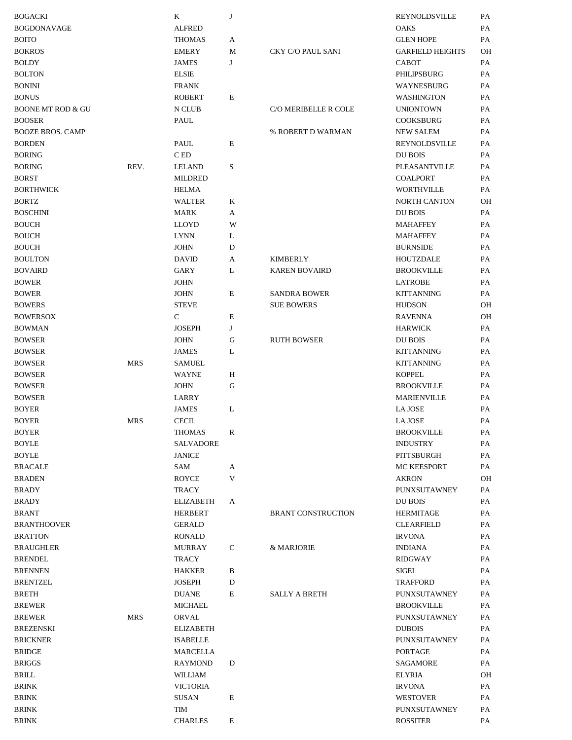| BOGACKI                      |            | K                | J           |                           | REYNOLDSVILLE           | PA |
|------------------------------|------------|------------------|-------------|---------------------------|-------------------------|----|
| <b>BOGDONAVAGE</b>           |            | <b>ALFRED</b>    |             |                           | <b>OAKS</b>             | PA |
| <b>BOITO</b>                 |            | <b>THOMAS</b>    | A           |                           | <b>GLEN HOPE</b>        | PA |
| <b>BOKROS</b>                |            | <b>EMERY</b>     | М           | CKY C/O PAUL SANI         | <b>GARFIELD HEIGHTS</b> | OН |
| BOLDY                        |            | <b>JAMES</b>     | J           |                           | <b>CABOT</b>            | PA |
| <b>BOLTON</b>                |            | <b>ELSIE</b>     |             |                           | PHILIPSBURG             | PA |
| <b>BONINI</b>                |            | <b>FRANK</b>     |             |                           | WAYNESBURG              | PA |
| <b>BONUS</b>                 |            | <b>ROBERT</b>    | $\mathbf E$ |                           | WASHINGTON              | PA |
| <b>BOONE MT ROD &amp; GU</b> |            | N CLUB           |             | C/O MERIBELLE R COLE      | <b>UNIONTOWN</b>        | PA |
| <b>BOOSER</b>                |            | PAUL             |             |                           | <b>COOKSBURG</b>        | PA |
| <b>BOOZE BROS. CAMP</b>      |            |                  |             | % ROBERT D WARMAN         | <b>NEW SALEM</b>        | PA |
| <b>BORDEN</b>                |            | PAUL             | E           |                           | REYNOLDSVILLE           | PA |
| <b>BORING</b>                |            | C ED             |             |                           | DU BOIS                 | PA |
| <b>BORING</b>                | REV.       | LELAND           | S           |                           | PLEASANTVILLE           | PA |
| <b>BORST</b>                 |            | MILDRED          |             |                           | <b>COALPORT</b>         | PA |
| <b>BORTHWICK</b>             |            | <b>HELMA</b>     |             |                           | <b>WORTHVILLE</b>       | PA |
| <b>BORTZ</b>                 |            | <b>WALTER</b>    | K           |                           | <b>NORTH CANTON</b>     | OН |
| <b>BOSCHINI</b>              |            | MARK             | A           |                           | DU BOIS                 | PA |
| <b>BOUCH</b>                 |            | <b>LLOYD</b>     | W           |                           | <b>MAHAFFEY</b>         | PA |
| <b>BOUCH</b>                 |            | <b>LYNN</b>      | L           |                           | <b>MAHAFFEY</b>         | PA |
| <b>BOUCH</b>                 |            | <b>JOHN</b>      | D           |                           | <b>BURNSIDE</b>         | PA |
| BOULTON                      |            | <b>DAVID</b>     | A           | <b>KIMBERLY</b>           | HOUTZDALE               | PA |
| <b>BOVAIRD</b>               |            | GARY             | L           | <b>KAREN BOVAIRD</b>      | <b>BROOKVILLE</b>       | PA |
| <b>BOWER</b>                 |            | <b>JOHN</b>      |             |                           |                         |    |
|                              |            |                  |             |                           | <b>LATROBE</b>          | PA |
| <b>BOWER</b>                 |            | <b>JOHN</b>      | E           | <b>SANDRA BOWER</b>       | <b>KITTANNING</b>       | PA |
| <b>BOWERS</b>                |            | <b>STEVE</b>     |             | <b>SUE BOWERS</b>         | <b>HUDSON</b>           | OН |
| <b>BOWERSOX</b>              |            | C                | $\mathbf E$ |                           | <b>RAVENNA</b>          | OH |
| <b>BOWMAN</b>                |            | <b>JOSEPH</b>    | J           |                           | <b>HARWICK</b>          | PA |
| <b>BOWSER</b>                |            | <b>JOHN</b>      | G           | <b>RUTH BOWSER</b>        | DU BOIS                 | PA |
| <b>BOWSER</b>                |            | <b>JAMES</b>     | L           |                           | <b>KITTANNING</b>       | PA |
| <b>BOWSER</b>                | <b>MRS</b> | SAMUEL           |             |                           | <b>KITTANNING</b>       | PA |
| <b>BOWSER</b>                |            | WAYNE            | $\,$ H      |                           | <b>KOPPEL</b>           | PA |
| <b>BOWSER</b>                |            | JOHN             | ${\bf G}$   |                           | <b>BROOKVILLE</b>       | PA |
| <b>BOWSER</b>                |            | LARRY            |             |                           | <b>MARIENVILLE</b>      | PA |
| <b>BOYER</b>                 |            | <b>JAMES</b>     | L           |                           | <b>LA JOSE</b>          | PA |
| <b>BOYER</b>                 | <b>MRS</b> | <b>CECIL</b>     |             |                           | <b>LA JOSE</b>          | PA |
| BOYER                        |            | THOMAS           | R           |                           | <b>BROOKVILLE</b>       | PА |
| <b>BOYLE</b>                 |            | SALVADORE        |             |                           | <b>INDUSTRY</b>         | PA |
| <b>BOYLE</b>                 |            | <b>JANICE</b>    |             |                           | PITTSBURGH              | PA |
| <b>BRACALE</b>               |            | SAM              | A           |                           | <b>MC KEESPORT</b>      | PA |
| <b>BRADEN</b>                |            | <b>ROYCE</b>     | V           |                           | <b>AKRON</b>            | OH |
| <b>BRADY</b>                 |            | TRACY            |             |                           | PUNXSUTAWNEY            | PA |
| <b>BRADY</b>                 |            | ELIZABETH        | A           |                           | DU BOIS                 | PA |
| <b>BRANT</b>                 |            | <b>HERBERT</b>   |             | <b>BRANT CONSTRUCTION</b> | <b>HERMITAGE</b>        | PA |
| <b>BRANTHOOVER</b>           |            | <b>GERALD</b>    |             |                           | <b>CLEARFIELD</b>       | PA |
| <b>BRATTON</b>               |            | RONALD           |             |                           | <b>IRVONA</b>           | PA |
| BRAUGHLER                    |            | <b>MURRAY</b>    | C           | & MARJORIE                | <b>INDIANA</b>          | PA |
| <b>BRENDEL</b>               |            | TRACY            |             |                           | RIDGWAY                 | PA |
| <b>BRENNEN</b>               |            | HAKKER           | B           |                           | SIGEL                   | PA |
| <b>BRENTZEL</b>              |            | JOSEPH           | D           |                           | <b>TRAFFORD</b>         | PA |
| <b>BRETH</b>                 |            | <b>DUANE</b>     | Е           | <b>SALLY A BRETH</b>      | PUNXSUTAWNEY            | PA |
| <b>BREWER</b>                |            | MICHAEL          |             |                           | <b>BROOKVILLE</b>       | PA |
| <b>BREWER</b>                | <b>MRS</b> | <b>ORVAL</b>     |             |                           | PUNXSUTAWNEY            | PA |
|                              |            |                  |             |                           |                         |    |
| BREZENSKI                    |            | <b>ELIZABETH</b> |             |                           | <b>DUBOIS</b>           | PA |
| <b>BRICKNER</b>              |            | <b>ISABELLE</b>  |             |                           | PUNXSUTAWNEY            | PA |
| <b>BRIDGE</b>                |            | MARCELLA         |             |                           | PORTAGE                 | PA |
| <b>BRIGGS</b>                |            | <b>RAYMOND</b>   | D           |                           | SAGAMORE                | PA |
| <b>BRILL</b>                 |            | WILLIAM          |             |                           | ELYRIA                  | OH |
| <b>BRINK</b>                 |            | <b>VICTORIA</b>  |             |                           | <b>IRVONA</b>           | PA |
| <b>BRINK</b>                 |            | SUSAN            | E           |                           | <b>WESTOVER</b>         | PA |
| <b>BRINK</b>                 |            | TIM              |             |                           | PUNXSUTAWNEY            | PA |
| <b>BRINK</b>                 |            | <b>CHARLES</b>   | E           |                           | <b>ROSSITER</b>         | PA |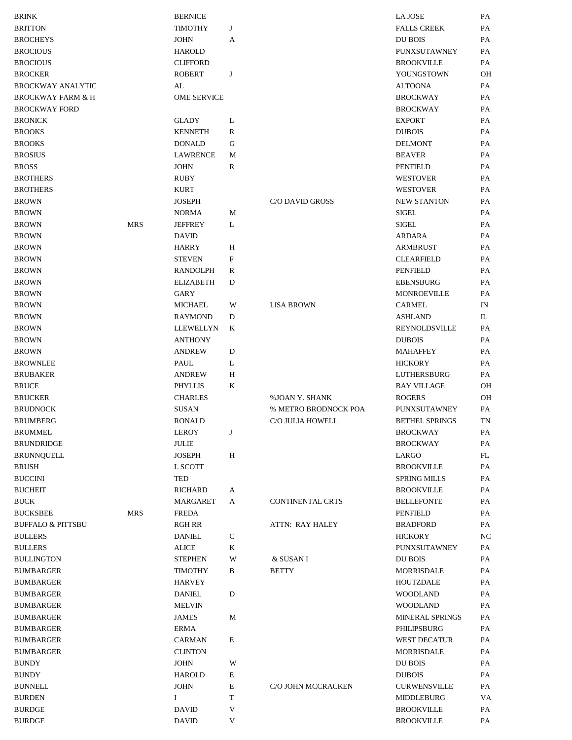| BRINK                        |            | <b>BERNICE</b>     |              |                        | <b>LA JOSE</b>         | PA            |
|------------------------------|------------|--------------------|--------------|------------------------|------------------------|---------------|
| <b>BRITTON</b>               |            | <b>TIMOTHY</b>     | J            |                        | <b>FALLS CREEK</b>     | PA            |
| <b>BROCHEYS</b>              |            | <b>JOHN</b>        | A            |                        | DU BOIS                | PA            |
| <b>BROCIOUS</b>              |            | <b>HAROLD</b>      |              |                        | PUNXSUTAWNEY           | PA            |
| <b>BROCIOUS</b>              |            | <b>CLIFFORD</b>    |              |                        | <b>BROOKVILLE</b>      | PA            |
| <b>BROCKER</b>               |            | <b>ROBERT</b>      | J            |                        | YOUNGSTOWN             | OH            |
| <b>BROCKWAY ANALYTIC</b>     |            | AL                 |              |                        | <b>ALTOONA</b>         | PA            |
| BROCKWAY FARM & H            |            | <b>OME SERVICE</b> |              |                        | <b>BROCKWAY</b>        | PA            |
| <b>BROCKWAY FORD</b>         |            |                    |              |                        | <b>BROCKWAY</b>        | PA            |
| <b>BRONICK</b>               |            | <b>GLADY</b>       | L            |                        | <b>EXPORT</b>          | PA            |
| <b>BROOKS</b>                |            | <b>KENNETH</b>     | R            |                        | <b>DUBOIS</b>          | PA            |
| <b>BROOKS</b>                |            | <b>DONALD</b>      | G            |                        | <b>DELMONT</b>         | PA            |
| <b>BROSIUS</b>               |            | <b>LAWRENCE</b>    | M            |                        | <b>BEAVER</b>          | PA            |
| <b>BROSS</b>                 |            | <b>JOHN</b>        | R            |                        | <b>PENFIELD</b>        | PA            |
| <b>BROTHERS</b>              |            | <b>RUBY</b>        |              |                        | <b>WESTOVER</b>        | PA            |
| <b>BROTHERS</b>              |            | <b>KURT</b>        |              |                        | <b>WESTOVER</b>        | PA            |
| <b>BROWN</b>                 |            | <b>JOSEPH</b>      |              | <b>C/O DAVID GROSS</b> | <b>NEW STANTON</b>     | PA            |
| <b>BROWN</b>                 |            | <b>NORMA</b>       | M            |                        | SIGEL                  | PA            |
| <b>BROWN</b>                 | <b>MRS</b> | <b>JEFFREY</b>     | L            |                        | <b>SIGEL</b>           | PA            |
| <b>BROWN</b>                 |            | <b>DAVID</b>       |              |                        | <b>ARDARA</b>          | PA            |
| <b>BROWN</b>                 |            | <b>HARRY</b>       | H            |                        | <b>ARMBRUST</b>        | PA            |
|                              |            |                    | F            |                        | <b>CLEARFIELD</b>      |               |
| <b>BROWN</b>                 |            | <b>STEVEN</b>      |              |                        |                        | PA            |
| <b>BROWN</b>                 |            | <b>RANDOLPH</b>    | R            |                        | <b>PENFIELD</b>        | PA            |
| <b>BROWN</b>                 |            | <b>ELIZABETH</b>   | $\mathbf D$  |                        | <b>EBENSBURG</b>       | PA            |
| <b>BROWN</b>                 |            | <b>GARY</b>        |              |                        | MONROEVILLE            | PA            |
| <b>BROWN</b>                 |            | <b>MICHAEL</b>     | W            | <b>LISA BROWN</b>      | <b>CARMEL</b>          | $_{\rm IN}$   |
| <b>BROWN</b>                 |            | <b>RAYMOND</b>     | D            |                        | <b>ASHLAND</b>         | IL            |
| <b>BROWN</b>                 |            | LLEWELLYN          | K            |                        | <b>REYNOLDSVILLE</b>   | PA            |
| <b>BROWN</b>                 |            | <b>ANTHONY</b>     |              |                        | <b>DUBOIS</b>          | PA            |
| <b>BROWN</b>                 |            | <b>ANDREW</b>      | D            |                        | <b>MAHAFFEY</b>        | PA            |
| <b>BROWNLEE</b>              |            | <b>PAUL</b>        | L            |                        | <b>HICKORY</b>         | PA            |
| <b>BRUBAKER</b>              |            | <b>ANDREW</b>      | H            |                        | <b>LUTHERSBURG</b>     | PA            |
| <b>BRUCE</b>                 |            | <b>PHYLLIS</b>     | K            |                        | <b>BAY VILLAGE</b>     | OН            |
| <b>BRUCKER</b>               |            | <b>CHARLES</b>     |              | %JOAN Y. SHANK         | <b>ROGERS</b>          | OН            |
| <b>BRUDNOCK</b>              |            | <b>SUSAN</b>       |              | % METRO BRODNOCK POA   | PUNXSUTAWNEY           | PA            |
| <b>BRUMBERG</b>              |            | <b>RONALD</b>      |              | C/O JULIA HOWELL       | <b>BETHEL SPRINGS</b>  | TN            |
| <b>BRUMMEL</b>               |            | LEROY              |              |                        | <b>BROCKWAY</b>        | $\mathbf{PA}$ |
| <b>BRUNDRIDGE</b>            |            | JULIE              |              |                        | <b>BROCKWAY</b>        | PA            |
| <b>BRUNNQUELL</b>            |            | <b>JOSEPH</b>      | $\, {\rm H}$ |                        | LARGO                  | FL            |
| <b>BRUSH</b>                 |            | L SCOTT            |              |                        | <b>BROOKVILLE</b>      | PA            |
| <b>BUCCINI</b>               |            | <b>TED</b>         |              |                        | <b>SPRING MILLS</b>    | PA            |
| <b>BUCHEIT</b>               |            | <b>RICHARD</b>     | A            |                        | <b>BROOKVILLE</b>      | PA            |
| BUCK                         |            | MARGARET           | A            | CONTINENTAL CRTS       | <b>BELLEFONTE</b>      | PA            |
| <b>BUCKSBEE</b>              | <b>MRS</b> | <b>FREDA</b>       |              |                        | PENFIELD               | PA            |
| <b>BUFFALO &amp; PITTSBU</b> |            | RGH RR             |              | ATTN: RAY HALEY        | <b>BRADFORD</b>        | PA            |
| <b>BULLERS</b>               |            | <b>DANIEL</b>      | $\mathsf{C}$ |                        | <b>HICKORY</b>         | NC            |
| <b>BULLERS</b>               |            | <b>ALICE</b>       | K            |                        | PUNXSUTAWNEY           | PA            |
| <b>BULLINGTON</b>            |            | <b>STEPHEN</b>     | W            | & SUSAN I              | DU BOIS                | PA            |
| <b>BUMBARGER</b>             |            | <b>TIMOTHY</b>     | B            | <b>BETTY</b>           | <b>MORRISDALE</b>      | PA            |
| BUMBARGER                    |            | <b>HARVEY</b>      |              |                        | HOUTZDALE              | PA            |
| BUMBARGER                    |            | <b>DANIEL</b>      | D            |                        | <b>WOODLAND</b>        | PA            |
| BUMBARGER                    |            | <b>MELVIN</b>      |              |                        | <b>WOODLAND</b>        | PA            |
| <b>BUMBARGER</b>             |            | <b>JAMES</b>       | М            |                        | <b>MINERAL SPRINGS</b> | PA            |
| <b>BUMBARGER</b>             |            | <b>ERMA</b>        |              |                        | PHILIPSBURG            | PA            |
|                              |            |                    |              |                        |                        |               |
| <b>BUMBARGER</b>             |            | <b>CARMAN</b>      | E            |                        | WEST DECATUR           | PA            |
| <b>BUMBARGER</b>             |            | <b>CLINTON</b>     |              |                        | <b>MORRISDALE</b>      | PA            |
| <b>BUNDY</b>                 |            | <b>JOHN</b>        | W            |                        | DU BOIS                | PA            |
| <b>BUNDY</b>                 |            | <b>HAROLD</b>      | Е            |                        | <b>DUBOIS</b>          | PA            |
| BUNNELL                      |            | <b>JOHN</b>        | Е            | C/O JOHN MCCRACKEN     | <b>CURWENSVILLE</b>    | PA            |
| BURDEN                       |            | Ι.                 | T            |                        | MIDDLEBURG             | VA            |
| <b>BURDGE</b>                |            | <b>DAVID</b>       | $\mathbf V$  |                        | <b>BROOKVILLE</b>      | PA            |
| <b>BURDGE</b>                |            | <b>DAVID</b>       | V            |                        | <b>BROOKVILLE</b>      | PA            |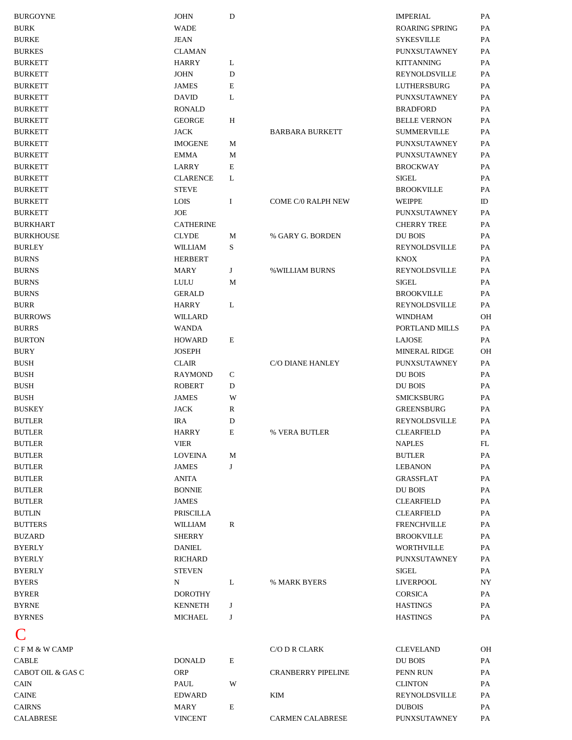<span id="page-6-0"></span>

| BURGOYNE          | <b>JOHN</b>      | $\mathbf D$ |                           | <b>IMPERIAL</b>       | PA |
|-------------------|------------------|-------------|---------------------------|-----------------------|----|
| <b>BURK</b>       | <b>WADE</b>      |             |                           | <b>ROARING SPRING</b> | PA |
| <b>BURKE</b>      | <b>JEAN</b>      |             |                           | <b>SYKESVILLE</b>     | PA |
| <b>BURKES</b>     | <b>CLAMAN</b>    |             |                           | PUNXSUTAWNEY          | PA |
| <b>BURKETT</b>    | <b>HARRY</b>     | L           |                           | <b>KITTANNING</b>     | PA |
| <b>BURKETT</b>    | <b>JOHN</b>      | D           |                           | REYNOLDSVILLE         | PA |
| <b>BURKETT</b>    | <b>JAMES</b>     | E           |                           | LUTHERSBURG           | PA |
| <b>BURKETT</b>    | <b>DAVID</b>     | L           |                           | PUNXSUTAWNEY          | PA |
| <b>BURKETT</b>    | <b>RONALD</b>    |             |                           | <b>BRADFORD</b>       | PA |
| BURKETT           | <b>GEORGE</b>    | H           |                           | <b>BELLE VERNON</b>   | PA |
| BURKETT           | <b>JACK</b>      |             | <b>BARBARA BURKETT</b>    | <b>SUMMERVILLE</b>    | PA |
| <b>BURKETT</b>    | <b>IMOGENE</b>   | М           |                           | PUNXSUTAWNEY          | PA |
| <b>BURKETT</b>    | <b>EMMA</b>      | М           |                           | PUNXSUTAWNEY          | PA |
| <b>BURKETT</b>    | LARRY            | E           |                           | <b>BROCKWAY</b>       | PA |
| <b>BURKETT</b>    | <b>CLARENCE</b>  | L           |                           | <b>SIGEL</b>          | PA |
| <b>BURKETT</b>    | <b>STEVE</b>     |             |                           | <b>BROOKVILLE</b>     | PA |
| <b>BURKETT</b>    | LOIS             | <b>I</b>    | COME C/0 RALPH NEW        | <b>WEIPPE</b>         | ID |
| <b>BURKETT</b>    | JOE              |             |                           | PUNXSUTAWNEY          | PA |
|                   |                  |             |                           |                       |    |
| <b>BURKHART</b>   | <b>CATHERINE</b> |             |                           | <b>CHERRY TREE</b>    | PA |
| <b>BURKHOUSE</b>  | <b>CLYDE</b>     | М           | % GARY G. BORDEN          | DU BOIS               | PA |
| <b>BURLEY</b>     | <b>WILLIAM</b>   | S           |                           | REYNOLDSVILLE         | PA |
| <b>BURNS</b>      | <b>HERBERT</b>   |             |                           | <b>KNOX</b>           | PA |
| <b>BURNS</b>      | MARY             | J           | % WILLIAM BURNS           | <b>REYNOLDSVILLE</b>  | PA |
| <b>BURNS</b>      | <b>LULU</b>      | М           |                           | <b>SIGEL</b>          | PA |
| <b>BURNS</b>      | <b>GERALD</b>    |             |                           | <b>BROOKVILLE</b>     | PA |
| <b>BURR</b>       | <b>HARRY</b>     | L           |                           | REYNOLDSVILLE         | PA |
| <b>BURROWS</b>    | WILLARD          |             |                           | <b>WINDHAM</b>        | OН |
| <b>BURRS</b>      | <b>WANDA</b>     |             |                           | PORTLAND MILLS        | PA |
| <b>BURTON</b>     | <b>HOWARD</b>    | $\bf E$     |                           | <b>LAJOSE</b>         | PA |
| <b>BURY</b>       | <b>JOSEPH</b>    |             |                           | <b>MINERAL RIDGE</b>  | OН |
| <b>BUSH</b>       | <b>CLAIR</b>     |             | C/O DIANE HANLEY          | PUNXSUTAWNEY          | PA |
| <b>BUSH</b>       | <b>RAYMOND</b>   | C           |                           | DU BOIS               | PA |
| <b>BUSH</b>       | <b>ROBERT</b>    | D           |                           | DU BOIS               | PA |
| BUSH              | <b>JAMES</b>     | W           |                           | <b>SMICKSBURG</b>     | PA |
| BUSKEY            | <b>JACK</b>      | R           |                           | <b>GREENSBURG</b>     | PA |
| <b>BUTLER</b>     | IRA              | D           |                           | REYNOLDSVILLE         | PA |
| <b>BUTLER</b>     | <b>HARRY</b>     | $\bf E$     | % VERA BUTLER             | <b>CLEARFIELD</b>     | PA |
| <b>BUTLER</b>     | <b>VIER</b>      |             |                           | <b>NAPLES</b>         | FL |
| <b>BUTLER</b>     | <b>LOVEINA</b>   | М           |                           | <b>BUTLER</b>         | PA |
| <b>BUTLER</b>     | <b>JAMES</b>     | J           |                           | <b>LEBANON</b>        | PA |
| <b>BUTLER</b>     | <b>ANITA</b>     |             |                           | <b>GRASSFLAT</b>      | PA |
| <b>BUTLER</b>     | <b>BONNIE</b>    |             |                           | DU BOIS               | PA |
| BUTLER            | <b>JAMES</b>     |             |                           | <b>CLEARFIELD</b>     | PA |
| <b>BUTLIN</b>     | PRISCILLA        |             |                           | <b>CLEARFIELD</b>     | PA |
| <b>BUTTERS</b>    | WILLIAM          | R           |                           | <b>FRENCHVILLE</b>    | PA |
| BUZARD            | <b>SHERRY</b>    |             |                           | <b>BROOKVILLE</b>     | PA |
| <b>BYERLY</b>     |                  |             |                           |                       |    |
|                   | <b>DANIEL</b>    |             |                           | <b>WORTHVILLE</b>     | PA |
| <b>BYERLY</b>     | <b>RICHARD</b>   |             |                           | PUNXSUTAWNEY          | PA |
| <b>BYERLY</b>     | <b>STEVEN</b>    |             |                           | <b>SIGEL</b>          | PA |
| BYERS             | N                | L           | % MARK BYERS              | <b>LIVERPOOL</b>      | NY |
| BYRER             | <b>DOROTHY</b>   |             |                           | <b>CORSICA</b>        | PA |
| BYRNE             | <b>KENNETH</b>   | J           |                           | <b>HASTINGS</b>       | PA |
| <b>BYRNES</b>     | <b>MICHAEL</b>   | J           |                           | <b>HASTINGS</b>       | PA |
|                   |                  |             |                           |                       |    |
| C F M & W CAMP    |                  |             | C/O D R CLARK             | <b>CLEVELAND</b>      | OН |
| <b>CABLE</b>      | <b>DONALD</b>    | E           |                           | DU BOIS               | PA |
| CABOT OIL & GAS C | <b>ORP</b>       |             | <b>CRANBERRY PIPELINE</b> | PENN RUN              | PA |
| CAIN              | PAUL             | W           |                           | <b>CLINTON</b>        | PA |
| CAINE             | <b>EDWARD</b>    |             | KIM                       | REYNOLDSVILLE         | PA |
| <b>CAIRNS</b>     | <b>MARY</b>      | E           |                           | <b>DUBOIS</b>         | PA |
| <b>CALABRESE</b>  | <b>VINCENT</b>   |             | <b>CARMEN CALABRESE</b>   | PUNXSUTAWNEY          | PA |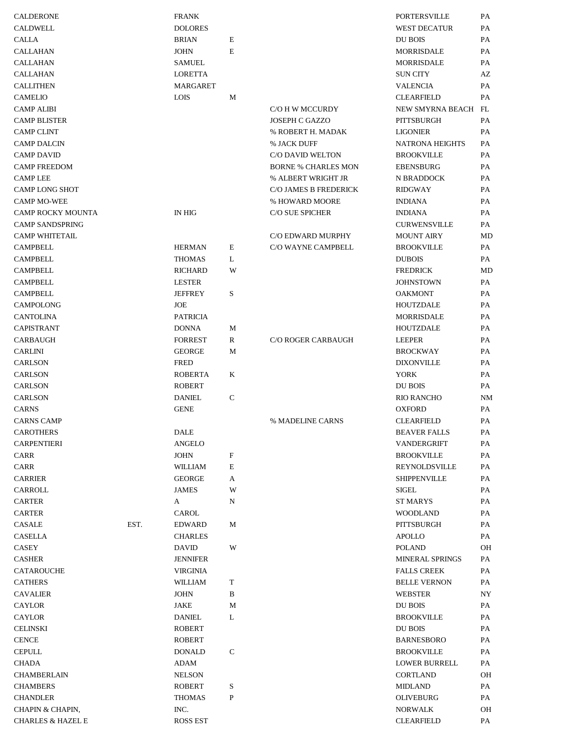| CALDERONE                |      | <b>FRANK</b>    |             |                            | <b>PORTERSVILLE</b>    | PA            |
|--------------------------|------|-----------------|-------------|----------------------------|------------------------|---------------|
| <b>CALDWELL</b>          |      | <b>DOLORES</b>  |             |                            | <b>WEST DECATUR</b>    | PA            |
| <b>CALLA</b>             |      | <b>BRIAN</b>    | E           |                            | DU BOIS                | PA            |
| <b>CALLAHAN</b>          |      | <b>JOHN</b>     | E           |                            | MORRISDALE             | PA            |
| <b>CALLAHAN</b>          |      | <b>SAMUEL</b>   |             |                            | <b>MORRISDALE</b>      | PA            |
| <b>CALLAHAN</b>          |      | <b>LORETTA</b>  |             |                            | <b>SUN CITY</b>        | AZ            |
| <b>CALLITHEN</b>         |      | MARGARET        |             |                            | <b>VALENCIA</b>        | <b>PA</b>     |
| <b>CAMELIO</b>           |      | <b>LOIS</b>     | M           |                            | <b>CLEARFIELD</b>      | PA            |
| <b>CAMP ALIBI</b>        |      |                 |             | C/O H W MCCURDY            | NEW SMYRNA BEACH FL    |               |
| <b>CAMP BLISTER</b>      |      |                 |             | JOSEPH C GAZZO             | PITTSBURGH             | PA            |
| <b>CAMP CLINT</b>        |      |                 |             | % ROBERT H. MADAK          | <b>LIGONIER</b>        | PA            |
| <b>CAMP DALCIN</b>       |      |                 |             | % JACK DUFF                | <b>NATRONA HEIGHTS</b> | PA            |
| <b>CAMP DAVID</b>        |      |                 |             | C/O DAVID WELTON           | <b>BROOKVILLE</b>      | PA            |
| <b>CAMP FREEDOM</b>      |      |                 |             | <b>BORNE % CHARLES MON</b> | <b>EBENSBURG</b>       | PA            |
| <b>CAMP LEE</b>          |      |                 |             | % ALBERT WRIGHT JR         | N BRADDOCK             | PA            |
| <b>CAMP LONG SHOT</b>    |      |                 |             | C/O JAMES B FREDERICK      | <b>RIDGWAY</b>         | PA            |
| <b>CAMP MO-WEE</b>       |      |                 |             | % HOWARD MOORE             | <b>INDIANA</b>         | PA            |
| <b>CAMP ROCKY MOUNTA</b> |      | IN HIG          |             | <b>C/O SUE SPICHER</b>     | <b>INDIANA</b>         | PA            |
| <b>CAMP SANDSPRING</b>   |      |                 |             |                            | <b>CURWENSVILLE</b>    | PA            |
| <b>CAMP WHITETAIL</b>    |      |                 |             | C/O EDWARD MURPHY          | <b>MOUNT AIRY</b>      | MD            |
| <b>CAMPBELL</b>          |      | <b>HERMAN</b>   | Ε           | C/O WAYNE CAMPBELL         | <b>BROOKVILLE</b>      | PA            |
| <b>CAMPBELL</b>          |      | <b>THOMAS</b>   | L           |                            | <b>DUBOIS</b>          | PA            |
| <b>CAMPBELL</b>          |      | <b>RICHARD</b>  | W           |                            | <b>FREDRICK</b>        | <b>MD</b>     |
| <b>CAMPBELL</b>          |      | <b>LESTER</b>   |             |                            |                        | PA            |
| <b>CAMPBELL</b>          |      | <b>JEFFREY</b>  |             |                            | <b>JOHNSTOWN</b>       | PA            |
|                          |      |                 | S           |                            | <b>OAKMONT</b>         |               |
| <b>CAMPOLONG</b>         |      | JOE             |             |                            | HOUTZDALE              | PA            |
| <b>CANTOLINA</b>         |      | <b>PATRICIA</b> |             |                            | <b>MORRISDALE</b>      | PA            |
| <b>CAPISTRANT</b>        |      | <b>DONNA</b>    | М           |                            | HOUTZDALE              | PA            |
| <b>CARBAUGH</b>          |      | <b>FORREST</b>  | R           | <b>C/O ROGER CARBAUGH</b>  | <b>LEEPER</b>          | PA            |
| <b>CARLINI</b>           |      | <b>GEORGE</b>   | М           |                            | <b>BROCKWAY</b>        | PA            |
| <b>CARLSON</b>           |      | <b>FRED</b>     |             |                            | <b>DIXONVILLE</b>      | PA            |
| <b>CARLSON</b>           |      | <b>ROBERTA</b>  | K           |                            | <b>YORK</b>            | PA            |
| <b>CARLSON</b>           |      | <b>ROBERT</b>   |             |                            | DU BOIS                | PA            |
| <b>CARLSON</b>           |      | <b>DANIEL</b>   | $\mathbf C$ |                            | <b>RIO RANCHO</b>      | <b>NM</b>     |
| <b>CARNS</b>             |      | <b>GENE</b>     |             |                            | <b>OXFORD</b>          | PA            |
| <b>CARNS CAMP</b>        |      |                 |             | % MADELINE CARNS           | <b>CLEARFIELD</b>      | PA            |
| <b>CAROTHERS</b>         |      | <b>DALE</b>     |             |                            | <b>BEAVER FALLS</b>    | $\mathbf{PA}$ |
| <b>CARPENTIERI</b>       |      | ANGELO          |             |                            | <b>VANDERGRIFT</b>     | PA            |
| $\rm CARR$               |      | <b>JOHN</b>     | F           |                            | <b>BROOKVILLE</b>      | PA            |
| CARR                     |      | <b>WILLIAM</b>  | E           |                            | REYNOLDSVILLE          | PA            |
| <b>CARRIER</b>           |      | <b>GEORGE</b>   | A           |                            | <b>SHIPPENVILLE</b>    | PA            |
| CARROLL                  |      | <b>JAMES</b>    | W           |                            | SIGEL                  | PA            |
| <b>CARTER</b>            |      | A               | N           |                            | ST MARYS               | PA            |
| <b>CARTER</b>            |      | CAROL           |             |                            | <b>WOODLAND</b>        | PA            |
| <b>CASALE</b>            | EST. | <b>EDWARD</b>   | M           |                            | PITTSBURGH             | PA            |
| <b>CASELLA</b>           |      | <b>CHARLES</b>  |             |                            | <b>APOLLO</b>          | PA            |
| <b>CASEY</b>             |      | <b>DAVID</b>    | W           |                            | <b>POLAND</b>          | OH            |
| <b>CASHER</b>            |      | <b>JENNIFER</b> |             |                            | <b>MINERAL SPRINGS</b> | PA            |
| CATAROUCHE               |      | <b>VIRGINIA</b> |             |                            | <b>FALLS CREEK</b>     | PA            |
| <b>CATHERS</b>           |      | WILLIAM         | T           |                            | <b>BELLE VERNON</b>    | PA            |
| CAVALIER                 |      | JOHN            | B           |                            | <b>WEBSTER</b>         | NY            |
| CAYLOR                   |      | JAKE            | М           |                            | DU BOIS                | PA            |
| CAYLOR                   |      | <b>DANIEL</b>   | L           |                            | <b>BROOKVILLE</b>      | PA            |
| CELINSKI                 |      | <b>ROBERT</b>   |             |                            | DU BOIS                | PA            |
| <b>CENCE</b>             |      | <b>ROBERT</b>   |             |                            | <b>BARNESBORO</b>      | PA            |
| <b>CEPULL</b>            |      | <b>DONALD</b>   | $\mathbf C$ |                            | <b>BROOKVILLE</b>      | PA            |
| <b>CHADA</b>             |      | ADAM            |             |                            | <b>LOWER BURRELL</b>   | PA            |
| CHAMBERLAIN              |      | <b>NELSON</b>   |             |                            | <b>CORTLAND</b>        | OН            |
|                          |      |                 |             |                            |                        |               |
| <b>CHAMBERS</b>          |      | <b>ROBERT</b>   | S           |                            | <b>MIDLAND</b>         | PA            |
| <b>CHANDLER</b>          |      | <b>THOMAS</b>   | P           |                            | <b>OLIVEBURG</b>       | PA            |
| CHAPIN & CHAPIN,         |      | INC.            |             |                            | <b>NORWALK</b>         | OН            |
| CHARLES & HAZEL E        |      | <b>ROSS EST</b> |             |                            | <b>CLEARFIELD</b>      | PA            |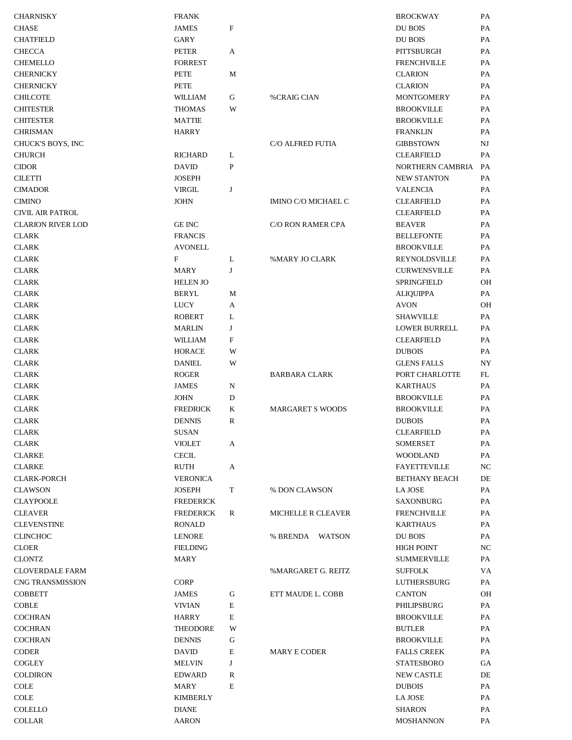| <b>CHARNISKY</b>         | <b>FRANK</b>     |   |                           | <b>BROCKWAY</b>         | PA        |
|--------------------------|------------------|---|---------------------------|-------------------------|-----------|
| <b>CHASE</b>             | <b>JAMES</b>     | F |                           | DU BOIS                 | PA        |
| <b>CHATFIELD</b>         | GARY             |   |                           | DU BOIS                 | PA        |
| <b>CHECCA</b>            | <b>PETER</b>     | A |                           | PITTSBURGH              | PA        |
| <b>CHEMELLO</b>          | <b>FORREST</b>   |   |                           | <b>FRENCHVILLE</b>      | PA        |
| <b>CHERNICKY</b>         | <b>PETE</b>      | М |                           | <b>CLARION</b>          | PA        |
| <b>CHERNICKY</b>         | <b>PETE</b>      |   |                           | <b>CLARION</b>          | PA        |
| <b>CHILCOTE</b>          | <b>WILLIAM</b>   | G | <b>%CRAIG CIAN</b>        | <b>MONTGOMERY</b>       | PA        |
| <b>CHITESTER</b>         | <b>THOMAS</b>    | W |                           | <b>BROOKVILLE</b>       | PA        |
| <b>CHITESTER</b>         | <b>MATTIE</b>    |   |                           | <b>BROOKVILLE</b>       | PA        |
| <b>CHRISMAN</b>          | <b>HARRY</b>     |   |                           | <b>FRANKLIN</b>         | PA        |
| CHUCK'S BOYS, INC        |                  |   | C/O ALFRED FUTIA          | <b>GIBBSTOWN</b>        | NJ        |
| <b>CHURCH</b>            | <b>RICHARD</b>   | L |                           | <b>CLEARFIELD</b>       | PA        |
| <b>CIDOR</b>             | <b>DAVID</b>     | P |                           | <b>NORTHERN CAMBRIA</b> | <b>PA</b> |
| <b>CILETTI</b>           | <b>JOSEPH</b>    |   |                           | <b>NEW STANTON</b>      | PA        |
| <b>CIMADOR</b>           | <b>VIRGIL</b>    | J |                           | <b>VALENCIA</b>         | PA        |
| <b>CIMINO</b>            | <b>JOHN</b>      |   | IMINO C/O MICHAEL C       | <b>CLEARFIELD</b>       | PA        |
| <b>CIVIL AIR PATROL</b>  |                  |   |                           | <b>CLEARFIELD</b>       | PA        |
| <b>CLARION RIVER LOD</b> | <b>GE INC</b>    |   | C/O RON RAMER CPA         | <b>BEAVER</b>           | PA        |
| <b>CLARK</b>             | <b>FRANCIS</b>   |   |                           | <b>BELLEFONTE</b>       | PA        |
| <b>CLARK</b>             | <b>AVONELL</b>   |   |                           | <b>BROOKVILLE</b>       | PA        |
| <b>CLARK</b>             | F                | L | <b>%MARY JO CLARK</b>     | REYNOLDSVILLE           | PA        |
| <b>CLARK</b>             | <b>MARY</b>      | J |                           | <b>CURWENSVILLE</b>     | PA        |
| <b>CLARK</b>             | <b>HELEN JO</b>  |   |                           | SPRINGFIELD             | OH        |
| <b>CLARK</b>             | <b>BERYL</b>     | М |                           | <b>ALIQUIPPA</b>        | PA        |
| <b>CLARK</b>             | <b>LUCY</b>      | A |                           | <b>AVON</b>             | OH        |
| <b>CLARK</b>             | <b>ROBERT</b>    | L |                           | <b>SHAWVILLE</b>        | PA        |
| <b>CLARK</b>             | <b>MARLIN</b>    | J |                           | <b>LOWER BURRELL</b>    | PA        |
| <b>CLARK</b>             | WILLIAM          | F |                           | <b>CLEARFIELD</b>       | PA        |
| <b>CLARK</b>             | <b>HORACE</b>    | W |                           | <b>DUBOIS</b>           | PA        |
| <b>CLARK</b>             | <b>DANIEL</b>    | W |                           | <b>GLENS FALLS</b>      | NY        |
| <b>CLARK</b>             | <b>ROGER</b>     |   | <b>BARBARA CLARK</b>      | PORT CHARLOTTE          | FL        |
| <b>CLARK</b>             | <b>JAMES</b>     | N |                           | <b>KARTHAUS</b>         | PA        |
| <b>CLARK</b>             | <b>JOHN</b>      | D |                           | <b>BROOKVILLE</b>       | PA        |
| <b>CLARK</b>             | <b>FREDRICK</b>  | K | <b>MARGARET S WOODS</b>   | <b>BROOKVILLE</b>       | PA        |
| <b>CLARK</b>             | <b>DENNIS</b>    | R |                           | <b>DUBOIS</b>           | PA        |
| <b>CLARK</b>             | <b>SUSAN</b>     |   |                           | <b>CLEARFIELD</b>       | PA        |
| <b>CLARK</b>             | <b>VIOLET</b>    | A |                           | <b>SOMERSET</b>         | PA        |
| <b>CLARKE</b>            | <b>CECIL</b>     |   |                           | <b>WOODLAND</b>         | PA        |
| <b>CLARKE</b>            | <b>RUTH</b>      | А |                           | <b>FAYETTEVILLE</b>     | NC        |
| <b>CLARK-PORCH</b>       | <b>VERONICA</b>  |   |                           | <b>BETHANY BEACH</b>    | DE        |
| <b>CLAWSON</b>           | <b>JOSEPH</b>    | T | % DON CLAWSON             | LA JOSE                 | PA        |
| <b>CLAYPOOLE</b>         | <b>FREDERICK</b> |   |                           | <b>SAXONBURG</b>        | PA        |
| <b>CLEAVER</b>           | <b>FREDERICK</b> | R | MICHELLE R CLEAVER        | <b>FRENCHVILLE</b>      | PA        |
| <b>CLEVENSTINE</b>       | <b>RONALD</b>    |   |                           | <b>KARTHAUS</b>         | PA        |
| <b>CLINCHOC</b>          | <b>LENORE</b>    |   | % BRENDA<br><b>WATSON</b> | <b>DU BOIS</b>          | PA        |
| <b>CLOER</b>             | <b>FIELDING</b>  |   |                           | <b>HIGH POINT</b>       | NC        |
| CLONTZ                   | MARY             |   |                           | <b>SUMMERVILLE</b>      | PA        |
| <b>CLOVERDALE FARM</b>   |                  |   | %MARGARET G. REITZ        | <b>SUFFOLK</b>          | VA        |
| <b>CNG TRANSMISSION</b>  | <b>CORP</b>      |   |                           | LUTHERSBURG             | PA        |
| <b>COBBETT</b>           | <b>JAMES</b>     | G | ETT MAUDE L. COBB         | <b>CANTON</b>           | OН        |
| <b>COBLE</b>             | <b>VIVIAN</b>    | E |                           | PHILIPSBURG             | PA        |
| <b>COCHRAN</b>           | <b>HARRY</b>     | Е |                           | <b>BROOKVILLE</b>       | PA        |
| <b>COCHRAN</b>           | <b>THEODORE</b>  | W |                           | <b>BUTLER</b>           | PA        |
| <b>COCHRAN</b>           | <b>DENNIS</b>    | G |                           | <b>BROOKVILLE</b>       | PA        |
| <b>CODER</b>             | <b>DAVID</b>     | Е | <b>MARY E CODER</b>       | <b>FALLS CREEK</b>      | PA        |
| COGLEY                   | <b>MELVIN</b>    | J |                           | <b>STATESBORO</b>       | GA        |
| <b>COLDIRON</b>          | <b>EDWARD</b>    | R |                           | <b>NEW CASTLE</b>       | DE        |
| COLE                     | MARY             | E |                           | <b>DUBOIS</b>           | PA        |
| COLE                     | <b>KIMBERLY</b>  |   |                           | LA JOSE                 | PA        |
| <b>COLELLO</b>           | <b>DIANE</b>     |   |                           | <b>SHARON</b>           | PA        |
| <b>COLLAR</b>            | <b>AARON</b>     |   |                           | <b>MOSHANNON</b>        | PA        |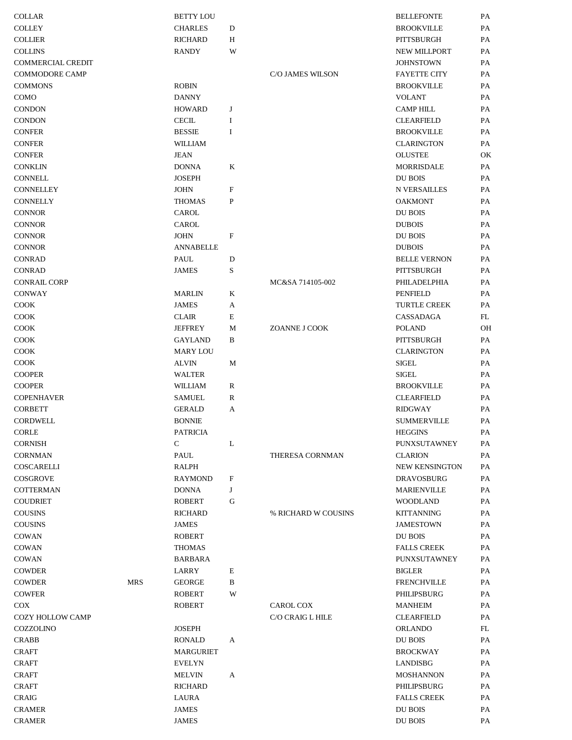| <b>COLLAR</b>            |            | <b>BETTY LOU</b> |             |                     | <b>BELLEFONTE</b>     | PA        |
|--------------------------|------------|------------------|-------------|---------------------|-----------------------|-----------|
| <b>COLLEY</b>            |            | <b>CHARLES</b>   | D           |                     | <b>BROOKVILLE</b>     | PA        |
| <b>COLLIER</b>           |            | <b>RICHARD</b>   | Η           |                     | PITTSBURGH            | PA        |
| <b>COLLINS</b>           |            | <b>RANDY</b>     | W           |                     | <b>NEW MILLPORT</b>   | PA        |
| <b>COMMERCIAL CREDIT</b> |            |                  |             |                     | <b>JOHNSTOWN</b>      | PA        |
| <b>COMMODORE CAMP</b>    |            |                  |             | C/O JAMES WILSON    | <b>FAYETTE CITY</b>   | PA        |
| <b>COMMONS</b>           |            | <b>ROBIN</b>     |             |                     | <b>BROOKVILLE</b>     | PA        |
| COMO                     |            | <b>DANNY</b>     |             |                     | <b>VOLANT</b>         | <b>PA</b> |
| <b>CONDON</b>            |            | <b>HOWARD</b>    | J           |                     | <b>CAMP HILL</b>      | <b>PA</b> |
| <b>CONDON</b>            |            | <b>CECIL</b>     | I           |                     | <b>CLEARFIELD</b>     | PA        |
| <b>CONFER</b>            |            | <b>BESSIE</b>    | I           |                     | <b>BROOKVILLE</b>     | PA        |
| <b>CONFER</b>            |            | <b>WILLIAM</b>   |             |                     | <b>CLARINGTON</b>     | PA        |
| <b>CONFER</b>            |            | <b>JEAN</b>      |             |                     | <b>OLUSTEE</b>        | OK        |
| <b>CONKLIN</b>           |            | <b>DONNA</b>     | K           |                     | <b>MORRISDALE</b>     | PA        |
| CONNELL                  |            | <b>JOSEPH</b>    |             |                     | DU BOIS               | PA        |
| CONNELLEY                |            | <b>JOHN</b>      | F           |                     | <b>N VERSAILLES</b>   | PA        |
| <b>CONNELLY</b>          |            | <b>THOMAS</b>    | $\mathbf P$ |                     | <b>OAKMONT</b>        | PA        |
| <b>CONNOR</b>            |            | CAROL            |             |                     | DU BOIS               | PA        |
| <b>CONNOR</b>            |            | <b>CAROL</b>     |             |                     | <b>DUBOIS</b>         | PA        |
| <b>CONNOR</b>            |            | <b>JOHN</b>      | F           |                     | DU BOIS               | PA        |
| <b>CONNOR</b>            |            | <b>ANNABELLE</b> |             |                     | <b>DUBOIS</b>         | PA        |
| <b>CONRAD</b>            |            | PAUL             | D           |                     | <b>BELLE VERNON</b>   | PA        |
| <b>CONRAD</b>            |            | <b>JAMES</b>     | S           |                     | PITTSBURGH            | PA        |
| <b>CONRAIL CORP</b>      |            |                  |             | MC&SA 714105-002    | PHILADELPHIA          | PA        |
| <b>CONWAY</b>            |            | <b>MARLIN</b>    | K           |                     | PENFIELD              | PA        |
| COOK                     |            | <b>JAMES</b>     | A           |                     | <b>TURTLE CREEK</b>   | <b>PA</b> |
| COOK                     |            | <b>CLAIR</b>     | E           |                     | CASSADAGA             | FL        |
| COOK                     |            | <b>JEFFREY</b>   | М           | ZOANNE J COOK       | <b>POLAND</b>         | OH        |
| COOK                     |            | <b>GAYLAND</b>   | B           |                     | PITTSBURGH            | <b>PA</b> |
| COOK                     |            | <b>MARY LOU</b>  |             |                     | <b>CLARINGTON</b>     | <b>PA</b> |
| COOK                     |            | <b>ALVIN</b>     | M           |                     | <b>SIGEL</b>          | PA        |
| <b>COOPER</b>            |            | <b>WALTER</b>    |             |                     | <b>SIGEL</b>          | PA        |
| <b>COOPER</b>            |            | <b>WILLIAM</b>   | R           |                     | <b>BROOKVILLE</b>     | PA        |
| <b>COPENHAVER</b>        |            | <b>SAMUEL</b>    | R           |                     | <b>CLEARFIELD</b>     | <b>PA</b> |
| <b>CORBETT</b>           |            | <b>GERALD</b>    | A           |                     | <b>RIDGWAY</b>        | PA        |
| <b>CORDWELL</b>          |            | <b>BONNIE</b>    |             |                     | <b>SUMMERVILLE</b>    | PA        |
| <b>CORLE</b>             |            | <b>PATRICIA</b>  |             |                     | <b>HEGGINS</b>        | PA        |
| <b>CORNISH</b>           |            | $\mathcal{C}$    | L           |                     | <b>PUNXSUTAWNEY</b>   | PA        |
| <b>CORNMAN</b>           |            | PAUL             |             | THERESA CORNMAN     | <b>CLARION</b>        | PA        |
| COSCARELLI               |            | RALPH            |             |                     | <b>NEW KENSINGTON</b> | PA        |
| <b>COSGROVE</b>          |            | <b>RAYMOND</b>   | $\mathbf F$ |                     | <b>DRAVOSBURG</b>     | PA        |
| <b>COTTERMAN</b>         |            | <b>DONNA</b>     | J           |                     | <b>MARIENVILLE</b>    | <b>PA</b> |
| <b>COUDRIET</b>          |            | <b>ROBERT</b>    | ${\bf G}$   |                     | <b>WOODLAND</b>       | PA        |
| <b>COUSINS</b>           |            | <b>RICHARD</b>   |             | % RICHARD W COUSINS | <b>KITTANNING</b>     | PA        |
| <b>COUSINS</b>           |            | <b>JAMES</b>     |             |                     | <b>JAMESTOWN</b>      | PA        |
| COWAN                    |            | <b>ROBERT</b>    |             |                     | DU BOIS               | PA        |
| <b>COWAN</b>             |            | <b>THOMAS</b>    |             |                     | <b>FALLS CREEK</b>    | PA        |
| COWAN                    |            | <b>BARBARA</b>   |             |                     | PUNXSUTAWNEY          | PA        |
| <b>COWDER</b>            |            | LARRY            | E           |                     | <b>BIGLER</b>         | PA        |
| <b>COWDER</b>            | <b>MRS</b> | <b>GEORGE</b>    | B           |                     | <b>FRENCHVILLE</b>    | PA        |
| <b>COWFER</b>            |            | <b>ROBERT</b>    | W           |                     | PHILIPSBURG           | PA        |
| COX                      |            | <b>ROBERT</b>    |             | CAROL COX           | <b>MANHEIM</b>        | PA        |
| COZY HOLLOW CAMP         |            |                  |             | C/O CRAIG L HILE    | <b>CLEARFIELD</b>     | PA        |
| <b>COZZOLINO</b>         |            | <b>JOSEPH</b>    |             |                     | <b>ORLANDO</b>        | FL        |
| <b>CRABB</b>             |            | <b>RONALD</b>    | A           |                     | DU BOIS               | PA        |
| <b>CRAFT</b>             |            | <b>MARGURIET</b> |             |                     | <b>BROCKWAY</b>       | PA        |
| <b>CRAFT</b>             |            | <b>EVELYN</b>    |             |                     | LANDISBG              | PA        |
| <b>CRAFT</b>             |            | <b>MELVIN</b>    | A           |                     | <b>MOSHANNON</b>      | PA        |
| <b>CRAFT</b>             |            | <b>RICHARD</b>   |             |                     | PHILIPSBURG           | PA        |
| <b>CRAIG</b>             |            | LAURA            |             |                     | <b>FALLS CREEK</b>    | PA        |
| <b>CRAMER</b>            |            | <b>JAMES</b>     |             |                     | DU BOIS               | PA        |
| <b>CRAMER</b>            |            | <b>JAMES</b>     |             |                     | DU BOIS               | PA        |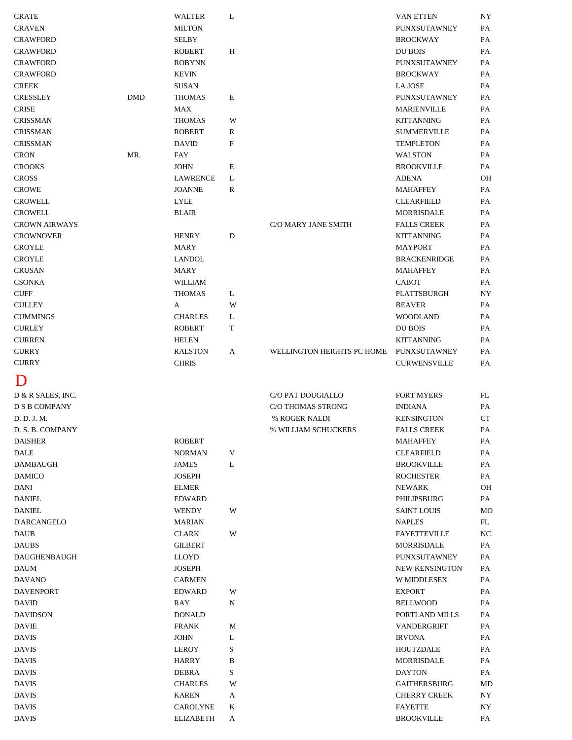<span id="page-10-0"></span>

| <b>CRATE</b>         |            | <b>WALTER</b>    | L            |                            | VAN ETTEN                              | $_{\mathrm{NY}}$ |
|----------------------|------------|------------------|--------------|----------------------------|----------------------------------------|------------------|
| <b>CRAVEN</b>        |            | <b>MILTON</b>    |              |                            | PUNXSUTAWNEY                           | PA               |
| <b>CRAWFORD</b>      |            | SELBY            |              |                            | <b>BROCKWAY</b>                        | PA               |
| <b>CRAWFORD</b>      |            | <b>ROBERT</b>    | $\, {\rm H}$ |                            | DU BOIS                                | PA               |
| <b>CRAWFORD</b>      |            | <b>ROBYNN</b>    |              |                            | PUNXSUTAWNEY                           | PA               |
| <b>CRAWFORD</b>      |            | <b>KEVIN</b>     |              |                            | <b>BROCKWAY</b>                        | PA               |
| <b>CREEK</b>         |            | <b>SUSAN</b>     |              |                            | LA JOSE                                | PA               |
| <b>CRESSLEY</b>      | <b>DMD</b> | <b>THOMAS</b>    | E            |                            | PUNXSUTAWNEY                           | PA               |
| <b>CRISE</b>         |            | <b>MAX</b>       |              |                            | <b>MARIENVILLE</b>                     | PA               |
| <b>CRISSMAN</b>      |            | <b>THOMAS</b>    | W            |                            | <b>KITTANNING</b>                      | PA               |
| <b>CRISSMAN</b>      |            | <b>ROBERT</b>    | R            |                            | <b>SUMMERVILLE</b>                     | PA               |
| <b>CRISSMAN</b>      |            | <b>DAVID</b>     | F            |                            | <b>TEMPLETON</b>                       | PA               |
| <b>CRON</b>          | MR.        | FAY              |              |                            | <b>WALSTON</b>                         | PA               |
| <b>CROOKS</b>        |            | <b>JOHN</b>      | Е            |                            | <b>BROOKVILLE</b>                      | PA               |
| <b>CROSS</b>         |            | <b>LAWRENCE</b>  | L            |                            | <b>ADENA</b>                           | OH               |
| <b>CROWE</b>         |            | <b>JOANNE</b>    | R            |                            | <b>MAHAFFEY</b>                        | PA               |
| <b>CROWELL</b>       |            | <b>LYLE</b>      |              |                            | <b>CLEARFIELD</b>                      | PA               |
| <b>CROWELL</b>       |            | <b>BLAIR</b>     |              |                            | MORRISDALE                             | PA               |
| <b>CROWN AIRWAYS</b> |            |                  |              | C/O MARY JANE SMITH        | <b>FALLS CREEK</b>                     | PA               |
| <b>CROWNOVER</b>     |            | <b>HENRY</b>     | $\mathbf D$  |                            | <b>KITTANNING</b>                      | PA               |
| <b>CROYLE</b>        |            | <b>MARY</b>      |              |                            | <b>MAYPORT</b>                         | PA               |
| <b>CROYLE</b>        |            | <b>LANDOL</b>    |              |                            | <b>BRACKENRIDGE</b>                    | PA               |
| <b>CRUSAN</b>        |            | MARY             |              |                            | <b>MAHAFFEY</b>                        | PA               |
|                      |            |                  |              |                            | <b>CABOT</b>                           | PA               |
| <b>CSONKA</b>        |            | WILLIAM          |              |                            | PLATTSBURGH                            | NY               |
| <b>CUFF</b>          |            | <b>THOMAS</b>    | L            |                            |                                        |                  |
| <b>CULLEY</b>        |            | A                | W            |                            | <b>BEAVER</b>                          | PA               |
| <b>CUMMINGS</b>      |            | <b>CHARLES</b>   | L            |                            | <b>WOODLAND</b>                        | PA               |
| <b>CURLEY</b>        |            | <b>ROBERT</b>    | $\mathbf T$  |                            | $\mathop{\rm D}\nolimits {\rm U}$ BOIS | PA               |
| <b>CURREN</b>        |            | <b>HELEN</b>     |              |                            | <b>KITTANNING</b>                      | PA               |
| <b>CURRY</b>         |            | <b>RALSTON</b>   | A            | WELLINGTON HEIGHTS PC HOME | PUNXSUTAWNEY                           | PA               |
| <b>CURRY</b>         |            | <b>CHRIS</b>     |              |                            | <b>CURWENSVILLE</b>                    | PA               |
| D                    |            |                  |              |                            |                                        |                  |
| D & R SALES, INC.    |            |                  |              | C/O PAT DOUGIALLO          | <b>FORT MYERS</b>                      | FL               |
| <b>D S B COMPANY</b> |            |                  |              | <b>C/O THOMAS STRONG</b>   | <b>INDIANA</b>                         | PA               |
| D. D. J. M.          |            |                  |              | % ROGER NALDI              | <b>KENSINGTON</b>                      | CT               |
| D. S. B. COMPANY     |            |                  |              | % WILLIAM SCHUCKERS        | <b>FALLS CREEK</b>                     | PА               |
| <b>DAISHER</b>       |            | ROBERT           |              |                            | MAHAFFEY                               | PA               |
| <b>DALE</b>          |            | <b>NORMAN</b>    | V            |                            | <b>CLEARFIELD</b>                      | PA               |
| <b>DAMBAUGH</b>      |            | <b>JAMES</b>     | L            |                            | <b>BROOKVILLE</b>                      | PA               |
| <b>DAMICO</b>        |            | <b>JOSEPH</b>    |              |                            | <b>ROCHESTER</b>                       | PA               |
| DANI                 |            | <b>ELMER</b>     |              |                            | <b>NEWARK</b>                          | OH               |
| <b>DANIEL</b>        |            | <b>EDWARD</b>    |              |                            | PHILIPSBURG                            | PA               |
| <b>DANIEL</b>        |            | <b>WENDY</b>     | W            |                            | <b>SAINT LOUIS</b>                     | <b>MO</b>        |
| <b>D'ARCANGELO</b>   |            | <b>MARIAN</b>    |              |                            | <b>NAPLES</b>                          | FL               |
|                      |            |                  | W            |                            | <b>FAYETTEVILLE</b>                    | NC               |
| <b>DAUB</b>          |            | <b>CLARK</b>     |              |                            |                                        |                  |
| <b>DAUBS</b>         |            | <b>GILBERT</b>   |              |                            | MORRISDALE                             | PA               |
| DAUGHENBAUGH         |            | LLOYD            |              |                            | PUNXSUTAWNEY                           | PA               |
| <b>DAUM</b>          |            | <b>JOSEPH</b>    |              |                            | <b>NEW KENSINGTON</b>                  | PA               |
| <b>DAVANO</b>        |            | <b>CARMEN</b>    |              |                            | W MIDDLESEX                            | PA               |
| <b>DAVENPORT</b>     |            | <b>EDWARD</b>    | W            |                            | <b>EXPORT</b>                          | PA               |
| <b>DAVID</b>         |            | <b>RAY</b>       | N            |                            | <b>BELLWOOD</b>                        | PA               |
| DAVIDSON             |            | <b>DONALD</b>    |              |                            | PORTLAND MILLS                         | PA               |
| DAVIE                |            | <b>FRANK</b>     | М            |                            | VANDERGRIFT                            | PA               |
| <b>DAVIS</b>         |            | <b>JOHN</b>      | L            |                            | <b>IRVONA</b>                          | PA               |
| <b>DAVIS</b>         |            | LEROY            | S            |                            | HOUTZDALE                              | PA               |
| <b>DAVIS</b>         |            | <b>HARRY</b>     | B            |                            | <b>MORRISDALE</b>                      | PA               |
| <b>DAVIS</b>         |            | DEBRA            | S            |                            | <b>DAYTON</b>                          | PA               |
| <b>DAVIS</b>         |            | <b>CHARLES</b>   | W            |                            | <b>GAITHERSBURG</b>                    | MD               |
| <b>DAVIS</b>         |            | <b>KAREN</b>     | A            |                            | <b>CHERRY CREEK</b>                    | $_{\mathrm{NY}}$ |
| DAVIS                |            | CAROLYNE         | K            |                            | <b>FAYETTE</b>                         | NY               |
| DAVIS                |            | <b>ELIZABETH</b> | A            |                            | <b>BROOKVILLE</b>                      | PA               |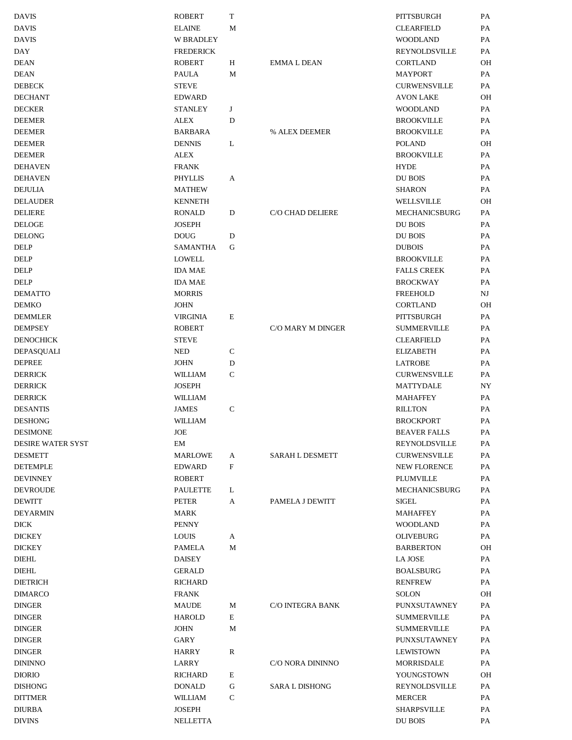| <b>DAVIS</b>                         | <b>ROBERT</b>    | T                 |                        | PITTSBURGH                                  | PA        |
|--------------------------------------|------------------|-------------------|------------------------|---------------------------------------------|-----------|
| <b>DAVIS</b>                         | <b>ELAINE</b>    | M                 |                        | <b>CLEARFIELD</b>                           | PA        |
| DAVIS                                | <b>W BRADLEY</b> |                   |                        | <b>WOODLAND</b>                             | PA        |
| DAY                                  | <b>FREDERICK</b> |                   |                        | REYNOLDSVILLE                               | PA        |
| DEAN                                 | <b>ROBERT</b>    | Н                 | <b>EMMALDEAN</b>       | <b>CORTLAND</b>                             | OН        |
| DEAN                                 | <b>PAULA</b>     | M                 |                        | <b>MAYPORT</b>                              | PA        |
| DEBECK                               | <b>STEVE</b>     |                   |                        | <b>CURWENSVILLE</b>                         | PA        |
| DECHANT                              | <b>EDWARD</b>    |                   |                        | <b>AVON LAKE</b>                            | OН        |
| DECKER                               | <b>STANLEY</b>   | J                 |                        | <b>WOODLAND</b>                             | PA        |
| DEEMER                               | <b>ALEX</b>      | D                 |                        | <b>BROOKVILLE</b>                           | PA        |
| DEEMER                               | <b>BARBARA</b>   |                   | % ALEX DEEMER          | <b>BROOKVILLE</b>                           | PA        |
| DEEMER                               | <b>DENNIS</b>    | L                 |                        | <b>POLAND</b>                               | <b>OH</b> |
| DEEMER                               | <b>ALEX</b>      |                   |                        | <b>BROOKVILLE</b>                           | PA        |
| DEHAVEN                              | <b>FRANK</b>     |                   |                        | <b>HYDE</b>                                 | PA        |
| DEHAVEN                              | <b>PHYLLIS</b>   | A                 |                        | DU BOIS                                     | PA        |
| DEJULIA                              | <b>MATHEW</b>    |                   |                        | <b>SHARON</b>                               | PA        |
| <b>DELAUDER</b>                      | <b>KENNETH</b>   |                   |                        | WELLSVILLE                                  | OH        |
| DELIERE                              | <b>RONALD</b>    | D                 | C/O CHAD DELIERE       | MECHANICSBURG                               | PA        |
| DELOGE                               | <b>JOSEPH</b>    |                   |                        | <b>DU BOIS</b>                              | PA        |
| DELONG                               | <b>DOUG</b>      | D                 |                        | <b>DU BOIS</b>                              | PA        |
| DELP                                 | <b>SAMANTHA</b>  | G                 |                        | <b>DUBOIS</b>                               | PA        |
| DELP                                 | <b>LOWELL</b>    |                   |                        | <b>BROOKVILLE</b>                           | <b>PA</b> |
| DELP                                 | <b>IDA MAE</b>   |                   |                        | <b>FALLS CREEK</b>                          | PA        |
| DELP                                 | <b>IDA MAE</b>   |                   |                        | <b>BROCKWAY</b>                             | PA        |
| DEMATTO                              | <b>MORRIS</b>    |                   |                        | <b>FREEHOLD</b>                             | NJ        |
| DEMKO                                | <b>JOHN</b>      |                   |                        | <b>CORTLAND</b>                             | OН        |
| DEMMLER                              | <b>VIRGINIA</b>  | E                 |                        | PITTSBURGH                                  | PA        |
| DEMPSEY                              | <b>ROBERT</b>    |                   | C/O MARY M DINGER      | <b>SUMMERVILLE</b>                          | PA        |
| DENOCHICK                            | <b>STEVE</b>     |                   |                        | <b>CLEARFIELD</b>                           | PA        |
| DEPASQUALI                           | <b>NED</b>       | C                 |                        | <b>ELIZABETH</b>                            | PA        |
| DEPREE                               | <b>JOHN</b>      | D                 |                        | <b>LATROBE</b>                              | PA        |
| DERRICK                              | WILLIAM          | C                 |                        | <b>CURWENSVILLE</b>                         | PA        |
| DERRICK                              | <b>JOSEPH</b>    |                   |                        | <b>MATTYDALE</b>                            | NY        |
| DERRICK                              | WILLIAM          |                   |                        | <b>MAHAFFEY</b>                             | PA        |
| <b>DESANTIS</b>                      | <b>JAMES</b>     | C                 |                        | <b>RILLTON</b>                              | PA        |
|                                      | WILLIAM          |                   |                        | <b>BROCKPORT</b>                            | PA        |
| DESHONG                              |                  |                   |                        |                                             |           |
| DESIMONE<br><b>DESIRE WATER SYST</b> | JOE<br>EM        |                   |                        | <b>BEAVER FALLS</b><br><b>REYNOLDSVILLE</b> | PA<br>PA  |
|                                      |                  |                   |                        |                                             |           |
| DESMETT                              | <b>MARLOWE</b>   | A<br>$\mathbf{F}$ | <b>SARAH L DESMETT</b> | <b>CURWENSVILLE</b><br><b>NEW FLORENCE</b>  | PA        |
| DETEMPLE                             | <b>EDWARD</b>    |                   |                        |                                             | PA        |
| DEVINNEY                             | <b>ROBERT</b>    |                   |                        | PLUMVILLE                                   | PA        |
| DEVROUDE                             | <b>PAULETTE</b>  | L                 |                        | <b>MECHANICSBURG</b>                        | PA        |
| DEWITT                               | PETER            | А                 | PAMELA J DEWITT        | <b>SIGEL</b>                                | PA        |
| DEYARMIN                             | <b>MARK</b>      |                   |                        | <b>MAHAFFEY</b>                             | PA        |
| DICK                                 | <b>PENNY</b>     |                   |                        | <b>WOODLAND</b>                             | PA        |
| DICKEY                               | <b>LOUIS</b>     | A                 |                        | <b>OLIVEBURG</b>                            | PA        |
| DICKEY                               | <b>PAMELA</b>    | М                 |                        | <b>BARBERTON</b>                            | OН        |
| DIEHL                                | <b>DAISEY</b>    |                   |                        | LA JOSE                                     | PA        |
| DIEHL                                | <b>GERALD</b>    |                   |                        | <b>BOALSBURG</b>                            | PA        |
| DIETRICH                             | <b>RICHARD</b>   |                   |                        | <b>RENFREW</b>                              | PA        |
| DIMARCO                              | <b>FRANK</b>     |                   |                        | <b>SOLON</b>                                | OН        |
| DINGER                               | <b>MAUDE</b>     | M                 | C/O INTEGRA BANK       | PUNXSUTAWNEY                                | PA        |
| DINGER                               | <b>HAROLD</b>    | E                 |                        | <b>SUMMERVILLE</b>                          | PA        |
| DINGER                               | <b>JOHN</b>      | M                 |                        | <b>SUMMERVILLE</b>                          | PA        |
| DINGER                               | GARY             |                   |                        | PUNXSUTAWNEY                                | PA        |
| DINGER                               | HARRY            | R                 |                        | <b>LEWISTOWN</b>                            | PA        |
| DININNO                              | LARRY            |                   | C/O NORA DININNO       | <b>MORRISDALE</b>                           | PA        |
| DIORIO                               | <b>RICHARD</b>   | E                 |                        | YOUNGSTOWN                                  | <b>OH</b> |
| DISHONG                              | <b>DONALD</b>    | G                 | <b>SARA L DISHONG</b>  | <b>REYNOLDSVILLE</b>                        | PA        |
| DITTMER                              | WILLIAM          | $\mathsf{C}$      |                        | <b>MERCER</b>                               | PA        |
| DIURBA                               | <b>JOSEPH</b>    |                   |                        | <b>SHARPSVILLE</b>                          | PA        |
| DIVINS                               | <b>NELLETTA</b>  |                   |                        | DU BOIS                                     | PA        |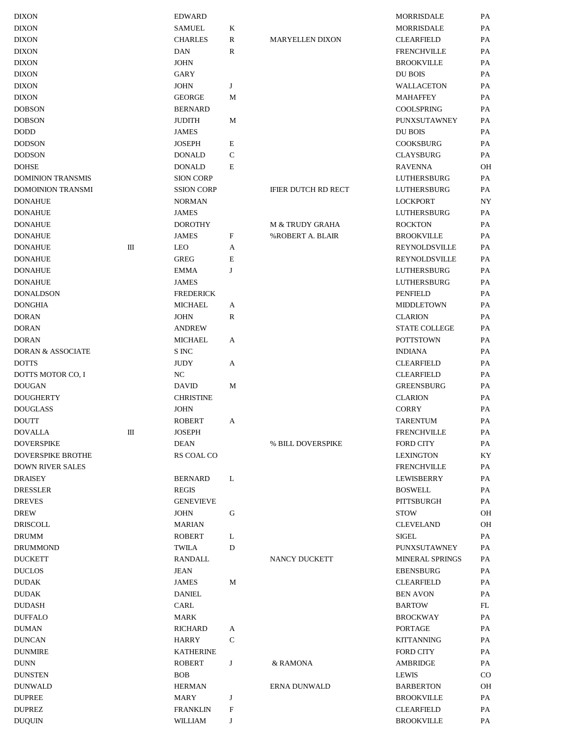| <b>DIXON</b>                        |           | <b>EDWARD</b>     |              |                            | MORRISDALE             | PA          |
|-------------------------------------|-----------|-------------------|--------------|----------------------------|------------------------|-------------|
| <b>DIXON</b>                        |           | SAMUEL            | $\rm K$      |                            | MORRISDALE             | PA          |
| <b>DIXON</b>                        |           | <b>CHARLES</b>    | $\mathbb{R}$ | <b>MARYELLEN DIXON</b>     | <b>CLEARFIELD</b>      | PA          |
| <b>DIXON</b>                        |           | DAN               | $\mathbb{R}$ |                            | <b>FRENCHVILLE</b>     | PA          |
| <b>DIXON</b>                        |           | JOHN              |              |                            | <b>BROOKVILLE</b>      | PA          |
| <b>DIXON</b>                        |           | <b>GARY</b>       |              |                            | DU BOIS                | PA          |
| <b>DIXON</b>                        |           | <b>JOHN</b>       | J            |                            | WALLACETON             | PA          |
| <b>DIXON</b>                        |           | <b>GEORGE</b>     | M            |                            | <b>MAHAFFEY</b>        | PA          |
| <b>DOBSON</b>                       |           | <b>BERNARD</b>    |              |                            | <b>COOLSPRING</b>      | PA          |
| <b>DOBSON</b>                       |           | JUDITH            | M            |                            | PUNXSUTAWNEY           | PA          |
| <b>DODD</b>                         |           | <b>JAMES</b>      |              |                            | DU BOIS                | PA          |
| <b>DODSON</b>                       |           | JOSEPH            | E            |                            | <b>COOKSBURG</b>       | PA          |
| <b>DODSON</b>                       |           | <b>DONALD</b>     | C            |                            | <b>CLAYSBURG</b>       | PA          |
| <b>DOHSE</b>                        |           | <b>DONALD</b>     | E            |                            | <b>RAVENNA</b>         | <b>OH</b>   |
| <b>DOMINION TRANSMIS</b>            |           | <b>SION CORP</b>  |              |                            | <b>LUTHERSBURG</b>     | PA          |
| <b>DOMOINION TRANSMI</b>            |           | <b>SSION CORP</b> |              | IFIER DUTCH RD RECT        | LUTHERSBURG            | PA          |
| <b>DONAHUE</b>                      |           | <b>NORMAN</b>     |              |                            | <b>LOCKPORT</b>        | NY          |
| <b>DONAHUE</b>                      |           | <b>JAMES</b>      |              |                            | LUTHERSBURG            | PA          |
| <b>DONAHUE</b>                      |           | <b>DOROTHY</b>    |              | <b>M &amp; TRUDY GRAHA</b> | <b>ROCKTON</b>         | PA          |
| <b>DONAHUE</b>                      |           | <b>JAMES</b>      | F            | %ROBERT A. BLAIR           | <b>BROOKVILLE</b>      | PA          |
| <b>DONAHUE</b>                      | $\rm III$ | LEO               | A            |                            | REYNOLDSVILLE          | PA          |
| <b>DONAHUE</b>                      |           | <b>GREG</b>       | E            |                            | REYNOLDSVILLE          | PA          |
| <b>DONAHUE</b>                      |           | <b>EMMA</b>       | J            |                            | <b>LUTHERSBURG</b>     | PA          |
| <b>DONAHUE</b>                      |           | <b>JAMES</b>      |              |                            | LUTHERSBURG            | PA          |
| <b>DONALDSON</b>                    |           | <b>FREDERICK</b>  |              |                            | PENFIELD               | PA          |
| <b>DONGHIA</b>                      |           | MICHAEL           | A            |                            | <b>MIDDLETOWN</b>      | PA          |
| <b>DORAN</b>                        |           | <b>JOHN</b>       | R            |                            | <b>CLARION</b>         | PA          |
| <b>DORAN</b>                        |           | <b>ANDREW</b>     |              |                            | STATE COLLEGE          | PA          |
| <b>DORAN</b>                        |           | MICHAEL           | A            |                            | <b>POTTSTOWN</b>       | PA          |
| DORAN & ASSOCIATE                   |           | S INC             |              |                            | <b>INDIANA</b>         | PA          |
| <b>DOTTS</b>                        |           | JUDY              | A            |                            | <b>CLEARFIELD</b>      | PA          |
| DOTTS MOTOR CO, I                   |           | $_{\mathrm{NC}}$  |              |                            | <b>CLEARFIELD</b>      | PA          |
|                                     |           |                   | M            |                            | <b>GREENSBURG</b>      |             |
| <b>DOUGAN</b>                       |           | <b>DAVID</b>      |              |                            |                        | PA          |
| <b>DOUGHERTY</b><br><b>DOUGLASS</b> |           | <b>CHRISTINE</b>  |              |                            | <b>CLARION</b>         | PA          |
|                                     |           | <b>JOHN</b>       |              |                            | <b>CORRY</b>           | PA          |
| <b>DOUTT</b>                        |           | <b>ROBERT</b>     | A            |                            | <b>TARENTUM</b>        | PA          |
| <b>DOVALLA</b><br><b>DOVERSPIKE</b> | Ш         | <b>JOSEPH</b>     |              |                            | <b>FRENCHVILLE</b>     | PA          |
| <b>DOVERSPIKE BROTHE</b>            |           | <b>DEAN</b>       |              | % BILL DOVERSPIKE          | <b>FORD CITY</b>       | PA          |
|                                     |           | RS COAL CO        |              |                            | <b>LEXINGTON</b>       | KY          |
| <b>DOWN RIVER SALES</b>             |           |                   |              |                            | <b>FRENCHVILLE</b>     | PA          |
| <b>DRAISEY</b>                      |           | <b>BERNARD</b>    | L            |                            | <b>LEWISBERRY</b>      | PA          |
| <b>DRESSLER</b>                     |           | <b>REGIS</b>      |              |                            | <b>BOSWELL</b>         | PA          |
| <b>DREVES</b>                       |           | <b>GENEVIEVE</b>  |              |                            | PITTSBURGH             | PA          |
| <b>DREW</b>                         |           | <b>JOHN</b>       | G            |                            | <b>STOW</b>            | OH          |
| <b>DRISCOLL</b>                     |           | <b>MARIAN</b>     |              |                            | <b>CLEVELAND</b>       | OH          |
| <b>DRUMM</b>                        |           | <b>ROBERT</b>     | L            |                            | <b>SIGEL</b>           | PA          |
| <b>DRUMMOND</b>                     |           | TWILA             | ${\rm D}$    |                            | PUNXSUTAWNEY           | PA          |
| <b>DUCKETT</b>                      |           | <b>RANDALL</b>    |              | NANCY DUCKETT              | <b>MINERAL SPRINGS</b> | PA          |
| <b>DUCLOS</b>                       |           | JEAN              |              |                            | <b>EBENSBURG</b>       | PA          |
| <b>DUDAK</b>                        |           | <b>JAMES</b>      | М            |                            | <b>CLEARFIELD</b>      | PA          |
| <b>DUDAK</b>                        |           | <b>DANIEL</b>     |              |                            | <b>BEN AVON</b>        | PA          |
| <b>DUDASH</b>                       |           | CARL              |              |                            | <b>BARTOW</b>          | FL          |
| <b>DUFFALO</b>                      |           | MARK              |              |                            | <b>BROCKWAY</b>        | PA          |
| <b>DUMAN</b>                        |           | <b>RICHARD</b>    | A            |                            | PORTAGE                | PA          |
| <b>DUNCAN</b>                       |           | HARRY             | $\mathsf{C}$ |                            | <b>KITTANNING</b>      | PA          |
| <b>DUNMIRE</b>                      |           | <b>KATHERINE</b>  |              |                            | <b>FORD CITY</b>       | PA          |
| <b>DUNN</b>                         |           | <b>ROBERT</b>     | J            | & RAMONA                   | AMBRIDGE               | PA          |
| <b>DUNSTEN</b>                      |           | <b>BOB</b>        |              |                            | LEWIS                  | $_{\rm CO}$ |
| <b>DUNWALD</b>                      |           | <b>HERMAN</b>     |              | <b>ERNA DUNWALD</b>        | <b>BARBERTON</b>       | OH          |
| <b>DUPREE</b>                       |           | MARY              | J            |                            | <b>BROOKVILLE</b>      | PA          |
| <b>DUPREZ</b>                       |           | <b>FRANKLIN</b>   | $\mathbf F$  |                            | <b>CLEARFIELD</b>      | PA          |
| <b>DUQUIN</b>                       |           | <b>WILLIAM</b>    | J            |                            | <b>BROOKVILLE</b>      | PA          |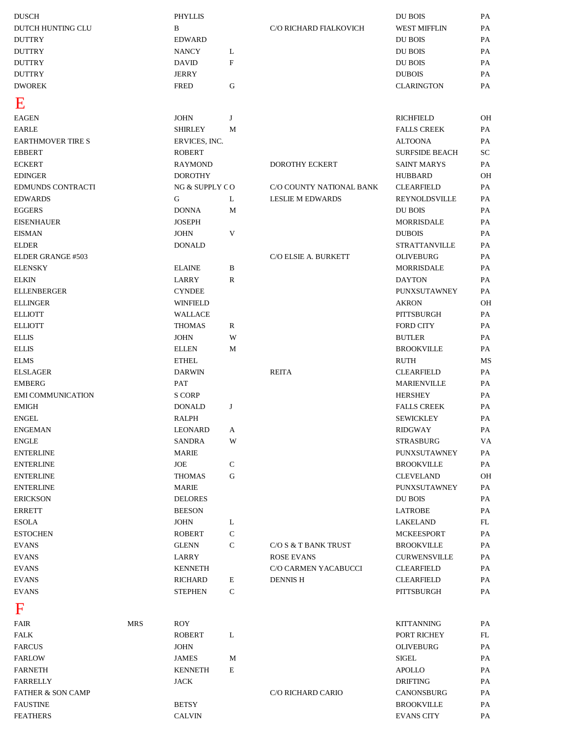<span id="page-13-0"></span>

| <b>DUSCH</b>                  |            | <b>PHYLLIS</b>  |              |                          | DU BOIS               | PA            |
|-------------------------------|------------|-----------------|--------------|--------------------------|-----------------------|---------------|
| DUTCH HUNTING CLU             |            | B               |              | C/O RICHARD FIALKOVICH   | <b>WEST MIFFLIN</b>   | PA            |
| <b>DUTTRY</b>                 |            | <b>EDWARD</b>   |              |                          | <b>DU BOIS</b>        | PA            |
| <b>DUTTRY</b>                 |            | <b>NANCY</b>    | L            |                          | DU BOIS               | PA            |
| <b>DUTTRY</b>                 |            | <b>DAVID</b>    | F            |                          | DU BOIS               | PA            |
| <b>DUTTRY</b>                 |            | <b>JERRY</b>    |              |                          | <b>DUBOIS</b>         | PA            |
| <b>DWOREK</b>                 |            | <b>FRED</b>     | G            |                          | <b>CLARINGTON</b>     | PA            |
| E                             |            |                 |              |                          |                       |               |
| <b>EAGEN</b>                  |            | <b>JOHN</b>     | J            |                          | <b>RICHFIELD</b>      | OН            |
| <b>EARLE</b>                  |            | <b>SHIRLEY</b>  | M            |                          | <b>FALLS CREEK</b>    | PA            |
| EARTHMOVER TIRE S             |            | ERVICES, INC.   |              |                          | <b>ALTOONA</b>        | PA            |
| <b>EBBERT</b>                 |            | <b>ROBERT</b>   |              |                          | <b>SURFSIDE BEACH</b> | SC            |
| <b>ECKERT</b>                 |            | <b>RAYMOND</b>  |              | DOROTHY ECKERT           | <b>SAINT MARYS</b>    | PA            |
| <b>EDINGER</b>                |            | <b>DOROTHY</b>  |              |                          | <b>HUBBARD</b>        | OН            |
| <b>EDMUNDS CONTRACTI</b>      |            | NG & SUPPLY CO  |              | C/O COUNTY NATIONAL BANK | <b>CLEARFIELD</b>     | PA            |
| <b>EDWARDS</b>                |            | G               | L            | <b>LESLIE M EDWARDS</b>  | REYNOLDSVILLE         | PA            |
| <b>EGGERS</b>                 |            | <b>DONNA</b>    | M            |                          | DU BOIS               | PA            |
| <b>EISENHAUER</b>             |            | <b>JOSEPH</b>   |              |                          | <b>MORRISDALE</b>     | PA            |
| <b>EISMAN</b>                 |            | <b>JOHN</b>     | $\mathbf V$  |                          | <b>DUBOIS</b>         | PA            |
| $\ensuremath{\mathsf{ELDER}}$ |            | <b>DONALD</b>   |              |                          | <b>STRATTANVILLE</b>  | PA            |
| ELDER GRANGE #503             |            |                 |              | C/O ELSIE A. BURKETT     | <b>OLIVEBURG</b>      | PA            |
| <b>ELENSKY</b>                |            | <b>ELAINE</b>   | B            |                          | <b>MORRISDALE</b>     | PA            |
| <b>ELKIN</b>                  |            | LARRY           | $\mathbb{R}$ |                          | <b>DAYTON</b>         | PA            |
| <b>ELLENBERGER</b>            |            | <b>CYNDEE</b>   |              |                          | PUNXSUTAWNEY          | PA            |
| <b>ELLINGER</b>               |            | <b>WINFIELD</b> |              |                          | <b>AKRON</b>          | OH            |
| <b>ELLIOTT</b>                |            | <b>WALLACE</b>  |              |                          | PITTSBURGH            | PA            |
| <b>ELLIOTT</b>                |            | <b>THOMAS</b>   | R            |                          | <b>FORD CITY</b>      | PA            |
| <b>ELLIS</b>                  |            | <b>JOHN</b>     | W            |                          | <b>BUTLER</b>         | PA            |
| <b>ELLIS</b>                  |            | <b>ELLEN</b>    | M            |                          | <b>BROOKVILLE</b>     | PA            |
| <b>ELMS</b>                   |            | <b>ETHEL</b>    |              |                          | RUTH                  | MS            |
| <b>ELSLAGER</b>               |            | <b>DARWIN</b>   |              | <b>REITA</b>             | <b>CLEARFIELD</b>     | PA            |
| <b>EMBERG</b>                 |            | PAT             |              |                          | <b>MARIENVILLE</b>    | PA            |
| <b>EMI COMMUNICATION</b>      |            | <b>S CORP</b>   |              |                          | <b>HERSHEY</b>        | PA            |
| <b>EMIGH</b>                  |            | <b>DONALD</b>   | J            |                          | <b>FALLS CREEK</b>    | PA            |
| <b>ENGEL</b>                  |            | <b>RALPH</b>    |              |                          | <b>SEWICKLEY</b>      | PA            |
| ${\rm ENGEMAN}$               |            | LEONARD         | A            |                          | RIDGWAY               | $\mathbf{PA}$ |
| <b>ENGLE</b>                  |            | SANDRA          | W            |                          | <b>STRASBURG</b>      | VA            |
| <b>ENTERLINE</b>              |            | <b>MARIE</b>    |              |                          | PUNXSUTAWNEY          | PA            |
| <b>ENTERLINE</b>              |            | <b>JOE</b>      | $\mathsf{C}$ |                          | <b>BROOKVILLE</b>     | PA            |
| <b>ENTERLINE</b>              |            | <b>THOMAS</b>   | $\mathsf G$  |                          | <b>CLEVELAND</b>      | OH            |
| <b>ENTERLINE</b>              |            | <b>MARIE</b>    |              |                          | PUNXSUTAWNEY          | PA            |
| <b>ERICKSON</b>               |            | <b>DELORES</b>  |              |                          | DU BOIS               | PA            |
| <b>ERRETT</b>                 |            | <b>BEESON</b>   |              |                          | <b>LATROBE</b>        | PA            |
| <b>ESOLA</b>                  |            | <b>JOHN</b>     | L            |                          | LAKELAND              | FL            |
| <b>ESTOCHEN</b>               |            | <b>ROBERT</b>   | $\mathsf{C}$ |                          | <b>MCKEESPORT</b>     | PA            |
| <b>EVANS</b>                  |            | <b>GLENN</b>    | $\mathsf{C}$ | C/O S & T BANK TRUST     | <b>BROOKVILLE</b>     | PA            |
| <b>EVANS</b>                  |            | <b>LARRY</b>    |              | <b>ROSE EVANS</b>        | <b>CURWENSVILLE</b>   | PA            |
| <b>EVANS</b>                  |            | <b>KENNETH</b>  |              | C/O CARMEN YACABUCCI     | <b>CLEARFIELD</b>     | PA            |
| <b>EVANS</b>                  |            | <b>RICHARD</b>  | E            | <b>DENNIS H</b>          | <b>CLEARFIELD</b>     | PA            |
| <b>EVANS</b>                  |            | <b>STEPHEN</b>  | $\mathsf{C}$ |                          | PITTSBURGH            | $\mathbf{PA}$ |
|                               |            |                 |              |                          |                       |               |
| F                             |            |                 |              |                          |                       |               |
| <b>FAIR</b>                   | <b>MRS</b> | <b>ROY</b>      |              |                          | <b>KITTANNING</b>     | PA            |
| <b>FALK</b>                   |            | <b>ROBERT</b>   | L            |                          | PORT RICHEY           | FL            |
| <b>FARCUS</b>                 |            | <b>JOHN</b>     |              |                          | <b>OLIVEBURG</b>      | PA            |
| <b>FARLOW</b>                 |            | <b>JAMES</b>    | M            |                          | <b>SIGEL</b>          | PA            |
| <b>FARNETH</b>                |            | <b>KENNETH</b>  | E            |                          | <b>APOLLO</b>         | PA            |
| <b>FARRELLY</b>               |            | <b>JACK</b>     |              |                          | <b>DRIFTING</b>       | PA            |
| <b>FATHER &amp; SON CAMP</b>  |            |                 |              | C/O RICHARD CARIO        | CANONSBURG            | PA            |
| <b>FAUSTINE</b>               |            | <b>BETSY</b>    |              |                          | <b>BROOKVILLE</b>     | PA            |
| <b>FEATHERS</b>               |            | <b>CALVIN</b>   |              |                          | <b>EVANS CITY</b>     | PA            |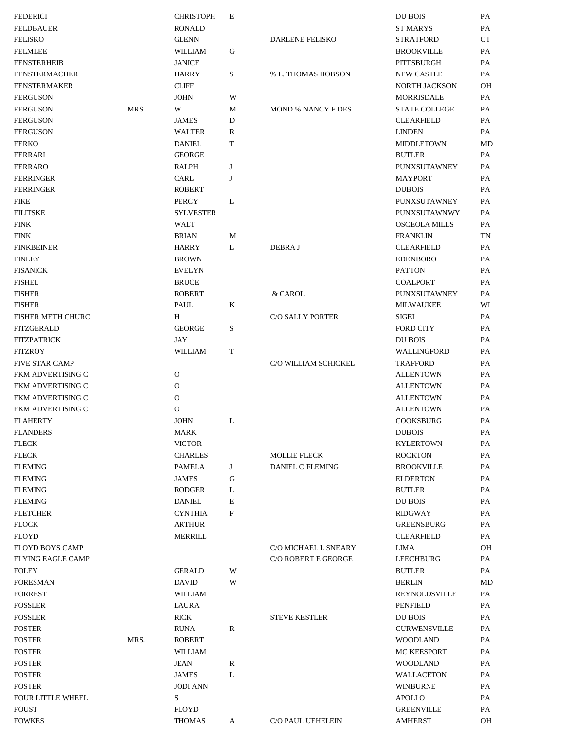| <b>FEDERICI</b>          |            | <b>CHRISTOPH</b> | E           |                           | DU BOIS              | PA        |
|--------------------------|------------|------------------|-------------|---------------------------|----------------------|-----------|
| <b>FELDBAUER</b>         |            | <b>RONALD</b>    |             |                           | <b>ST MARYS</b>      | PA        |
| <b>FELISKO</b>           |            | <b>GLENN</b>     |             | <b>DARLENE FELISKO</b>    | <b>STRATFORD</b>     | CT        |
| <b>FELMLEE</b>           |            | WILLIAM          | G           |                           | <b>BROOKVILLE</b>    | PA        |
| <b>FENSTERHEIB</b>       |            | <b>JANICE</b>    |             |                           | PITTSBURGH           | PA        |
| <b>FENSTERMACHER</b>     |            | <b>HARRY</b>     | S           | % L. THOMAS HOBSON        | <b>NEW CASTLE</b>    | PA        |
| <b>FENSTERMAKER</b>      |            | <b>CLIFF</b>     |             |                           | <b>NORTH JACKSON</b> | OН        |
| <b>FERGUSON</b>          |            | <b>JOHN</b>      | W           |                           | <b>MORRISDALE</b>    | <b>PA</b> |
| <b>FERGUSON</b>          | <b>MRS</b> | W                | M           | <b>MOND % NANCY F DES</b> | <b>STATE COLLEGE</b> | <b>PA</b> |
| <b>FERGUSON</b>          |            | <b>JAMES</b>     | D           |                           | <b>CLEARFIELD</b>    | PA        |
| <b>FERGUSON</b>          |            | <b>WALTER</b>    | R           |                           | <b>LINDEN</b>        | PA        |
| <b>FERKO</b>             |            | <b>DANIEL</b>    | T           |                           | <b>MIDDLETOWN</b>    | MD        |
| <b>FERRARI</b>           |            | <b>GEORGE</b>    |             |                           | <b>BUTLER</b>        | PA        |
| <b>FERRARO</b>           |            | <b>RALPH</b>     | J           |                           | PUNXSUTAWNEY         | PA        |
| <b>FERRINGER</b>         |            | CARL             | J           |                           | <b>MAYPORT</b>       | PA        |
| <b>FERRINGER</b>         |            | <b>ROBERT</b>    |             |                           | <b>DUBOIS</b>        | PA        |
| FIKE                     |            | <b>PERCY</b>     | L           |                           | PUNXSUTAWNEY         | <b>PA</b> |
| <b>FILITSKE</b>          |            | <b>SYLVESTER</b> |             |                           | <b>PUNXSUTAWNWY</b>  | <b>PA</b> |
| <b>FINK</b>              |            | <b>WALT</b>      |             |                           | <b>OSCEOLA MILLS</b> | PA        |
| <b>FINK</b>              |            | <b>BRIAN</b>     | M           |                           | <b>FRANKLIN</b>      | TN        |
| <b>FINKBEINER</b>        |            | <b>HARRY</b>     | L           | DEBRA J                   | <b>CLEARFIELD</b>    | PA        |
| <b>FINLEY</b>            |            | <b>BROWN</b>     |             |                           | <b>EDENBORO</b>      | PA        |
| <b>FISANICK</b>          |            | <b>EVELYN</b>    |             |                           | <b>PATTON</b>        | PA        |
| <b>FISHEL</b>            |            | <b>BRUCE</b>     |             |                           | <b>COALPORT</b>      | PA        |
| <b>FISHER</b>            |            | <b>ROBERT</b>    |             | & CAROL                   | PUNXSUTAWNEY         | <b>PA</b> |
| <b>FISHER</b>            |            | PAUL             | K           |                           | <b>MILWAUKEE</b>     | WI        |
| <b>FISHER METH CHURC</b> |            | H                |             | C/O SALLY PORTER          | <b>SIGEL</b>         | PA        |
| <b>FITZGERALD</b>        |            | <b>GEORGE</b>    | S           |                           | <b>FORD CITY</b>     | PA        |
| <b>FITZPATRICK</b>       |            | JAY              |             |                           | DU BOIS              | PA        |
| <b>FITZROY</b>           |            | <b>WILLIAM</b>   | T           |                           | WALLINGFORD          | PA        |
| <b>FIVE STAR CAMP</b>    |            |                  |             | C/O WILLIAM SCHICKEL      | <b>TRAFFORD</b>      | PA        |
| <b>FKM ADVERTISING C</b> |            | $\mathbf{O}$     |             |                           | <b>ALLENTOWN</b>     | PA        |
| FKM ADVERTISING C        |            | 0                |             |                           | <b>ALLENTOWN</b>     | <b>PA</b> |
| FKM ADVERTISING C        |            | O                |             |                           | <b>ALLENTOWN</b>     | PA        |
| FKM ADVERTISING C        |            | O                |             |                           | <b>ALLENTOWN</b>     | PA        |
| <b>FLAHERTY</b>          |            | <b>JOHN</b>      | L           |                           | <b>COOKSBURG</b>     | PA        |
| <b>FLANDERS</b>          |            | <b>MARK</b>      |             |                           | <b>DUBOIS</b>        | PA        |
| <b>FLECK</b>             |            | <b>VICTOR</b>    |             |                           | <b>KYLERTOWN</b>     | PA        |
| <b>FLECK</b>             |            | <b>CHARLES</b>   |             | <b>MOLLIE FLECK</b>       | <b>ROCKTON</b>       | PA        |
| <b>FLEMING</b>           |            | <b>PAMELA</b>    | J           | DANIEL C FLEMING          | <b>BROOKVILLE</b>    | PA        |
| <b>FLEMING</b>           |            | <b>JAMES</b>     | G           |                           | <b>ELDERTON</b>      | PA        |
| <b>FLEMING</b>           |            | <b>RODGER</b>    | L           |                           | <b>BUTLER</b>        | PA        |
| <b>FLEMING</b>           |            | <b>DANIEL</b>    | $\mathbf E$ |                           | DU BOIS              | PA        |
| <b>FLETCHER</b>          |            | <b>CYNTHIA</b>   | $\mathbf F$ |                           | <b>RIDGWAY</b>       | PA        |
| <b>FLOCK</b>             |            | <b>ARTHUR</b>    |             |                           | <b>GREENSBURG</b>    | PA        |
| <b>FLOYD</b>             |            | <b>MERRILL</b>   |             |                           | <b>CLEARFIELD</b>    | PA        |
| <b>FLOYD BOYS CAMP</b>   |            |                  |             | C/O MICHAEL L SNEARY      | <b>LIMA</b>          | OН        |
|                          |            |                  |             |                           |                      |           |
| <b>FLYING EAGLE CAMP</b> |            |                  |             | C/O ROBERT E GEORGE       | <b>LEECHBURG</b>     | PA        |
| <b>FOLEY</b>             |            | <b>GERALD</b>    | W           |                           | <b>BUTLER</b>        | PA        |
| <b>FORESMAN</b>          |            | <b>DAVID</b>     | W           |                           | <b>BERLIN</b>        | MD        |
| <b>FORREST</b>           |            | <b>WILLIAM</b>   |             |                           | REYNOLDSVILLE        | PA        |
| <b>FOSSLER</b>           |            | LAURA            |             |                           | PENFIELD             | PA        |
| <b>FOSSLER</b>           |            | <b>RICK</b>      |             | <b>STEVE KESTLER</b>      | DU BOIS              | PA        |
| <b>FOSTER</b>            |            | <b>RUNA</b>      | R           |                           | <b>CURWENSVILLE</b>  | PA        |
| <b>FOSTER</b>            | MRS.       | <b>ROBERT</b>    |             |                           | <b>WOODLAND</b>      | PA        |
| <b>FOSTER</b>            |            | WILLIAM          |             |                           | <b>MC KEESPORT</b>   | PA        |
| <b>FOSTER</b>            |            | <b>JEAN</b>      | R           |                           | <b>WOODLAND</b>      | PA        |
| <b>FOSTER</b>            |            | <b>JAMES</b>     | L           |                           | <b>WALLACETON</b>    | PA        |
| <b>FOSTER</b>            |            | <b>JODI ANN</b>  |             |                           | <b>WINBURNE</b>      | PA        |
| <b>FOUR LITTLE WHEEL</b> |            | S                |             |                           | <b>APOLLO</b>        | PA        |
| <b>FOUST</b>             |            | <b>FLOYD</b>     |             |                           | <b>GREENVILLE</b>    | PA        |
| <b>FOWKES</b>            |            | <b>THOMAS</b>    | A           | C/O PAUL UEHELEIN         | <b>AMHERST</b>       | OН        |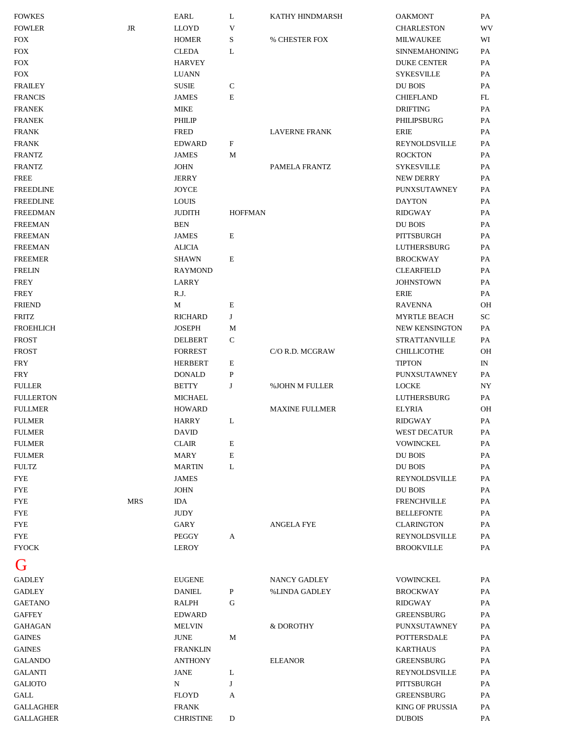<span id="page-15-0"></span>

| <b>FOWKES</b>    |            | EARL             | L              | KATHY HINDMARSH       | <b>OAKMONT</b>         | PA          |
|------------------|------------|------------------|----------------|-----------------------|------------------------|-------------|
| <b>FOWLER</b>    | $\rm JR$   | <b>LLOYD</b>     | V              |                       | <b>CHARLESTON</b>      | WV          |
| <b>FOX</b>       |            | <b>HOMER</b>     | S              | % CHESTER FOX         | <b>MILWAUKEE</b>       | WI          |
| <b>FOX</b>       |            | <b>CLEDA</b>     | L              |                       | <b>SINNEMAHONING</b>   | PA          |
| <b>FOX</b>       |            | <b>HARVEY</b>    |                |                       | <b>DUKE CENTER</b>     | PA          |
| <b>FOX</b>       |            | <b>LUANN</b>     |                |                       | <b>SYKESVILLE</b>      | PA          |
| <b>FRAILEY</b>   |            | <b>SUSIE</b>     | $\mathbf C$    |                       | <b>DU BOIS</b>         | PA          |
| <b>FRANCIS</b>   |            | <b>JAMES</b>     | $\mathbf E$    |                       | <b>CHIEFLAND</b>       | FL          |
| <b>FRANEK</b>    |            | <b>MIKE</b>      |                |                       | <b>DRIFTING</b>        | PA          |
| <b>FRANEK</b>    |            | PHILIP           |                |                       | PHILIPSBURG            | PA          |
| <b>FRANK</b>     |            | <b>FRED</b>      |                | <b>LAVERNE FRANK</b>  | <b>ERIE</b>            | PA          |
| <b>FRANK</b>     |            | <b>EDWARD</b>    | $\mathbf F$    |                       | REYNOLDSVILLE          | PA          |
| <b>FRANTZ</b>    |            | <b>JAMES</b>     | M              |                       | <b>ROCKTON</b>         | PA          |
| <b>FRANTZ</b>    |            | <b>JOHN</b>      |                | PAMELA FRANTZ         | <b>SYKESVILLE</b>      | PA          |
| <b>FREE</b>      |            | <b>JERRY</b>     |                |                       | NEW DERRY              | PA          |
| <b>FREEDLINE</b> |            | <b>JOYCE</b>     |                |                       | PUNXSUTAWNEY           | PA          |
| <b>FREEDLINE</b> |            | <b>LOUIS</b>     |                |                       | <b>DAYTON</b>          | PA          |
| <b>FREEDMAN</b>  |            | <b>JUDITH</b>    | <b>HOFFMAN</b> |                       | <b>RIDGWAY</b>         | PA          |
| <b>FREEMAN</b>   |            | <b>BEN</b>       |                |                       | <b>DU BOIS</b>         | PA          |
| <b>FREEMAN</b>   |            | <b>JAMES</b>     | E              |                       | PITTSBURGH             | PA          |
| <b>FREEMAN</b>   |            | <b>ALICIA</b>    |                |                       | LUTHERSBURG            | PA          |
| <b>FREEMER</b>   |            | <b>SHAWN</b>     | E              |                       | <b>BROCKWAY</b>        | PA          |
| <b>FRELIN</b>    |            | <b>RAYMOND</b>   |                |                       | <b>CLEARFIELD</b>      | PA          |
| <b>FREY</b>      |            | LARRY            |                |                       | <b>JOHNSTOWN</b>       | PA          |
| <b>FREY</b>      |            | R.J.             |                |                       | ERIE                   | PA          |
| <b>FRIEND</b>    |            | M                | E              |                       | <b>RAVENNA</b>         | <b>OH</b>   |
| <b>FRITZ</b>     |            | <b>RICHARD</b>   | J              |                       | MYRTLE BEACH           | SC.         |
| <b>FROEHLICH</b> |            | <b>JOSEPH</b>    | M              |                       | <b>NEW KENSINGTON</b>  | PA          |
| <b>FROST</b>     |            | <b>DELBERT</b>   | $\mathbf C$    |                       | <b>STRATTANVILLE</b>   | PA          |
| <b>FROST</b>     |            | <b>FORREST</b>   |                | C/O R.D. MCGRAW       | <b>CHILLICOTHE</b>     | <b>OH</b>   |
| <b>FRY</b>       |            | <b>HERBERT</b>   | $\mathbf E$    |                       | <b>TIPTON</b>          | $_{\rm IN}$ |
| <b>FRY</b>       |            | <b>DONALD</b>    | $\, {\bf P}$   |                       | PUNXSUTAWNEY           | PA          |
| <b>FULLER</b>    |            | <b>BETTY</b>     | J              | %JOHN M FULLER        | <b>LOCKE</b>           | NY          |
| <b>FULLERTON</b> |            | <b>MICHAEL</b>   |                |                       | LUTHERSBURG            | PA          |
| <b>FULLMER</b>   |            | <b>HOWARD</b>    |                | <b>MAXINE FULLMER</b> | <b>ELYRIA</b>          | OH          |
| <b>FULMER</b>    |            | <b>HARRY</b>     | L              |                       | <b>RIDGWAY</b>         | PA          |
| <b>FULMER</b>    |            | DAVID            |                |                       | WEST DECATUR           | PA          |
| <b>FULMER</b>    |            | <b>CLAIR</b>     | E              |                       | <b>VOWINCKEL</b>       | PA          |
| <b>FULMER</b>    |            | <b>MARY</b>      | $\mathbf E$    |                       | DU BOIS                | PA          |
| <b>FULTZ</b>     |            | <b>MARTIN</b>    | L              |                       | DU BOIS                | PA          |
| FYE              |            | <b>JAMES</b>     |                |                       | REYNOLDSVILLE          | PA          |
| <b>FYE</b>       |            | <b>JOHN</b>      |                |                       | DU BOIS                | PA          |
| <b>FYE</b>       | <b>MRS</b> | <b>IDA</b>       |                |                       | <b>FRENCHVILLE</b>     | PA          |
| <b>FYE</b>       |            | JUDY             |                |                       | <b>BELLEFONTE</b>      | PA          |
| <b>FYE</b>       |            | GARY             |                | ANGELA FYE            | <b>CLARINGTON</b>      | PA          |
| <b>FYE</b>       |            | PEGGY            | A              |                       | REYNOLDSVILLE          | PA          |
| <b>FYOCK</b>     |            | LEROY            |                |                       | <b>BROOKVILLE</b>      | PA          |
|                  |            |                  |                |                       |                        |             |
| G                |            |                  |                |                       |                        |             |
| <b>GADLEY</b>    |            | <b>EUGENE</b>    |                | NANCY GADLEY          | <b>VOWINCKEL</b>       | PA          |
| <b>GADLEY</b>    |            | <b>DANIEL</b>    | $\, {\bf P}$   | <b>%LINDA GADLEY</b>  | <b>BROCKWAY</b>        | PA          |
| <b>GAETANO</b>   |            | RALPH            | G              |                       | <b>RIDGWAY</b>         | PA          |
| <b>GAFFEY</b>    |            | <b>EDWARD</b>    |                |                       | <b>GREENSBURG</b>      | PA          |
| <b>GAHAGAN</b>   |            | <b>MELVIN</b>    |                | & DOROTHY             | PUNXSUTAWNEY           | PA.         |
| <b>GAINES</b>    |            | <b>JUNE</b>      | M              |                       | <b>POTTERSDALE</b>     | PA          |
| <b>GAINES</b>    |            | <b>FRANKLIN</b>  |                |                       | <b>KARTHAUS</b>        | PA          |
| <b>GALANDO</b>   |            | <b>ANTHONY</b>   |                | <b>ELEANOR</b>        | <b>GREENSBURG</b>      | PA          |
| <b>GALANTI</b>   |            | <b>JANE</b>      | L              |                       | REYNOLDSVILLE          | PA          |
| <b>GALIOTO</b>   |            | N                | J              |                       | PITTSBURGH             | PA          |
| GALL             |            | <b>FLOYD</b>     | A              |                       | <b>GREENSBURG</b>      | PA          |
| <b>GALLAGHER</b> |            | <b>FRANK</b>     |                |                       | <b>KING OF PRUSSIA</b> | PA          |
| <b>GALLAGHER</b> |            | <b>CHRISTINE</b> | D              |                       | <b>DUBOIS</b>          | PA          |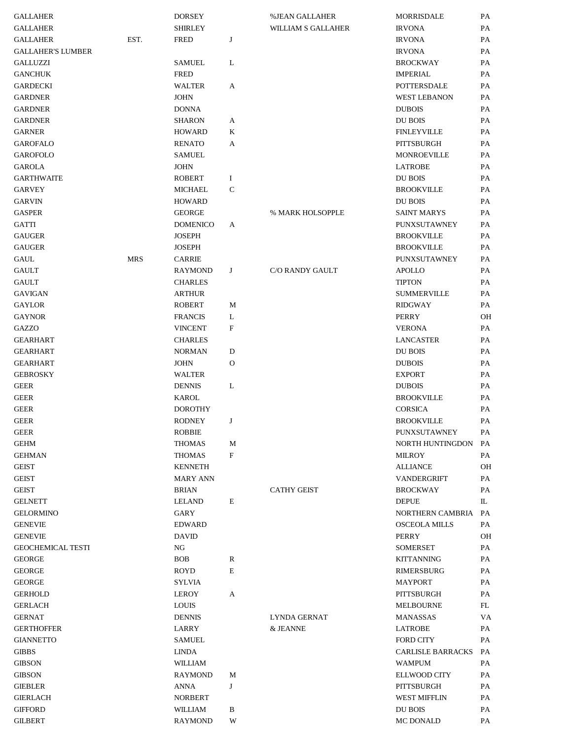| GALLAHER          |            | <b>DORSEY</b>   |              | %JEAN GALLAHER      | <b>MORRISDALE</b>        | PA        |
|-------------------|------------|-----------------|--------------|---------------------|--------------------------|-----------|
| GALLAHER          |            | <b>SHIRLEY</b>  |              | WILLIAM S GALLAHER  | <b>IRVONA</b>            | PA        |
| GALLAHER          | EST.       | <b>FRED</b>     | J            |                     | <b>IRVONA</b>            | PA        |
| GALLAHER'S LUMBER |            |                 |              |                     | <b>IRVONA</b>            | PA        |
| GALLUZZI          |            | <b>SAMUEL</b>   | L            |                     | <b>BROCKWAY</b>          | PA        |
| GANCHUK           |            | <b>FRED</b>     |              |                     | <b>IMPERIAL</b>          | PA        |
| GARDECKI          |            | <b>WALTER</b>   | A            |                     | <b>POTTERSDALE</b>       | PA        |
| GARDNER           |            | <b>JOHN</b>     |              |                     | <b>WEST LEBANON</b>      | PA        |
| GARDNER           |            | <b>DONNA</b>    |              |                     | <b>DUBOIS</b>            | PA        |
| GARDNER           |            | <b>SHARON</b>   | A            |                     | <b>DU BOIS</b>           | PA        |
| GARNER            |            | <b>HOWARD</b>   | K            |                     | <b>FINLEYVILLE</b>       | PA        |
| GAROFALO          |            | <b>RENATO</b>   | A            |                     | PITTSBURGH               | PA        |
| GAROFOLO          |            | <b>SAMUEL</b>   |              |                     | <b>MONROEVILLE</b>       | PA        |
| GAROLA            |            | JOHN            |              |                     | <b>LATROBE</b>           | PA        |
| GARTHWAITE        |            | <b>ROBERT</b>   | Ι.           |                     | DU BOIS                  | PA        |
| GARVEY            |            | MICHAEL         | $\mathbf C$  |                     | <b>BROOKVILLE</b>        | PA        |
|                   |            |                 |              |                     |                          |           |
| GARVIN            |            | <b>HOWARD</b>   |              |                     | DU BOIS                  | PA        |
| GASPER            |            | <b>GEORGE</b>   |              | % MARK HOLSOPPLE    | <b>SAINT MARYS</b>       | PA        |
| GATTI             |            | <b>DOMENICO</b> | A            |                     | PUNXSUTAWNEY             | PA        |
| GAUGER            |            | <b>JOSEPH</b>   |              |                     | <b>BROOKVILLE</b>        | PA        |
| GAUGER            |            | <b>JOSEPH</b>   |              |                     | <b>BROOKVILLE</b>        | PA        |
| GAUL              | <b>MRS</b> | <b>CARRIE</b>   |              |                     | PUNXSUTAWNEY             | PA        |
| GAULT             |            | <b>RAYMOND</b>  | J            | C/O RANDY GAULT     | <b>APOLLO</b>            | PA        |
| GAULT             |            | <b>CHARLES</b>  |              |                     | <b>TIPTON</b>            | PA        |
| GAVIGAN           |            | <b>ARTHUR</b>   |              |                     | <b>SUMMERVILLE</b>       | PA        |
| GAYLOR            |            | <b>ROBERT</b>   | M            |                     | <b>RIDGWAY</b>           | PA        |
| GAYNOR            |            | <b>FRANCIS</b>  | L            |                     | PERRY                    | OН        |
| GAZZO             |            | <b>VINCENT</b>  | F            |                     | <b>VERONA</b>            | PA        |
| GEARHART          |            | <b>CHARLES</b>  |              |                     | LANCASTER                | PA        |
| GEARHART          |            | <b>NORMAN</b>   | D            |                     | DU BOIS                  | PA        |
| GEARHART          |            | <b>JOHN</b>     | 0            |                     | <b>DUBOIS</b>            | PA        |
| GEBROSKY          |            | <b>WALTER</b>   |              |                     | <b>EXPORT</b>            | PA        |
| <b>GEER</b>       |            | <b>DENNIS</b>   | L            |                     | <b>DUBOIS</b>            | PA        |
| GEER              |            | <b>KAROL</b>    |              |                     | <b>BROOKVILLE</b>        | PA        |
| GEER              |            | <b>DOROTHY</b>  |              |                     | <b>CORSICA</b>           | PA        |
| GEER              |            | <b>RODNEY</b>   | J            |                     | <b>BROOKVILLE</b>        | PA        |
| <b>GEER</b>       |            | <b>ROBBIE</b>   |              |                     | PUNXSUTAWNEY             | PA        |
| <b>GEHM</b>       |            | <b>THOMAS</b>   | М            |                     | <b>NORTH HUNTINGDON</b>  | PA        |
| GEHMAN            |            | <b>THOMAS</b>   | $\mathbf{F}$ |                     | <b>MILROY</b>            | PA        |
| <b>GEIST</b>      |            | <b>KENNETH</b>  |              |                     | <b>ALLIANCE</b>          | <b>OH</b> |
| GEIST             |            | <b>MARY ANN</b> |              |                     | <b>VANDERGRIFT</b>       | PA        |
| GEIST             |            | <b>BRIAN</b>    |              | <b>CATHY GEIST</b>  | <b>BROCKWAY</b>          | PA        |
| GELNETT           |            | LELAND          | E            |                     | <b>DEPUE</b>             | L         |
| GELORMINO         |            | <b>GARY</b>     |              |                     |                          |           |
|                   |            |                 |              |                     | <b>NORTHERN CAMBRIA</b>  | PA        |
| GENEVIE           |            | <b>EDWARD</b>   |              |                     | <b>OSCEOLA MILLS</b>     | PA        |
| <b>GENEVIE</b>    |            | <b>DAVID</b>    |              |                     | PERRY                    | <b>OH</b> |
| GEOCHEMICAL TESTI |            | NG              |              |                     | <b>SOMERSET</b>          | PA        |
| GEORGE            |            | <b>BOB</b>      | R            |                     | <b>KITTANNING</b>        | PA        |
| GEORGE            |            | <b>ROYD</b>     | E            |                     | RIMERSBURG               | PA        |
| GEORGE            |            | <b>SYLVIA</b>   |              |                     | <b>MAYPORT</b>           | PA        |
| GERHOLD           |            | LEROY           | А            |                     | PITTSBURGH               | PA        |
| GERLACH           |            | <b>LOUIS</b>    |              |                     | <b>MELBOURNE</b>         | FL        |
| GERNAT            |            | <b>DENNIS</b>   |              | <b>LYNDA GERNAT</b> | <b>MANASSAS</b>          | VA        |
| GERTHOFFER        |            | LARRY           |              | & JEANNE            | <b>LATROBE</b>           | PA        |
| <b>GIANNETTO</b>  |            | <b>SAMUEL</b>   |              |                     | <b>FORD CITY</b>         | PA        |
| <b>GIBBS</b>      |            | <b>LINDA</b>    |              |                     | <b>CARLISLE BARRACKS</b> | PA        |
| GIBSON            |            | WILLIAM         |              |                     | <b>WAMPUM</b>            | PA        |
| GIBSON            |            | <b>RAYMOND</b>  | M            |                     | <b>ELLWOOD CITY</b>      | PA        |
| GIEBLER           |            | <b>ANNA</b>     | J            |                     | PITTSBURGH               | PA        |
| GIERLACH          |            | <b>NORBERT</b>  |              |                     | <b>WEST MIFFLIN</b>      | PA        |
| GIFFORD           |            | WILLIAM         | B            |                     | DU BOIS                  | PA        |
| GILBERT           |            | <b>RAYMOND</b>  | W            |                     | MC DONALD                | PA        |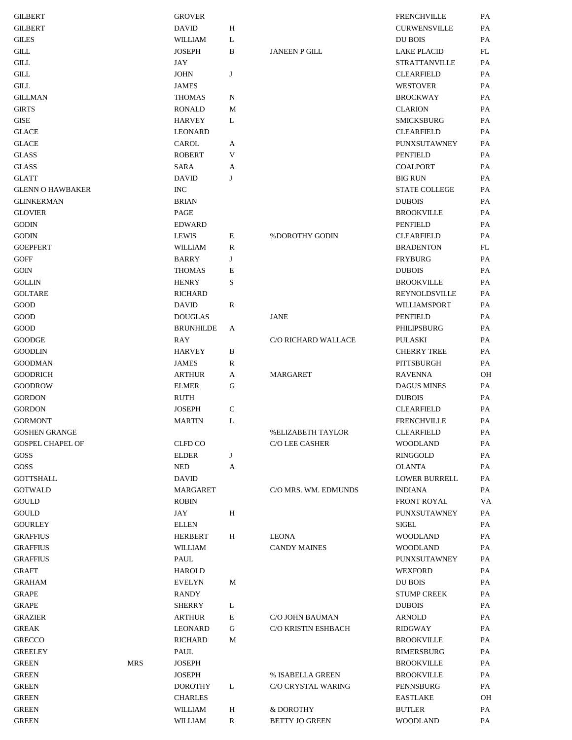| <b>GILBERT</b>                |            | <b>GROVER</b>             |              |                                        | <b>FRENCHVILLE</b>           | PA        |
|-------------------------------|------------|---------------------------|--------------|----------------------------------------|------------------------------|-----------|
| <b>GILBERT</b>                |            | <b>DAVID</b>              | H            |                                        | <b>CURWENSVILLE</b>          | PA        |
| <b>GILES</b>                  |            | WILLIAM                   | L            |                                        | DU BOIS                      | PA        |
| $\mathop{\rm GILL}$           |            | <b>JOSEPH</b>             | B            | <b>JANEEN P GILL</b>                   | <b>LAKE PLACID</b>           | FL        |
| $\mathop{\rm GILL}$           |            | JAY                       |              |                                        | <b>STRATTANVILLE</b>         | PA        |
| <b>GILL</b>                   |            | <b>JOHN</b>               | J            |                                        | <b>CLEARFIELD</b>            | PA        |
| $\mathop{\rm GILL}$           |            | <b>JAMES</b>              |              |                                        | <b>WESTOVER</b>              | PA        |
| <b>GILLMAN</b>                |            | <b>THOMAS</b>             | N            |                                        | <b>BROCKWAY</b>              | PA        |
| <b>GIRTS</b>                  |            | <b>RONALD</b>             | M            |                                        | <b>CLARION</b>               | PA        |
| <b>GISE</b>                   |            | <b>HARVEY</b>             | L            |                                        | <b>SMICKSBURG</b>            | PA        |
| <b>GLACE</b>                  |            | LEONARD                   |              |                                        | <b>CLEARFIELD</b>            | PA        |
| <b>GLACE</b>                  |            | CAROL                     | A            |                                        | PUNXSUTAWNEY                 | PA        |
| <b>GLASS</b>                  |            | <b>ROBERT</b>             | V            |                                        | <b>PENFIELD</b>              | PA        |
| <b>GLASS</b>                  |            | <b>SARA</b>               | A            |                                        | <b>COALPORT</b>              | PA        |
| <b>GLATT</b>                  |            | <b>DAVID</b>              | J            |                                        | <b>BIG RUN</b>               | PA        |
| <b>GLENN O HAWBAKER</b>       |            | <b>INC</b>                |              |                                        | <b>STATE COLLEGE</b>         | PA        |
| <b>GLINKERMAN</b>             |            | <b>BRIAN</b>              |              |                                        | <b>DUBOIS</b>                | PA        |
| <b>GLOVIER</b>                |            | PAGE                      |              |                                        | <b>BROOKVILLE</b>            | PA        |
| <b>GODIN</b>                  |            | <b>EDWARD</b>             |              |                                        | PENFIELD                     | PA        |
| <b>GODIN</b>                  |            | <b>LEWIS</b>              | $\mathbf E$  | <b>%DOROTHY GODIN</b>                  | <b>CLEARFIELD</b>            | PA        |
| <b>GOEPFERT</b>               |            | WILLIAM                   | R            |                                        | <b>BRADENTON</b>             | FL        |
| <b>GOFF</b>                   |            | <b>BARRY</b>              | J            |                                        | <b>FRYBURG</b>               | PA        |
| GOIN                          |            | <b>THOMAS</b>             | $\mathbf E$  |                                        | <b>DUBOIS</b>                | PA        |
| <b>GOLLIN</b>                 |            | <b>HENRY</b>              | ${\bf S}$    |                                        | <b>BROOKVILLE</b>            | PA        |
| <b>GOLTARE</b>                |            | <b>RICHARD</b>            |              |                                        | REYNOLDSVILLE                | PA        |
| GOOD                          |            | <b>DAVID</b>              | ${\bf R}$    |                                        | WILLIAMSPORT                 | PA        |
| GOOD                          |            | <b>DOUGLAS</b>            |              | <b>JANE</b>                            | <b>PENFIELD</b>              | PA        |
| GOOD                          |            | <b>BRUNHILDE</b>          | A            |                                        | PHILIPSBURG                  | PA        |
| <b>GOODGE</b>                 |            | RAY                       |              | C/O RICHARD WALLACE                    | <b>PULASKI</b>               | PA        |
| <b>GOODLIN</b>                |            | <b>HARVEY</b>             | B            |                                        | <b>CHERRY TREE</b>           | PA        |
| <b>GOODMAN</b>                |            | <b>JAMES</b>              | R            |                                        | PITTSBURGH                   | PA        |
| <b>GOODRICH</b>               |            | <b>ARTHUR</b>             | А            | <b>MARGARET</b>                        | <b>RAVENNA</b>               | <b>OH</b> |
| <b>GOODROW</b>                |            | <b>ELMER</b>              | G            |                                        | <b>DAGUS MINES</b>           | PA        |
| <b>GORDON</b>                 |            | RUTH                      |              |                                        | <b>DUBOIS</b>                | PA        |
| <b>GORDON</b>                 |            | JOSEPH                    | $\mathbf C$  |                                        | <b>CLEARFIELD</b>            | PA        |
| <b>GORMONT</b>                |            | <b>MARTIN</b>             | L            |                                        | <b>FRENCHVILLE</b>           | PA        |
| <b>GOSHEN GRANGE</b>          |            |                           |              | <b>%ELIZABETH TAYLOR</b>               | <b>CLEARFIELD</b>            | PA        |
| <b>GOSPEL CHAPEL OF</b>       |            | <b>CLFD CO</b>            |              | C/O LEE CASHER                         | <b>WOODLAND</b>              | PA        |
| GOSS                          |            | <b>ELDER</b>              | $\bf J$      |                                        | <b>RINGGOLD</b>              | PA        |
| GOSS                          |            | <b>NED</b>                | A            |                                        | <b>OLANTA</b>                | PA        |
| <b>GOTTSHALL</b>              |            | <b>DAVID</b>              |              |                                        | <b>LOWER BURRELL</b>         | PA        |
| <b>GOTWALD</b>                |            | MARGARET                  |              | C/O MRS. WM. EDMUNDS                   | <b>INDIANA</b>               | PA        |
| <b>GOULD</b>                  |            | <b>ROBIN</b>              |              |                                        | FRONT ROYAL                  | VA        |
| <b>GOULD</b>                  |            | <b>JAY</b>                | $\, {\rm H}$ |                                        | PUNXSUTAWNEY                 | PA        |
| <b>GOURLEY</b>                |            | <b>ELLEN</b>              |              |                                        | SIGEL                        | PA        |
| <b>GRAFFIUS</b>               |            | <b>HERBERT</b>            | H            | <b>LEONA</b>                           | <b>WOODLAND</b>              | PA        |
| <b>GRAFFIUS</b>               |            | WILLIAM                   |              | <b>CANDY MAINES</b>                    | WOODLAND                     | PA        |
| <b>GRAFFIUS</b>               |            | PAUL                      |              |                                        | PUNXSUTAWNEY                 | PA        |
| <b>GRAFT</b>                  |            | HAROLD                    |              |                                        | WEXFORD                      | PA        |
| GRAHAM                        |            | <b>EVELYN</b>             | M            |                                        | DU BOIS                      | PA        |
| <b>GRAPE</b>                  |            | <b>RANDY</b>              |              |                                        | <b>STUMP CREEK</b>           | PA        |
| <b>GRAPE</b>                  |            | <b>SHERRY</b>             | L            |                                        | <b>DUBOIS</b>                | PA        |
| <b>GRAZIER</b>                |            | <b>ARTHUR</b>             | E            | C/O JOHN BAUMAN                        | ARNOLD                       | PA        |
|                               |            |                           |              | C/O KRISTIN ESHBACH                    |                              | PA        |
| <b>GREAK</b><br><b>GRECCO</b> |            | LEONARD<br><b>RICHARD</b> | G<br>M       |                                        | RIDGWAY<br><b>BROOKVILLE</b> | PA        |
| <b>GREELEY</b>                |            | PAUL                      |              |                                        | <b>RIMERSBURG</b>            | PA        |
|                               | <b>MRS</b> |                           |              |                                        |                              |           |
| <b>GREEN</b><br><b>GREEN</b>  |            | JOSEPH                    |              |                                        | BROOKVILLE                   | PA        |
| <b>GREEN</b>                  |            | JOSEPH                    | L            | % ISABELLA GREEN<br>C/O CRYSTAL WARING | BROOKVILLE                   | PA        |
|                               |            | <b>DOROTHY</b>            |              |                                        | PENNSBURG                    | PA        |
| <b>GREEN</b>                  |            | <b>CHARLES</b>            |              |                                        | <b>EASTLAKE</b>              | <b>OH</b> |
| <b>GREEN</b>                  |            | <b>WILLIAM</b>            | H            | & DOROTHY                              | <b>BUTLER</b>                | PA        |
| <b>GREEN</b>                  |            | WILLIAM                   | R            | <b>BETTY JO GREEN</b>                  | <b>WOODLAND</b>              | PA        |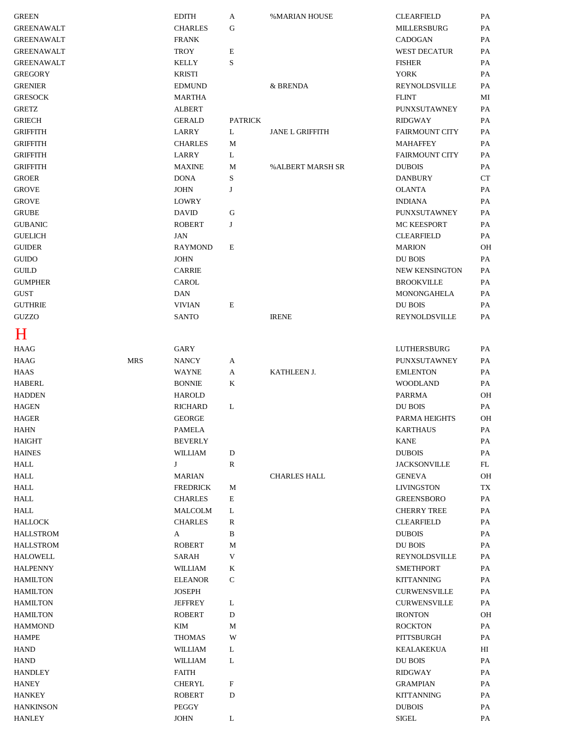<span id="page-18-0"></span>

| <b>GREEN</b>      |            | <b>EDITH</b>    | A                         | %MARIAN HOUSE          | <b>CLEARFIELD</b>     | PA        |
|-------------------|------------|-----------------|---------------------------|------------------------|-----------------------|-----------|
| <b>GREENAWALT</b> |            | <b>CHARLES</b>  | ${\bf G}$                 |                        | MILLERSBURG           | PA        |
| <b>GREENAWALT</b> |            | <b>FRANK</b>    |                           |                        | CADOGAN               | PA        |
| <b>GREENAWALT</b> |            | <b>TROY</b>     | ${\bf E}$                 |                        | <b>WEST DECATUR</b>   | PA        |
| <b>GREENAWALT</b> |            | <b>KELLY</b>    | S                         |                        | <b>FISHER</b>         | PA        |
| <b>GREGORY</b>    |            | <b>KRISTI</b>   |                           |                        | <b>YORK</b>           | PA        |
| <b>GRENIER</b>    |            | <b>EDMUND</b>   |                           | & BRENDA               | REYNOLDSVILLE         | PA        |
| <b>GRESOCK</b>    |            | <b>MARTHA</b>   |                           |                        | <b>FLINT</b>          | MI        |
| <b>GRETZ</b>      |            | <b>ALBERT</b>   |                           |                        | PUNXSUTAWNEY          | PA        |
| <b>GRIECH</b>     |            | <b>GERALD</b>   | <b>PATRICK</b>            |                        | <b>RIDGWAY</b>        | PA        |
| <b>GRIFFITH</b>   |            | LARRY           | L                         | <b>JANE L GRIFFITH</b> | <b>FAIRMOUNT CITY</b> | PA        |
| <b>GRIFFITH</b>   |            | <b>CHARLES</b>  | М                         |                        | MAHAFFEY              | PA        |
| <b>GRIFFITH</b>   |            | LARRY           | L                         |                        | <b>FAIRMOUNT CITY</b> | PA        |
| <b>GRIFFITH</b>   |            | <b>MAXINE</b>   | M                         | % ALBERT MARSH SR      | <b>DUBOIS</b>         | PA        |
| <b>GROER</b>      |            | <b>DONA</b>     | S                         |                        | <b>DANBURY</b>        | CT        |
| <b>GROVE</b>      |            | <b>JOHN</b>     | J                         |                        | <b>OLANTA</b>         | PA        |
| <b>GROVE</b>      |            | LOWRY           |                           |                        | <b>INDIANA</b>        | PA        |
| <b>GRUBE</b>      |            | <b>DAVID</b>    | ${\bf G}$                 |                        | PUNXSUTAWNEY          | PA        |
| <b>GUBANIC</b>    |            | <b>ROBERT</b>   | J                         |                        | MC KEESPORT           | PA        |
| <b>GUELICH</b>    |            | JAN             |                           |                        | <b>CLEARFIELD</b>     | PA        |
| <b>GUIDER</b>     |            | <b>RAYMOND</b>  | E                         |                        | <b>MARION</b>         | <b>OH</b> |
| <b>GUIDO</b>      |            | <b>JOHN</b>     |                           |                        | DU BOIS               | PA        |
| <b>GUILD</b>      |            | CARRIE          |                           |                        | <b>NEW KENSINGTON</b> | PA        |
| <b>GUMPHER</b>    |            | CAROL           |                           |                        | <b>BROOKVILLE</b>     | PA        |
| <b>GUST</b>       |            | DAN             |                           |                        | MONONGAHELA           | PA        |
| <b>GUTHRIE</b>    |            | <b>VIVIAN</b>   | E                         |                        | DU BOIS               | PA        |
| <b>GUZZO</b>      |            | <b>SANTO</b>    |                           | <b>IRENE</b>           | REYNOLDSVILLE         | PA        |
|                   |            |                 |                           |                        |                       |           |
| H                 |            |                 |                           |                        |                       |           |
| <b>HAAG</b>       |            | GARY            |                           |                        | LUTHERSBURG           | PA        |
| <b>HAAG</b>       | <b>MRS</b> | <b>NANCY</b>    | A                         |                        | PUNXSUTAWNEY          | PA        |
| <b>HAAS</b>       |            | <b>WAYNE</b>    | A                         | KATHLEEN J.            | <b>EMLENTON</b>       | PA        |
| <b>HABERL</b>     |            | <b>BONNIE</b>   | K                         |                        | <b>WOODLAND</b>       | PA        |
| <b>HADDEN</b>     |            | <b>HAROLD</b>   |                           |                        | <b>PARRMA</b>         | OH        |
| <b>HAGEN</b>      |            | <b>RICHARD</b>  | L                         |                        | DU BOIS               | PA        |
| <b>HAGER</b>      |            | <b>GEORGE</b>   |                           |                        | <b>PARMA HEIGHTS</b>  | OН        |
| <b>HAHN</b>       |            | <b>PAMELA</b>   |                           |                        | <b>KARTHAUS</b>       | PA        |
| <b>HAIGHT</b>     |            | <b>BEVERLY</b>  |                           |                        | <b>KANE</b>           | PA        |
| <b>HAINES</b>     |            | WILLIAM         | D                         |                        | <b>DUBOIS</b>         | PA        |
| <b>HALL</b>       |            | J               | R                         |                        | <b>JACKSONVILLE</b>   | FL        |
| <b>HALL</b>       |            | <b>MARIAN</b>   |                           | <b>CHARLES HALL</b>    | <b>GENEVA</b>         | OH        |
| <b>HALL</b>       |            | <b>FREDRICK</b> | М                         |                        | <b>LIVINGSTON</b>     | TX        |
| <b>HALL</b>       |            | <b>CHARLES</b>  | Е                         |                        | <b>GREENSBORO</b>     | PA        |
| <b>HALL</b>       |            | MALCOLM         | L                         |                        | <b>CHERRY TREE</b>    | PA        |
| <b>HALLOCK</b>    |            | <b>CHARLES</b>  | R                         |                        | <b>CLEARFIELD</b>     | PA        |
| <b>HALLSTROM</b>  |            | A               | B                         |                        | <b>DUBOIS</b>         | PA        |
| <b>HALLSTROM</b>  |            | <b>ROBERT</b>   | M                         |                        | DU BOIS               | PA        |
| <b>HALOWELL</b>   |            | SARAH           | V                         |                        | REYNOLDSVILLE         | PA        |
| <b>HALPENNY</b>   |            | <b>WILLIAM</b>  | K                         |                        | <b>SMETHPORT</b>      | PA        |
| <b>HAMILTON</b>   |            | <b>ELEANOR</b>  | $\mathbf C$               |                        | <b>KITTANNING</b>     | PA        |
| <b>HAMILTON</b>   |            | <b>JOSEPH</b>   |                           |                        | <b>CURWENSVILLE</b>   | PA        |
| <b>HAMILTON</b>   |            | <b>JEFFREY</b>  | L                         |                        | <b>CURWENSVILLE</b>   | PA        |
| <b>HAMILTON</b>   |            | <b>ROBERT</b>   | D                         |                        | <b>IRONTON</b>        | OH        |
| <b>HAMMOND</b>    |            | KIM             | М                         |                        | <b>ROCKTON</b>        | PA        |
| <b>HAMPE</b>      |            | <b>THOMAS</b>   | W                         |                        | PITTSBURGH            | PA        |
| <b>HAND</b>       |            | <b>WILLIAM</b>  | L                         |                        | KEALAKEKUA            | HІ        |
|                   |            |                 |                           |                        |                       |           |
| <b>HAND</b>       |            | <b>WILLIAM</b>  | L                         |                        | DU BOIS               | PA        |
| <b>HANDLEY</b>    |            | FAITH           |                           |                        | RIDGWAY               | PA        |
| <b>HANEY</b>      |            | <b>CHERYL</b>   | $\boldsymbol{\mathrm{F}}$ |                        | <b>GRAMPIAN</b>       | PA        |
| <b>HANKEY</b>     |            | <b>ROBERT</b>   | D                         |                        | <b>KITTANNING</b>     | PA        |
| <b>HANKINSON</b>  |            | PEGGY           |                           |                        | <b>DUBOIS</b>         | PA        |
| <b>HANLEY</b>     |            | <b>JOHN</b>     | L                         |                        | <b>SIGEL</b>          | PA        |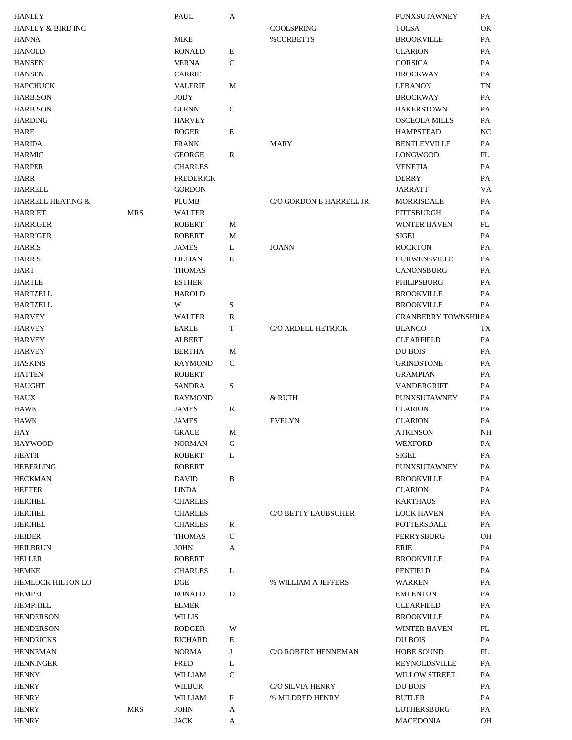| HANLEY                       |            | PAUL             | A            |                         | PUNXSUTAWNEY                 | PA        |
|------------------------------|------------|------------------|--------------|-------------------------|------------------------------|-----------|
| <b>HANLEY &amp; BIRD INC</b> |            |                  |              | <b>COOLSPRING</b>       | <b>TULSA</b>                 | OK        |
| HANNA                        |            | <b>MIKE</b>      |              | %CORBETTS               | <b>BROOKVILLE</b>            | PA        |
| <b>HANOLD</b>                |            | <b>RONALD</b>    | Е            |                         | <b>CLARION</b>               | PA        |
| <b>HANSEN</b>                |            | <b>VERNA</b>     | $\mathbf C$  |                         | <b>CORSICA</b>               | PA        |
| <b>HANSEN</b>                |            | <b>CARRIE</b>    |              |                         | <b>BROCKWAY</b>              | PA        |
| <b>HAPCHUCK</b>              |            | <b>VALERIE</b>   | M            |                         | <b>LEBANON</b>               | TN        |
| <b>HARBISON</b>              |            | <b>JODY</b>      |              |                         | <b>BROCKWAY</b>              | PA        |
| <b>HARBISON</b>              |            | <b>GLENN</b>     | $\mathbf C$  |                         | <b>BAKERSTOWN</b>            | PA        |
| <b>HARDING</b>               |            | <b>HARVEY</b>    |              |                         | <b>OSCEOLA MILLS</b>         | PA        |
| <b>HARE</b>                  |            | <b>ROGER</b>     | $\mathbf E$  |                         | <b>HAMPSTEAD</b>             | NC        |
| <b>HARIDA</b>                |            | <b>FRANK</b>     |              | MARY                    | <b>BENTLEYVILLE</b>          | PA        |
| <b>HARMIC</b>                |            | <b>GEORGE</b>    | R            |                         | <b>LONGWOOD</b>              | FL        |
| <b>HARPER</b>                |            | <b>CHARLES</b>   |              |                         | <b>VENETIA</b>               | PA        |
|                              |            | <b>FREDERICK</b> |              |                         |                              | PA        |
| <b>HARR</b>                  |            |                  |              |                         | <b>DERRY</b>                 |           |
| HARRELL                      |            | <b>GORDON</b>    |              |                         | JARRATT                      | VA        |
| HARRELL HEATING &            |            | <b>PLUMB</b>     |              | C/O GORDON B HARRELL JR | MORRISDALE                   | PA        |
| <b>HARRIET</b>               | <b>MRS</b> | <b>WALTER</b>    |              |                         | PITTSBURGH                   | <b>PA</b> |
| <b>HARRIGER</b>              |            | <b>ROBERT</b>    | М            |                         | <b>WINTER HAVEN</b>          | FL        |
| <b>HARRIGER</b>              |            | <b>ROBERT</b>    | М            |                         | <b>SIGEL</b>                 | PA        |
| <b>HARRIS</b>                |            | <b>JAMES</b>     | L            | <b>JOANN</b>            | <b>ROCKTON</b>               | PA        |
| <b>HARRIS</b>                |            | LILLIAN          | E            |                         | <b>CURWENSVILLE</b>          | PA        |
| <b>HART</b>                  |            | <b>THOMAS</b>    |              |                         | CANONSBURG                   | PA        |
| <b>HARTLE</b>                |            | <b>ESTHER</b>    |              |                         | PHILIPSBURG                  | PA        |
| <b>HARTZELL</b>              |            | <b>HAROLD</b>    |              |                         | <b>BROOKVILLE</b>            | PA        |
| <b>HARTZELL</b>              |            | W                | S            |                         | <b>BROOKVILLE</b>            | PA        |
| <b>HARVEY</b>                |            | <b>WALTER</b>    | R            |                         | <b>CRANBERRY TOWNSHII PA</b> |           |
| HARVEY                       |            | <b>EARLE</b>     | T            | C/O ARDELL HETRICK      | <b>BLANCO</b>                | TX        |
| <b>HARVEY</b>                |            | <b>ALBERT</b>    |              |                         | <b>CLEARFIELD</b>            | PA        |
| HARVEY                       |            | <b>BERTHA</b>    | М            |                         | DU BOIS                      | PA        |
| <b>HASKINS</b>               |            | <b>RAYMOND</b>   | $\mathsf{C}$ |                         | <b>GRINDSTONE</b>            | PA        |
| HATTEN                       |            | <b>ROBERT</b>    |              |                         | <b>GRAMPIAN</b>              | PA        |
| <b>HAUGHT</b>                |            | <b>SANDRA</b>    | S            |                         | VANDERGRIFT                  | PA        |
| HAUX                         |            | <b>RAYMOND</b>   |              | & RUTH                  | PUNXSUTAWNEY                 | PA        |
| <b>HAWK</b>                  |            | <b>JAMES</b>     | R            |                         | <b>CLARION</b>               | PA        |
| <b>HAWK</b>                  |            | <b>JAMES</b>     |              | <b>EVELYN</b>           | <b>CLARION</b>               | PA        |
| HAY                          |            | GRACE            | М            |                         | <b>ATKINSON</b>              | NH        |
| HAYWOOD                      |            | <b>NORMAN</b>    | G            |                         | <b>WEXFORD</b>               | PA        |
| <b>HEATH</b>                 |            | <b>ROBERT</b>    | L            |                         | <b>SIGEL</b>                 | PA        |
| <b>HEBERLING</b>             |            | ROBERT           |              |                         | PUNXSUTAWNEY                 | PA        |
| <b>HECKMAN</b>               |            | <b>DAVID</b>     | $\, {\bf B}$ |                         | <b>BROOKVILLE</b>            | PA        |
| <b>HEETER</b>                |            | <b>LINDA</b>     |              |                         | <b>CLARION</b>               | PA        |
| <b>HEICHEL</b>               |            | <b>CHARLES</b>   |              |                         | <b>KARTHAUS</b>              | PA        |
| <b>HEICHEL</b>               |            | <b>CHARLES</b>   |              | C/O BETTY LAUBSCHER     |                              | PA        |
|                              |            |                  |              |                         | <b>LOCK HAVEN</b>            |           |
| <b>HEICHEL</b>               |            | <b>CHARLES</b>   | R            |                         | <b>POTTERSDALE</b>           | PA        |
| <b>HEIDER</b>                |            | <b>THOMAS</b>    | $\mathbf C$  |                         | PERRYSBURG                   | OН        |
| <b>HEILBRUN</b>              |            | <b>JOHN</b>      | A            |                         | ERIE                         | PA        |
| HELLER                       |            | ROBERT           |              |                         | <b>BROOKVILLE</b>            | PA        |
| <b>HEMKE</b>                 |            | <b>CHARLES</b>   | L            |                         | PENFIELD                     | PA        |
| HEMLOCK HILTON LO            |            | DGE              |              | % WILLIAM A JEFFERS     | <b>WARREN</b>                | PA        |
| <b>HEMPEL</b>                |            | <b>RONALD</b>    | D            |                         | <b>EMLENTON</b>              | PA        |
| <b>HEMPHILL</b>              |            | <b>ELMER</b>     |              |                         | <b>CLEARFIELD</b>            | PA        |
| <b>HENDERSON</b>             |            | <b>WILLIS</b>    |              |                         | <b>BROOKVILLE</b>            | PA        |
| <b>HENDERSON</b>             |            | <b>RODGER</b>    | W            |                         | <b>WINTER HAVEN</b>          | FL        |
| <b>HENDRICKS</b>             |            | <b>RICHARD</b>   | Е            |                         | DU BOIS                      | PA        |
| HENNEMAN                     |            | <b>NORMA</b>     | J            | C/O ROBERT HENNEMAN     | <b>HOBE SOUND</b>            | FL        |
| <b>HENNINGER</b>             |            | <b>FRED</b>      | L            |                         | REYNOLDSVILLE                | PA        |
| <b>HENNY</b>                 |            | <b>WILLIAM</b>   | C            |                         | <b>WILLOW STREET</b>         | PA        |
| <b>HENRY</b>                 |            | <b>WILBUR</b>    |              | C/O SILVIA HENRY        | DU BOIS                      | PA        |
| <b>HENRY</b>                 |            | <b>WILLIAM</b>   | F            | % MILDRED HENRY         | <b>BUTLER</b>                | PA        |
| <b>HENRY</b>                 | <b>MRS</b> | <b>JOHN</b>      | A            |                         | LUTHERSBURG                  | PA        |
| <b>HENRY</b>                 |            | JACK             | A            |                         | MACEDONIA                    | OH        |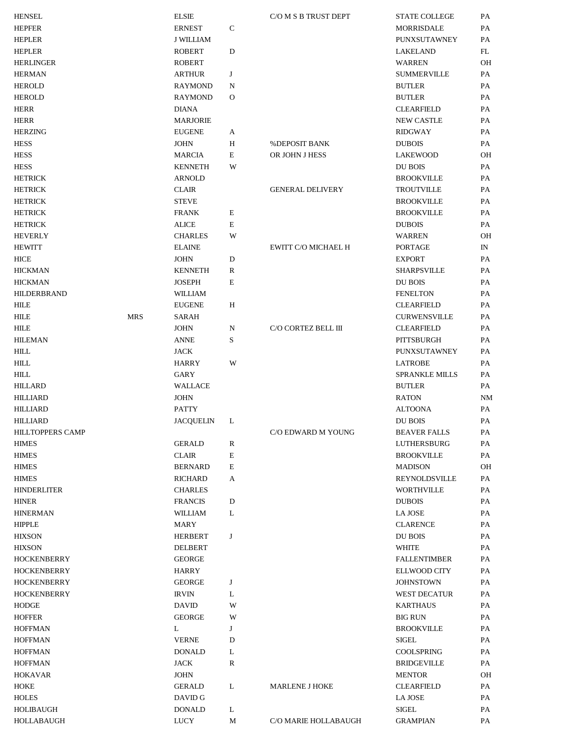| <b>HENSEL</b>           |            | <b>ELSIE</b>     |              | C/O M S B TRUST DEPT    | <b>STATE COLLEGE</b> | PA           |
|-------------------------|------------|------------------|--------------|-------------------------|----------------------|--------------|
| <b>HEPFER</b>           |            | <b>ERNEST</b>    | ${\bf C}$    |                         | <b>MORRISDALE</b>    | PA           |
| <b>HEPLER</b>           |            | <b>J WILLIAM</b> |              |                         | PUNXSUTAWNEY         | PA           |
| <b>HEPLER</b>           |            | <b>ROBERT</b>    | $\mathbf D$  |                         | LAKELAND             | FL           |
| <b>HERLINGER</b>        |            | <b>ROBERT</b>    |              |                         | <b>WARREN</b>        | OH           |
| <b>HERMAN</b>           |            | <b>ARTHUR</b>    | J            |                         | <b>SUMMERVILLE</b>   | PA           |
| <b>HEROLD</b>           |            | <b>RAYMOND</b>   | N            |                         | <b>BUTLER</b>        | PA           |
| <b>HEROLD</b>           |            | <b>RAYMOND</b>   | O            |                         | <b>BUTLER</b>        | PA           |
| <b>HERR</b>             |            | <b>DIANA</b>     |              |                         | <b>CLEARFIELD</b>    | PA           |
| <b>HERR</b>             |            | <b>MARJORIE</b>  |              |                         | <b>NEW CASTLE</b>    | PA           |
| <b>HERZING</b>          |            | <b>EUGENE</b>    | A            |                         | <b>RIDGWAY</b>       | PA           |
| <b>HESS</b>             |            | <b>JOHN</b>      | Η            | <b>%DEPOSIT BANK</b>    | <b>DUBOIS</b>        | PA           |
| <b>HESS</b>             |            | <b>MARCIA</b>    | Е            | OR JOHN J HESS          | <b>LAKEWOOD</b>      | OH           |
| <b>HESS</b>             |            | <b>KENNETH</b>   | W            |                         | DU BOIS              | PA           |
| <b>HETRICK</b>          |            | <b>ARNOLD</b>    |              |                         | <b>BROOKVILLE</b>    | PA           |
| <b>HETRICK</b>          |            | <b>CLAIR</b>     |              | <b>GENERAL DELIVERY</b> | <b>TROUTVILLE</b>    | PA           |
| <b>HETRICK</b>          |            | <b>STEVE</b>     |              |                         | <b>BROOKVILLE</b>    | PA           |
| <b>HETRICK</b>          |            | <b>FRANK</b>     | Е            |                         | <b>BROOKVILLE</b>    | PA           |
| <b>HETRICK</b>          |            | <b>ALICE</b>     | Е            |                         |                      | PA           |
|                         |            |                  |              |                         | <b>DUBOIS</b>        |              |
| <b>HEVERLY</b>          |            | <b>CHARLES</b>   | W            |                         | <b>WARREN</b>        | OH           |
| <b>HEWITT</b>           |            | <b>ELAINE</b>    |              | EWITT C/O MICHAEL H     | <b>PORTAGE</b>       | $\mathbb{N}$ |
| <b>HICE</b>             |            | <b>JOHN</b>      | D            |                         | <b>EXPORT</b>        | PA           |
| <b>HICKMAN</b>          |            | <b>KENNETH</b>   | R            |                         | <b>SHARPSVILLE</b>   | PA           |
| <b>HICKMAN</b>          |            | <b>JOSEPH</b>    | Е            |                         | DU BOIS              | PA           |
| <b>HILDERBRAND</b>      |            | WILLIAM          |              |                         | <b>FENELTON</b>      | PA           |
| <b>HILE</b>             |            | <b>EUGENE</b>    | $\, {\rm H}$ |                         | <b>CLEARFIELD</b>    | PA           |
| <b>HILE</b>             | <b>MRS</b> | <b>SARAH</b>     |              |                         | <b>CURWENSVILLE</b>  | PA           |
| <b>HILE</b>             |            | <b>JOHN</b>      | N            | C/O CORTEZ BELL III     | <b>CLEARFIELD</b>    | PA           |
| <b>HILEMAN</b>          |            | <b>ANNE</b>      | S            |                         | PITTSBURGH           | PA           |
| <b>HILL</b>             |            | <b>JACK</b>      |              |                         | PUNXSUTAWNEY         | PA           |
| <b>HILL</b>             |            | <b>HARRY</b>     | W            |                         | <b>LATROBE</b>       | PA           |
| <b>HILL</b>             |            | <b>GARY</b>      |              |                         | SPRANKLE MILLS       | PA           |
| <b>HILLARD</b>          |            | WALLACE          |              |                         | <b>BUTLER</b>        | PA           |
| <b>HILLIARD</b>         |            | <b>JOHN</b>      |              |                         | <b>RATON</b>         | <b>NM</b>    |
| <b>HILLIARD</b>         |            | <b>PATTY</b>     |              |                         | <b>ALTOONA</b>       | PA           |
| <b>HILLIARD</b>         |            | JACQUELIN        | L            |                         | DU BOIS              | PA           |
| <b>HILLTOPPERS CAMP</b> |            |                  |              | C/O EDWARD M YOUNG      | <b>BEAVER FALLS</b>  | PA           |
| <b>HIMES</b>            |            | <b>GERALD</b>    | R            |                         | LUTHERSBURG          | PA           |
| <b>HIMES</b>            |            | <b>CLAIR</b>     | Е            |                         | <b>BROOKVILLE</b>    | PA           |
| <b>HIMES</b>            |            | <b>BERNARD</b>   | Е            |                         | <b>MADISON</b>       | OH           |
| <b>HIMES</b>            |            | <b>RICHARD</b>   | A            |                         | REYNOLDSVILLE        | PA           |
| <b>HINDERLITER</b>      |            | <b>CHARLES</b>   |              |                         | <b>WORTHVILLE</b>    | PA           |
| <b>HINER</b>            |            | <b>FRANCIS</b>   | D            |                         | <b>DUBOIS</b>        | PA           |
| <b>HINERMAN</b>         |            | <b>WILLIAM</b>   | L            |                         | LA JOSE              | PA           |
| <b>HIPPLE</b>           |            | MARY             |              |                         | <b>CLARENCE</b>      | PA           |
| <b>HIXSON</b>           |            | <b>HERBERT</b>   | J            |                         | <b>DU BOIS</b>       | PA           |
| <b>HIXSON</b>           |            | DELBERT          |              |                         | <b>WHITE</b>         | PA           |
| <b>HOCKENBERRY</b>      |            | <b>GEORGE</b>    |              |                         | <b>FALLENTIMBER</b>  | PA           |
| <b>HOCKENBERRY</b>      |            | <b>HARRY</b>     |              |                         | <b>ELLWOOD CITY</b>  | PA           |
| <b>HOCKENBERRY</b>      |            | <b>GEORGE</b>    | J            |                         | <b>JOHNSTOWN</b>     | PA           |
| <b>HOCKENBERRY</b>      |            | <b>IRVIN</b>     | L            |                         | <b>WEST DECATUR</b>  | PA           |
| <b>HODGE</b>            |            | <b>DAVID</b>     | W            |                         | <b>KARTHAUS</b>      | PA           |
| <b>HOFFER</b>           |            | <b>GEORGE</b>    | W            |                         | <b>BIG RUN</b>       | PA           |
| <b>HOFFMAN</b>          |            | L                | J            |                         | <b>BROOKVILLE</b>    | PA           |
| <b>HOFFMAN</b>          |            | <b>VERNE</b>     | D            |                         | SIGEL                | PA           |
| <b>HOFFMAN</b>          |            | <b>DONALD</b>    | L            |                         | <b>COOLSPRING</b>    | PA           |
| <b>HOFFMAN</b>          |            | <b>JACK</b>      | $\mathbb{R}$ |                         | <b>BRIDGEVILLE</b>   | PA           |
| <b>HOKAVAR</b>          |            | <b>JOHN</b>      |              |                         | <b>MENTOR</b>        | OН           |
| HOKE                    |            | <b>GERALD</b>    | L            | MARLENE J HOKE          | <b>CLEARFIELD</b>    | PA           |
| <b>HOLES</b>            |            | DAVID G          |              |                         | LA JOSE              | PA           |
| <b>HOLIBAUGH</b>        |            | <b>DONALD</b>    | L            |                         | SIGEL                | PA           |
| <b>HOLLABAUGH</b>       |            | LUCY             | M            | C/O MARIE HOLLABAUGH    | <b>GRAMPIAN</b>      | PA           |
|                         |            |                  |              |                         |                      |              |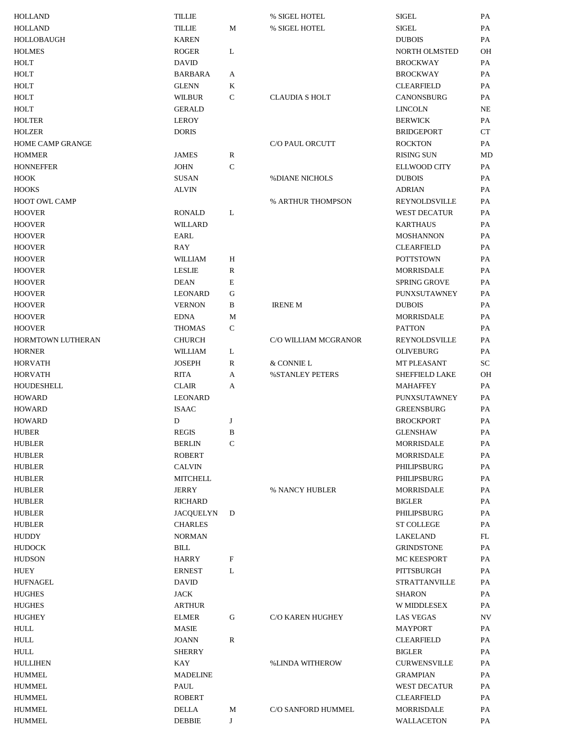| HOLLAND           | TILLIE          |              | % SIGEL HOTEL          | <b>SIGEL</b>          | PA        |
|-------------------|-----------------|--------------|------------------------|-----------------------|-----------|
| <b>HOLLAND</b>    | <b>TILLIE</b>   | M            | % SIGEL HOTEL          | <b>SIGEL</b>          | PA        |
| HOLLOBAUGH        | <b>KAREN</b>    |              |                        | <b>DUBOIS</b>         | PA        |
| <b>HOLMES</b>     | <b>ROGER</b>    | L            |                        | NORTH OLMSTED         | OН        |
| HOLT              | <b>DAVID</b>    |              |                        | <b>BROCKWAY</b>       | PA        |
| HOLT              | <b>BARBARA</b>  | A            |                        | <b>BROCKWAY</b>       | PA        |
| HOLT              | <b>GLENN</b>    | K            |                        | <b>CLEARFIELD</b>     | PA        |
| HOLT              | <b>WILBUR</b>   | C            | <b>CLAUDIA S HOLT</b>  | <b>CANONSBURG</b>     | PA        |
| HOLT              | <b>GERALD</b>   |              |                        | <b>LINCOLN</b>        | NE        |
| HOLTER            | LEROY           |              |                        | <b>BERWICK</b>        | PA        |
| HOLZER            | <b>DORIS</b>    |              |                        | <b>BRIDGEPORT</b>     | CT        |
| HOME CAMP GRANGE  |                 |              | C/O PAUL ORCUTT        | <b>ROCKTON</b>        | PA        |
| HOMMER            | <b>JAMES</b>    | R            |                        | <b>RISING SUN</b>     | MD        |
| HONNEFFER         | JOHN            | $\mathbf C$  |                        | <b>ELLWOOD CITY</b>   | PA        |
| HOOK              | <b>SUSAN</b>    |              | <b>%DIANE NICHOLS</b>  | <b>DUBOIS</b>         | PA        |
| HOOKS             | <b>ALVIN</b>    |              |                        | <b>ADRIAN</b>         | PA        |
| HOOT OWL CAMP     |                 |              | % ARTHUR THOMPSON      | REYNOLDSVILLE         | PA        |
| <b>HOOVER</b>     | <b>RONALD</b>   | L            |                        | WEST DECATUR          | PA        |
| <b>HOOVER</b>     | <b>WILLARD</b>  |              |                        | <b>KARTHAUS</b>       | PA        |
| HOOVER            | <b>EARL</b>     |              |                        | <b>MOSHANNON</b>      | PA        |
| HOOVER            | <b>RAY</b>      |              |                        | <b>CLEARFIELD</b>     | PA        |
| HOOVER            | WILLIAM         | Η            |                        | <b>POTTSTOWN</b>      | PA        |
| <b>HOOVER</b>     | <b>LESLIE</b>   | R            |                        | <b>MORRISDALE</b>     | PA        |
| HOOVER            | <b>DEAN</b>     | E            |                        | <b>SPRING GROVE</b>   | PA        |
| HOOVER            | <b>LEONARD</b>  | G            |                        | PUNXSUTAWNEY          | PA        |
| HOOVER            | <b>VERNON</b>   | B            | <b>IRENE M</b>         | <b>DUBOIS</b>         | PA        |
|                   | <b>EDNA</b>     |              |                        | <b>MORRISDALE</b>     | PA        |
| HOOVER            |                 | M            |                        |                       |           |
| HOOVER            | <b>THOMAS</b>   | $\mathsf{C}$ |                        | <b>PATTON</b>         | PA        |
| HORMTOWN LUTHERAN | <b>CHURCH</b>   |              | C/O WILLIAM MCGRANOR   | REYNOLDSVILLE         | PA        |
| HORNER            | <b>WILLIAM</b>  | L            |                        | <b>OLIVEBURG</b>      | PA        |
| HORVATH           | <b>JOSEPH</b>   | R            | & CONNIE L             | <b>MT PLEASANT</b>    | SC        |
| HORVATH           | <b>RITA</b>     | A            | %STANLEY PETERS        | <b>SHEFFIELD LAKE</b> | <b>OH</b> |
| HOUDESHELL        | <b>CLAIR</b>    | A            |                        | <b>MAHAFFEY</b>       | PA        |
| HOWARD            | <b>LEONARD</b>  |              |                        | PUNXSUTAWNEY          | PA        |
| <b>HOWARD</b>     | <b>ISAAC</b>    |              |                        | <b>GREENSBURG</b>     | PA        |
| HOWARD            | D               | J            |                        | <b>BROCKPORT</b>      | PA        |
| <b>HUBER</b>      | <b>REGIS</b>    | B            |                        | <b>GLENSHAW</b>       | PA        |
| <b>HUBLER</b>     | <b>BERLIN</b>   | $\mathbf C$  |                        | <b>MORRISDALE</b>     | PA        |
| <b>HUBLER</b>     | <b>ROBERT</b>   |              |                        | <b>MORRISDALE</b>     | PA        |
| <b>HUBLER</b>     | <b>CALVIN</b>   |              |                        | PHILIPSBURG           | PA        |
| <b>HUBLER</b>     | <b>MITCHELL</b> |              |                        | PHILIPSBURG           | PA        |
| <b>HUBLER</b>     | <b>JERRY</b>    |              | % NANCY HUBLER         | MORRISDALE            | PA        |
| HUBLER            | <b>RICHARD</b>  |              |                        | <b>BIGLER</b>         | PA        |
| HUBLER            | JACQUELYN       | D            |                        | PHILIPSBURG           | PA        |
| HUBLER            | <b>CHARLES</b>  |              |                        | <b>ST COLLEGE</b>     | PA        |
| <b>HUDDY</b>      | <b>NORMAN</b>   |              |                        | LAKELAND              | FL        |
| HUDOCK            | <b>BILL</b>     |              |                        | <b>GRINDSTONE</b>     | PA        |
| HUDSON            | <b>HARRY</b>    | F            |                        | <b>MC KEESPORT</b>    | PA        |
| HUEY              | <b>ERNEST</b>   | L            |                        | PITTSBURGH            | PA        |
| HUFNAGEL          | <b>DAVID</b>    |              |                        | <b>STRATTANVILLE</b>  | PA        |
| HUGHES            | JACK            |              |                        | <b>SHARON</b>         | PA        |
| HUGHES            | <b>ARTHUR</b>   |              |                        | W MIDDLESEX           | PA        |
| HUGHEY            | <b>ELMER</b>    | G            | C/O KAREN HUGHEY       | <b>LAS VEGAS</b>      | NV        |
| HULL              | <b>MASIE</b>    |              |                        | <b>MAYPORT</b>        | PA        |
| HULL              | JOANN           | R            |                        | <b>CLEARFIELD</b>     | PA        |
| HULL              | <b>SHERRY</b>   |              |                        | <b>BIGLER</b>         | PA        |
| HULLIHEN          | KAY             |              | <b>%LINDA WITHEROW</b> | <b>CURWENSVILLE</b>   | PA        |
| HUMMEL            | <b>MADELINE</b> |              |                        | <b>GRAMPIAN</b>       | PA        |
| HUMMEL            | PAUL            |              |                        | <b>WEST DECATUR</b>   | PA        |
| HUMMEL            | <b>ROBERT</b>   |              |                        | <b>CLEARFIELD</b>     | PA        |
| HUMMEL            | <b>DELLA</b>    | M            | C/O SANFORD HUMMEL     | MORRISDALE            | PA        |
| HUMMEL            | <b>DEBBIE</b>   | J            |                        | WALLACETON            | PA        |
|                   |                 |              |                        |                       |           |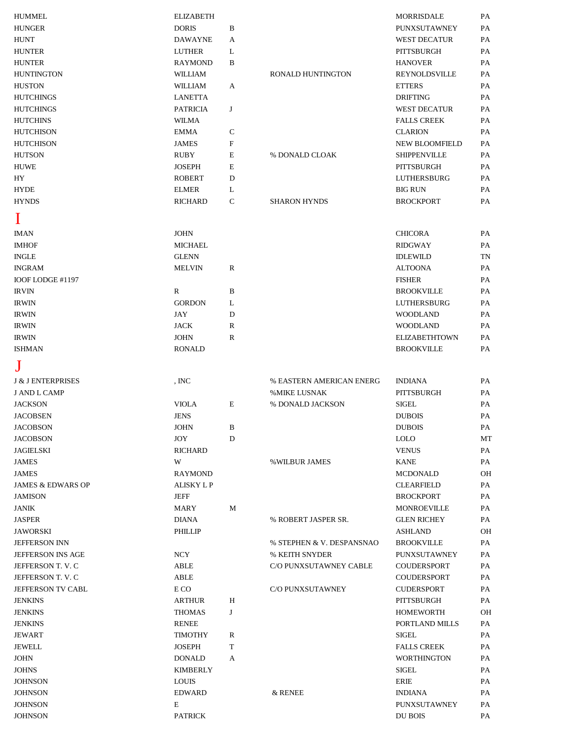<span id="page-22-0"></span>

| <b>HUMMEL</b>                | ELIZABETH         |              |                           | MORRISDALE           | PA            |
|------------------------------|-------------------|--------------|---------------------------|----------------------|---------------|
| <b>HUNGER</b>                | <b>DORIS</b>      | $\, {\bf B}$ |                           | PUNXSUTAWNEY         | PA            |
| <b>HUNT</b>                  | <b>DAWAYNE</b>    | A            |                           | WEST DECATUR         | PA            |
| <b>HUNTER</b>                | <b>LUTHER</b>     | L            |                           | PITTSBURGH           | PA            |
| <b>HUNTER</b>                | <b>RAYMOND</b>    | B            |                           | <b>HANOVER</b>       | PA            |
| <b>HUNTINGTON</b>            | <b>WILLIAM</b>    |              | RONALD HUNTINGTON         | <b>REYNOLDSVILLE</b> | PA            |
| <b>HUSTON</b>                | WILLIAM           | A            |                           | <b>ETTERS</b>        | PA            |
| <b>HUTCHINGS</b>             | <b>LANETTA</b>    |              |                           | <b>DRIFTING</b>      | PA            |
| <b>HUTCHINGS</b>             | <b>PATRICIA</b>   | J            |                           | WEST DECATUR         | PA            |
| <b>HUTCHINS</b>              | <b>WILMA</b>      |              |                           | <b>FALLS CREEK</b>   | PA            |
| <b>HUTCHISON</b>             | <b>EMMA</b>       | $\mathsf{C}$ |                           | <b>CLARION</b>       | PA            |
| <b>HUTCHISON</b>             | <b>JAMES</b>      | $\mathbf F$  |                           | NEW BLOOMFIELD       | PA            |
| <b>HUTSON</b>                | RUBY              | E            | % DONALD CLOAK            | <b>SHIPPENVILLE</b>  | PA            |
| <b>HUWE</b>                  | <b>JOSEPH</b>     | E            |                           | PITTSBURGH           | PA            |
| HY                           | <b>ROBERT</b>     | D            |                           | LUTHERSBURG          | PA            |
| <b>HYDE</b>                  | <b>ELMER</b>      | L            |                           | <b>BIG RUN</b>       | PA            |
| <b>HYNDS</b>                 | <b>RICHARD</b>    | $\mathsf{C}$ | <b>SHARON HYNDS</b>       | <b>BROCKPORT</b>     | PA            |
|                              |                   |              |                           |                      |               |
| I                            |                   |              |                           |                      |               |
| <b>IMAN</b>                  | <b>JOHN</b>       |              |                           | <b>CHICORA</b>       | PA            |
| <b>IMHOF</b>                 | <b>MICHAEL</b>    |              |                           | <b>RIDGWAY</b>       | PA            |
| <b>INGLE</b>                 | <b>GLENN</b>      |              |                           | <b>IDLEWILD</b>      | <b>TN</b>     |
| <b>INGRAM</b>                | <b>MELVIN</b>     | R            |                           | <b>ALTOONA</b>       | PA            |
| IOOF LODGE #1197             |                   |              |                           | <b>FISHER</b>        | PA            |
| <b>IRVIN</b>                 | R                 | B            |                           | <b>BROOKVILLE</b>    | PA            |
| <b>IRWIN</b>                 | <b>GORDON</b>     | L            |                           | LUTHERSBURG          | PA            |
| <b>IRWIN</b>                 | <b>JAY</b>        | D            |                           | <b>WOODLAND</b>      | PA            |
| <b>IRWIN</b>                 | JACK              | R            |                           | <b>WOODLAND</b>      | PA            |
| <b>IRWIN</b>                 | <b>JOHN</b>       | ${\bf R}$    |                           | <b>ELIZABETHTOWN</b> | PA            |
| <b>ISHMAN</b>                | <b>RONALD</b>     |              |                           | <b>BROOKVILLE</b>    | PA            |
|                              |                   |              |                           |                      |               |
| J                            |                   |              |                           |                      |               |
| <b>J &amp; J ENTERPRISES</b> | , INC             |              | % EASTERN AMERICAN ENERG  | <b>INDIANA</b>       | PA            |
| J AND L CAMP                 |                   |              | <b>%MIKE LUSNAK</b>       | PITTSBURGH           | PA            |
| <b>JACKSON</b>               | <b>VIOLA</b>      | E            | % DONALD JACKSON          | <b>SIGEL</b>         | PA            |
| <b>JACOBSEN</b>              | <b>JENS</b>       |              |                           | <b>DUBOIS</b>        | PA            |
| <b>JACOBSON</b>              | <b>JOHN</b>       | B.           |                           | <b>DUBOIS</b>        | $\mathbf{PA}$ |
| <b>JACOBSON</b>              | JOY               | D            |                           | <b>LOLO</b>          | MT            |
| JAGIELSKI                    | <b>RICHARD</b>    |              |                           | <b>VENUS</b>         | PA            |
| <b>JAMES</b>                 | W                 |              | % WILBUR JAMES            | <b>KANE</b>          | PA            |
| <b>JAMES</b>                 | RAYMOND           |              |                           | MCDONALD             | <b>OH</b>     |
| <b>JAMES &amp; EDWARS OP</b> | <b>ALISKY L P</b> |              |                           | CLEARFIELD           | PA            |
| <b>JAMISON</b>               | JEFF              |              |                           | <b>BROCKPORT</b>     | PA            |
| <b>JANIK</b>                 | MARY              | M            |                           | MONROEVILLE          | PA            |
| <b>JASPER</b>                | <b>DIANA</b>      |              | % ROBERT JASPER SR.       | <b>GLEN RICHEY</b>   | PA            |
| JAWORSKI                     | <b>PHILLIP</b>    |              |                           | <b>ASHLAND</b>       | <b>OH</b>     |
| <b>JEFFERSON INN</b>         |                   |              | % STEPHEN & V. DESPANSNAO | <b>BROOKVILLE</b>    | PA            |
| JEFFERSON INS AGE            | NCY               |              | % KEITH SNYDER            | PUNXSUTAWNEY         | PA            |
| JEFFERSON T.V.C              | ABLE              |              | C/O PUNXSUTAWNEY CABLE    | COUDERSPORT          | PA            |
| JEFFERSON T.V.C              | <b>ABLE</b>       |              |                           | COUDERSPORT          | PA            |
| JEFFERSON TV CABL            | E CO              |              | C/O PUNXSUTAWNEY          | <b>CUDERSPORT</b>    | PA            |
| JENKINS                      | <b>ARTHUR</b>     | Н            |                           | PITTSBURGH           | PA            |
| JENKINS                      | <b>THOMAS</b>     | J            |                           | <b>HOMEWORTH</b>     | <b>OH</b>     |
| <b>JENKINS</b>               | <b>RENEE</b>      |              |                           | PORTLAND MILLS       | PA            |
| <b>JEWART</b>                | <b>TIMOTHY</b>    | R            |                           | <b>SIGEL</b>         | PA            |
| JEWELL                       | <b>JOSEPH</b>     | T            |                           | <b>FALLS CREEK</b>   | PA            |
| JOHN                         | <b>DONALD</b>     | A            |                           | <b>WORTHINGTON</b>   | PA            |
| <b>JOHNS</b>                 | <b>KIMBERLY</b>   |              |                           | SIGEL                | PA            |
| <b>JOHNSON</b>               | <b>LOUIS</b>      |              |                           | ERIE                 | PA            |
| <b>JOHNSON</b>               | <b>EDWARD</b>     |              | & RENEE                   | <b>INDIANA</b>       | PA            |
| JOHNSON                      | E                 |              |                           | PUNXSUTAWNEY         | PA            |
| <b>JOHNSON</b>               | <b>PATRICK</b>    |              |                           | DU BOIS              | PA            |
|                              |                   |              |                           |                      |               |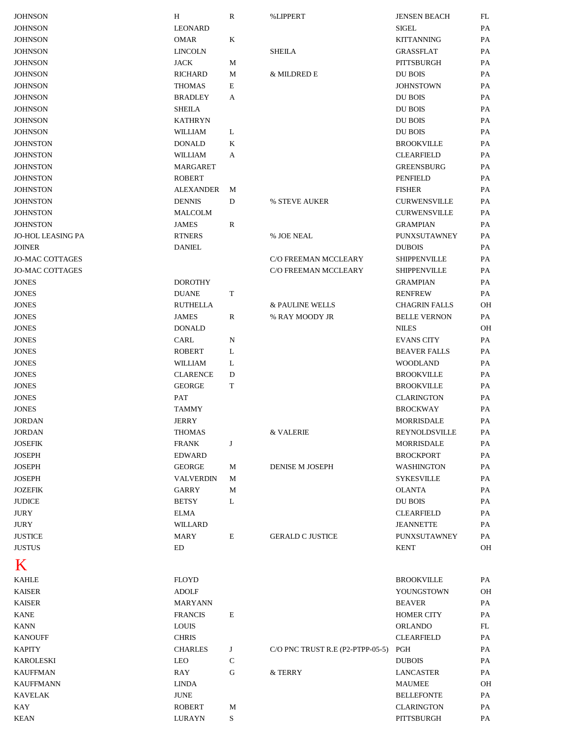<span id="page-23-0"></span>

| <b>JOHNSON</b>         | Н                | R           | %LIPPERT                         | <b>JENSEN BEACH</b>  | FL        |
|------------------------|------------------|-------------|----------------------------------|----------------------|-----------|
| <b>JOHNSON</b>         | <b>LEONARD</b>   |             |                                  | <b>SIGEL</b>         | PA        |
| <b>JOHNSON</b>         | <b>OMAR</b>      | K           |                                  | <b>KITTANNING</b>    | PA        |
| JOHNSON                | <b>LINCOLN</b>   |             | <b>SHEILA</b>                    | <b>GRASSFLAT</b>     | PA        |
| <b>JOHNSON</b>         | <b>JACK</b>      | М           |                                  | PITTSBURGH           | PA        |
| <b>JOHNSON</b>         | <b>RICHARD</b>   | М           | & MILDRED E                      | DU BOIS              | PA        |
| JOHNSON                | <b>THOMAS</b>    | E           |                                  | <b>JOHNSTOWN</b>     | PA        |
| <b>JOHNSON</b>         | <b>BRADLEY</b>   | A           |                                  | DU BOIS              | PA        |
| <b>JOHNSON</b>         | <b>SHEILA</b>    |             |                                  | DU BOIS              | PA        |
| <b>JOHNSON</b>         | <b>KATHRYN</b>   |             |                                  | DU BOIS              | PA        |
| <b>JOHNSON</b>         | WILLIAM          | L           |                                  | <b>DU BOIS</b>       | PA        |
| <b>JOHNSTON</b>        | <b>DONALD</b>    | K           |                                  | <b>BROOKVILLE</b>    | PA        |
| <b>JOHNSTON</b>        | WILLIAM          | A           |                                  | <b>CLEARFIELD</b>    | PA        |
| <b>JOHNSTON</b>        | MARGARET         |             |                                  | <b>GREENSBURG</b>    | PA        |
| <b>JOHNSTON</b>        | ROBERT           |             |                                  | <b>PENFIELD</b>      | PA        |
| <b>JOHNSTON</b>        | ALEXANDER        | M           |                                  | <b>FISHER</b>        | <b>PA</b> |
| <b>JOHNSTON</b>        | <b>DENNIS</b>    | D           | % STEVE AUKER                    | <b>CURWENSVILLE</b>  | PA        |
|                        |                  |             |                                  |                      |           |
| <b>JOHNSTON</b>        | MALCOLM          |             |                                  | <b>CURWENSVILLE</b>  | PA        |
| <b>JOHNSTON</b>        | <b>JAMES</b>     | R           |                                  | <b>GRAMPIAN</b>      | PA        |
| JO-HOL LEASING PA      | <b>RTNERS</b>    |             | % JOE NEAL                       | PUNXSUTAWNEY         | PA        |
| <b>JOINER</b>          | <b>DANIEL</b>    |             |                                  | <b>DUBOIS</b>        | PA        |
| <b>JO-MAC COTTAGES</b> |                  |             | C/O FREEMAN MCCLEARY             | SHIPPENVILLE         | PA        |
| JO-MAC COTTAGES        |                  |             | C/O FREEMAN MCCLEARY             | SHIPPENVILLE         | PA        |
| <b>JONES</b>           | <b>DOROTHY</b>   |             |                                  | <b>GRAMPIAN</b>      | PA        |
| <b>JONES</b>           | <b>DUANE</b>     | T           |                                  | <b>RENFREW</b>       | PA        |
| <b>JONES</b>           | <b>RUTHELLA</b>  |             | & PAULINE WELLS                  | <b>CHAGRIN FALLS</b> | OH        |
| <b>JONES</b>           | <b>JAMES</b>     | R           | % RAY MOODY JR                   | <b>BELLE VERNON</b>  | PA        |
| <b>JONES</b>           | <b>DONALD</b>    |             |                                  | <b>NILES</b>         | OH        |
| <b>JONES</b>           | CARL             | N           |                                  | <b>EVANS CITY</b>    | PA        |
| <b>JONES</b>           | <b>ROBERT</b>    | L           |                                  | <b>BEAVER FALLS</b>  | PA        |
| <b>JONES</b>           | WILLIAM          | L           |                                  | <b>WOODLAND</b>      | PA        |
| <b>JONES</b>           | <b>CLARENCE</b>  | D           |                                  | <b>BROOKVILLE</b>    | PA        |
| <b>JONES</b>           | <b>GEORGE</b>    | T           |                                  | <b>BROOKVILLE</b>    | PA        |
| <b>JONES</b>           | PAT              |             |                                  | <b>CLARINGTON</b>    | PA        |
| <b>JONES</b>           | <b>TAMMY</b>     |             |                                  | <b>BROCKWAY</b>      | PA        |
| JORDAN                 | <b>JERRY</b>     |             |                                  | <b>MORRISDALE</b>    | PA        |
| <b>JORDAN</b>          | <b>THOMAS</b>    |             | & VALERIE                        | REYNOLDSVILLE        | PA        |
| <b>JOSEFIK</b>         | <b>FRANK</b>     | J           |                                  | <b>MORRISDALE</b>    | PA        |
| <b>JOSEPH</b>          | <b>EDWARD</b>    |             |                                  | <b>BROCKPORT</b>     | PA        |
| <b>JOSEPH</b>          | <b>GEORGE</b>    | М           | DENISE M JOSEPH                  | WASHINGTON           | PA        |
| <b>JOSEPH</b>          | <b>VALVERDIN</b> | М           |                                  | <b>SYKESVILLE</b>    | PA        |
| <b>JOZEFIK</b>         | GARRY            | М           |                                  | <b>OLANTA</b>        | PA        |
| <b>JUDICE</b>          | <b>BETSY</b>     | L           |                                  | DU BOIS              | PA        |
| <b>JURY</b>            | <b>ELMA</b>      |             |                                  | <b>CLEARFIELD</b>    | PA        |
| <b>JURY</b>            | <b>WILLARD</b>   |             |                                  | <b>JEANNETTE</b>     | PA        |
| <b>JUSTICE</b>         | MARY             | $\mathbf E$ | <b>GERALD C JUSTICE</b>          | PUNXSUTAWNEY         | PA        |
| <b>JUSTUS</b>          | ED               |             |                                  | <b>KENT</b>          | OН        |
|                        |                  |             |                                  |                      |           |
| K                      |                  |             |                                  |                      |           |
| <b>KAHLE</b>           | <b>FLOYD</b>     |             |                                  | <b>BROOKVILLE</b>    | PA        |
| <b>KAISER</b>          | <b>ADOLF</b>     |             |                                  | YOUNGSTOWN           | OH        |
| <b>KAISER</b>          | <b>MARYANN</b>   |             |                                  | <b>BEAVER</b>        | PA        |
| <b>KANE</b>            | <b>FRANCIS</b>   | $\mathbf E$ |                                  | <b>HOMER CITY</b>    | PA        |
| <b>KANN</b>            | <b>LOUIS</b>     |             |                                  | <b>ORLANDO</b>       | FL        |
| <b>KANOUFF</b>         | <b>CHRIS</b>     |             |                                  | <b>CLEARFIELD</b>    | PA        |
| KAPITY                 | <b>CHARLES</b>   | J           | C/O PNC TRUST R.E (P2-PTPP-05-5) | PGH                  | PA        |
| <b>KAROLESKI</b>       | <b>LEO</b>       | ${\bf C}$   |                                  | <b>DUBOIS</b>        | PA        |
| KAUFFMAN               | <b>RAY</b>       | ${\bf G}$   | & TERRY                          | LANCASTER            | PA        |
| <b>KAUFFMANN</b>       | <b>LINDA</b>     |             |                                  | <b>MAUMEE</b>        | OН        |
| <b>KAVELAK</b>         | <b>JUNE</b>      |             |                                  |                      |           |
|                        |                  |             |                                  | <b>BELLEFONTE</b>    | PA        |
| KAY                    | <b>ROBERT</b>    | M           |                                  | <b>CLARINGTON</b>    | PA        |
| <b>KEAN</b>            | LURAYN           | ${\bf S}$   |                                  | PITTSBURGH           | PA        |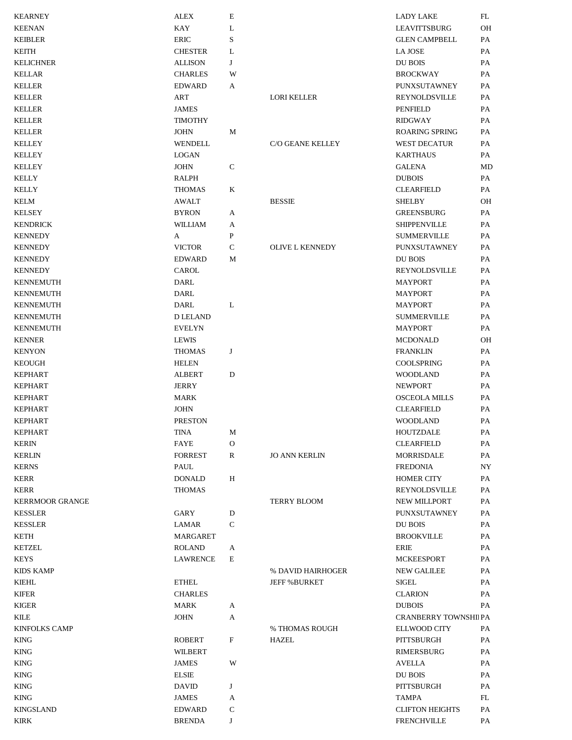| KEARNEY                   | ALEX            | E           |                        | <b>LADY LAKE</b>                     | FL        |
|---------------------------|-----------------|-------------|------------------------|--------------------------------------|-----------|
| <b>KEENAN</b>             | <b>KAY</b>      | L           |                        | <b>LEAVITTSBURG</b>                  | <b>OH</b> |
| <b>KEIBLER</b>            | <b>ERIC</b>     | S           |                        | <b>GLEN CAMPBELL</b>                 | PA        |
| <b>KEITH</b>              | <b>CHESTER</b>  | L           |                        | LA JOSE                              | PA        |
| KELICHNER                 | ALLISON         | J           |                        | DU BOIS                              | PA        |
| KELLAR                    | <b>CHARLES</b>  | W           |                        | <b>BROCKWAY</b>                      | PA        |
| <b>KELLER</b>             | <b>EDWARD</b>   | A           |                        | PUNXSUTAWNEY                         | PA        |
| <b>KELLER</b>             | <b>ART</b>      |             | <b>LORI KELLER</b>     | REYNOLDSVILLE                        | PA        |
| <b>KELLER</b>             | <b>JAMES</b>    |             |                        | PENFIELD                             | PA        |
| <b>KELLER</b>             | <b>TIMOTHY</b>  |             |                        | <b>RIDGWAY</b>                       | PA        |
| KELLER                    | JOHN            | M           |                        | <b>ROARING SPRING</b>                | РA        |
| <b>KELLEY</b>             | <b>WENDELL</b>  |             | C/O GEANE KELLEY       | <b>WEST DECATUR</b>                  | PA        |
| <b>KELLEY</b>             | <b>LOGAN</b>    |             |                        | <b>KARTHAUS</b>                      | PA        |
| <b>KELLEY</b>             | <b>JOHN</b>     | ${\bf C}$   |                        | <b>GALENA</b>                        | MD        |
| KELLY                     | <b>RALPH</b>    |             |                        | <b>DUBOIS</b>                        | PA        |
| KELLY                     | <b>THOMAS</b>   | K           |                        | <b>CLEARFIELD</b>                    | PA        |
| KELM                      | AWALT           |             | <b>BESSIE</b>          | <b>SHELBY</b>                        | OН        |
| KELSEY                    | <b>BYRON</b>    | A           |                        | <b>GREENSBURG</b>                    | PA        |
| <b>KENDRICK</b>           | WILLIAM         | A           |                        | <b>SHIPPENVILLE</b>                  | PA        |
| KENNEDY                   | A               | P           |                        | <b>SUMMERVILLE</b>                   | PA        |
| <b>KENNEDY</b>            | <b>VICTOR</b>   | C           | <b>OLIVE L KENNEDY</b> | PUNXSUTAWNEY                         | PA        |
| KENNEDY                   | <b>EDWARD</b>   | М           |                        | <b>DU BOIS</b>                       | PA        |
| KENNEDY                   | CAROL           |             |                        | REYNOLDSVILLE                        | PA        |
| KENNEMUTH                 | DARL            |             |                        | <b>MAYPORT</b>                       | PA        |
| KENNEMUTH                 | <b>DARL</b>     |             |                        | <b>MAYPORT</b>                       | PA        |
| KENNEMUTH                 | <b>DARL</b>     | L           |                        | <b>MAYPORT</b>                       | PA        |
| KENNEMUTH                 | <b>D LELAND</b> |             |                        | <b>SUMMERVILLE</b>                   | PA        |
| KENNEMUTH                 | <b>EVELYN</b>   |             |                        | <b>MAYPORT</b>                       | PA        |
| <b>KENNER</b>             | <b>LEWIS</b>    |             |                        | <b>MCDONALD</b>                      | OН        |
| <b>KENYON</b>             | <b>THOMAS</b>   | J           |                        | <b>FRANKLIN</b>                      | PA        |
| <b>KEOUGH</b>             | <b>HELEN</b>    |             |                        | <b>COOLSPRING</b>                    | PA        |
| KEPHART                   | ALBERT          | D           |                        | <b>WOODLAND</b>                      | PA        |
| KEPHART                   | JERRY           |             |                        | <b>NEWPORT</b>                       | PA        |
| KEPHART                   | MARK            |             |                        | <b>OSCEOLA MILLS</b>                 | PA        |
|                           |                 |             |                        |                                      |           |
| KEPHART<br><b>KEPHART</b> | JOHN            |             |                        | <b>CLEARFIELD</b><br><b>WOODLAND</b> | PA<br>PA  |
|                           | <b>PRESTON</b>  |             |                        |                                      |           |
| <b>KEPHART</b>            | TINA            | М           |                        | <b>HOUTZDALE</b>                     | PA        |
| <b>KERIN</b>              | <b>FAYE</b>     | $\mathbf O$ |                        | <b>CLEARFIELD</b>                    | PA        |
| <b>KERLIN</b>             | <b>FORREST</b>  | R           | <b>JO ANN KERLIN</b>   | <b>MORRISDALE</b>                    | PA        |
| KERNS                     | <b>PAUL</b>     |             |                        | <b>FREDONIA</b>                      | NY        |
| KERR                      | <b>DONALD</b>   | Н           |                        | <b>HOMER CITY</b>                    | PA        |
| KERR                      | <b>THOMAS</b>   |             |                        | REYNOLDSVILLE                        | PA        |
| <b>KERRMOOR GRANGE</b>    |                 |             | <b>TERRY BLOOM</b>     | <b>NEW MILLPORT</b>                  | PA        |
| KESSLER                   | GARY            | D           |                        | PUNXSUTAWNEY                         | PA        |
| <b>KESSLER</b>            | LAMAR           | C           |                        | <b>DU BOIS</b>                       | PA        |
| <b>KETH</b>               | <b>MARGARET</b> |             |                        | <b>BROOKVILLE</b>                    | PA        |
| KETZEL                    | <b>ROLAND</b>   | A           |                        | ERIE                                 | PA        |
| KEYS                      | <b>LAWRENCE</b> | E           |                        | <b>MCKEESPORT</b>                    | PA        |
| KIDS KAMP                 |                 |             | % DAVID HAIRHOGER      | <b>NEW GALILEE</b>                   | PA        |
| <b>KIEHL</b>              | <b>ETHEL</b>    |             | <b>JEFF %BURKET</b>    | <b>SIGEL</b>                         | PA        |
| <b>KIFER</b>              | <b>CHARLES</b>  |             |                        | <b>CLARION</b>                       | PA        |
| KIGER                     | MARK            | A           |                        | <b>DUBOIS</b>                        | РA        |
| KILE                      | <b>JOHN</b>     | A           |                        | <b>CRANBERRY TOWNSHII PA</b>         |           |
| <b>KINFOLKS CAMP</b>      |                 |             | % THOMAS ROUGH         | <b>ELLWOOD CITY</b>                  | РA        |
| KING                      | <b>ROBERT</b>   | F           | <b>HAZEL</b>           | PITTSBURGH                           | PA        |
| KING                      | WILBERT         |             |                        | RIMERSBURG                           | PA        |
| KING                      | <b>JAMES</b>    | W           |                        | <b>AVELLA</b>                        | PA        |
| KING                      | <b>ELSIE</b>    |             |                        | DU BOIS                              | PA        |
| KING                      | <b>DAVID</b>    | J           |                        | PITTSBURGH                           | PA        |
| KING                      | JAMES           | A           |                        | <b>TAMPA</b>                         | FL        |
| KINGSLAND                 | <b>EDWARD</b>   | C           |                        | <b>CLIFTON HEIGHTS</b>               | PA        |
| KIRK                      | <b>BRENDA</b>   | J           |                        | <b>FRENCHVILLE</b>                   | PA        |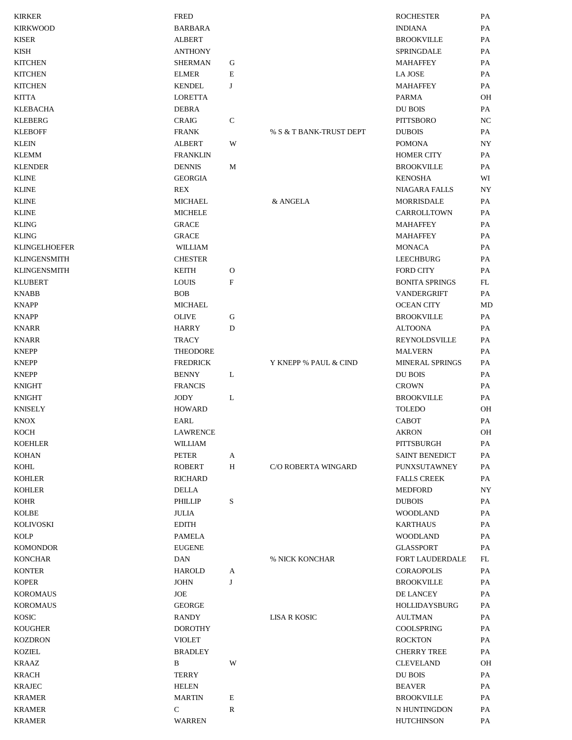| <b>KIRKER</b>        | <b>FRED</b>     |             |                         | <b>ROCHESTER</b>       | PA |
|----------------------|-----------------|-------------|-------------------------|------------------------|----|
| <b>KIRKWOOD</b>      | <b>BARBARA</b>  |             |                         | <b>INDIANA</b>         | PA |
| KISER                | <b>ALBERT</b>   |             |                         | <b>BROOKVILLE</b>      | PA |
| <b>KISH</b>          | <b>ANTHONY</b>  |             |                         | SPRINGDALE             | PA |
| <b>KITCHEN</b>       | <b>SHERMAN</b>  | G           |                         | <b>MAHAFFEY</b>        | PA |
| <b>KITCHEN</b>       | <b>ELMER</b>    | $\mathbf E$ |                         | LA JOSE                | PA |
| <b>KITCHEN</b>       | <b>KENDEL</b>   | J           |                         | <b>MAHAFFEY</b>        | PA |
| <b>KITTA</b>         | <b>LORETTA</b>  |             |                         | PARMA                  | OH |
| <b>KLEBACHA</b>      | <b>DEBRA</b>    |             |                         | DU BOIS                | PA |
| <b>KLEBERG</b>       | <b>CRAIG</b>    | ${\bf C}$   |                         | <b>PITTSBORO</b>       | NC |
| <b>KLEBOFF</b>       | <b>FRANK</b>    |             | % S & T BANK-TRUST DEPT | <b>DUBOIS</b>          | PA |
| <b>KLEIN</b>         | <b>ALBERT</b>   | W           |                         | <b>POMONA</b>          | NY |
| KLEMM                | <b>FRANKLIN</b> |             |                         | <b>HOMER CITY</b>      | PA |
| <b>KLENDER</b>       | <b>DENNIS</b>   | М           |                         | <b>BROOKVILLE</b>      | PA |
| <b>KLINE</b>         | <b>GEORGIA</b>  |             |                         | <b>KENOSHA</b>         | WI |
| <b>KLINE</b>         | REX             |             |                         | <b>NIAGARA FALLS</b>   | NY |
| <b>KLINE</b>         | <b>MICHAEL</b>  |             | & ANGELA                | <b>MORRISDALE</b>      | PA |
| <b>KLINE</b>         |                 |             |                         | CARROLLTOWN            |    |
|                      | <b>MICHELE</b>  |             |                         |                        | PA |
| <b>KLING</b>         | <b>GRACE</b>    |             |                         | <b>MAHAFFEY</b>        | PA |
| <b>KLING</b>         | <b>GRACE</b>    |             |                         | <b>MAHAFFEY</b>        | PA |
| <b>KLINGELHOEFER</b> | <b>WILLIAM</b>  |             |                         | <b>MONACA</b>          | PA |
| <b>KLINGENSMITH</b>  | <b>CHESTER</b>  |             |                         | <b>LEECHBURG</b>       | PA |
| <b>KLINGENSMITH</b>  | <b>KEITH</b>    | $\mathbf O$ |                         | <b>FORD CITY</b>       | PA |
| <b>KLUBERT</b>       | <b>LOUIS</b>    | F           |                         | <b>BONITA SPRINGS</b>  | FL |
| <b>KNABB</b>         | <b>BOB</b>      |             |                         | <b>VANDERGRIFT</b>     | PA |
| <b>KNAPP</b>         | <b>MICHAEL</b>  |             |                         | <b>OCEAN CITY</b>      | MD |
| <b>KNAPP</b>         | <b>OLIVE</b>    | G           |                         | <b>BROOKVILLE</b>      | PA |
| <b>KNARR</b>         | <b>HARRY</b>    | D           |                         | <b>ALTOONA</b>         | PA |
| <b>KNARR</b>         | <b>TRACY</b>    |             |                         | REYNOLDSVILLE          | PA |
| <b>KNEPP</b>         | <b>THEODORE</b> |             |                         | <b>MALVERN</b>         | PA |
| <b>KNEPP</b>         | <b>FREDRICK</b> |             | Y KNEPP % PAUL & CIND   | <b>MINERAL SPRINGS</b> | PA |
| <b>KNEPP</b>         | <b>BENNY</b>    | L           |                         | DU BOIS                | PA |
| <b>KNIGHT</b>        | <b>FRANCIS</b>  |             |                         | <b>CROWN</b>           | PA |
| <b>KNIGHT</b>        | JODY            | L           |                         | <b>BROOKVILLE</b>      | PA |
| <b>KNISELY</b>       | <b>HOWARD</b>   |             |                         | <b>TOLEDO</b>          | OН |
| KNOX                 | EARL            |             |                         | <b>CABOT</b>           | PA |
| <b>KOCH</b>          | <b>LAWRENCE</b> |             |                         | <b>AKRON</b>           | OH |
| <b>KOEHLER</b>       | <b>WILLIAM</b>  |             |                         | PITTSBURGH             | PA |
| <b>KOHAN</b>         | <b>PETER</b>    | A           |                         | <b>SAINT BENEDICT</b>  | PA |
| <b>KOHL</b>          | <b>ROBERT</b>   | H           | C/O ROBERTA WINGARD     | PUNXSUTAWNEY           | PA |
| <b>KOHLER</b>        | <b>RICHARD</b>  |             |                         | <b>FALLS CREEK</b>     | PA |
| <b>KOHLER</b>        | <b>DELLA</b>    |             |                         | <b>MEDFORD</b>         | NY |
| <b>KOHR</b>          | <b>PHILLIP</b>  | S           |                         | <b>DUBOIS</b>          | PA |
| <b>KOLBE</b>         | <b>JULIA</b>    |             |                         | <b>WOODLAND</b>        | PA |
| <b>KOLIVOSKI</b>     | <b>EDITH</b>    |             |                         | <b>KARTHAUS</b>        | PA |
| <b>KOLP</b>          | <b>PAMELA</b>   |             |                         | <b>WOODLAND</b>        | PA |
| <b>KOMONDOR</b>      | <b>EUGENE</b>   |             |                         | <b>GLASSPORT</b>       | PA |
| <b>KONCHAR</b>       | DAN             |             | % NICK KONCHAR          | FORT LAUDERDALE        | FL |
| <b>KONTER</b>        | <b>HAROLD</b>   | A           |                         | <b>CORAOPOLIS</b>      | PA |
| <b>KOPER</b>         | <b>JOHN</b>     | J           |                         | <b>BROOKVILLE</b>      | PA |
|                      | JOE             |             |                         | DE LANCEY              | PA |
| <b>KOROMAUS</b>      |                 |             |                         |                        |    |
| <b>KOROMAUS</b>      | <b>GEORGE</b>   |             |                         | HOLLIDAYSBURG          | PA |
| <b>KOSIC</b>         | <b>RANDY</b>    |             | LISA R KOSIC            | <b>AULTMAN</b>         | PA |
| <b>KOUGHER</b>       | <b>DOROTHY</b>  |             |                         | <b>COOLSPRING</b>      | PA |
| <b>KOZDRON</b>       | <b>VIOLET</b>   |             |                         | <b>ROCKTON</b>         | PA |
| <b>KOZIEL</b>        | <b>BRADLEY</b>  |             |                         | <b>CHERRY TREE</b>     | PA |
| KRAAZ                | B               | W           |                         | <b>CLEVELAND</b>       | OН |
| KRACH                | <b>TERRY</b>    |             |                         | DU BOIS                | PA |
| <b>KRAJEC</b>        | <b>HELEN</b>    |             |                         | <b>BEAVER</b>          | PA |
| <b>KRAMER</b>        | <b>MARTIN</b>   | E           |                         | <b>BROOKVILLE</b>      | PA |
| <b>KRAMER</b>        | $\mathsf{C}$    | R           |                         | N HUNTINGDON           | PA |
| <b>KRAMER</b>        | <b>WARREN</b>   |             |                         | <b>HUTCHINSON</b>      | PA |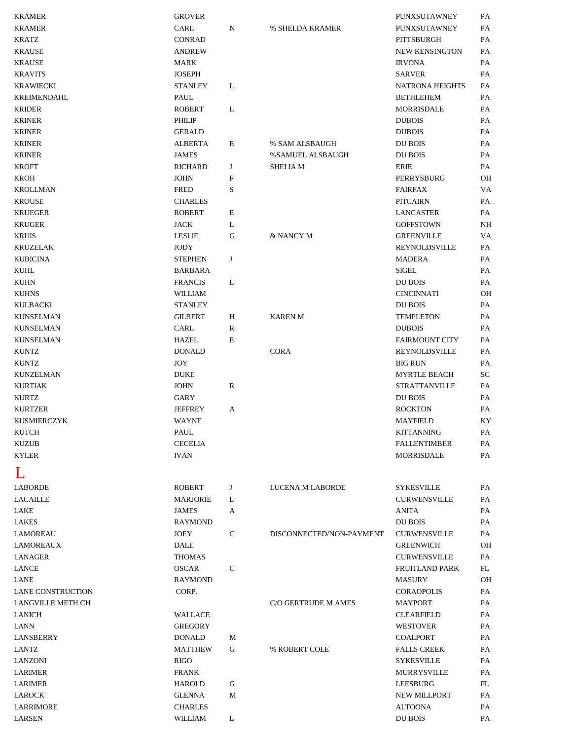<span id="page-26-0"></span>

| KRAMER                   | <b>GROVER</b>         |              |                                    | PUNXSUTAWNEY           | PA        |
|--------------------------|-----------------------|--------------|------------------------------------|------------------------|-----------|
| <b>KRAMER</b>            | CARL                  | N            | % SHELDA KRAMER                    | PUNXSUTAWNEY           | PA        |
| <b>KRATZ</b>             | <b>CONRAD</b>         |              |                                    | PITTSBURGH             | PA        |
| <b>KRAUSE</b>            | <b>ANDREW</b>         |              |                                    | NEW KENSINGTON         | PA        |
| <b>KRAUSE</b>            | MARK                  |              |                                    | <b>IRVONA</b>          | PA        |
| <b>KRAVITS</b>           | <b>JOSEPH</b>         |              |                                    | <b>SARVER</b>          | PA        |
| KRAWIECKI                | <b>STANLEY</b>        | L            |                                    | <b>NATRONA HEIGHTS</b> | PA        |
| KREIMENDAHL              |                       |              |                                    | <b>BETHLEHEM</b>       | PA        |
| <b>KRIDER</b>            | PAUL<br><b>ROBERT</b> | L            |                                    | <b>MORRISDALE</b>      | PA        |
|                          |                       |              |                                    |                        | PA        |
| <b>KRINER</b>            | PHILIP                |              |                                    | <b>DUBOIS</b>          | PA        |
| <b>KRINER</b>            | <b>GERALD</b>         |              |                                    | <b>DUBOIS</b>          | PA        |
| <b>KRINER</b>            | <b>ALBERTA</b>        | E            | % SAM ALSBAUGH<br>%SAMUEL ALSBAUGH | DU BOIS                |           |
| <b>KRINER</b>            | <b>JAMES</b>          |              |                                    | DU BOIS                | PA        |
| <b>KROFT</b>             | <b>RICHARD</b>        | J            | <b>SHELIA M</b>                    | ERIE                   | PA        |
| KROH                     | <b>JOHN</b>           | $\mathbf F$  |                                    | PERRYSBURG             | OН        |
| KROLLMAN                 | <b>FRED</b>           | S            |                                    | <b>FAIRFAX</b>         | VA        |
| <b>KROUSE</b>            | <b>CHARLES</b>        |              |                                    | <b>PITCAIRN</b>        | PA        |
| <b>KRUEGER</b>           | <b>ROBERT</b>         | E            |                                    | LANCASTER              | PA        |
| <b>KRUGER</b>            | <b>JACK</b>           | L            |                                    | <b>GOFFSTOWN</b>       | NH        |
| <b>KRUIS</b>             | <b>LESLIE</b>         | ${\bf G}$    | & NANCY M                          | <b>GREENVILLE</b>      | VA        |
| KRUZELAK                 | <b>JODY</b>           |              |                                    | REYNOLDSVILLE          | PA        |
| KUBICINA                 | <b>STEPHEN</b>        | J            |                                    | <b>MADERA</b>          | PA        |
| KUHL                     | <b>BARBARA</b>        |              |                                    | <b>SIGEL</b>           | PA        |
| <b>KUHN</b>              | <b>FRANCIS</b>        | L            |                                    | DU BOIS                | PA        |
| <b>KUHNS</b>             | WILLIAM               |              |                                    | <b>CINCINNATI</b>      | OH        |
| <b>KULBACKI</b>          | <b>STANLEY</b>        |              |                                    | DU BOIS                | PA        |
| <b>KUNSELMAN</b>         | <b>GILBERT</b>        | H            | <b>KAREN M</b>                     | <b>TEMPLETON</b>       | PA        |
| KUNSELMAN                | CARL                  | R            |                                    | <b>DUBOIS</b>          | PA        |
| <b>KUNSELMAN</b>         | <b>HAZEL</b>          | E            |                                    | <b>FAIRMOUNT CITY</b>  | PA        |
| <b>KUNTZ</b>             | <b>DONALD</b>         |              | <b>CORA</b>                        | REYNOLDSVILLE          | PA        |
| KUNTZ                    | <b>JOY</b>            |              |                                    | <b>BIG RUN</b>         | PA        |
| KUNZELMAN                | <b>DUKE</b>           |              |                                    | <b>MYRTLE BEACH</b>    | SC        |
| <b>KURTIAK</b>           | <b>JOHN</b>           | R            |                                    | <b>STRATTANVILLE</b>   | PA        |
| <b>KURTZ</b>             | GARY                  |              |                                    | DU BOIS                | PA        |
| <b>KURTZER</b>           | <b>JEFFREY</b>        | A            |                                    | <b>ROCKTON</b>         | PA        |
| KUSMIERCZYK              | WAYNE                 |              |                                    | <b>MAYFIELD</b>        | ΚY        |
| <b>KUTCH</b>             | PAUL                  |              |                                    | <b>KITTANNING</b>      | PA        |
| <b>KUZUB</b>             | <b>CECELIA</b>        |              |                                    | <b>FALLENTIMBER</b>    | PA        |
| <b>KYLER</b>             | <b>IVAN</b>           |              |                                    | <b>MORRISDALE</b>      | PA        |
|                          |                       |              |                                    |                        |           |
| <b>LABORDE</b>           | <b>ROBERT</b>         | J            | <b>LUCENA M LABORDE</b>            | SYKESVILLE             | PA        |
| <b>LACAILLE</b>          |                       |              |                                    | <b>CURWENSVILLE</b>    |           |
|                          | <b>MARJORIE</b>       | L            |                                    |                        | PA        |
| LAKE                     | <b>JAMES</b>          | A            |                                    | <b>ANITA</b>           | PA        |
| LAKES                    | <b>RAYMOND</b>        |              |                                    | DU BOIS                | PA        |
| <b>LAMOREAU</b>          | <b>JOEY</b>           | $\mathsf{C}$ | DISCONNECTED/NON-PAYMENT           | <b>CURWENSVILLE</b>    | PA        |
| <b>LAMOREAUX</b>         | <b>DALE</b>           |              |                                    | <b>GREENWICH</b>       | OН        |
| LANAGER                  | <b>THOMAS</b>         |              |                                    | <b>CURWENSVILLE</b>    | PA        |
| LANCE                    | <b>OSCAR</b>          | C            |                                    | <b>FRUITLAND PARK</b>  | FL        |
| LANE                     | <b>RAYMOND</b>        |              |                                    | <b>MASURY</b>          | <b>OH</b> |
| <b>LANE CONSTRUCTION</b> | CORP.                 |              |                                    | <b>CORAOPOLIS</b>      | PA        |
| <b>LANGVILLE METH CH</b> |                       |              | C/O GERTRUDE M AMES                | <b>MAYPORT</b>         | PA        |
| LANICH                   | WALLACE               |              |                                    | <b>CLEARFIELD</b>      | PA        |
| LANN                     | <b>GREGORY</b>        |              |                                    | <b>WESTOVER</b>        | PA        |
| <b>LANSBERRY</b>         | <b>DONALD</b>         | M            |                                    | <b>COALPORT</b>        | PA        |
| <b>LANTZ</b>             | <b>MATTHEW</b>        | G            | % ROBERT COLE                      | <b>FALLS CREEK</b>     | PA        |
| <b>LANZONI</b>           | <b>RIGO</b>           |              |                                    | <b>SYKESVILLE</b>      | PA        |
| LARIMER                  | <b>FRANK</b>          |              |                                    | <b>MURRYSVILLE</b>     | PA        |
| <b>LARIMER</b>           | <b>HAROLD</b>         | G            |                                    | LEESBURG               | FL        |
| <b>LAROCK</b>            | <b>GLENNA</b>         | M            |                                    | <b>NEW MILLPORT</b>    | PA        |
| LARRIMORE                | <b>CHARLES</b>        |              |                                    | <b>ALTOONA</b>         | PA.       |
| <b>LARSEN</b>            | WILLIAM               | L            |                                    | DU BOIS                | PA        |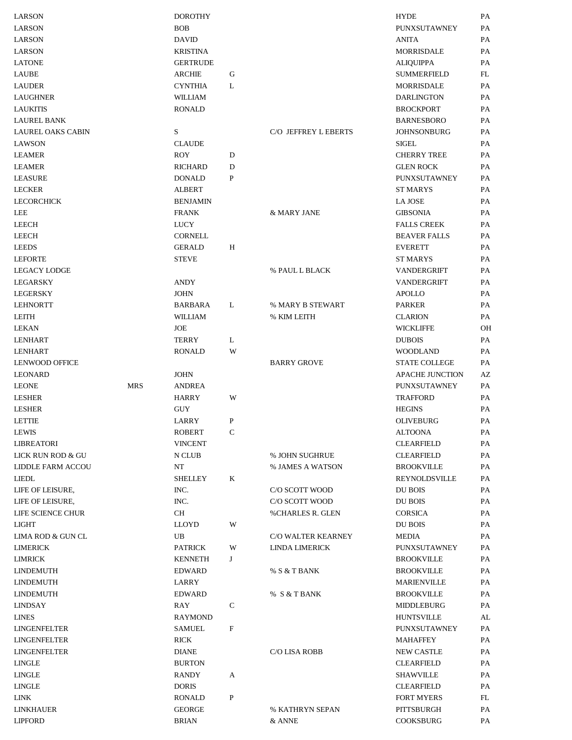| <b>LARSON</b>            |            | <b>DOROTHY</b>  |              |                           | <b>HYDE</b>            | PA |
|--------------------------|------------|-----------------|--------------|---------------------------|------------------------|----|
| <b>LARSON</b>            |            | <b>BOB</b>      |              |                           | PUNXSUTAWNEY           | PA |
| <b>LARSON</b>            |            | <b>DAVID</b>    |              |                           | <b>ANITA</b>           | PA |
| <b>LARSON</b>            |            | <b>KRISTINA</b> |              |                           | <b>MORRISDALE</b>      | PA |
| <b>LATONE</b>            |            | <b>GERTRUDE</b> |              |                           | <b>ALIQUIPPA</b>       | PA |
| <b>LAUBE</b>             |            | <b>ARCHIE</b>   | G            |                           | <b>SUMMERFIELD</b>     | FL |
| <b>LAUDER</b>            |            | <b>CYNTHIA</b>  | L            |                           | <b>MORRISDALE</b>      | PA |
| <b>LAUGHNER</b>          |            | <b>WILLIAM</b>  |              |                           | <b>DARLINGTON</b>      | PA |
| <b>LAUKITIS</b>          |            | <b>RONALD</b>   |              |                           | <b>BROCKPORT</b>       | PA |
| <b>LAUREL BANK</b>       |            |                 |              |                           | <b>BARNESBORO</b>      | PA |
| <b>LAUREL OAKS CABIN</b> |            | S               |              | C/O JEFFREY L EBERTS      | <b>JOHNSONBURG</b>     | PA |
| LAWSON                   |            | <b>CLAUDE</b>   |              |                           | <b>SIGEL</b>           | PA |
| LEAMER                   |            | <b>ROY</b>      | D            |                           | <b>CHERRY TREE</b>     | PA |
| LEAMER                   |            | <b>RICHARD</b>  | D            |                           | <b>GLEN ROCK</b>       | PA |
| <b>LEASURE</b>           |            | <b>DONALD</b>   | P            |                           | PUNXSUTAWNEY           | PA |
| <b>LECKER</b>            |            | <b>ALBERT</b>   |              |                           | <b>ST MARYS</b>        | PA |
| <b>LECORCHICK</b>        |            | <b>BENJAMIN</b> |              |                           | <b>LA JOSE</b>         | PA |
| LEE                      |            | <b>FRANK</b>    |              | & MARY JANE               | <b>GIBSONIA</b>        | PA |
| <b>LEECH</b>             |            | <b>LUCY</b>     |              |                           | <b>FALLS CREEK</b>     | PA |
| <b>LEECH</b>             |            | <b>CORNELL</b>  |              |                           | <b>BEAVER FALLS</b>    | PA |
| <b>LEEDS</b>             |            | <b>GERALD</b>   | H            |                           | <b>EVERETT</b>         | PA |
| <b>LEFORTE</b>           |            | <b>STEVE</b>    |              |                           | <b>ST MARYS</b>        | PA |
| <b>LEGACY LODGE</b>      |            |                 |              | % PAUL L BLACK            | VANDERGRIFT            | PA |
| LEGARSKY                 |            | <b>ANDY</b>     |              |                           | VANDERGRIFT            | PA |
| LEGERSKY                 |            | <b>JOHN</b>     |              |                           | <b>APOLLO</b>          | PA |
|                          |            |                 |              | % MARY B STEWART          |                        | PA |
| <b>LEHNORTT</b>          |            | <b>BARBARA</b>  | L            |                           | <b>PARKER</b>          |    |
| <b>LEITH</b>             |            | <b>WILLIAM</b>  |              | % KIM LEITH               | <b>CLARION</b>         | PA |
| LEKAN                    |            | JOE             |              |                           | <b>WICKLIFFE</b>       | OH |
| <b>LENHART</b>           |            | <b>TERRY</b>    | L            |                           | <b>DUBOIS</b>          | PA |
| <b>LENHART</b>           |            | <b>RONALD</b>   | W            |                           | <b>WOODLAND</b>        | PA |
| <b>LENWOOD OFFICE</b>    |            |                 |              | <b>BARRY GROVE</b>        | <b>STATE COLLEGE</b>   | PA |
| <b>LEONARD</b>           |            | <b>JOHN</b>     |              |                           | <b>APACHE JUNCTION</b> | AZ |
| <b>LEONE</b>             | <b>MRS</b> | <b>ANDREA</b>   |              |                           | PUNXSUTAWNEY           | PA |
| <b>LESHER</b>            |            | <b>HARRY</b>    | W            |                           | <b>TRAFFORD</b>        | PA |
| <b>LESHER</b>            |            | <b>GUY</b>      |              |                           | <b>HEGINS</b>          | PA |
| <b>LETTIE</b>            |            | LARRY           | P            |                           | <b>OLIVEBURG</b>       | PA |
| <b>LEWIS</b>             |            | <b>ROBERT</b>   | $\mathsf{C}$ |                           | <b>ALTOONA</b>         | PA |
| LIBREATORI               |            | <b>VINCENT</b>  |              |                           | <b>CLEARFIELD</b>      | PA |
| LICK RUN ROD & GU        |            | N CLUB          |              | % JOHN SUGHRUE            | <b>CLEARFIELD</b>      | PA |
| <b>LIDDLE FARM ACCOU</b> |            | NT              |              | % JAMES A WATSON          | <b>BROOKVILLE</b>      | PA |
| <b>LIEDL</b>             |            | <b>SHELLEY</b>  | K            |                           | <b>REYNOLDSVILLE</b>   | PA |
| LIFE OF LEISURE,         |            | INC.            |              | C/O SCOTT WOOD            | DU BOIS                | PA |
| LIFE OF LEISURE,         |            | INC.            |              | C/O SCOTT WOOD            | DU BOIS                | PA |
| LIFE SCIENCE CHUR        |            | <b>CH</b>       |              | %CHARLES R. GLEN          | <b>CORSICA</b>         | PA |
| <b>LIGHT</b>             |            | LLOYD           | W            |                           | DU BOIS                | PA |
| LIMA ROD & GUN CL        |            | UB              |              | <b>C/O WALTER KEARNEY</b> | <b>MEDIA</b>           | PA |
| <b>LIMERICK</b>          |            | <b>PATRICK</b>  | W            | LINDA LIMERICK            | PUNXSUTAWNEY           | PA |
| <b>LIMRICK</b>           |            | <b>KENNETH</b>  | J            |                           | <b>BROOKVILLE</b>      | PA |
| <b>LINDEMUTH</b>         |            | <b>EDWARD</b>   |              | % S & T BANK              | <b>BROOKVILLE</b>      | PA |
| <b>LINDEMUTH</b>         |            | LARRY           |              |                           | <b>MARIENVILLE</b>     | PA |
| <b>LINDEMUTH</b>         |            | <b>EDWARD</b>   |              | % S & T BANK              | <b>BROOKVILLE</b>      | PA |
| LINDSAY                  |            | RAY             | $\mathsf{C}$ |                           | MIDDLEBURG             | PA |
| <b>LINES</b>             |            | <b>RAYMOND</b>  |              |                           | <b>HUNTSVILLE</b>      | AL |
| LINGENFELTER             |            | SAMUEL          | F            |                           | PUNXSUTAWNEY           | PA |
| <b>LINGENFELTER</b>      |            | <b>RICK</b>     |              |                           | MAHAFFEY               | PA |
| <b>LINGENFELTER</b>      |            | <b>DIANE</b>    |              | C/O LISA ROBB             | <b>NEW CASTLE</b>      | PA |
| <b>LINGLE</b>            |            | <b>BURTON</b>   |              |                           | <b>CLEARFIELD</b>      | PA |
| <b>LINGLE</b>            |            | <b>RANDY</b>    | A            |                           | SHAWVILLE              | PA |
| <b>LINGLE</b>            |            | <b>DORIS</b>    |              |                           | <b>CLEARFIELD</b>      | PA |
| <b>LINK</b>              |            | <b>RONALD</b>   | $\mathbf{P}$ |                           | <b>FORT MYERS</b>      | FL |
| <b>LINKHAUER</b>         |            | <b>GEORGE</b>   |              | % KATHRYN SEPAN           | PITTSBURGH             | PA |
|                          |            |                 |              |                           |                        |    |

|                         | HYD              |
|-------------------------|------------------|
|                         | PUN.             |
|                         | <b>ANIT</b>      |
|                         | <b>MOR</b>       |
|                         | <b>ALIC</b>      |
|                         | <b>SUM</b>       |
|                         |                  |
|                         | <b>MOR</b>       |
|                         | <b>DAR</b>       |
|                         | <b>BRO</b>       |
|                         | <b>BAR</b>       |
| C/O JEFFREY L EBERTS    | JOHN             |
|                         | <b>SIGE</b>      |
|                         | <b>CHE</b>       |
|                         | <b>GLE</b>       |
|                         | PUN.             |
|                         | <b>STM</b>       |
|                         | LA JO            |
| & MARY JANE             | <b>GIBS</b>      |
|                         | <b>FALI</b>      |
|                         |                  |
|                         | <b>BEA</b>       |
|                         | <b>EVEI</b>      |
|                         | <b>STM</b>       |
| % PAUL L BLACK          | VAN              |
|                         | VAN              |
|                         | <b>APO</b>       |
| % MARY B STEWART        | <b>PARI</b>      |
| % KIM LEITH             | <b>CLA</b>       |
|                         | <b>WICI</b>      |
|                         | <b>DUB</b>       |
|                         | <b>WOC</b>       |
|                         |                  |
| <b>BARRY GROVE</b>      | STA <sub>1</sub> |
|                         | APA              |
|                         | PUN.             |
|                         | <b>TRA</b>       |
|                         | HEG.             |
|                         | <b>OLIV</b>      |
|                         | ALT <sub>O</sub> |
|                         | CLE/             |
| % JOHN SUGHRUE          | CLE              |
| % JAMES A WATSON        | <b>BRO</b>       |
|                         | <b>REY</b>       |
| C/O SCOTT WOOD          | DU E             |
| C/O SCOTT WOOD          | DU E             |
|                         |                  |
| <b>%CHARLES R. GLEN</b> | COR              |
|                         | DU E             |
| C/O WALTER KEARNEY      | <b>MED</b>       |
| <b>LINDA LIMERICK</b>   | PUN.             |
|                         | <b>BRO</b>       |
| % S & T BANK            | <b>BRO</b>       |
|                         | <b>MAR</b>       |
| % S & T BANK            | <b>BRO</b>       |
|                         | <b>MIDI</b>      |
|                         | <b>HUN</b>       |
|                         | PUN.             |
|                         | <b>MAH</b>       |
|                         | <b>NEW</b>       |
| C/O LISA ROBB           |                  |
|                         | CLE              |
|                         | SHA'             |
|                         | CLE              |
|                         | FOR <sup>®</sup> |
| % KATHRYN SEPAN         | <b>PITT</b>      |
|                         |                  |

| LARSON            |            | <b>DOROTHY</b>  |             |                           | <b>HYDE</b>            | <b>PA</b> |
|-------------------|------------|-----------------|-------------|---------------------------|------------------------|-----------|
| LARSON            |            | <b>BOB</b>      |             |                           | PUNXSUTAWNEY           | PA        |
| LARSON            |            | <b>DAVID</b>    |             |                           | <b>ANITA</b>           | PA        |
| LARSON            |            | <b>KRISTINA</b> |             |                           | MORRISDALE             | PA        |
| LATONE            |            | <b>GERTRUDE</b> |             |                           | <b>ALIQUIPPA</b>       | PA        |
| LAUBE             |            | <b>ARCHIE</b>   | G           |                           | <b>SUMMERFIELD</b>     | FL        |
| LAUDER            |            | <b>CYNTHIA</b>  | L           |                           | <b>MORRISDALE</b>      | PA        |
| LAUGHNER          |            | WILLIAM         |             |                           | <b>DARLINGTON</b>      | PA        |
| LAUKITIS          |            | <b>RONALD</b>   |             |                           | <b>BROCKPORT</b>       | PA        |
| LAUREL BANK       |            |                 |             |                           | <b>BARNESBORO</b>      | PA        |
| LAUREL OAKS CABIN |            | S               |             | C/O JEFFREY L EBERTS      | JOHNSONBURG            | PA        |
| LAWSON            |            | <b>CLAUDE</b>   |             |                           | <b>SIGEL</b>           | PA        |
| LEAMER            |            | <b>ROY</b>      | D           |                           | <b>CHERRY TREE</b>     | PA        |
| LEAMER            |            | <b>RICHARD</b>  | D           |                           | <b>GLEN ROCK</b>       | <b>PA</b> |
| LEASURE           |            | <b>DONALD</b>   | P           |                           | PUNXSUTAWNEY           | PA        |
| LECKER            |            | <b>ALBERT</b>   |             |                           | <b>ST MARYS</b>        | PA        |
| LECORCHICK        |            | <b>BENJAMIN</b> |             |                           | <b>LA JOSE</b>         | PA        |
| LEE               |            | <b>FRANK</b>    |             | & MARY JANE               | <b>GIBSONIA</b>        | PA        |
| LEECH             |            | <b>LUCY</b>     |             |                           | <b>FALLS CREEK</b>     | PA        |
| LEECH             |            | <b>CORNELL</b>  |             |                           | <b>BEAVER FALLS</b>    | PA        |
| LEEDS             |            | <b>GERALD</b>   | Н           |                           | <b>EVERETT</b>         | PA        |
| LEFORTE           |            | <b>STEVE</b>    |             |                           | <b>ST MARYS</b>        | <b>PA</b> |
| LEGACY LODGE      |            |                 |             | % PAUL L BLACK            | <b>VANDERGRIFT</b>     | PA        |
| LEGARSKY          |            | <b>ANDY</b>     |             |                           | VANDERGRIFT            | PA        |
| LEGERSKY          |            | <b>JOHN</b>     |             |                           | <b>APOLLO</b>          | PA        |
| LEHNORTT          |            | <b>BARBARA</b>  | L           | % MARY B STEWART          | <b>PARKER</b>          | PA        |
| LEITH             |            | <b>WILLIAM</b>  |             | % KIM LEITH               | <b>CLARION</b>         | PA        |
| LEKAN             |            | <b>JOE</b>      |             |                           | <b>WICKLIFFE</b>       | OН        |
| LENHART           |            | TERRY           | L           |                           | <b>DUBOIS</b>          | PA        |
| LENHART           |            | <b>RONALD</b>   | W           |                           | <b>WOODLAND</b>        | PA        |
| LENWOOD OFFICE    |            |                 |             | <b>BARRY GROVE</b>        | <b>STATE COLLEGE</b>   | PA        |
| LEONARD           |            | <b>JOHN</b>     |             |                           | <b>APACHE JUNCTION</b> | AZ        |
| LEONE             | <b>MRS</b> | <b>ANDREA</b>   |             |                           | PUNXSUTAWNEY           | PA        |
| LESHER            |            | <b>HARRY</b>    | W           |                           | <b>TRAFFORD</b>        | <b>PA</b> |
| LESHER            |            | <b>GUY</b>      |             |                           | <b>HEGINS</b>          | PA        |
| LETTIE            |            | LARRY           | P           |                           | <b>OLIVEBURG</b>       | PA        |
| LEWIS             |            | <b>ROBERT</b>   | C           |                           | <b>ALTOONA</b>         | PA        |
| LIBREATORI        |            | <b>VINCENT</b>  |             |                           | <b>CLEARFIELD</b>      | PA        |
| LICK RUN ROD & GU |            | N CLUB          |             | % JOHN SUGHRUE            | <b>CLEARFIELD</b>      | PA        |
| LIDDLE FARM ACCOU |            | NT              |             | % JAMES A WATSON          | <b>BROOKVILLE</b>      | PA        |
| LIEDL             |            | <b>SHELLEY</b>  | K           |                           | REYNOLDSVILLE          | PA        |
| LIFE OF LEISURE.  |            | INC.            |             | C/O SCOTT WOOD            | DU BOIS                | PA        |
| LIFE OF LEISURE.  |            | INC.            |             | C/O SCOTT WOOD            | DU BOIS                | PA        |
| LIFE SCIENCE CHUR |            | CH              |             | %CHARLES R. GLEN          | <b>CORSICA</b>         | PA        |
| LIGHT             |            | LLOYD           | W           |                           | <b>DU BOIS</b>         | PA        |
| LIMA ROD & GUN CL |            | UB              |             | <b>C/O WALTER KEARNEY</b> | <b>MEDIA</b>           | PA        |
| LIMERICK          |            | <b>PATRICK</b>  | W           | <b>LINDA LIMERICK</b>     | PUNXSUTAWNEY           | PA        |
| LIMRICK           |            | <b>KENNETH</b>  | J           |                           | <b>BROOKVILLE</b>      | PA        |
| LINDEMUTH         |            | <b>EDWARD</b>   |             | % S & T BANK              | <b>BROOKVILLE</b>      | PA        |
| LINDEMUTH         |            | LARRY           |             |                           | <b>MARIENVILLE</b>     | PA        |
| LINDEMUTH         |            | <b>EDWARD</b>   |             | % S & T BANK              | <b>BROOKVILLE</b>      | PA        |
| LINDSAY           |            | RAY             | $\mathbf C$ |                           | MIDDLEBURG             | PA        |
| LINES             |            | <b>RAYMOND</b>  |             |                           | <b>HUNTSVILLE</b>      | AL        |
| LINGENFELTER      |            | SAMUEL          | F           |                           | PUNXSUTAWNEY           | PA        |
| LINGENFELTER      |            | <b>RICK</b>     |             |                           | MAHAFFEY               | PA        |
| LINGENFELTER      |            | <b>DIANE</b>    |             | C/O LISA ROBB             | <b>NEW CASTLE</b>      | PA        |
| LINGLE            |            | <b>BURTON</b>   |             |                           | <b>CLEARFIELD</b>      | PA        |
| LINGLE            |            | <b>RANDY</b>    | A           |                           | <b>SHAWVILLE</b>       | PA        |
| LINGLE            |            | <b>DORIS</b>    |             |                           | <b>CLEARFIELD</b>      | PA        |
| LINK              |            | <b>RONALD</b>   | P           |                           | <b>FORT MYERS</b>      | FL        |
| LINKHAUER         |            | <b>GEORGE</b>   |             | % KATHRYN SEPAN           | PITTSBURGH             | PA        |
| LIPFORD           |            | <b>BRIAN</b>    |             | & ANNE                    | <b>COOKSBURG</b>       | PA        |
|                   |            |                 |             |                           |                        |           |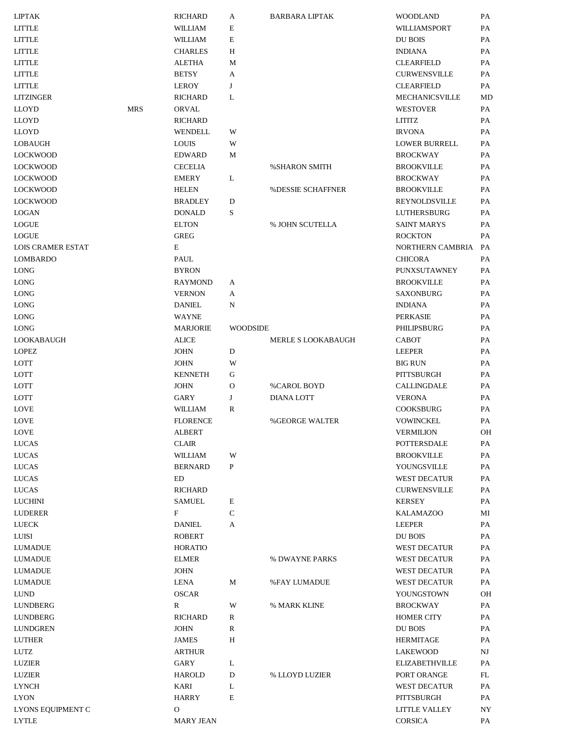| <b>LIPTAK</b>            |            | <b>RICHARD</b>  | А               | <b>BARBARA LIPTAK</b>     | <b>WOODLAND</b>       | PA |
|--------------------------|------------|-----------------|-----------------|---------------------------|-----------------------|----|
| <b>LITTLE</b>            |            | <b>WILLIAM</b>  | E               |                           | <b>WILLIAMSPORT</b>   | PA |
| <b>LITTLE</b>            |            | WILLIAM         | E               |                           | DU BOIS               | PA |
| <b>LITTLE</b>            |            | <b>CHARLES</b>  | Н               |                           | <b>INDIANA</b>        | PA |
| <b>LITTLE</b>            |            | <b>ALETHA</b>   | M               |                           | <b>CLEARFIELD</b>     | PA |
| <b>LITTLE</b>            |            | <b>BETSY</b>    | A               |                           | <b>CURWENSVILLE</b>   | PA |
| <b>LITTLE</b>            |            | LEROY           | J               |                           | <b>CLEARFIELD</b>     | PA |
| <b>LITZINGER</b>         |            | <b>RICHARD</b>  | L               |                           | MECHANICSVILLE        | MD |
| <b>LLOYD</b>             | <b>MRS</b> | ORVAL           |                 |                           | <b>WESTOVER</b>       | PA |
| <b>LLOYD</b>             |            |                 |                 |                           |                       | PA |
|                          |            | <b>RICHARD</b>  |                 |                           | LITITZ                |    |
| <b>LLOYD</b>             |            | <b>WENDELL</b>  | W               |                           | <b>IRVONA</b>         | PA |
| LOBAUGH                  |            | <b>LOUIS</b>    | W               |                           | LOWER BURRELL         | PA |
| <b>LOCKWOOD</b>          |            | <b>EDWARD</b>   | M               |                           | <b>BROCKWAY</b>       | PA |
| <b>LOCKWOOD</b>          |            | <b>CECELIA</b>  |                 | %SHARON SMITH             | <b>BROOKVILLE</b>     | PA |
| <b>LOCKWOOD</b>          |            | <b>EMERY</b>    | L               |                           | <b>BROCKWAY</b>       | PA |
| <b>LOCKWOOD</b>          |            | <b>HELEN</b>    |                 | % DESSIE SCHAFFNER        | <b>BROOKVILLE</b>     | PA |
| <b>LOCKWOOD</b>          |            | <b>BRADLEY</b>  | D               |                           | REYNOLDSVILLE         | PA |
| <b>LOGAN</b>             |            | <b>DONALD</b>   | S               |                           | LUTHERSBURG           | PA |
| <b>LOGUE</b>             |            | <b>ELTON</b>    |                 | % JOHN SCUTELLA           | <b>SAINT MARYS</b>    | PA |
| <b>LOGUE</b>             |            | <b>GREG</b>     |                 |                           | <b>ROCKTON</b>        | PA |
| <b>LOIS CRAMER ESTAT</b> |            | E               |                 |                           | NORTHERN CAMBRIA      | PA |
| <b>LOMBARDO</b>          |            | PAUL            |                 |                           | <b>CHICORA</b>        | PA |
| <b>LONG</b>              |            | <b>BYRON</b>    |                 |                           | <b>PUNXSUTAWNEY</b>   | PA |
| LONG                     |            | <b>RAYMOND</b>  | A               |                           | <b>BROOKVILLE</b>     | PA |
| LONG                     |            | <b>VERNON</b>   | A               |                           | <b>SAXONBURG</b>      | PA |
| LONG                     |            | <b>DANIEL</b>   | N               |                           | <b>INDIANA</b>        | PA |
| LONG                     |            | <b>WAYNE</b>    |                 |                           | <b>PERKASIE</b>       | PA |
| LONG                     |            | <b>MARJORIE</b> | <b>WOODSIDE</b> |                           | PHILIPSBURG           | PA |
|                          |            |                 |                 |                           |                       | PA |
| LOOKABAUGH               |            | <b>ALICE</b>    |                 | <b>MERLE S LOOKABAUGH</b> | <b>CABOT</b>          |    |
| <b>LOPEZ</b>             |            | <b>JOHN</b>     | D               |                           | <b>LEEPER</b>         | PA |
| LOTT                     |            | <b>JOHN</b>     | W               |                           | <b>BIG RUN</b>        | PA |
| <b>LOTT</b>              |            | <b>KENNETH</b>  | G               |                           | PITTSBURGH            | PA |
| LOTT                     |            | <b>JOHN</b>     | $\mathbf{O}$    | <b>%CAROL BOYD</b>        | CALLINGDALE           | PA |
| <b>LOTT</b>              |            | <b>GARY</b>     | J               | <b>DIANA LOTT</b>         | <b>VERONA</b>         | PA |
| <b>LOVE</b>              |            | <b>WILLIAM</b>  | R               |                           | <b>COOKSBURG</b>      | PA |
| <b>LOVE</b>              |            | <b>FLORENCE</b> |                 | <b>%GEORGE WALTER</b>     | <b>VOWINCKEL</b>      | PA |
| LOVE                     |            | <b>ALBERT</b>   |                 |                           | <b>VERMILION</b>      | OН |
| <b>LUCAS</b>             |            | <b>CLAIR</b>    |                 |                           | <b>POTTERSDALE</b>    | PA |
| <b>LUCAS</b>             |            | <b>WILLIAM</b>  | W               |                           | <b>BROOKVILLE</b>     | PA |
| <b>LUCAS</b>             |            | <b>BERNARD</b>  | $\mathbf{P}$    |                           | YOUNGSVILLE           | PA |
| <b>LUCAS</b>             |            | ED              |                 |                           | <b>WEST DECATUR</b>   | PA |
| <b>LUCAS</b>             |            | <b>RICHARD</b>  |                 |                           | <b>CURWENSVILLE</b>   | PA |
| <b>LUCHINI</b>           |            | <b>SAMUEL</b>   | E               |                           | <b>KERSEY</b>         | PA |
| LUDERER                  |            | $\mathbf F$     | C               |                           | <b>KALAMAZOO</b>      | МI |
| ${\rm LUECK}$            |            | <b>DANIEL</b>   | A               |                           | <b>LEEPER</b>         | PA |
| LUISI                    |            | <b>ROBERT</b>   |                 |                           | <b>DU BOIS</b>        | PA |
| <b>LUMADUE</b>           |            | <b>HORATIO</b>  |                 |                           | <b>WEST DECATUR</b>   | PA |
| <b>LUMADUE</b>           |            | <b>ELMER</b>    |                 |                           |                       | PA |
|                          |            |                 |                 | % DWAYNE PARKS            | WEST DECATUR          |    |
| <b>LUMADUE</b>           |            | <b>JOHN</b>     |                 |                           | WEST DECATUR          | PA |
| <b>LUMADUE</b>           |            | <b>LENA</b>     | М               | %FAY LUMADUE              | WEST DECATUR          | PA |
| LUND                     |            | <b>OSCAR</b>    |                 |                           | YOUNGSTOWN            | OН |
| LUNDBERG                 |            | R               | W               | % MARK KLINE              | <b>BROCKWAY</b>       | PA |
| LUNDBERG                 |            | <b>RICHARD</b>  | R               |                           | <b>HOMER CITY</b>     | PA |
| LUNDGREN                 |            | <b>JOHN</b>     | R               |                           | DU BOIS               | PA |
| <b>LUTHER</b>            |            | <b>JAMES</b>    | $\, {\rm H}$    |                           | <b>HERMITAGE</b>      | PA |
| LUTZ                     |            | <b>ARTHUR</b>   |                 |                           | <b>LAKEWOOD</b>       | NJ |
| <b>LUZIER</b>            |            | <b>GARY</b>     | L               |                           | <b>ELIZABETHVILLE</b> | PA |
| <b>LUZIER</b>            |            | <b>HAROLD</b>   | D               | % LLOYD LUZIER            | PORT ORANGE           | FL |
| <b>LYNCH</b>             |            | <b>KARI</b>     | L               |                           | <b>WEST DECATUR</b>   | PA |
| <b>LYON</b>              |            | <b>HARRY</b>    | E               |                           | PITTSBURGH            | PA |
| LYONS EQUIPMENT C        |            | $\mathbf{O}$    |                 |                           | LITTLE VALLEY         | NY |
| <b>LYTLE</b>             |            | MARY JEAN       |                 |                           | CORSICA               | PA |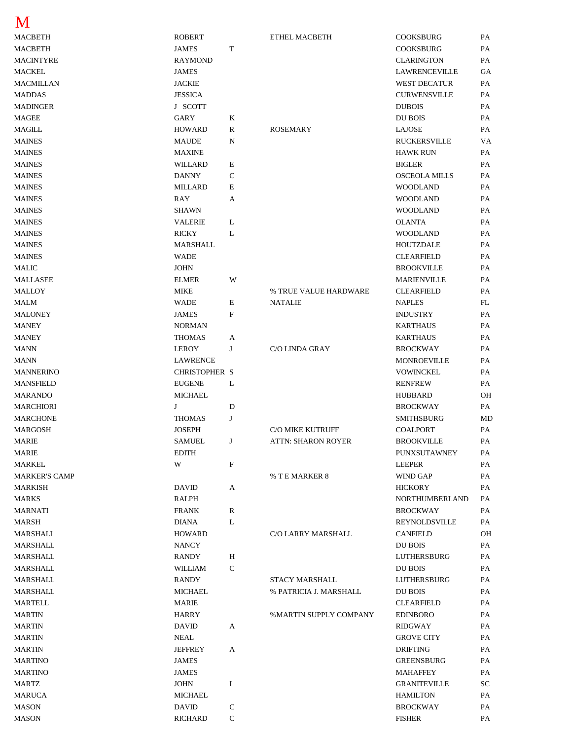## <span id="page-29-0"></span>M

| <b>MACBETH</b>       | <b>ROBERT</b>          |              | ETHEL MACBETH             | COOKSBURG            | PA |
|----------------------|------------------------|--------------|---------------------------|----------------------|----|
| <b>MACBETH</b>       | <b>JAMES</b>           | T            |                           | <b>COOKSBURG</b>     | PA |
| <b>MACINTYRE</b>     | <b>RAYMOND</b>         |              |                           | <b>CLARINGTON</b>    | PA |
| <b>MACKEL</b>        | <b>JAMES</b>           |              |                           | LAWRENCEVILLE        | GA |
| <b>MACMILLAN</b>     | <b>JACKIE</b>          |              |                           | <b>WEST DECATUR</b>  | PA |
| <b>MADDAS</b>        | <b>JESSICA</b>         |              |                           | <b>CURWENSVILLE</b>  | PA |
| <b>MADINGER</b>      | J SCOTT                |              |                           | <b>DUBOIS</b>        | PA |
| <b>MAGEE</b>         | <b>GARY</b>            | K            |                           | DU BOIS              | PA |
| <b>MAGILL</b>        | <b>HOWARD</b>          | $\mathbb{R}$ | <b>ROSEMARY</b>           | <b>LAJOSE</b>        | PA |
| <b>MAINES</b>        | <b>MAUDE</b>           | N            |                           | <b>RUCKERSVILLE</b>  | VA |
| <b>MAINES</b>        | <b>MAXINE</b>          |              |                           | <b>HAWK RUN</b>      | PA |
| <b>MAINES</b>        | <b>WILLARD</b>         | Е            |                           | <b>BIGLER</b>        | PA |
| <b>MAINES</b>        | <b>DANNY</b>           | C            |                           | <b>OSCEOLA MILLS</b> | PA |
|                      |                        |              |                           |                      |    |
| <b>MAINES</b>        | <b>MILLARD</b>         | Е            |                           | <b>WOODLAND</b>      | PA |
| <b>MAINES</b>        | RAY                    | A            |                           | <b>WOODLAND</b>      | PA |
| <b>MAINES</b>        | <b>SHAWN</b>           |              |                           | <b>WOODLAND</b>      | PA |
| <b>MAINES</b>        | <b>VALERIE</b>         | L            |                           | <b>OLANTA</b>        | PA |
| <b>MAINES</b>        | <b>RICKY</b>           | L            |                           | <b>WOODLAND</b>      | PA |
| <b>MAINES</b>        | MARSHALL               |              |                           | <b>HOUTZDALE</b>     | PA |
| <b>MAINES</b>        | <b>WADE</b>            |              |                           | <b>CLEARFIELD</b>    | PA |
| MALIC                | <b>JOHN</b>            |              |                           | <b>BROOKVILLE</b>    | PA |
| <b>MALLASEE</b>      | <b>ELMER</b>           | W            |                           | <b>MARIENVILLE</b>   | PA |
| <b>MALLOY</b>        | <b>MIKE</b>            |              | % TRUE VALUE HARDWARE     | <b>CLEARFIELD</b>    | PA |
| MALM                 | <b>WADE</b>            | E            | <b>NATALIE</b>            | <b>NAPLES</b>        | FL |
| <b>MALONEY</b>       | <b>JAMES</b>           | F            |                           | <b>INDUSTRY</b>      | PA |
| <b>MANEY</b>         | <b>NORMAN</b>          |              |                           | <b>KARTHAUS</b>      | PA |
| <b>MANEY</b>         | <b>THOMAS</b>          | A            |                           | <b>KARTHAUS</b>      | PA |
| <b>MANN</b>          | LEROY                  | J            | C/O LINDA GRAY            | <b>BROCKWAY</b>      | PA |
| <b>MANN</b>          | <b>LAWRENCE</b>        |              |                           | <b>MONROEVILLE</b>   | PA |
| <b>MANNERINO</b>     | CHRISTOPHER S          |              |                           | <b>VOWINCKEL</b>     | PA |
| <b>MANSFIELD</b>     | <b>EUGENE</b>          | L            |                           | <b>RENFREW</b>       | PA |
| <b>MARANDO</b>       | <b>MICHAEL</b>         |              |                           | <b>HUBBARD</b>       | OН |
|                      | J                      |              |                           |                      |    |
| <b>MARCHIORI</b>     |                        | D            |                           | <b>BROCKWAY</b>      | PA |
| <b>MARCHONE</b>      | <b>THOMAS</b>          | J            |                           | <b>SMITHSBURG</b>    | MD |
| <b>MARGOSH</b>       | <b>JOSEPH</b>          |              | C/O MIKE KUTRUFF          | <b>COALPORT</b>      | PA |
| <b>MARIE</b>         | <b>SAMUEL</b>          | J            | <b>ATTN: SHARON ROYER</b> | <b>BROOKVILLE</b>    | PA |
| <b>MARIE</b>         | $\operatorname{EDITH}$ |              |                           | PUNXSUTAWNEY         | PA |
| <b>MARKEL</b>        | W                      | F            |                           | <b>LEEPER</b>        | PA |
| <b>MARKER'S CAMP</b> |                        |              | % T E MARKER 8            | WIND GAP             | PA |
| <b>MARKISH</b>       | <b>DAVID</b>           | A            |                           | <b>HICKORY</b>       | PA |
| <b>MARKS</b>         | RALPH                  |              |                           | NORTHUMBERLAND       | PA |
| <b>MARNATI</b>       | <b>FRANK</b>           | R            |                           | <b>BROCKWAY</b>      | PA |
| MARSH                | <b>DIANA</b>           | L            |                           | REYNOLDSVILLE        | PA |
| MARSHALL             | <b>HOWARD</b>          |              | C/O LARRY MARSHALL        | <b>CANFIELD</b>      | OН |
| MARSHALL             | <b>NANCY</b>           |              |                           | DU BOIS              | PA |
| MARSHALL             | <b>RANDY</b>           | Η            |                           | <b>LUTHERSBURG</b>   | PA |
| MARSHALL             | WILLIAM                | $\mathbf C$  |                           | DU BOIS              | PA |
| MARSHALL             | <b>RANDY</b>           |              | <b>STACY MARSHALL</b>     | LUTHERSBURG          | PA |
| MARSHALL             | <b>MICHAEL</b>         |              | % PATRICIA J. MARSHALL    | DU BOIS              | PA |
| <b>MARTELL</b>       | MARIE                  |              |                           | <b>CLEARFIELD</b>    | PA |
| <b>MARTIN</b>        | <b>HARRY</b>           |              | %MARTIN SUPPLY COMPANY    | <b>EDINBORO</b>      | PA |
| <b>MARTIN</b>        | <b>DAVID</b>           |              |                           | <b>RIDGWAY</b>       | PA |
|                      |                        | A            |                           |                      |    |
| <b>MARTIN</b>        | <b>NEAL</b>            |              |                           | <b>GROVE CITY</b>    | PA |
| <b>MARTIN</b>        | <b>JEFFREY</b>         | A            |                           | <b>DRIFTING</b>      | PA |
| <b>MARTINO</b>       | <b>JAMES</b>           |              |                           | <b>GREENSBURG</b>    | PA |
| <b>MARTINO</b>       | <b>JAMES</b>           |              |                           | <b>MAHAFFEY</b>      | PA |
| MARTZ                | <b>JOHN</b>            | Ι.           |                           | <b>GRANITEVILLE</b>  | SС |
| <b>MARUCA</b>        | <b>MICHAEL</b>         |              |                           | <b>HAMILTON</b>      | PA |
| <b>MASON</b>         | <b>DAVID</b>           | $\mathbf C$  |                           | <b>BROCKWAY</b>      | PA |
| <b>MASON</b>         | <b>RICHARD</b>         | ${\bf C}$    |                           | <b>FISHER</b>        | PA |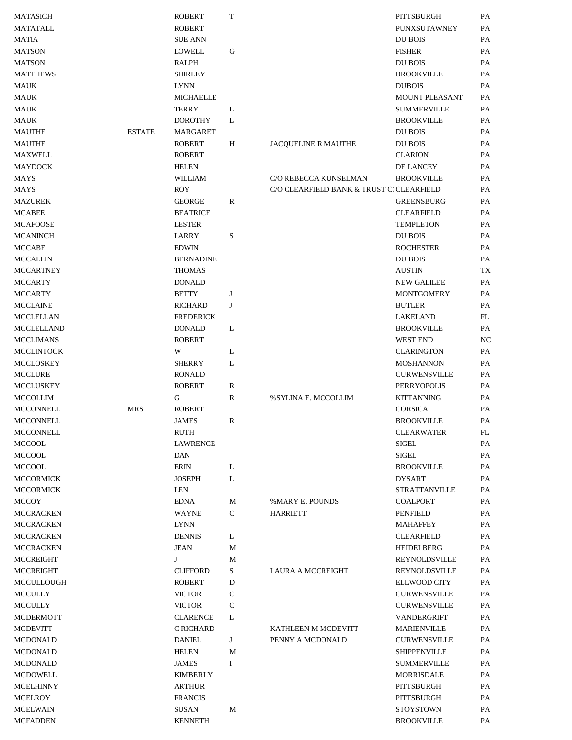| <b>MATASICH</b>   |               | <b>ROBERT</b>    | $\mathbf T$  |                                          | PITTSBURGH            | PA         |
|-------------------|---------------|------------------|--------------|------------------------------------------|-----------------------|------------|
| <b>MATATALL</b>   |               | <b>ROBERT</b>    |              |                                          | PUNXSUTAWNEY          | PA         |
| <b>MATIA</b>      |               | <b>SUE ANN</b>   |              |                                          | DU BOIS               | PA         |
| <b>MATSON</b>     |               | <b>LOWELL</b>    | G            |                                          | <b>FISHER</b>         | PA         |
| <b>MATSON</b>     |               | <b>RALPH</b>     |              |                                          | DU BOIS               | PA         |
| <b>MATTHEWS</b>   |               | <b>SHIRLEY</b>   |              |                                          | <b>BROOKVILLE</b>     | PA         |
| <b>MAUK</b>       |               | <b>LYNN</b>      |              |                                          | <b>DUBOIS</b>         | PA         |
| <b>MAUK</b>       |               | <b>MICHAELLE</b> |              |                                          | <b>MOUNT PLEASANT</b> | PA         |
| <b>MAUK</b>       |               | <b>TERRY</b>     | L            |                                          | <b>SUMMERVILLE</b>    | PA         |
| <b>MAUK</b>       |               | <b>DOROTHY</b>   | L            |                                          | <b>BROOKVILLE</b>     | PA         |
| <b>MAUTHE</b>     | <b>ESTATE</b> | <b>MARGARET</b>  |              |                                          | <b>DU BOIS</b>        | PA         |
| <b>MAUTHE</b>     |               | <b>ROBERT</b>    | Η            | JACQUELINE R MAUTHE                      | <b>DU BOIS</b>        | PA         |
| <b>MAXWELL</b>    |               | <b>ROBERT</b>    |              |                                          | <b>CLARION</b>        | PA         |
| <b>MAYDOCK</b>    |               | <b>HELEN</b>     |              |                                          | DE LANCEY             | PA         |
| MAYS              |               | <b>WILLIAM</b>   |              | C/O REBECCA KUNSELMAN                    | <b>BROOKVILLE</b>     | PA         |
| MAYS              |               | <b>ROY</b>       |              | C/O CLEARFIELD BANK & TRUST C(CLEARFIELD |                       | PA         |
| <b>MAZUREK</b>    |               | <b>GEORGE</b>    | R            |                                          | <b>GREENSBURG</b>     | PA         |
| <b>MCABEE</b>     |               | <b>BEATRICE</b>  |              |                                          | <b>CLEARFIELD</b>     | PA         |
| <b>MCAFOOSE</b>   |               | <b>LESTER</b>    |              |                                          | <b>TEMPLETON</b>      | PA         |
| <b>MCANINCH</b>   |               | <b>LARRY</b>     | S            |                                          | DU BOIS               | PA         |
| <b>MCCABE</b>     |               | <b>EDWIN</b>     |              |                                          | <b>ROCHESTER</b>      | PA         |
| <b>MCCALLIN</b>   |               | <b>BERNADINE</b> |              |                                          | <b>DU BOIS</b>        | PA         |
| <b>MCCARTNEY</b>  |               | <b>THOMAS</b>    |              |                                          | <b>AUSTIN</b>         | TX         |
| <b>MCCARTY</b>    |               | <b>DONALD</b>    |              |                                          | <b>NEW GALILEE</b>    | PA         |
| <b>MCCARTY</b>    |               | <b>BETTY</b>     | J            |                                          | <b>MONTGOMERY</b>     | PA         |
| <b>MCCLAINE</b>   |               | <b>RICHARD</b>   | J            |                                          | <b>BUTLER</b>         | PA         |
| <b>MCCLELLAN</b>  |               | <b>FREDERICK</b> |              |                                          | LAKELAND              | FL         |
| <b>MCCLELLAND</b> |               | <b>DONALD</b>    | L            |                                          | <b>BROOKVILLE</b>     | PA         |
| <b>MCCLIMANS</b>  |               | <b>ROBERT</b>    |              |                                          | <b>WEST END</b>       | NC         |
| <b>MCCLINTOCK</b> |               | W                |              |                                          | <b>CLARINGTON</b>     | PA         |
| <b>MCCLOSKEY</b>  |               | <b>SHERRY</b>    | L<br>L       |                                          | <b>MOSHANNON</b>      | PA         |
| <b>MCCLURE</b>    |               | <b>RONALD</b>    |              |                                          | <b>CURWENSVILLE</b>   | PA         |
|                   |               |                  |              |                                          |                       |            |
| <b>MCCLUSKEY</b>  |               | <b>ROBERT</b>    | R            |                                          | <b>PERRYOPOLIS</b>    | PA         |
| <b>MCCOLLIM</b>   |               | G                | R            | %SYLINA E. MCCOLLIM                      | <b>KITTANNING</b>     | PA         |
| <b>MCCONNELL</b>  | <b>MRS</b>    | <b>ROBERT</b>    |              |                                          | <b>CORSICA</b>        | PA         |
| <b>MCCONNELL</b>  |               | <b>JAMES</b>     | R            |                                          | <b>BROOKVILLE</b>     | PA         |
| <b>MCCONNELL</b>  |               | RUTH             |              |                                          | <b>CLEARWATER</b>     | ${\rm FL}$ |
| <b>MCCOOL</b>     |               | LAWRENCE         |              |                                          | SIGEL                 | PA         |
| <b>MCCOOL</b>     |               | DAN              |              |                                          | <b>SIGEL</b>          | PA         |
| <b>MCCOOL</b>     |               | <b>ERIN</b>      | L            |                                          | <b>BROOKVILLE</b>     | PA         |
| <b>MCCORMICK</b>  |               | <b>JOSEPH</b>    | L            |                                          | <b>DYSART</b>         | PA         |
| <b>MCCORMICK</b>  |               | LEN              |              |                                          | <b>STRATTANVILLE</b>  | PA         |
| MCCOY             |               | <b>EDNA</b>      | M            | %MARY E. POUNDS                          | <b>COALPORT</b>       | PA         |
| <b>MCCRACKEN</b>  |               | <b>WAYNE</b>     | $\mathbf C$  | <b>HARRIETT</b>                          | PENFIELD              | PA         |
| <b>MCCRACKEN</b>  |               | <b>LYNN</b>      |              |                                          | <b>MAHAFFEY</b>       | PA         |
| <b>MCCRACKEN</b>  |               | <b>DENNIS</b>    | L            |                                          | <b>CLEARFIELD</b>     | PA         |
| <b>MCCRACKEN</b>  |               | JEAN             | М            |                                          | HEIDELBERG            | PA         |
| <b>MCCREIGHT</b>  |               | J                | М            |                                          | REYNOLDSVILLE         | PA         |
| <b>MCCREIGHT</b>  |               | <b>CLIFFORD</b>  | S            | LAURA A MCCREIGHT                        | REYNOLDSVILLE         | PA         |
| MCCULLOUGH        |               | ROBERT           | D            |                                          | <b>ELLWOOD CITY</b>   | PA         |
| <b>MCCULLY</b>    |               | <b>VICTOR</b>    | $\mathsf{C}$ |                                          | <b>CURWENSVILLE</b>   | PA         |
| <b>MCCULLY</b>    |               | <b>VICTOR</b>    | $\mathbf C$  |                                          | <b>CURWENSVILLE</b>   | PA         |
| <b>MCDERMOTT</b>  |               | <b>CLARENCE</b>  | L            |                                          | <b>VANDERGRIFT</b>    | PA         |
| <b>MCDEVITT</b>   |               | C RICHARD        |              | KATHLEEN M MCDEVITT                      | <b>MARIENVILLE</b>    | PA         |
| <b>MCDONALD</b>   |               | <b>DANIEL</b>    | J            | PENNY A MCDONALD                         | <b>CURWENSVILLE</b>   | PA         |
| <b>MCDONALD</b>   |               | <b>HELEN</b>     | М            |                                          | <b>SHIPPENVILLE</b>   | PA         |
| <b>MCDONALD</b>   |               | <b>JAMES</b>     | Ι            |                                          | <b>SUMMERVILLE</b>    | PA         |
| <b>MCDOWELL</b>   |               | <b>KIMBERLY</b>  |              |                                          | <b>MORRISDALE</b>     | PA         |
| <b>MCELHINNY</b>  |               | <b>ARTHUR</b>    |              |                                          | PITTSBURGH            | PA         |
| <b>MCELROY</b>    |               | <b>FRANCIS</b>   |              |                                          | PITTSBURGH            | PA         |
| <b>MCELWAIN</b>   |               | <b>SUSAN</b>     | М            |                                          | <b>STOYSTOWN</b>      | PA         |
| <b>MCFADDEN</b>   |               | <b>KENNETH</b>   |              |                                          | <b>BROOKVILLE</b>     | PA         |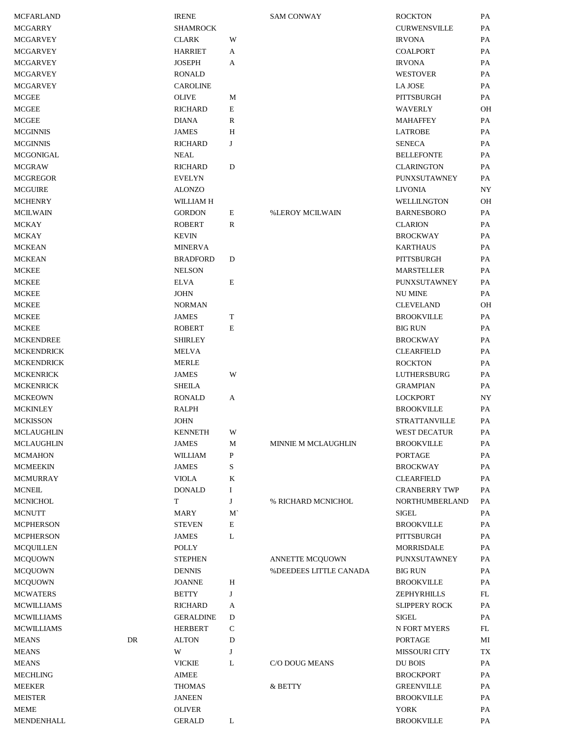| <b>MCFARLAND</b>          |    | <b>IRENE</b>                   |             | <b>SAM CONWAY</b>             | <b>ROCKTON</b>            | PA |
|---------------------------|----|--------------------------------|-------------|-------------------------------|---------------------------|----|
| <b>MCGARRY</b>            |    | SHAMROCK                       |             |                               | <b>CURWENSVILLE</b>       | PA |
| <b>MCGARVEY</b>           |    | <b>CLARK</b>                   | W           |                               | <b>IRVONA</b>             | PA |
| <b>MCGARVEY</b>           |    | <b>HARRIET</b>                 | A           |                               | <b>COALPORT</b>           | PA |
| <b>MCGARVEY</b>           |    | <b>JOSEPH</b>                  | A           |                               | <b>IRVONA</b>             | PA |
| <b>MCGARVEY</b>           |    | <b>RONALD</b>                  |             |                               | <b>WESTOVER</b>           | PA |
| <b>MCGARVEY</b>           |    | <b>CAROLINE</b>                |             |                               | LA JOSE                   | PA |
| <b>MCGEE</b>              |    | <b>OLIVE</b>                   | М           |                               | PITTSBURGH                | PA |
| <b>MCGEE</b>              |    | <b>RICHARD</b>                 | E           |                               | <b>WAVERLY</b>            | OН |
| <b>MCGEE</b>              |    | <b>DIANA</b>                   | R           |                               | <b>MAHAFFEY</b>           | PA |
| <b>MCGINNIS</b>           |    | <b>JAMES</b>                   | Η           |                               | <b>LATROBE</b>            | PA |
| <b>MCGINNIS</b>           |    | <b>RICHARD</b>                 | J           |                               | <b>SENECA</b>             | PA |
| <b>MCGONIGAL</b>          |    | NEAL                           |             |                               | <b>BELLEFONTE</b>         | PA |
| <b>MCGRAW</b>             |    | <b>RICHARD</b>                 | D           |                               | <b>CLARINGTON</b>         | PA |
| <b>MCGREGOR</b>           |    | <b>EVELYN</b>                  |             |                               | PUNXSUTAWNEY              | PA |
| <b>MCGUIRE</b>            |    | <b>ALONZO</b>                  |             |                               | <b>LIVONIA</b>            | NY |
| <b>MCHENRY</b>            |    | WILLIAM H                      |             |                               | WELLILNGTON               | OН |
| <b>MCILWAIN</b>           |    | <b>GORDON</b>                  | E           | %LEROY MCILWAIN               | <b>BARNESBORO</b>         | PA |
| <b>MCKAY</b>              |    | ROBERT                         | R           |                               | <b>CLARION</b>            | PA |
| <b>MCKAY</b>              |    | <b>KEVIN</b>                   |             |                               | <b>BROCKWAY</b>           | PA |
| <b>MCKEAN</b>             |    | <b>MINERVA</b>                 |             |                               | <b>KARTHAUS</b>           | PA |
| <b>MCKEAN</b>             |    | <b>BRADFORD</b>                | D           |                               | PITTSBURGH                | PA |
| <b>MCKEE</b>              |    | <b>NELSON</b>                  |             |                               | <b>MARSTELLER</b>         | PA |
| <b>MCKEE</b>              |    | <b>ELVA</b>                    | E           |                               | PUNXSUTAWNEY              | PA |
| <b>MCKEE</b>              |    | <b>JOHN</b>                    |             |                               | <b>NU MINE</b>            | PA |
| <b>MCKEE</b>              |    | <b>NORMAN</b>                  |             |                               | <b>CLEVELAND</b>          | OН |
| <b>MCKEE</b>              |    | <b>JAMES</b>                   | T           |                               | <b>BROOKVILLE</b>         | PA |
| <b>MCKEE</b>              |    | <b>ROBERT</b>                  | Е           |                               | <b>BIG RUN</b>            | PA |
| <b>MCKENDREE</b>          |    | <b>SHIRLEY</b>                 |             |                               | <b>BROCKWAY</b>           | PA |
| <b>MCKENDRICK</b>         |    | <b>MELVA</b>                   |             |                               | <b>CLEARFIELD</b>         | PA |
| <b>MCKENDRICK</b>         |    | <b>MERLE</b>                   |             |                               | <b>ROCKTON</b>            | PA |
| <b>MCKENRICK</b>          |    | <b>JAMES</b>                   | W           |                               | LUTHERSBURG               | PA |
| <b>MCKENRICK</b>          |    | SHEILA                         |             |                               | <b>GRAMPIAN</b>           | PA |
| <b>MCKEOWN</b>            |    | <b>RONALD</b>                  | A           |                               | <b>LOCKPORT</b>           | NY |
| <b>MCKINLEY</b>           |    | <b>RALPH</b>                   |             |                               | <b>BROOKVILLE</b>         | PA |
| <b>MCKISSON</b>           |    | <b>JOHN</b>                    |             |                               | <b>STRATTANVILLE</b>      | PA |
| <b>MCLAUGHLIN</b>         |    | <b>KENNETH</b>                 | W           |                               | WEST DECATUR              | PA |
| <b>MCLAUGHLIN</b>         |    | <b>JAMES</b>                   | М           | MINNIE M MCLAUGHLIN           | <b>BROOKVILLE</b>         | PA |
| <b>MCMAHON</b>            |    | WILLIAM                        | P           |                               | <b>PORTAGE</b>            | PA |
| <b>MCMEEKIN</b>           |    | <b>JAMES</b>                   | S           |                               | <b>BROCKWAY</b>           | PA |
| <b>MCMURRAY</b>           |    | <b>VIOLA</b>                   | $\bf K$     |                               | <b>CLEARFIELD</b>         | PA |
| <b>MCNEIL</b>             |    | <b>DONALD</b>                  | I           |                               | <b>CRANBERRY TWP</b>      | PA |
| <b>MCNICHOL</b>           |    | T                              | J           | % RICHARD MCNICHOL            | NORTHUMBERLAND            | PA |
| <b>MCNUTT</b>             |    | MARY                           | M           |                               | <b>SIGEL</b>              | PA |
| <b>MCPHERSON</b>          |    | <b>STEVEN</b>                  | E           |                               | <b>BROOKVILLE</b>         | PA |
| <b>MCPHERSON</b>          |    | <b>JAMES</b>                   | L           |                               | PITTSBURGH                | PA |
| <b>MCQUILLEN</b>          |    | <b>POLLY</b>                   |             |                               | <b>MORRISDALE</b>         | PA |
| <b>MCQUOWN</b>            |    | <b>STEPHEN</b>                 |             | ANNETTE MCQUOWN               | PUNXSUTAWNEY              | PA |
| <b>MCQUOWN</b>            |    | <b>DENNIS</b>                  |             | <b>%DEEDEES LITTLE CANADA</b> | <b>BIG RUN</b>            | PA |
| <b>MCQUOWN</b>            |    | <b>JOANNE</b>                  | Н           |                               | <b>BROOKVILLE</b>         | PA |
| <b>MCWATERS</b>           |    | <b>BETTY</b>                   | J           |                               | ZEPHYRHILLS               | FL |
| <b>MCWILLIAMS</b>         |    | <b>RICHARD</b>                 | A           |                               | <b>SLIPPERY ROCK</b>      | PA |
| <b>MCWILLIAMS</b>         |    | <b>GERALDINE</b>               | D           |                               | <b>SIGEL</b>              | PA |
| <b>MCWILLIAMS</b>         |    | <b>HERBERT</b>                 | $\mathsf C$ |                               | N FORT MYERS              | FL |
| <b>MEANS</b>              | DR | <b>ALTON</b>                   | D           |                               | <b>PORTAGE</b>            | МI |
| <b>MEANS</b>              |    | W                              | J           |                               | <b>MISSOURI CITY</b>      | TX |
| <b>MEANS</b>              |    | VICKIE                         | L           | C/O DOUG MEANS                | DU BOIS                   | PA |
| <b>MECHLING</b>           |    | AIMEE                          |             |                               | <b>BROCKPORT</b>          | PA |
| <b>MEEKER</b>             |    | <b>THOMAS</b>                  |             | & BETTY                       | <b>GREENVILLE</b>         | PA |
| <b>MEISTER</b>            |    | <b>JANEEN</b>                  |             |                               | <b>BROOKVILLE</b>         | PA |
|                           |    |                                |             |                               |                           | PA |
| <b>MEME</b><br>MENDENHALL |    | <b>OLIVER</b><br><b>GERALD</b> |             |                               | YORK<br><b>BROOKVILLE</b> | PA |
|                           |    |                                | L           |                               |                           |    |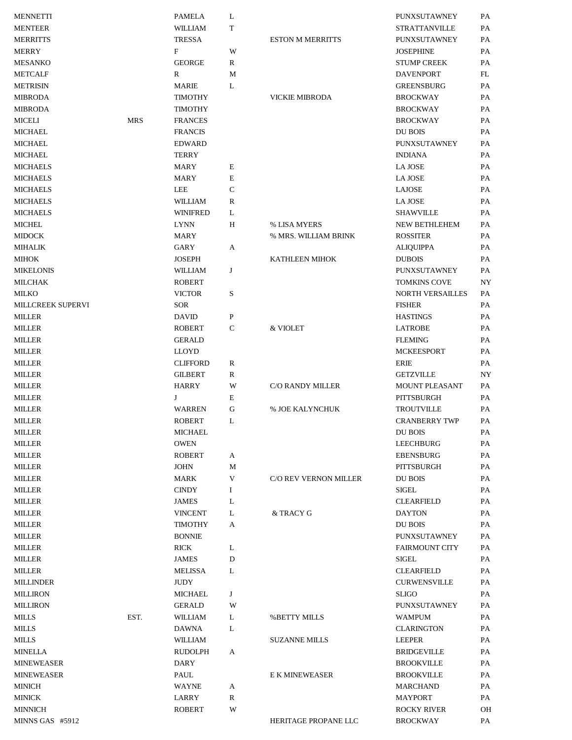| <b>MENNETTI</b>   |            | <b>PAMELA</b>   | L            |                         | PUNXSUTAWNEY            | PA        |
|-------------------|------------|-----------------|--------------|-------------------------|-------------------------|-----------|
| <b>MENTEER</b>    |            | <b>WILLIAM</b>  |              |                         |                         | PA        |
|                   |            |                 | T            |                         | <b>STRATTANVILLE</b>    |           |
| <b>MERRITTS</b>   |            | <b>TRESSA</b>   |              | <b>ESTON M MERRITTS</b> | PUNXSUTAWNEY            | PA        |
| <b>MERRY</b>      |            | $\mathbf F$     | W            |                         | <b>JOSEPHINE</b>        | PA        |
| <b>MESANKO</b>    |            | <b>GEORGE</b>   | R            |                         | <b>STUMP CREEK</b>      | PA        |
| <b>METCALF</b>    |            | R               | М            |                         | <b>DAVENPORT</b>        | FL        |
| <b>METRISIN</b>   |            | <b>MARIE</b>    | L            |                         | <b>GREENSBURG</b>       | PA        |
| <b>MIBRODA</b>    |            | <b>TIMOTHY</b>  |              | <b>VICKIE MIBRODA</b>   | <b>BROCKWAY</b>         | PA        |
| <b>MIBRODA</b>    |            | <b>TIMOTHY</b>  |              |                         | <b>BROCKWAY</b>         | PA        |
| MICELI            | <b>MRS</b> | <b>FRANCES</b>  |              |                         | <b>BROCKWAY</b>         | PA        |
| <b>MICHAEL</b>    |            | <b>FRANCIS</b>  |              |                         | DU BOIS                 | PA        |
| <b>MICHAEL</b>    |            | <b>EDWARD</b>   |              |                         | PUNXSUTAWNEY            | PA        |
| <b>MICHAEL</b>    |            | <b>TERRY</b>    |              |                         | <b>INDIANA</b>          | PA        |
| <b>MICHAELS</b>   |            | <b>MARY</b>     | E            |                         | <b>LA JOSE</b>          | PA        |
| <b>MICHAELS</b>   |            | MARY            | E            |                         | <b>LA JOSE</b>          | PA        |
| <b>MICHAELS</b>   |            | LEE             | $\mathsf{C}$ |                         | LAJOSE                  | PA        |
| <b>MICHAELS</b>   |            | <b>WILLIAM</b>  | R            |                         | <b>LA JOSE</b>          | PA        |
|                   |            |                 |              |                         | <b>SHAWVILLE</b>        | PA        |
| <b>MICHAELS</b>   |            | <b>WINIFRED</b> | L            |                         |                         |           |
| <b>MICHEL</b>     |            | <b>LYNN</b>     | $\, {\rm H}$ | % LISA MYERS            | <b>NEW BETHLEHEM</b>    | PA        |
| <b>MIDOCK</b>     |            | <b>MARY</b>     |              | % MRS. WILLIAM BRINK    | <b>ROSSITER</b>         | PA        |
| <b>MIHALIK</b>    |            | <b>GARY</b>     | A            |                         | <b>ALIQUIPPA</b>        | PA        |
| <b>MIHOK</b>      |            | <b>JOSEPH</b>   |              | <b>KATHLEEN MIHOK</b>   | <b>DUBOIS</b>           | PA        |
| <b>MIKELONIS</b>  |            | WILLIAM         | J            |                         | PUNXSUTAWNEY            | PA        |
| <b>MILCHAK</b>    |            | <b>ROBERT</b>   |              |                         | <b>TOMKINS COVE</b>     | NY        |
| <b>MILKO</b>      |            | <b>VICTOR</b>   | S            |                         | <b>NORTH VERSAILLES</b> | PA        |
| MILLCREEK SUPERVI |            | SOR             |              |                         | <b>FISHER</b>           | PA        |
| <b>MILLER</b>     |            | <b>DAVID</b>    | P            |                         | <b>HASTINGS</b>         | PA        |
| <b>MILLER</b>     |            | <b>ROBERT</b>   | $\mathbf C$  | & VIOLET                | <b>LATROBE</b>          | PA        |
| <b>MILLER</b>     |            | <b>GERALD</b>   |              |                         | <b>FLEMING</b>          | PA        |
| <b>MILLER</b>     |            | LLOYD           |              |                         | <b>MCKEESPORT</b>       | PA        |
| <b>MILLER</b>     |            | <b>CLIFFORD</b> | R            |                         | <b>ERIE</b>             | PA        |
| <b>MILLER</b>     |            | <b>GILBERT</b>  | R            |                         | <b>GETZVILLE</b>        | NY        |
| <b>MILLER</b>     |            | <b>HARRY</b>    | W            | C/O RANDY MILLER        | MOUNT PLEASANT          | <b>PA</b> |
| <b>MILLER</b>     |            | J               | Е            |                         | PITTSBURGH              | PA        |
| <b>MILLER</b>     |            | <b>WARREN</b>   | G            | % JOE KALYNCHUK         | <b>TROUTVILLE</b>       | PA        |
| <b>MILLER</b>     |            | <b>ROBERT</b>   |              |                         |                         |           |
|                   |            |                 | L            |                         | <b>CRANBERRY TWP</b>    | PA        |
| <b>MILLER</b>     |            | <b>MICHAEL</b>  |              |                         | DU BOIS                 | PA        |
| <b>MILLER</b>     |            | <b>OWEN</b>     |              |                         | <b>LEECHBURG</b>        | PA        |
| <b>MILLER</b>     |            | <b>ROBERT</b>   | A            |                         | <b>EBENSBURG</b>        | PA        |
| <b>MILLER</b>     |            | <b>JOHN</b>     | М            |                         | PITTSBURGH              | PA        |
| <b>MILLER</b>     |            | <b>MARK</b>     | V            | C/O REV VERNON MILLER   | DU BOIS                 | PA        |
| <b>MILLER</b>     |            | <b>CINDY</b>    | Ι            |                         | SIGEL                   | PA        |
| <b>MILLER</b>     |            | <b>JAMES</b>    | L            |                         | <b>CLEARFIELD</b>       | PA        |
| <b>MILLER</b>     |            | <b>VINCENT</b>  | L            | & TRACY G               | <b>DAYTON</b>           | PA        |
| <b>MILLER</b>     |            | <b>TIMOTHY</b>  | А            |                         | <b>DU BOIS</b>          | PA        |
| <b>MILLER</b>     |            | <b>BONNIE</b>   |              |                         | PUNXSUTAWNEY            | PA        |
| <b>MILLER</b>     |            | <b>RICK</b>     | L            |                         | <b>FAIRMOUNT CITY</b>   | PA        |
| <b>MILLER</b>     |            | <b>JAMES</b>    | D            |                         | <b>SIGEL</b>            | PA        |
| <b>MILLER</b>     |            | <b>MELISSA</b>  | L            |                         | <b>CLEARFIELD</b>       | PA        |
| <b>MILLINDER</b>  |            | <b>JUDY</b>     |              |                         | <b>CURWENSVILLE</b>     | <b>PA</b> |
| <b>MILLIRON</b>   |            | <b>MICHAEL</b>  | J            |                         | <b>SLIGO</b>            | PA        |
| <b>MILLIRON</b>   |            | <b>GERALD</b>   | W            |                         | PUNXSUTAWNEY            | PA        |
| <b>MILLS</b>      | EST.       | WILLIAM         | L            | <b>%BETTY MILLS</b>     | <b>WAMPUM</b>           | PA        |
| <b>MILLS</b>      |            | <b>DAWNA</b>    | L            |                         | <b>CLARINGTON</b>       | PA        |
| <b>MILLS</b>      |            |                 |              |                         |                         |           |
|                   |            | WILLIAM         |              | <b>SUZANNE MILLS</b>    | <b>LEEPER</b>           | PA        |
| <b>MINELLA</b>    |            | <b>RUDOLPH</b>  | A            |                         | <b>BRIDGEVILLE</b>      | PA        |
| <b>MINEWEASER</b> |            | DARY            |              |                         | <b>BROOKVILLE</b>       | PA        |
| <b>MINEWEASER</b> |            | PAUL            |              | E K MINEWEASER          | <b>BROOKVILLE</b>       | PA        |
| <b>MINICH</b>     |            | <b>WAYNE</b>    | A            |                         | <b>MARCHAND</b>         | PA        |
| <b>MINICK</b>     |            | LARRY           | R            |                         | <b>MAYPORT</b>          | PA        |
| <b>MINNICH</b>    |            | <b>ROBERT</b>   | W            |                         | <b>ROCKY RIVER</b>      | OН        |
| MINNS GAS #5912   |            |                 |              | HERITAGE PROPANE LLC    | <b>BROCKWAY</b>         | PA        |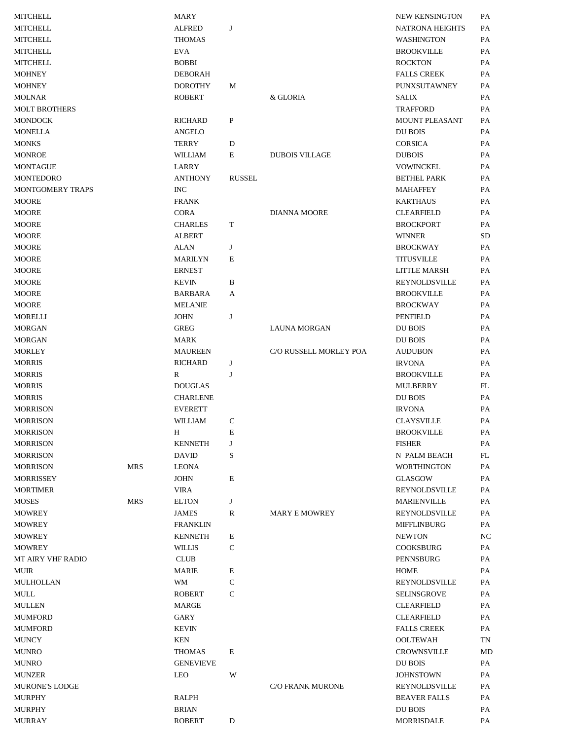| <b>MITCHELL</b>         |            | MARY             |               |                        | <b>NEW KENSINGTON</b>  | PA            |
|-------------------------|------------|------------------|---------------|------------------------|------------------------|---------------|
| <b>MITCHELL</b>         |            | <b>ALFRED</b>    | J             |                        | <b>NATRONA HEIGHTS</b> | PA            |
| <b>MITCHELL</b>         |            | <b>THOMAS</b>    |               |                        | WASHINGTON             | PA            |
| <b>MITCHELL</b>         |            | <b>EVA</b>       |               |                        | <b>BROOKVILLE</b>      | PA            |
| <b>MITCHELL</b>         |            | <b>BOBBI</b>     |               |                        | <b>ROCKTON</b>         | PA            |
| <b>MOHNEY</b>           |            | <b>DEBORAH</b>   |               |                        | <b>FALLS CREEK</b>     | PA            |
| <b>MOHNEY</b>           |            | <b>DOROTHY</b>   | M             |                        | PUNXSUTAWNEY           | <b>PA</b>     |
| <b>MOLNAR</b>           |            | <b>ROBERT</b>    |               | & GLORIA               | <b>SALIX</b>           | <b>PA</b>     |
| <b>MOLT BROTHERS</b>    |            |                  |               |                        | <b>TRAFFORD</b>        | PA            |
| <b>MONDOCK</b>          |            | RICHARD          | ${\bf P}$     |                        | MOUNT PLEASANT         | PA            |
| MONELLA                 |            | ANGELO           |               |                        | DU BOIS                | PA            |
| <b>MONKS</b>            |            | TERRY            | D             |                        | <b>CORSICA</b>         | PA            |
| <b>MONROE</b>           |            | WILLIAM          | E             | <b>DUBOIS VILLAGE</b>  | <b>DUBOIS</b>          | PA            |
| MONTAGUE                |            | LARRY            |               |                        | <b>VOWINCKEL</b>       | PA            |
| MONTEDORO               |            | <b>ANTHONY</b>   | <b>RUSSEL</b> |                        | <b>BETHEL PARK</b>     | PA            |
| <b>MONTGOMERY TRAPS</b> |            | <b>INC</b>       |               |                        | <b>MAHAFFEY</b>        | PA            |
| <b>MOORE</b>            |            | <b>FRANK</b>     |               |                        | <b>KARTHAUS</b>        | PA            |
| <b>MOORE</b>            |            | <b>CORA</b>      |               | <b>DIANNA MOORE</b>    | <b>CLEARFIELD</b>      | PA            |
| <b>MOORE</b>            |            | <b>CHARLES</b>   | T             |                        | <b>BROCKPORT</b>       | PA            |
| <b>MOORE</b>            |            | <b>ALBERT</b>    |               |                        | <b>WINNER</b>          | <b>SD</b>     |
|                         |            |                  |               |                        |                        |               |
| <b>MOORE</b>            |            | ALAN             | $\bf J$       |                        | <b>BROCKWAY</b>        | PA            |
| <b>MOORE</b>            |            | <b>MARILYN</b>   | E             |                        | <b>TITUSVILLE</b>      | PA            |
| <b>MOORE</b>            |            | <b>ERNEST</b>    |               |                        | <b>LITTLE MARSH</b>    | PA            |
| <b>MOORE</b>            |            | <b>KEVIN</b>     | B             |                        | <b>REYNOLDSVILLE</b>   | PA            |
| <b>MOORE</b>            |            | <b>BARBARA</b>   | A             |                        | <b>BROOKVILLE</b>      | PA            |
| <b>MOORE</b>            |            | <b>MELANIE</b>   |               |                        | <b>BROCKWAY</b>        | PA            |
| <b>MORELLI</b>          |            | <b>JOHN</b>      | J             |                        | PENFIELD               | PA            |
| <b>MORGAN</b>           |            | <b>GREG</b>      |               | <b>LAUNA MORGAN</b>    | DU BOIS                | PA            |
| <b>MORGAN</b>           |            | <b>MARK</b>      |               |                        | DU BOIS                | PA            |
| MORLEY                  |            | <b>MAUREEN</b>   |               | C/O RUSSELL MORLEY POA | <b>AUDUBON</b>         | PA            |
| <b>MORRIS</b>           |            | <b>RICHARD</b>   | J             |                        | <b>IRVONA</b>          | PA            |
| <b>MORRIS</b>           |            | R                | J             |                        | <b>BROOKVILLE</b>      | PA            |
| <b>MORRIS</b>           |            | <b>DOUGLAS</b>   |               |                        | MULBERRY               | FL            |
| <b>MORRIS</b>           |            | <b>CHARLENE</b>  |               |                        | DU BOIS                | PA            |
| <b>MORRISON</b>         |            | <b>EVERETT</b>   |               |                        | <b>IRVONA</b>          | PA            |
| <b>MORRISON</b>         |            | WILLIAM          |               |                        | <b>CLAYSVILLE</b>      | $\mathbf{PA}$ |
| <b>MORRISON</b>         |            | Н                | E             |                        | <b>BROOKVILLE</b>      | PA            |
| <b>MORRISON</b>         |            | <b>KENNETH</b>   | J             |                        | <b>FISHER</b>          | PA            |
| <b>MORRISON</b>         |            | <b>DAVID</b>     | S             |                        | N PALM BEACH           | FL            |
| <b>MORRISON</b>         | <b>MRS</b> | <b>LEONA</b>     |               |                        | <b>WORTHINGTON</b>     | PA            |
| <b>MORRISSEY</b>        |            | <b>JOHN</b>      | $\mathbf E$   |                        | <b>GLASGOW</b>         | PA            |
| <b>MORTIMER</b>         |            | <b>VIRA</b>      |               |                        | REYNOLDSVILLE          | PA            |
| <b>MOSES</b>            | <b>MRS</b> | <b>ELTON</b>     | J             |                        | <b>MARIENVILLE</b>     | PA            |
| <b>MOWREY</b>           |            | <b>JAMES</b>     | R             | <b>MARY E MOWREY</b>   | REYNOLDSVILLE          | PA            |
| <b>MOWREY</b>           |            | <b>FRANKLIN</b>  |               |                        | <b>MIFFLINBURG</b>     | PA            |
| <b>MOWREY</b>           |            | <b>KENNETH</b>   | E             |                        | <b>NEWTON</b>          | NC            |
| <b>MOWREY</b>           |            | WILLIS           | $\mathsf{C}$  |                        | <b>COOKSBURG</b>       | PA            |
| MT AIRY VHF RADIO       |            | <b>CLUB</b>      |               |                        | PENNSBURG              | PA            |
| <b>MUIR</b>             |            | <b>MARIE</b>     | Е             |                        | HOME                   | PA            |
| MULHOLLAN               |            | <b>WM</b>        | $\mathsf{C}$  |                        | REYNOLDSVILLE          | PA            |
| MULL                    |            | <b>ROBERT</b>    | $\mathsf{C}$  |                        | <b>SELINSGROVE</b>     | PA            |
| <b>MULLEN</b>           |            | MARGE            |               |                        | <b>CLEARFIELD</b>      | PA            |
| <b>MUMFORD</b>          |            | GARY             |               |                        | <b>CLEARFIELD</b>      | PA            |
| <b>MUMFORD</b>          |            | <b>KEVIN</b>     |               |                        | <b>FALLS CREEK</b>     | PA            |
| <b>MUNCY</b>            |            | <b>KEN</b>       |               |                        | <b>OOLTEWAH</b>        | TN            |
| <b>MUNRO</b>            |            | <b>THOMAS</b>    | E             |                        | CROWNSVILLE            | MD            |
| <b>MUNRO</b>            |            | <b>GENEVIEVE</b> |               |                        | DU BOIS                | PA            |
| <b>MUNZER</b>           |            | LEO              | W             |                        | <b>JOHNSTOWN</b>       | PA            |
| <b>MURONE'S LODGE</b>   |            |                  |               | C/O FRANK MURONE       | REYNOLDSVILLE          | PA            |
| <b>MURPHY</b>           |            | RALPH            |               |                        | <b>BEAVER FALLS</b>    | PA            |
| <b>MURPHY</b>           |            | <b>BRIAN</b>     |               |                        | DU BOIS                | PA            |
| <b>MURRAY</b>           |            | <b>ROBERT</b>    | D             |                        | MORRISDALE             | PA            |
|                         |            |                  |               |                        |                        |               |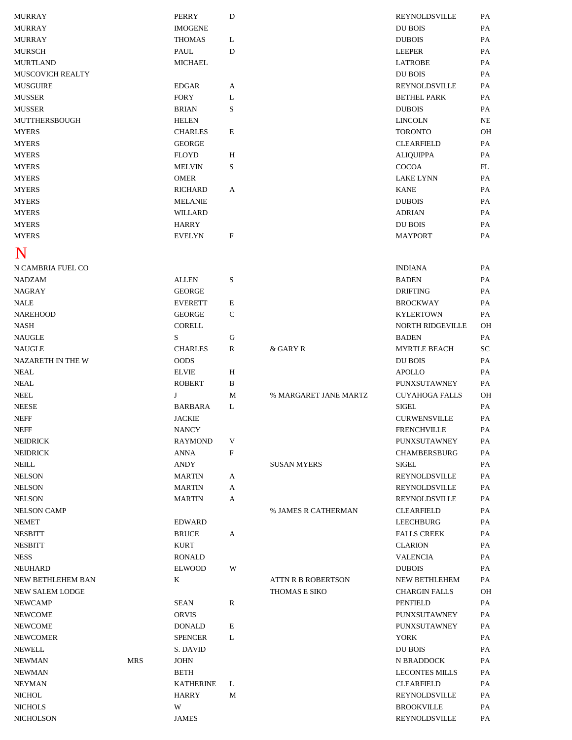<span id="page-34-0"></span>

| <b>MURRAY</b>           |            | PERRY            | D            |                           | REYNOLDSVILLE           | PA         |
|-------------------------|------------|------------------|--------------|---------------------------|-------------------------|------------|
| <b>MURRAY</b>           |            | <b>IMOGENE</b>   |              |                           | DU BOIS                 | PA         |
| <b>MURRAY</b>           |            | <b>THOMAS</b>    | L            |                           | <b>DUBOIS</b>           | PA         |
| <b>MURSCH</b>           |            | PAUL             | $\mathbf D$  |                           | <b>LEEPER</b>           | PA         |
| <b>MURTLAND</b>         |            | <b>MICHAEL</b>   |              |                           | <b>LATROBE</b>          | PA         |
| <b>MUSCOVICH REALTY</b> |            |                  |              |                           | DU BOIS                 | PA         |
| <b>MUSGUIRE</b>         |            | <b>EDGAR</b>     | A            |                           | REYNOLDSVILLE           | PA         |
| <b>MUSSER</b>           |            | <b>FORY</b>      | L            |                           | <b>BETHEL PARK</b>      | PA         |
| <b>MUSSER</b>           |            | <b>BRIAN</b>     | $\mathbf S$  |                           | <b>DUBOIS</b>           | PA         |
| MUTTHERSBOUGH           |            | <b>HELEN</b>     |              |                           | <b>LINCOLN</b>          | $\rm NE$   |
| <b>MYERS</b>            |            | <b>CHARLES</b>   | Е            |                           | <b>TORONTO</b>          | <b>OH</b>  |
| <b>MYERS</b>            |            | <b>GEORGE</b>    |              |                           | <b>CLEARFIELD</b>       | PA         |
| <b>MYERS</b>            |            | <b>FLOYD</b>     | H            |                           | <b>ALIQUIPPA</b>        | PA         |
| <b>MYERS</b>            |            | <b>MELVIN</b>    | S            |                           | <b>COCOA</b>            | FL         |
| <b>MYERS</b>            |            | <b>OMER</b>      |              |                           | <b>LAKE LYNN</b>        | PA         |
| <b>MYERS</b>            |            | <b>RICHARD</b>   | A            |                           | <b>KANE</b>             | PA         |
| <b>MYERS</b>            |            | <b>MELANIE</b>   |              |                           | <b>DUBOIS</b>           | PA         |
| <b>MYERS</b>            |            | WILLARD          |              |                           | <b>ADRIAN</b>           | PA         |
| <b>MYERS</b>            |            | <b>HARRY</b>     |              |                           | <b>DU BOIS</b>          | PA         |
| <b>MYERS</b>            |            | <b>EVELYN</b>    | F            |                           | <b>MAYPORT</b>          | PA         |
|                         |            |                  |              |                           |                         |            |
| N                       |            |                  |              |                           |                         |            |
| N CAMBRIA FUEL CO       |            |                  |              |                           | <b>INDIANA</b>          | PA         |
| <b>NADZAM</b>           |            | <b>ALLEN</b>     | S            |                           | <b>BADEN</b>            | PA         |
| <b>NAGRAY</b>           |            | <b>GEORGE</b>    |              |                           | <b>DRIFTING</b>         | PA         |
| <b>NALE</b>             |            | <b>EVERETT</b>   | Е            |                           | <b>BROCKWAY</b>         | PA         |
| <b>NAREHOOD</b>         |            | <b>GEORGE</b>    | ${\bf C}$    |                           | <b>KYLERTOWN</b>        | PA         |
| <b>NASH</b>             |            | <b>CORELL</b>    |              |                           | <b>NORTH RIDGEVILLE</b> | <b>OH</b>  |
| <b>NAUGLE</b>           |            | S                | ${\bf G}$    |                           | <b>BADEN</b>            | PA         |
| <b>NAUGLE</b>           |            | <b>CHARLES</b>   | $\mathbb{R}$ | & GARY R                  | <b>MYRTLE BEACH</b>     | ${\rm SC}$ |
| NAZARETH IN THE W       |            | <b>OODS</b>      |              |                           | <b>DU BOIS</b>          | PA         |
| <b>NEAL</b>             |            | <b>ELVIE</b>     | H            |                           | <b>APOLLO</b>           | PA         |
| <b>NEAL</b>             |            | <b>ROBERT</b>    | B            |                           | PUNXSUTAWNEY            | PA         |
| <b>NEEL</b>             |            | J                | $\mathbf M$  | % MARGARET JANE MARTZ     | <b>CUYAHOGA FALLS</b>   | <b>OH</b>  |
| <b>NEESE</b>            |            | <b>BARBARA</b>   | L            |                           | <b>SIGEL</b>            | PA         |
| <b>NEFF</b>             |            | <b>JACKIE</b>    |              |                           | <b>CURWENSVILLE</b>     | PA         |
| <b>NEFF</b>             |            | <b>NANCY</b>     |              |                           | FRENCHVILLE             | РA         |
| <b>NEIDRICK</b>         |            | <b>RAYMOND</b>   | V            |                           | PUNXSUTAWNEY            | PA         |
| <b>NEIDRICK</b>         |            | <b>ANNA</b>      | F            |                           | <b>CHAMBERSBURG</b>     | PA         |
| <b>NEILL</b>            |            | <b>ANDY</b>      |              | <b>SUSAN MYERS</b>        | <b>SIGEL</b>            | PA         |
| <b>NELSON</b>           |            | <b>MARTIN</b>    | A            |                           | REYNOLDSVILLE           | PA         |
| <b>NELSON</b>           |            | <b>MARTIN</b>    | A            |                           | REYNOLDSVILLE           | PA         |
| <b>NELSON</b>           |            | <b>MARTIN</b>    | A            |                           | REYNOLDSVILLE           | PA         |
| <b>NELSON CAMP</b>      |            |                  |              | % JAMES R CATHERMAN       | <b>CLEARFIELD</b>       | PA         |
| <b>NEMET</b>            |            | <b>EDWARD</b>    |              |                           | <b>LEECHBURG</b>        | PA         |
| <b>NESBITT</b>          |            | <b>BRUCE</b>     |              |                           | <b>FALLS CREEK</b>      | PA         |
|                         |            | <b>KURT</b>      | A            |                           | <b>CLARION</b>          | PA         |
| <b>NESBITT</b>          |            |                  |              |                           |                         |            |
| <b>NESS</b>             |            | <b>RONALD</b>    |              |                           | <b>VALENCIA</b>         | PA         |
| <b>NEUHARD</b>          |            | <b>ELWOOD</b>    | W            |                           | <b>DUBOIS</b>           | PA         |
| NEW BETHLEHEM BAN       |            | K                |              | <b>ATTN R B ROBERTSON</b> | NEW BETHLEHEM           | PA         |
| <b>NEW SALEM LODGE</b>  |            |                  |              | THOMAS E SIKO             | <b>CHARGIN FALLS</b>    | <b>OH</b>  |
| <b>NEWCAMP</b>          |            | <b>SEAN</b>      | $\mathbb{R}$ |                           | <b>PENFIELD</b>         | PA         |
| <b>NEWCOME</b>          |            | <b>ORVIS</b>     |              |                           | PUNXSUTAWNEY            | PA         |
| <b>NEWCOME</b>          |            | <b>DONALD</b>    | E            |                           | PUNXSUTAWNEY            | PA         |
| <b>NEWCOMER</b>         |            | <b>SPENCER</b>   | L            |                           | YORK                    | PA         |
| <b>NEWELL</b>           |            | S. DAVID         |              |                           | DU BOIS                 | PA         |
| <b>NEWMAN</b>           | <b>MRS</b> | <b>JOHN</b>      |              |                           | N BRADDOCK              | PA         |
| <b>NEWMAN</b>           |            | <b>BETH</b>      |              |                           | <b>LECONTES MILLS</b>   | PA         |
| <b>NEYMAN</b>           |            | <b>KATHERINE</b> | L            |                           | <b>CLEARFIELD</b>       | PA         |
| <b>NICHOL</b>           |            | <b>HARRY</b>     | M            |                           | REYNOLDSVILLE           | PA         |
| <b>NICHOLS</b>          |            | W                |              |                           | <b>BROOKVILLE</b>       | PA         |
| <b>NICHOLSON</b>        |            | <b>JAMES</b>     |              |                           | REYNOLDSVILLE           | PA         |
|                         |            |                  |              |                           |                         |            |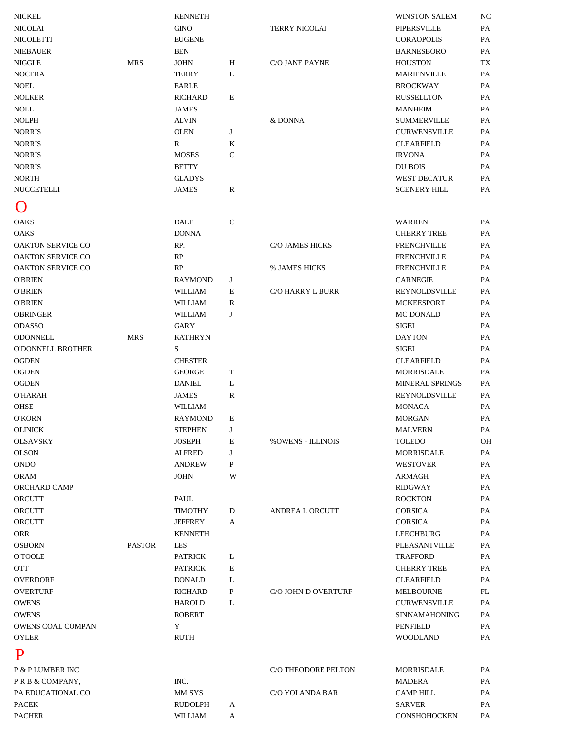<span id="page-35-0"></span>

| <b>NICKEL</b>            |               | <b>KENNETH</b> |              |                          | <b>WINSTON SALEM</b>   | NC        |
|--------------------------|---------------|----------------|--------------|--------------------------|------------------------|-----------|
| <b>NICOLAI</b>           |               | <b>GINO</b>    |              | <b>TERRY NICOLAI</b>     | <b>PIPERSVILLE</b>     | PA        |
| <b>NICOLETTI</b>         |               | <b>EUGENE</b>  |              |                          | <b>CORAOPOLIS</b>      | PA        |
| <b>NIEBAUER</b>          |               | BEN            |              |                          | <b>BARNESBORO</b>      | PA        |
| <b>NIGGLE</b>            | <b>MRS</b>    | <b>JOHN</b>    | Η            | C/O JANE PAYNE           | <b>HOUSTON</b>         | <b>TX</b> |
| <b>NOCERA</b>            |               | TERRY          | L            |                          | <b>MARIENVILLE</b>     | PA        |
| <b>NOEL</b>              |               | EARLE          |              |                          | <b>BROCKWAY</b>        | PA        |
| <b>NOLKER</b>            |               | <b>RICHARD</b> | E            |                          | <b>RUSSELLTON</b>      | PA        |
| NOLL                     |               | <b>JAMES</b>   |              |                          | <b>MANHEIM</b>         | PA        |
| <b>NOLPH</b>             |               | <b>ALVIN</b>   |              | & DONNA                  | <b>SUMMERVILLE</b>     | PA        |
| <b>NORRIS</b>            |               | <b>OLEN</b>    | J            |                          | <b>CURWENSVILLE</b>    | <b>PA</b> |
| <b>NORRIS</b>            |               | R              | K            |                          | <b>CLEARFIELD</b>      | PA        |
| <b>NORRIS</b>            |               | <b>MOSES</b>   | ${\bf C}$    |                          | <b>IRVONA</b>          | PA        |
| <b>NORRIS</b>            |               | <b>BETTY</b>   |              |                          | DU BOIS                | PA        |
| <b>NORTH</b>             |               | <b>GLADYS</b>  |              |                          | <b>WEST DECATUR</b>    | PA        |
| NUCCETELLI               |               | <b>JAMES</b>   | $\mathbb{R}$ |                          | <b>SCENERY HILL</b>    | PA        |
|                          |               |                |              |                          |                        |           |
| $\mathcal{O}$            |               |                |              |                          |                        |           |
| <b>OAKS</b>              |               | <b>DALE</b>    | $\mathbf C$  |                          | <b>WARREN</b>          | PA        |
| <b>OAKS</b>              |               | <b>DONNA</b>   |              |                          | <b>CHERRY TREE</b>     | PA        |
| <b>OAKTON SERVICE CO</b> |               | RP.            |              | C/O JAMES HICKS          | <b>FRENCHVILLE</b>     | PA        |
| <b>OAKTON SERVICE CO</b> |               | RP             |              |                          | <b>FRENCHVILLE</b>     | PA        |
| <b>OAKTON SERVICE CO</b> |               | RP             |              | % JAMES HICKS            | <b>FRENCHVILLE</b>     | PA        |
| <b>O'BRIEN</b>           |               | <b>RAYMOND</b> | J            |                          | <b>CARNEGIE</b>        | PA        |
| <b>O'BRIEN</b>           |               | WILLIAM        | Е            | <b>C/O HARRY L BURR</b>  | REYNOLDSVILLE          | PA        |
| <b>O'BRIEN</b>           |               | WILLIAM        | R            |                          | <b>MCKEESPORT</b>      | PA        |
| <b>OBRINGER</b>          |               | WILLIAM        | J            |                          | MC DONALD              | PA        |
| <b>ODASSO</b>            |               | GARY           |              |                          | <b>SIGEL</b>           | PA        |
| <b>ODONNELL</b>          | <b>MRS</b>    | <b>KATHRYN</b> |              |                          | <b>DAYTON</b>          | PA        |
| O'DONNELL BROTHER        |               | S              |              |                          | <b>SIGEL</b>           | PA        |
| <b>OGDEN</b>             |               | <b>CHESTER</b> |              |                          | <b>CLEARFIELD</b>      | PA        |
| <b>OGDEN</b>             |               | <b>GEORGE</b>  | T            |                          | MORRISDALE             | PA        |
| <b>OGDEN</b>             |               | <b>DANIEL</b>  | L            |                          | <b>MINERAL SPRINGS</b> | PA        |
| <b>O'HARAH</b>           |               | <b>JAMES</b>   | $\mathbb{R}$ |                          | REYNOLDSVILLE          | PA        |
| OHSE                     |               | WILLIAM        |              |                          | <b>MONACA</b>          | PA        |
| <b>O'KORN</b>            |               | <b>RAYMOND</b> | E            |                          | <b>MORGAN</b>          | PA        |
| <b>OLINICK</b>           |               | <b>STEPHEN</b> | J            |                          | <b>MALVERN</b>         | PA        |
| <b>OLSAVSKY</b>          |               | <b>JOSEPH</b>  | E            | <b>%OWENS - ILLINOIS</b> | <b>TOLEDO</b>          | OH        |
| <b>OLSON</b>             |               | <b>ALFRED</b>  | J            |                          | <b>MORRISDALE</b>      | PA        |
| <b>ONDO</b>              |               | <b>ANDREW</b>  | P            |                          | <b>WESTOVER</b>        | PA        |
| <b>ORAM</b>              |               | <b>JOHN</b>    | W            |                          | ARMAGH                 | PA        |
| ORCHARD CAMP             |               |                |              |                          | <b>RIDGWAY</b>         | PA        |
| ORCUTT                   |               | PAUL           |              |                          | <b>ROCKTON</b>         | PA        |
| ORCUTT                   |               | <b>TIMOTHY</b> | D            | ANDREA L ORCUTT          | <b>CORSICA</b>         | PA        |
| ORCUTT                   |               | <b>JEFFREY</b> | A            |                          | <b>CORSICA</b>         | PA        |
| <b>ORR</b>               |               | <b>KENNETH</b> |              |                          | <b>LEECHBURG</b>       | PA        |
| <b>OSBORN</b>            | <b>PASTOR</b> | <b>LES</b>     |              |                          | <b>PLEASANTVILLE</b>   | PA        |
| <b>O'TOOLE</b>           |               | <b>PATRICK</b> | L            |                          | <b>TRAFFORD</b>        | PA        |
| <b>OTT</b>               |               | <b>PATRICK</b> | E            |                          | <b>CHERRY TREE</b>     | PA        |
| <b>OVERDORF</b>          |               | <b>DONALD</b>  | L            |                          | <b>CLEARFIELD</b>      | PA        |
| <b>OVERTURF</b>          |               | <b>RICHARD</b> | P            | C/O JOHN D OVERTURF      | <b>MELBOURNE</b>       | FL        |
| <b>OWENS</b>             |               | <b>HAROLD</b>  | L            |                          | <b>CURWENSVILLE</b>    | PA        |
| <b>OWENS</b>             |               | <b>ROBERT</b>  |              |                          | <b>SINNAMAHONING</b>   | PA        |
| <b>OWENS COAL COMPAN</b> |               | Y              |              |                          | PENFIELD               | PA        |
| <b>OYLER</b>             |               | <b>RUTH</b>    |              |                          | <b>WOODLAND</b>        | PA        |
| P                        |               |                |              |                          |                        |           |
| P & P LUMBER INC         |               |                |              | C/O THEODORE PELTON      | <b>MORRISDALE</b>      | PA        |
| PRB & COMPANY,           |               | INC.           |              |                          | <b>MADERA</b>          | PA        |
| PA EDUCATIONAL CO        |               | MM SYS         |              | C/O YOLANDA BAR          | <b>CAMP HILL</b>       | PA        |
| <b>PACEK</b>             |               | <b>RUDOLPH</b> | A            |                          | <b>SARVER</b>          | PA        |
| <b>PACHER</b>            |               | <b>WILLIAM</b> | A            |                          | CONSHOHOCKEN           | PA        |
|                          |               |                |              |                          |                        |           |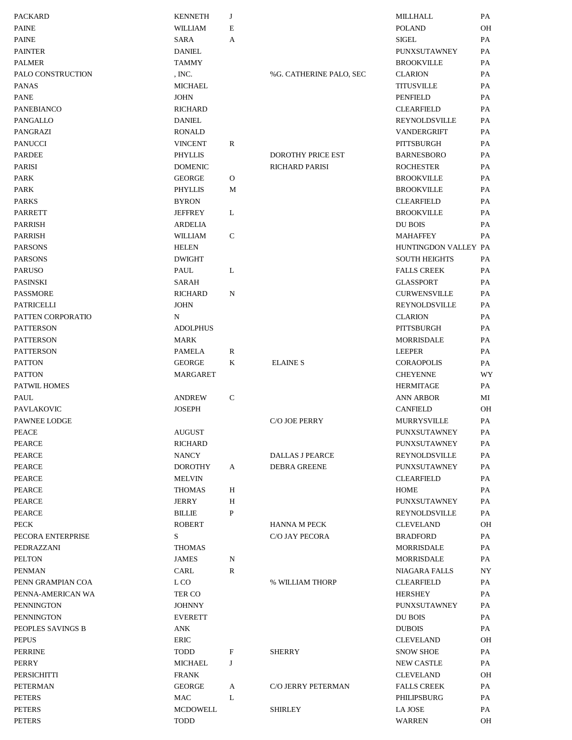| PACKARD                        | <b>KENNETH</b>  | J                      |                           | <b>MILLHALL</b>              | PA  |
|--------------------------------|-----------------|------------------------|---------------------------|------------------------------|-----|
| <b>PAINE</b>                   | <b>WILLIAM</b>  | E                      |                           | <b>POLAND</b>                | OH  |
| <b>PAINE</b>                   | SARA            | A                      |                           | SIGEL                        | PA  |
| <b>PAINTER</b>                 | <b>DANIEL</b>   |                        |                           | PUNXSUTAWNEY                 | PA  |
| <b>PALMER</b>                  | <b>TAMMY</b>    |                        |                           | <b>BROOKVILLE</b>            | PA  |
| PALO CONSTRUCTION              | , INC.          |                        | %G. CATHERINE PALO, SEC   | <b>CLARION</b>               | PA  |
| <b>PANAS</b>                   | <b>MICHAEL</b>  |                        |                           | <b>TITUSVILLE</b>            | PA  |
| <b>PANE</b>                    | <b>JOHN</b>     |                        |                           | <b>PENFIELD</b>              | PA  |
| PANEBIANCO                     | <b>RICHARD</b>  |                        |                           | <b>CLEARFIELD</b>            | PA  |
| PANGALLO                       | <b>DANIEL</b>   |                        |                           | <b>REYNOLDSVILLE</b>         | PA. |
| PANGRAZI                       | <b>RONALD</b>   |                        |                           | <b>VANDERGRIFT</b>           | PA  |
| <b>PANUCCI</b>                 | <b>VINCENT</b>  | R                      |                           | <b>PITTSBURGH</b>            | PA  |
| <b>PARDEE</b>                  | <b>PHYLLIS</b>  |                        | DOROTHY PRICE EST         | <b>BARNESBORO</b>            | PA  |
| PARISI                         | <b>DOMENIC</b>  |                        | <b>RICHARD PARISI</b>     | <b>ROCHESTER</b>             | PA  |
| PARK                           | <b>GEORGE</b>   | $\mathbf{O}$           |                           | <b>BROOKVILLE</b>            | PA  |
| PARK                           | <b>PHYLLIS</b>  | M                      |                           | <b>BROOKVILLE</b>            | PA  |
| <b>PARKS</b>                   | <b>BYRON</b>    |                        |                           | <b>CLEARFIELD</b>            | PA  |
| <b>PARRETT</b>                 | <b>JEFFREY</b>  | L                      |                           | <b>BROOKVILLE</b>            | PA  |
| <b>PARRISH</b>                 | <b>ARDELIA</b>  |                        |                           | DU BOIS                      | PA  |
| <b>PARRISH</b>                 | <b>WILLIAM</b>  | $\mathsf{C}$           |                           | <b>MAHAFFEY</b>              | PA  |
| <b>PARSONS</b>                 | <b>HELEN</b>    |                        |                           | HUNTINGDON VALLEY PA         |     |
| <b>PARSONS</b>                 | <b>DWIGHT</b>   |                        |                           | <b>SOUTH HEIGHTS</b>         | PA  |
| <b>PARUSO</b>                  | PAUL            | L                      |                           | <b>FALLS CREEK</b>           | PA  |
| <b>PASINSKI</b>                | SARAH           |                        |                           | <b>GLASSPORT</b>             | PA  |
| <b>PASSMORE</b>                | <b>RICHARD</b>  | N                      |                           | <b>CURWENSVILLE</b>          | PA  |
| <b>PATRICELLI</b>              | <b>JOHN</b>     |                        |                           | <b>REYNOLDSVILLE</b>         | PA  |
| PATTEN CORPORATIO              | N               |                        |                           | <b>CLARION</b>               | PA  |
| <b>PATTERSON</b>               | <b>ADOLPHUS</b> |                        |                           | PITTSBURGH                   | PA  |
|                                | MARK            |                        |                           |                              | PA  |
| <b>PATTERSON</b>               |                 |                        |                           | MORRISDALE                   | PA  |
| <b>PATTERSON</b>               | <b>PAMELA</b>   | $\mathbb R$<br>$\rm K$ |                           | <b>LEEPER</b>                |     |
| <b>PATTON</b><br><b>PATTON</b> | <b>GEORGE</b>   |                        | <b>ELAINE S</b>           | <b>CORAOPOLIS</b>            | PA  |
|                                | MARGARET        |                        |                           | <b>CHEYENNE</b>              | WY  |
| PATWIL HOMES                   |                 |                        |                           | <b>HERMITAGE</b>             | PA  |
| PAUL                           | <b>ANDREW</b>   | $\mathbf C$            |                           | <b>ANN ARBOR</b>             | МI  |
| PAVLAKOVIC                     | <b>JOSEPH</b>   |                        | <b>C/O JOE PERRY</b>      | <b>CANFIELD</b>              | OН  |
| PAWNEE LODGE                   |                 |                        |                           | <b>MURRYSVILLE</b>           | PA  |
| <b>PEACE</b>                   | <b>AUGUST</b>   |                        |                           | PUNXSUTAWNEY<br>PUNXSUTAWNEY | PA  |
| <b>PEARCE</b>                  | RICHARD         |                        |                           |                              | PA  |
| <b>PEARCE</b>                  | <b>NANCY</b>    |                        | DALLAS J PEARCE           | REYNOLDSVILLE                | PA  |
| PEARCE                         | <b>DOROTHY</b>  | A                      | <b>DEBRA GREENE</b>       | PUNXSUTAWNEY                 | PA  |
| <b>PEARCE</b>                  | <b>MELVIN</b>   |                        |                           | <b>CLEARFIELD</b>            | PA  |
| <b>PEARCE</b>                  | <b>THOMAS</b>   | Н                      |                           | <b>HOME</b>                  | PA  |
| <b>PEARCE</b><br>PEARCE        | <b>JERRY</b>    | $\, {\rm H}$           |                           | PUNXSUTAWNEY                 | PA  |
|                                | <b>BILLIE</b>   | P                      |                           | REYNOLDSVILLE                | PA  |
| <b>PECK</b>                    | <b>ROBERT</b>   |                        | <b>HANNA M PECK</b>       | <b>CLEVELAND</b>             | OH  |
| PECORA ENTERPRISE              | S               |                        | C/O JAY PECORA            | <b>BRADFORD</b>              | PA  |
| PEDRAZZANI                     | <b>THOMAS</b>   |                        |                           | MORRISDALE                   | PA  |
| <b>PELTON</b>                  | <b>JAMES</b>    | N                      |                           | <b>MORRISDALE</b>            | PA  |
| <b>PENMAN</b>                  | CARL            | R                      |                           | <b>NIAGARA FALLS</b>         | NY  |
| PENN GRAMPIAN COA              | L CO            |                        | % WILLIAM THORP           | <b>CLEARFIELD</b>            | PA  |
| PENNA-AMERICAN WA              | TER CO          |                        |                           | <b>HERSHEY</b>               | PA  |
| <b>PENNINGTON</b>              | <b>JOHNNY</b>   |                        |                           | PUNXSUTAWNEY                 | PA  |
| <b>PENNINGTON</b>              | <b>EVERETT</b>  |                        |                           | DU BOIS                      | PA  |
| PEOPLES SAVINGS B              | ANK             |                        |                           | <b>DUBOIS</b>                | PA  |
| <b>PEPUS</b>                   | <b>ERIC</b>     |                        |                           | <b>CLEVELAND</b>             | OН  |
| PERRINE                        | <b>TODD</b>     | F                      | SHERRY                    | <b>SNOW SHOE</b>             | PA  |
| PERRY                          | <b>MICHAEL</b>  | J                      |                           | <b>NEW CASTLE</b>            | PA  |
| <b>PERSICHITTI</b>             | <b>FRANK</b>    |                        |                           | <b>CLEVELAND</b>             | OH  |
| <b>PETERMAN</b>                | <b>GEORGE</b>   | A                      | <b>C/O JERRY PETERMAN</b> | <b>FALLS CREEK</b>           | PA  |
| <b>PETERS</b>                  | MAC             | L                      |                           | PHILIPSBURG                  | PA  |
| <b>PETERS</b>                  | <b>MCDOWELL</b> |                        | <b>SHIRLEY</b>            | LA JOSE                      | PA  |
| <b>PETERS</b>                  | TODD            |                        |                           | <b>WARREN</b>                | OH  |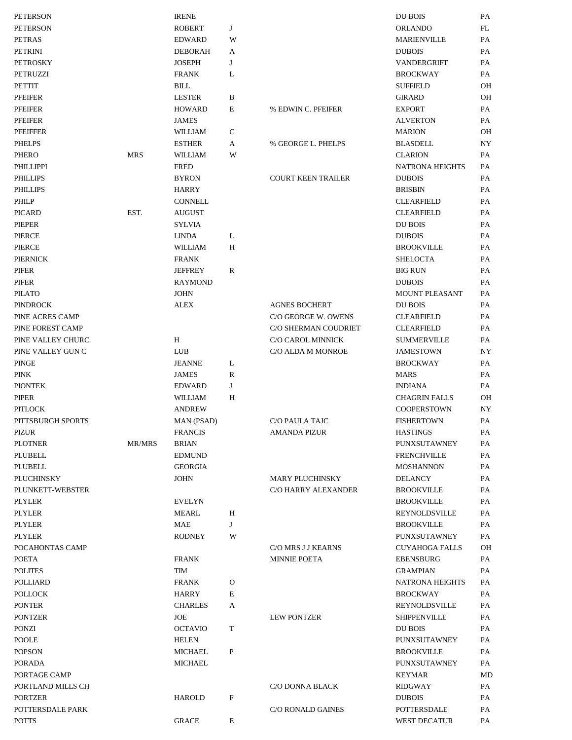| PETERSON          |            | <b>IRENE</b>          |             |                            | DU BOIS                | PA        |
|-------------------|------------|-----------------------|-------------|----------------------------|------------------------|-----------|
| <b>PETERSON</b>   |            | <b>ROBERT</b>         | J           |                            | <b>ORLANDO</b>         | FL        |
| <b>PETRAS</b>     |            | <b>EDWARD</b>         | W           |                            | <b>MARIENVILLE</b>     | PA        |
| <b>PETRINI</b>    |            | <b>DEBORAH</b>        | A           |                            | <b>DUBOIS</b>          | <b>PA</b> |
| <b>PETROSKY</b>   |            | <b>JOSEPH</b>         | J           |                            | <b>VANDERGRIFT</b>     | PA        |
| <b>PETRUZZI</b>   |            | <b>FRANK</b>          | L           |                            | <b>BROCKWAY</b>        | PA        |
| <b>PETTIT</b>     |            | $\operatorname{BILL}$ |             |                            | <b>SUFFIELD</b>        | OH        |
| <b>PFEIFER</b>    |            | <b>LESTER</b>         | B           |                            | <b>GIRARD</b>          | OН        |
| <b>PFEIFER</b>    |            | <b>HOWARD</b>         | Е           | % EDWIN C. PFEIFER         | <b>EXPORT</b>          | PA        |
| <b>PFEIFER</b>    |            | <b>JAMES</b>          |             |                            | <b>ALVERTON</b>        | PA        |
| <b>PFEIFFER</b>   |            | <b>WILLIAM</b>        | C           |                            | <b>MARION</b>          | OН        |
| <b>PHELPS</b>     |            | <b>ESTHER</b>         | A           | % GEORGE L. PHELPS         | <b>BLASDELL</b>        | NY        |
| <b>PHERO</b>      | <b>MRS</b> | <b>WILLIAM</b>        | W           |                            | <b>CLARION</b>         | PA        |
| PHILLIPPI         |            | <b>FRED</b>           |             |                            | <b>NATRONA HEIGHTS</b> | PA        |
| <b>PHILLIPS</b>   |            |                       |             | <b>COURT KEEN TRAILER</b>  |                        | PA        |
|                   |            | <b>BYRON</b>          |             |                            | <b>DUBOIS</b>          |           |
| <b>PHILLIPS</b>   |            | <b>HARRY</b>          |             |                            | <b>BRISBIN</b>         | PA        |
| PHILP             |            | <b>CONNELL</b>        |             |                            | <b>CLEARFIELD</b>      | <b>PA</b> |
| <b>PICARD</b>     | EST.       | <b>AUGUST</b>         |             |                            | <b>CLEARFIELD</b>      | PA        |
| <b>PIEPER</b>     |            | <b>SYLVIA</b>         |             |                            | DU BOIS                | PA        |
| PIERCE            |            | <b>LINDA</b>          | L           |                            | <b>DUBOIS</b>          | PA        |
| <b>PIERCE</b>     |            | <b>WILLIAM</b>        | Η           |                            | <b>BROOKVILLE</b>      | PA        |
| <b>PIERNICK</b>   |            | <b>FRANK</b>          |             |                            | <b>SHELOCTA</b>        | PA        |
| <b>PIFER</b>      |            | <b>JEFFREY</b>        | R           |                            | <b>BIG RUN</b>         | PA        |
| <b>PIFER</b>      |            | <b>RAYMOND</b>        |             |                            | <b>DUBOIS</b>          | PA        |
| <b>PILATO</b>     |            | <b>JOHN</b>           |             |                            | <b>MOUNT PLEASANT</b>  | PA        |
| <b>PINDROCK</b>   |            | <b>ALEX</b>           |             | <b>AGNES BOCHERT</b>       | DU BOIS                | PA        |
| PINE ACRES CAMP   |            |                       |             | C/O GEORGE W. OWENS        | <b>CLEARFIELD</b>      | PA        |
| PINE FOREST CAMP  |            |                       |             | C/O SHERMAN COUDRIET       | <b>CLEARFIELD</b>      | PA        |
| PINE VALLEY CHURC |            | H                     |             | C/O CAROL MINNICK          | <b>SUMMERVILLE</b>     | PA        |
| PINE VALLEY GUN C |            | <b>LUB</b>            |             | C/O ALDA M MONROE          | <b>JAMESTOWN</b>       | <b>NY</b> |
| <b>PINGE</b>      |            | <b>JEANNE</b>         | L           |                            | <b>BROCKWAY</b>        | PA        |
| <b>PINK</b>       |            | <b>JAMES</b>          | R           |                            | <b>MARS</b>            | <b>PA</b> |
| <b>PIONTEK</b>    |            | <b>EDWARD</b>         | J           |                            | <b>INDIANA</b>         | <b>PA</b> |
| <b>PIPER</b>      |            | <b>WILLIAM</b>        | Η           |                            | <b>CHAGRIN FALLS</b>   | OН        |
| PITLOCK           |            | <b>ANDREW</b>         |             |                            | <b>COOPERSTOWN</b>     | NY        |
|                   |            |                       |             |                            | <b>FISHERTOWN</b>      |           |
| PITTSBURGH SPORTS |            | MAN (PSAD)            |             | C/O PAULA TAJC             |                        | PA        |
| PIZUR             |            | <b>FRANCIS</b>        |             | <b>AMANDA PIZUR</b>        | <b>HASTINGS</b>        | PA        |
| <b>PLOTNER</b>    | MR/MRS     | <b>BRIAN</b>          |             |                            | PUNXSUTAWNEY           | <b>PA</b> |
| <b>PLUBELL</b>    |            | <b>EDMUND</b>         |             |                            | <b>FRENCHVILLE</b>     | PA        |
| PLUBELL           |            | <b>GEORGIA</b>        |             |                            | <b>MOSHANNON</b>       | PA        |
| PLUCHINSKY        |            | <b>JOHN</b>           |             | <b>MARY PLUCHINSKY</b>     | <b>DELANCY</b>         | PA        |
| PLUNKETT-WEBSTER  |            |                       |             | <b>C/O HARRY ALEXANDER</b> | <b>BROOKVILLE</b>      | PA        |
| PLYLER            |            | <b>EVELYN</b>         |             |                            | <b>BROOKVILLE</b>      | PA        |
| PLYLER            |            | MEARL                 | Н           |                            | REYNOLDSVILLE          | PA        |
| <b>PLYLER</b>     |            | <b>MAE</b>            | J           |                            | <b>BROOKVILLE</b>      | <b>PA</b> |
| <b>PLYLER</b>     |            | <b>RODNEY</b>         | W           |                            | PUNXSUTAWNEY           | PA        |
| POCAHONTAS CAMP   |            |                       |             | C/O MRS J J KEARNS         | <b>CUYAHOGA FALLS</b>  | OH        |
| <b>POETA</b>      |            | <b>FRANK</b>          |             | <b>MINNIE POETA</b>        | <b>EBENSBURG</b>       | PA        |
| <b>POLITES</b>    |            | <b>TIM</b>            |             |                            | <b>GRAMPIAN</b>        | PA        |
| POLLIARD          |            | <b>FRANK</b>          | O           |                            | <b>NATRONA HEIGHTS</b> | PA        |
| POLLOCK           |            | <b>HARRY</b>          | E           |                            | <b>BROCKWAY</b>        | <b>PA</b> |
| PONTER            |            | <b>CHARLES</b>        | A           |                            | REYNOLDSVILLE          | PA        |
| PONTZER           |            | JOE                   |             | <b>LEW PONTZER</b>         | <b>SHIPPENVILLE</b>    | PA        |
| <b>PONZI</b>      |            | <b>OCTAVIO</b>        | T           |                            | DU BOIS                | PA        |
| <b>POOLE</b>      |            | <b>HELEN</b>          |             |                            | PUNXSUTAWNEY           | PA        |
| <b>POPSON</b>     |            | <b>MICHAEL</b>        | P           |                            | <b>BROOKVILLE</b>      | PA        |
| PORADA            |            | <b>MICHAEL</b>        |             |                            | PUNXSUTAWNEY           | PA        |
| PORTAGE CAMP      |            |                       |             |                            | <b>KEYMAR</b>          | MD        |
| PORTLAND MILLS CH |            |                       |             | C/O DONNA BLACK            | <b>RIDGWAY</b>         | PA        |
| PORTZER           |            | HAROLD                | F           |                            | <b>DUBOIS</b>          | PA        |
| POTTERSDALE PARK  |            |                       |             | C/O RONALD GAINES          | POTTERSDALE            | PA        |
| POTTS             |            | <b>GRACE</b>          | $\mathbf E$ |                            | WEST DECATUR           | PA        |
|                   |            |                       |             |                            |                        |           |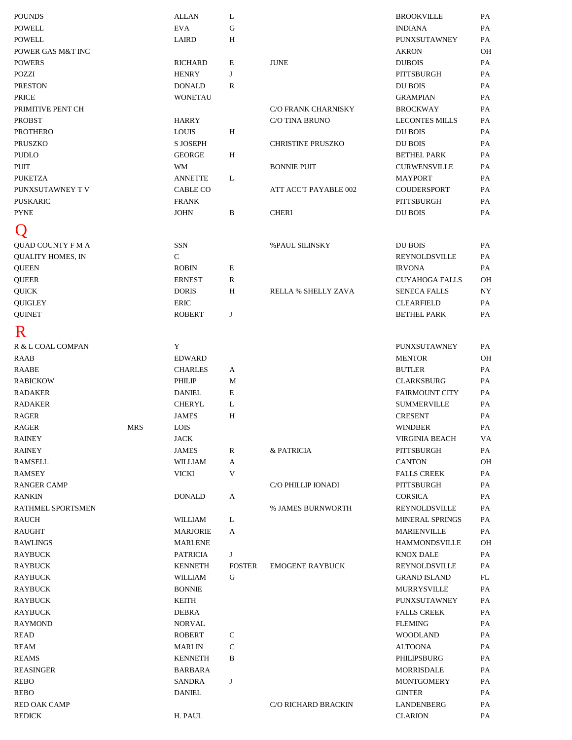<span id="page-38-0"></span>

| <b>POUNDS</b>                      |            | <b>ALLAN</b>                   | L             |                              | <b>BROOKVILLE</b>                           | PA            |
|------------------------------------|------------|--------------------------------|---------------|------------------------------|---------------------------------------------|---------------|
| <b>POWELL</b>                      |            | <b>EVA</b>                     | ${\bf G}$     |                              | <b>INDIANA</b>                              | PA            |
| <b>POWELL</b>                      |            | <b>LAIRD</b>                   | $\, {\rm H}$  |                              | PUNXSUTAWNEY                                | PA            |
| POWER GAS M&T INC                  |            |                                |               |                              | <b>AKRON</b>                                | <b>OH</b>     |
| <b>POWERS</b>                      |            | <b>RICHARD</b>                 | Ε             | <b>JUNE</b>                  | <b>DUBOIS</b>                               | PA            |
| <b>POZZI</b>                       |            | <b>HENRY</b>                   | J             |                              | PITTSBURGH                                  | PA            |
| <b>PRESTON</b>                     |            | <b>DONALD</b>                  | R             |                              | DU BOIS                                     | PA            |
| PRICE                              |            | <b>WONETAU</b>                 |               |                              | <b>GRAMPIAN</b>                             | PA            |
| PRIMITIVE PENT CH                  |            |                                |               | <b>C/O FRANK CHARNISKY</b>   | <b>BROCKWAY</b>                             | PA            |
| <b>PROBST</b>                      |            | <b>HARRY</b>                   |               | C/O TINA BRUNO               | <b>LECONTES MILLS</b>                       | PA            |
| <b>PROTHERO</b>                    |            | <b>LOUIS</b>                   | H             |                              | DU BOIS                                     | PA            |
| <b>PRUSZKO</b>                     |            | <b>S JOSEPH</b>                |               | <b>CHRISTINE PRUSZKO</b>     | DU BOIS                                     | PA            |
| <b>PUDLO</b>                       |            | <b>GEORGE</b>                  | Н             |                              | <b>BETHEL PARK</b>                          | PA            |
| <b>PUIT</b>                        |            | <b>WM</b>                      |               | <b>BONNIE PUIT</b>           | <b>CURWENSVILLE</b>                         | PA            |
| <b>PUKETZA</b>                     |            | <b>ANNETTE</b>                 | L             |                              | <b>MAYPORT</b>                              | <b>PA</b>     |
| PUNXSUTAWNEY TV                    |            | <b>CABLE CO</b>                |               | <b>ATT ACC'T PAYABLE 002</b> | <b>COUDERSPORT</b>                          | PA            |
| <b>PUSKARIC</b>                    |            | <b>FRANK</b>                   |               |                              | PITTSBURGH                                  | PA            |
| <b>PYNE</b>                        |            | <b>JOHN</b>                    | B             | <b>CHERI</b>                 | DU BOIS                                     | <b>PA</b>     |
|                                    |            |                                |               |                              |                                             |               |
|                                    |            |                                |               |                              |                                             |               |
| QUAD COUNTY F M A                  |            | <b>SSN</b>                     |               | <b>%PAUL SILINSKY</b>        | <b>DU BOIS</b>                              | PA            |
| <b>QUALITY HOMES, IN</b>           |            | $\mathbf C$                    |               |                              | <b>REYNOLDSVILLE</b>                        | PA            |
| <b>QUEEN</b>                       |            | <b>ROBIN</b>                   | $\mathbf E$   |                              | <b>IRVONA</b>                               | PA            |
| <b>QUEER</b>                       |            | <b>ERNEST</b>                  | R             |                              | <b>CUYAHOGA FALLS</b>                       | <b>OH</b>     |
| <b>QUICK</b>                       |            | <b>DORIS</b>                   | Н             | <b>RELLA % SHELLY ZAVA</b>   | <b>SENECA FALLS</b>                         | NY            |
| <b>QUIGLEY</b>                     |            | <b>ERIC</b>                    |               |                              | <b>CLEARFIELD</b>                           | PA            |
| <b>QUINET</b>                      |            | <b>ROBERT</b>                  | J             |                              | <b>BETHEL PARK</b>                          | PA            |
| R                                  |            |                                |               |                              |                                             |               |
| R & L COAL COMPAN                  |            | Y                              |               |                              | PUNXSUTAWNEY                                | PA            |
| RAAB                               |            | <b>EDWARD</b>                  |               |                              | <b>MENTOR</b>                               | <b>OH</b>     |
| <b>RAABE</b>                       |            | <b>CHARLES</b>                 |               |                              | <b>BUTLER</b>                               | PA            |
|                                    |            | PHILIP                         | A<br>M        |                              |                                             | PA            |
| <b>RABICKOW</b>                    |            |                                | $\mathbf E$   |                              | <b>CLARKSBURG</b>                           |               |
| <b>RADAKER</b>                     |            | <b>DANIEL</b><br><b>CHERYL</b> |               |                              | <b>FAIRMOUNT CITY</b><br><b>SUMMERVILLE</b> | PA<br>PA      |
| <b>RADAKER</b><br><b>RAGER</b>     |            |                                | L             |                              | <b>CRESENT</b>                              |               |
| <b>RAGER</b>                       |            | <b>JAMES</b><br>${\rm LOIS}$   | Н             |                              | <b>WINDBER</b>                              | PA            |
| <b>RAINEY</b>                      | <b>MRS</b> |                                |               |                              |                                             | $\mathbf{PA}$ |
| <b>RAINEY</b>                      |            | <b>JACK</b>                    |               | & PATRICIA                   | VIRGINIA BEACH                              | VA            |
| <b>RAMSELL</b>                     |            | <b>JAMES</b>                   | R             |                              | PITTSBURGH                                  | PA            |
| <b>RAMSEY</b>                      |            | <b>WILLIAM</b><br><b>VICKI</b> | A<br>V        |                              | <b>CANTON</b>                               | OH            |
| <b>RANGER CAMP</b>                 |            |                                |               |                              | <b>FALLS CREEK</b><br>PITTSBURGH            | PA            |
|                                    |            |                                |               | C/O PHILLIP IONADI           | <b>CORSICA</b>                              | PA<br>PA      |
| <b>RANKIN</b><br>RATHMEL SPORTSMEN |            | <b>DONALD</b>                  | A             | % JAMES BURNWORTH            | <b>REYNOLDSVILLE</b>                        | PA            |
| <b>RAUCH</b>                       |            | WILLIAM                        | L             |                              | <b>MINERAL SPRINGS</b>                      | PA            |
| <b>RAUGHT</b>                      |            | <b>MARJORIE</b>                | A             |                              | <b>MARIENVILLE</b>                          | PA            |
| <b>RAWLINGS</b>                    |            | <b>MARLENE</b>                 |               |                              | <b>HAMMONDSVILLE</b>                        | <b>OH</b>     |
| RAYBUCK                            |            | PATRICIA                       | J             |                              | <b>KNOX DALE</b>                            | PA            |
| RAYBUCK                            |            | <b>KENNETH</b>                 | <b>FOSTER</b> | <b>EMOGENE RAYBUCK</b>       | REYNOLDSVILLE                               | PA            |
| <b>RAYBUCK</b>                     |            | WILLIAM                        | G             |                              | <b>GRAND ISLAND</b>                         | FL            |
| <b>RAYBUCK</b>                     |            | <b>BONNIE</b>                  |               |                              | <b>MURRYSVILLE</b>                          | PA            |
| <b>RAYBUCK</b>                     |            | KEITH                          |               |                              | PUNXSUTAWNEY                                | PA            |
| <b>RAYBUCK</b>                     |            | <b>DEBRA</b>                   |               |                              | <b>FALLS CREEK</b>                          | PA            |
| <b>RAYMOND</b>                     |            | <b>NORVAL</b>                  |               |                              | <b>FLEMING</b>                              | PA            |
| READ                               |            | <b>ROBERT</b>                  | C             |                              | <b>WOODLAND</b>                             | PA            |
| REAM                               |            | <b>MARLIN</b>                  | С             |                              | <b>ALTOONA</b>                              | PA            |
| <b>REAMS</b>                       |            | <b>KENNETH</b>                 | B             |                              | PHILIPSBURG                                 | PA            |
| <b>REASINGER</b>                   |            | <b>BARBARA</b>                 |               |                              | MORRISDALE                                  | PA            |
| <b>REBO</b>                        |            | <b>SANDRA</b>                  | J             |                              | <b>MONTGOMERY</b>                           | PA            |
| <b>REBO</b>                        |            | <b>DANIEL</b>                  |               |                              | <b>GINTER</b>                               | PA            |
| <b>RED OAK CAMP</b>                |            |                                |               | C/O RICHARD BRACKIN          | LANDENBERG                                  | PA            |
| <b>REDICK</b>                      |            | H. PAUL                        |               |                              | <b>CLARION</b>                              | PA            |
|                                    |            |                                |               |                              |                                             |               |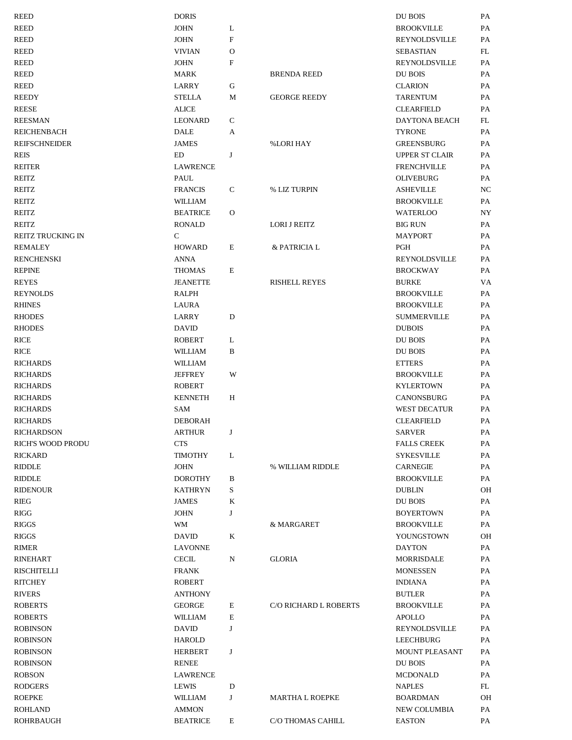| <b>REED</b>                     | <b>DORIS</b>                    |              |                        | DU BOIS                       | <b>PA</b> |
|---------------------------------|---------------------------------|--------------|------------------------|-------------------------------|-----------|
| <b>REED</b>                     | <b>JOHN</b>                     | L            |                        | <b>BROOKVILLE</b>             | PA        |
| <b>REED</b>                     | <b>JOHN</b>                     | F            |                        | REYNOLDSVILLE                 | PA        |
| <b>REED</b>                     | <b>VIVIAN</b>                   | O            |                        | <b>SEBASTIAN</b>              | FL        |
| <b>REED</b>                     | <b>JOHN</b>                     | F            |                        | <b>REYNOLDSVILLE</b>          | PA        |
| <b>REED</b>                     | <b>MARK</b>                     |              | <b>BRENDA REED</b>     | DU BOIS                       | PA        |
| <b>REED</b>                     | LARRY                           | G            |                        | <b>CLARION</b>                | PA        |
| <b>REEDY</b>                    | <b>STELLA</b>                   | М            | <b>GEORGE REEDY</b>    | <b>TARENTUM</b>               | <b>PA</b> |
| <b>REESE</b>                    | <b>ALICE</b>                    |              |                        | <b>CLEARFIELD</b>             | <b>PA</b> |
| <b>REESMAN</b>                  | <b>LEONARD</b>                  | $\mathbf C$  |                        | <b>DAYTONA BEACH</b>          | FL        |
| <b>REICHENBACH</b>              | <b>DALE</b>                     | A            |                        | <b>TYRONE</b>                 | PA        |
| <b>REIFSCHNEIDER</b>            | <b>JAMES</b>                    |              | %LORI HAY              | <b>GREENSBURG</b>             | PA        |
| <b>REIS</b>                     | ED                              | J            |                        | <b>UPPER ST CLAIR</b>         | PA        |
| <b>REITER</b>                   | <b>LAWRENCE</b>                 |              |                        | <b>FRENCHVILLE</b>            | PA        |
| REITZ                           | PAUL                            |              |                        | <b>OLIVEBURG</b>              | PA        |
| <b>REITZ</b>                    | <b>FRANCIS</b>                  | $\mathsf{C}$ | % LIZ TURPIN           | <b>ASHEVILLE</b>              | NC        |
| <b>REITZ</b>                    | WILLIAM                         |              |                        | <b>BROOKVILLE</b>             | PA        |
| <b>REITZ</b>                    | <b>BEATRICE</b>                 | O            |                        | <b>WATERLOO</b>               | <b>NY</b> |
| <b>REITZ</b>                    | <b>RONALD</b>                   |              | LORI J REITZ           | <b>BIG RUN</b>                | PA        |
| <b>REITZ TRUCKING IN</b>        | $\mathbf C$                     |              |                        | <b>MAYPORT</b>                | PA        |
| <b>REMALEY</b>                  | <b>HOWARD</b>                   | E            | & PATRICIA L           | PGH                           | PA        |
| <b>RENCHENSKI</b>               | <b>ANNA</b>                     |              |                        | REYNOLDSVILLE                 | PA        |
| <b>REPINE</b>                   | <b>THOMAS</b>                   | E            |                        | <b>BROCKWAY</b>               | PA        |
| <b>REYES</b>                    | <b>JEANETTE</b>                 |              | <b>RISHELL REYES</b>   | <b>BURKE</b>                  | VA        |
| <b>REYNOLDS</b>                 | RALPH                           |              |                        | <b>BROOKVILLE</b>             | <b>PA</b> |
| <b>RHINES</b>                   | <b>LAURA</b>                    |              |                        | <b>BROOKVILLE</b>             | PA        |
| <b>RHODES</b>                   | LARRY                           | ${\rm D}$    |                        | <b>SUMMERVILLE</b>            | PA        |
| <b>RHODES</b>                   | <b>DAVID</b>                    |              |                        | <b>DUBOIS</b>                 | PA        |
| <b>RICE</b>                     | <b>ROBERT</b>                   | L            |                        | <b>DU BOIS</b>                | PA        |
| <b>RICE</b>                     | <b>WILLIAM</b>                  | $\, {\bf B}$ |                        | DU BOIS                       | PA        |
| <b>RICHARDS</b>                 | WILLIAM                         |              |                        | <b>ETTERS</b>                 | PA        |
| <b>RICHARDS</b>                 | <b>JEFFREY</b>                  | W            |                        | <b>BROOKVILLE</b>             | PA        |
| <b>RICHARDS</b>                 | <b>ROBERT</b>                   |              |                        | <b>KYLERTOWN</b>              | PA        |
| <b>RICHARDS</b>                 | <b>KENNETH</b>                  | $\, {\rm H}$ |                        | CANONSBURG                    | PA        |
| <b>RICHARDS</b>                 | SAM                             |              |                        | <b>WEST DECATUR</b>           | PA        |
| <b>RICHARDS</b>                 | <b>DEBORAH</b>                  |              |                        | <b>CLEARFIELD</b>             | PA        |
| <b>RICHARDSON</b>               | <b>ARTHUR</b>                   | J            |                        | <b>SARVER</b>                 | PA        |
| <b>RICH'S WOOD PRODU</b>        | <b>CTS</b>                      |              |                        | <b>FALLS CREEK</b>            | PA        |
| <b>RICKARD</b>                  | <b>TIMOTHY</b>                  | L            |                        | SYKESVILLE                    | PA        |
| <b>RIDDLE</b>                   | <b>JOHN</b>                     |              | % WILLIAM RIDDLE       | <b>CARNEGIE</b>               | PA        |
| <b>RIDDLE</b>                   | <b>DOROTHY</b>                  | B            |                        | <b>BROOKVILLE</b>             | PA        |
| <b>RIDENOUR</b>                 | <b>KATHRYN</b>                  | S            |                        | <b>DUBLIN</b>                 | OH        |
| <b>RIEG</b>                     | <b>JAMES</b>                    | K            |                        | DU BOIS                       | PA        |
| <b>RIGG</b>                     | <b>JOHN</b>                     | J            |                        | <b>BOYERTOWN</b>              | PA        |
| <b>RIGGS</b>                    | <b>WM</b>                       |              | & MARGARET             | <b>BROOKVILLE</b>             | PA        |
| <b>RIGGS</b>                    | <b>DAVID</b>                    | $\rm K$      |                        | YOUNGSTOWN                    | OH        |
| <b>RIMER</b>                    | <b>LAVONNE</b>                  |              |                        | <b>DAYTON</b>                 | PA        |
| <b>RINEHART</b>                 | <b>CECIL</b>                    | N            | <b>GLORIA</b>          | MORRISDALE                    | PA        |
| <b>RISCHITELLI</b>              | <b>FRANK</b>                    |              |                        | <b>MONESSEN</b>               | PA        |
| <b>RITCHEY</b>                  | <b>ROBERT</b>                   |              |                        | <b>INDIANA</b>                | PA        |
| <b>RIVERS</b>                   | <b>ANTHONY</b>                  |              |                        | <b>BUTLER</b>                 | PA        |
| <b>ROBERTS</b>                  | <b>GEORGE</b>                   | E            | C/O RICHARD L ROBERTS  | <b>BROOKVILLE</b>             | PA        |
| <b>ROBERTS</b>                  | WILLIAM                         | E            |                        | <b>APOLLO</b>                 | PA        |
| <b>ROBINSON</b>                 | <b>DAVID</b>                    | J            |                        | REYNOLDSVILLE                 | PA        |
| <b>ROBINSON</b>                 | <b>HAROLD</b>                   |              |                        | <b>LEECHBURG</b>              | PA        |
| <b>ROBINSON</b>                 | <b>HERBERT</b>                  | J            |                        | <b>MOUNT PLEASANT</b>         | PA        |
|                                 |                                 |              |                        | DU BOIS                       | PA        |
| <b>ROBINSON</b>                 | <b>RENEE</b><br><b>LAWRENCE</b> |              |                        |                               | PA        |
| <b>ROBSON</b>                   | <b>LEWIS</b>                    |              |                        | <b>MCDONALD</b>               | FL        |
| <b>RODGERS</b><br><b>ROEPKE</b> |                                 | D            |                        | <b>NAPLES</b>                 |           |
| <b>ROHLAND</b>                  | WILLIAM                         | J            | <b>MARTHA L ROEPKE</b> | <b>BOARDMAN</b>               | OН        |
| <b>ROHRBAUGH</b>                | <b>AMMON</b><br><b>BEATRICE</b> |              | C/O THOMAS CAHILL      | NEW COLUMBIA<br><b>EASTON</b> | PA        |
|                                 |                                 | E            |                        |                               | PA        |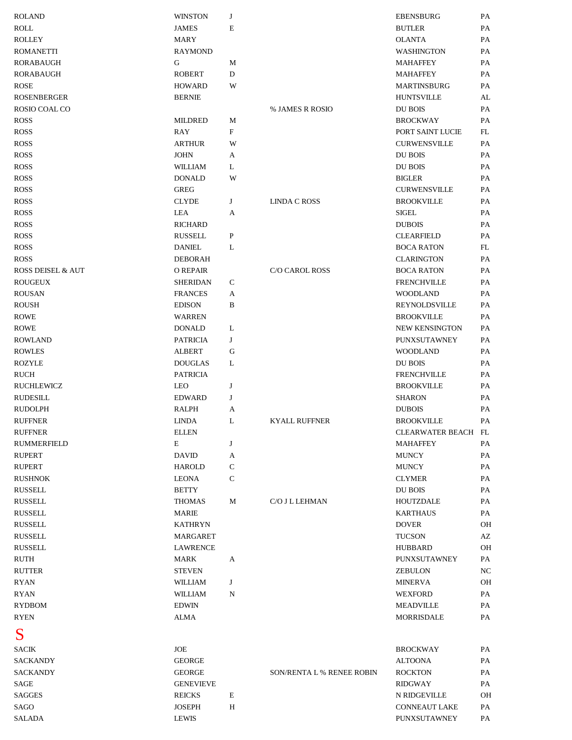<span id="page-40-0"></span>

| <b>ROLAND</b>      | WINSTON          | J            |                           | <b>EBENSBURG</b>    | PA               |
|--------------------|------------------|--------------|---------------------------|---------------------|------------------|
| <b>ROLL</b>        | <b>JAMES</b>     | E            |                           | <b>BUTLER</b>       | PA               |
| <b>ROLLEY</b>      | MARY             |              |                           | <b>OLANTA</b>       | PA               |
| <b>ROMANETTI</b>   | <b>RAYMOND</b>   |              |                           | WASHINGTON          | PA               |
| <b>RORABAUGH</b>   | G                | М            |                           | <b>MAHAFFEY</b>     | PA               |
| <b>RORABAUGH</b>   | <b>ROBERT</b>    | D            |                           | <b>MAHAFFEY</b>     | PA               |
| <b>ROSE</b>        | <b>HOWARD</b>    | W            |                           | <b>MARTINSBURG</b>  | PA               |
| <b>ROSENBERGER</b> | <b>BERNIE</b>    |              |                           | <b>HUNTSVILLE</b>   | AL               |
| ROSIO COAL CO      |                  |              | % JAMES R ROSIO           | DU BOIS             | PA               |
| ROSS               | <b>MILDRED</b>   | М            |                           | <b>BROCKWAY</b>     | PA               |
|                    | <b>RAY</b>       | F            |                           |                     |                  |
| ROSS               |                  |              |                           | PORT SAINT LUCIE    | FL               |
| ROSS               | <b>ARTHUR</b>    | W            |                           | <b>CURWENSVILLE</b> | PA               |
| ROSS               | <b>JOHN</b>      | A            |                           | DU BOIS             | PA               |
| <b>ROSS</b>        | <b>WILLIAM</b>   | L            |                           | DU BOIS             | PA               |
| <b>ROSS</b>        | <b>DONALD</b>    | W            |                           | <b>BIGLER</b>       | PA               |
| <b>ROSS</b>        | <b>GREG</b>      |              |                           | <b>CURWENSVILLE</b> | PA               |
| <b>ROSS</b>        | <b>CLYDE</b>     | J            | <b>LINDA C ROSS</b>       | <b>BROOKVILLE</b>   | PA               |
| <b>ROSS</b>        | <b>LEA</b>       | A            |                           | <b>SIGEL</b>        | PA               |
| <b>ROSS</b>        | <b>RICHARD</b>   |              |                           | <b>DUBOIS</b>       | PA               |
| <b>ROSS</b>        | <b>RUSSELL</b>   | P            |                           | <b>CLEARFIELD</b>   | PA               |
| <b>ROSS</b>        | <b>DANIEL</b>    | L            |                           | <b>BOCA RATON</b>   | FL               |
| <b>ROSS</b>        | <b>DEBORAH</b>   |              |                           | <b>CLARINGTON</b>   | PA               |
| ROSS DEISEL & AUT  | O REPAIR         |              | C/O CAROL ROSS            | <b>BOCA RATON</b>   | PA               |
| <b>ROUGEUX</b>     | <b>SHERIDAN</b>  | C            |                           | <b>FRENCHVILLE</b>  | PA               |
| <b>ROUSAN</b>      | <b>FRANCES</b>   | A            |                           | <b>WOODLAND</b>     | PA               |
| <b>ROUSH</b>       | <b>EDISON</b>    | B            |                           | REYNOLDSVILLE       | PA               |
| ROWE               | WARREN           |              |                           | <b>BROOKVILLE</b>   | PA               |
| <b>ROWE</b>        | <b>DONALD</b>    | L            |                           | NEW KENSINGTON      | PA               |
|                    |                  |              |                           |                     |                  |
| <b>ROWLAND</b>     | <b>PATRICIA</b>  | J            |                           | PUNXSUTAWNEY        | PA               |
| <b>ROWLES</b>      | <b>ALBERT</b>    | G            |                           | <b>WOODLAND</b>     | PA               |
| <b>ROZYLE</b>      | <b>DOUGLAS</b>   | L            |                           | DU BOIS             | PA               |
| <b>RUCH</b>        | <b>PATRICIA</b>  |              |                           | <b>FRENCHVILLE</b>  | PA               |
| <b>RUCHLEWICZ</b>  | LEO              | J            |                           | <b>BROOKVILLE</b>   | PA               |
| <b>RUDESILL</b>    | <b>EDWARD</b>    | J            |                           | <b>SHARON</b>       | PA               |
| <b>RUDOLPH</b>     | <b>RALPH</b>     | A            |                           | <b>DUBOIS</b>       | PA               |
| <b>RUFFNER</b>     | <b>LINDA</b>     | L            | <b>KYALL RUFFNER</b>      | <b>BROOKVILLE</b>   | PA               |
| <b>RUFFNER</b>     | <b>ELLEN</b>     |              |                           | CLEARWATER BEACH FL |                  |
| <b>RUMMERFIELD</b> | E                | J            |                           | <b>MAHAFFEY</b>     | PA               |
| <b>RUPERT</b>      | <b>DAVID</b>     | A            |                           | <b>MUNCY</b>        | PA               |
| <b>RUPERT</b>      | <b>HAROLD</b>    | $\mathsf{C}$ |                           | <b>MUNCY</b>        | PA               |
| <b>RUSHNOK</b>     | LEONA            | $\mathsf{C}$ |                           | <b>CLYMER</b>       | PA               |
| RUSSELL            | <b>BETTY</b>     |              |                           | DU BOIS             | PA               |
| RUSSELL            | <b>THOMAS</b>    | М            | C/O J L LEHMAN            | <b>HOUTZDALE</b>    | PA               |
| <b>RUSSELL</b>     | <b>MARIE</b>     |              |                           | <b>KARTHAUS</b>     | PA               |
| <b>RUSSELL</b>     | <b>KATHRYN</b>   |              |                           | <b>DOVER</b>        | <b>OH</b>        |
| RUSSELL            | MARGARET         |              |                           | <b>TUCSON</b>       | AZ               |
| RUSSELL            | LAWRENCE         |              |                           | <b>HUBBARD</b>      | <b>OH</b>        |
| RUTH               | MARK             | A            |                           | PUNXSUTAWNEY        | PA               |
| <b>RUTTER</b>      | <b>STEVEN</b>    |              |                           |                     | $_{\mathrm{NC}}$ |
|                    |                  |              |                           | <b>ZEBULON</b>      |                  |
| <b>RYAN</b>        | WILLIAM          | J            |                           | <b>MINERVA</b>      | <b>OH</b>        |
| <b>RYAN</b>        | WILLIAM          | N            |                           | <b>WEXFORD</b>      | PA               |
| <b>RYDBOM</b>      | <b>EDWIN</b>     |              |                           | MEADVILLE           | PA               |
| <b>RYEN</b>        | ALMA             |              |                           | MORRISDALE          | PA               |
| S                  |                  |              |                           |                     |                  |
| <b>SACIK</b>       | JOE              |              |                           | <b>BROCKWAY</b>     | PA               |
| <b>SACKANDY</b>    | <b>GEORGE</b>    |              |                           | <b>ALTOONA</b>      | PA               |
| <b>SACKANDY</b>    | <b>GEORGE</b>    |              | SON/RENTA L % RENEE ROBIN | <b>ROCKTON</b>      | PA               |
| SAGE               | <b>GENEVIEVE</b> |              |                           | RIDGWAY             | PA               |
| <b>SAGGES</b>      | <b>REICKS</b>    | $\mathbf E$  |                           | N RIDGEVILLE        | OH               |
| SAGO               | JOSEPH           | Η            |                           | CONNEAUT LAKE       | PA               |
| <b>SALADA</b>      | <b>LEWIS</b>     |              |                           | PUNXSUTAWNEY        | PA               |
|                    |                  |              |                           |                     |                  |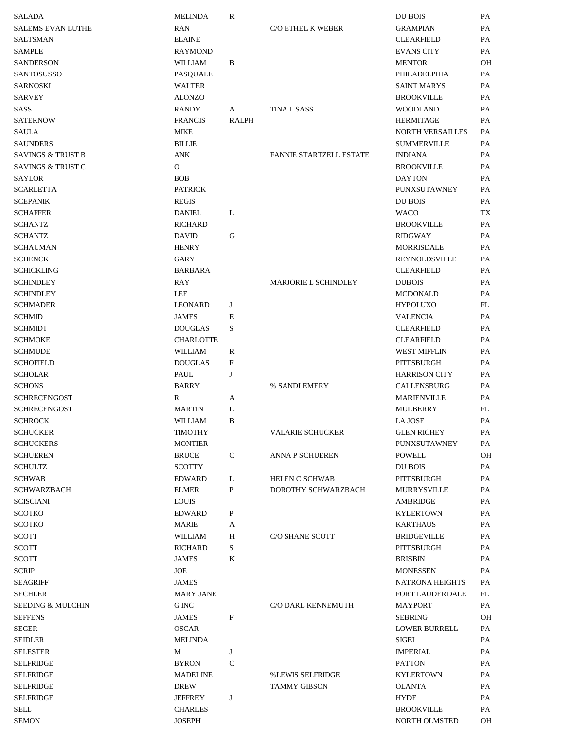| <b>SALADA</b>                | <b>MELINDA</b>   | R                         |                                | DU BOIS                 | PA        |
|------------------------------|------------------|---------------------------|--------------------------------|-------------------------|-----------|
| <b>SALEMS EVAN LUTHE</b>     | <b>RAN</b>       |                           | C/O ETHEL K WEBER              | <b>GRAMPIAN</b>         | PA        |
| <b>SALTSMAN</b>              | <b>ELAINE</b>    |                           |                                | <b>CLEARFIELD</b>       | PA        |
| <b>SAMPLE</b>                | <b>RAYMOND</b>   |                           |                                | <b>EVANS CITY</b>       | PA        |
| <b>SANDERSON</b>             | <b>WILLIAM</b>   | B                         |                                | <b>MENTOR</b>           | <b>OH</b> |
| SANTOSUSSO                   | <b>PASQUALE</b>  |                           |                                | PHILADELPHIA            | PA        |
| <b>SARNOSKI</b>              | <b>WALTER</b>    |                           |                                | <b>SAINT MARYS</b>      | PA        |
| <b>SARVEY</b>                | <b>ALONZO</b>    |                           |                                | <b>BROOKVILLE</b>       | PA        |
| SASS                         | <b>RANDY</b>     | A                         | <b>TINA L SASS</b>             | <b>WOODLAND</b>         | PA        |
| <b>SATERNOW</b>              | <b>FRANCIS</b>   | <b>RALPH</b>              |                                | <b>HERMITAGE</b>        | PA        |
| <b>SAULA</b>                 | <b>MIKE</b>      |                           |                                | <b>NORTH VERSAILLES</b> | PA        |
| <b>SAUNDERS</b>              | <b>BILLIE</b>    |                           |                                | <b>SUMMERVILLE</b>      | PA        |
| <b>SAVINGS &amp; TRUST B</b> | <b>ANK</b>       |                           | <b>FANNIE STARTZELL ESTATE</b> | <b>INDIANA</b>          | PA        |
| <b>SAVINGS &amp; TRUST C</b> | $\mathbf{O}$     |                           |                                | <b>BROOKVILLE</b>       | PA        |
| <b>SAYLOR</b>                | <b>BOB</b>       |                           |                                | <b>DAYTON</b>           | PA        |
| <b>SCARLETTA</b>             | <b>PATRICK</b>   |                           |                                | PUNXSUTAWNEY            | PA        |
| <b>SCEPANIK</b>              | <b>REGIS</b>     |                           |                                | DU BOIS                 | PA        |
|                              |                  |                           |                                |                         | <b>TX</b> |
| <b>SCHAFFER</b>              | <b>DANIEL</b>    | L                         |                                | <b>WACO</b>             |           |
| <b>SCHANTZ</b>               | <b>RICHARD</b>   |                           |                                | <b>BROOKVILLE</b>       | PA        |
| <b>SCHANTZ</b>               | <b>DAVID</b>     | ${\bf G}$                 |                                | <b>RIDGWAY</b>          | PA        |
| <b>SCHAUMAN</b>              | <b>HENRY</b>     |                           |                                | <b>MORRISDALE</b>       | PA        |
| <b>SCHENCK</b>               | <b>GARY</b>      |                           |                                | <b>REYNOLDSVILLE</b>    | PA        |
| <b>SCHICKLING</b>            | <b>BARBARA</b>   |                           |                                | <b>CLEARFIELD</b>       | PA        |
| <b>SCHINDLEY</b>             | RAY              |                           | MARJORIE L SCHINDLEY           | <b>DUBOIS</b>           | PA        |
| <b>SCHINDLEY</b>             | LEE              |                           |                                | <b>MCDONALD</b>         | PA        |
| <b>SCHMADER</b>              | <b>LEONARD</b>   | J                         |                                | <b>HYPOLUXO</b>         | FL        |
| <b>SCHMID</b>                | <b>JAMES</b>     | E                         |                                | <b>VALENCIA</b>         | PA        |
| <b>SCHMIDT</b>               | <b>DOUGLAS</b>   | S                         |                                | <b>CLEARFIELD</b>       | PA        |
| <b>SCHMOKE</b>               | <b>CHARLOTTE</b> |                           |                                | <b>CLEARFIELD</b>       | PA        |
| <b>SCHMUDE</b>               | WILLIAM          | ${\bf R}$                 |                                | <b>WEST MIFFLIN</b>     | PA        |
| <b>SCHOFIELD</b>             | <b>DOUGLAS</b>   | $\boldsymbol{\mathrm{F}}$ |                                | <b>PITTSBURGH</b>       | PA        |
| <b>SCHOLAR</b>               | PAUL             | J                         |                                | <b>HARRISON CITY</b>    | PA        |
| <b>SCHONS</b>                | <b>BARRY</b>     |                           | % SANDI EMERY                  | CALLENSBURG             | PA        |
| <b>SCHRECENGOST</b>          | R                | A                         |                                | <b>MARIENVILLE</b>      | PA        |
| <b>SCHRECENGOST</b>          | <b>MARTIN</b>    | L                         |                                | <b>MULBERRY</b>         | FL        |
| <b>SCHROCK</b>               | <b>WILLIAM</b>   | B                         |                                | <b>LA JOSE</b>          | PA        |
| <b>SCHUCKER</b>              | <b>TIMOTHY</b>   |                           | <b>VALARIE SCHUCKER</b>        | <b>GLEN RICHEY</b>      | PA        |
| <b>SCHUCKERS</b>             | <b>MONTIER</b>   |                           |                                | PUNXSUTAWNEY            | PA        |
| <b>SCHUEREN</b>              | <b>BRUCE</b>     | $\mathsf{C}$              | ANNA P SCHUEREN                | <b>POWELL</b>           | OH        |
| <b>SCHULTZ</b>               | <b>SCOTTY</b>    |                           |                                | <b>DU BOIS</b>          | PA        |
| <b>SCHWAB</b>                | <b>EDWARD</b>    | L                         | <b>HELEN C SCHWAB</b>          | PITTSBURGH              | PA        |
| <b>SCHWARZBACH</b>           | <b>ELMER</b>     | P                         | DOROTHY SCHWARZBACH            | <b>MURRYSVILLE</b>      | PA        |
| <b>SCISCIANI</b>             | <b>LOUIS</b>     |                           |                                | AMBRIDGE                | PA        |
| <b>SCOTKO</b>                | <b>EDWARD</b>    | $\mathbf{P}$              |                                | <b>KYLERTOWN</b>        | PA        |
| <b>SCOTKO</b>                | MARIE            | A                         |                                | <b>KARTHAUS</b>         | PA        |
| <b>SCOTT</b>                 | <b>WILLIAM</b>   | Η                         | C/O SHANE SCOTT                | <b>BRIDGEVILLE</b>      | PA        |
| <b>SCOTT</b>                 | <b>RICHARD</b>   | S                         |                                | PITTSBURGH              | PA        |
| <b>SCOTT</b>                 | <b>JAMES</b>     | $\bf K$                   |                                | <b>BRISBIN</b>          | PA        |
|                              |                  |                           |                                |                         |           |
| <b>SCRIP</b>                 | <b>JOE</b>       |                           |                                | <b>MONESSEN</b>         | PA        |
| <b>SEAGRIFF</b>              | <b>JAMES</b>     |                           |                                | <b>NATRONA HEIGHTS</b>  | PA        |
| <b>SECHLER</b>               | <b>MARY JANE</b> |                           |                                | <b>FORT LAUDERDALE</b>  | FL        |
| <b>SEEDING &amp; MULCHIN</b> | <b>G</b> INC     |                           | C/O DARL KENNEMUTH             | <b>MAYPORT</b>          | PA        |
| <b>SEFFENS</b>               | <b>JAMES</b>     | $\mathbf F$               |                                | <b>SEBRING</b>          | <b>OH</b> |
| <b>SEGER</b>                 | <b>OSCAR</b>     |                           |                                | <b>LOWER BURRELL</b>    | PA        |
| <b>SEIDLER</b>               | <b>MELINDA</b>   |                           |                                | SIGEL                   | PA        |
| <b>SELESTER</b>              | M                | J                         |                                | <b>IMPERIAL</b>         | PA        |
| <b>SELFRIDGE</b>             | <b>BYRON</b>     | ${\bf C}$                 |                                | <b>PATTON</b>           | PA        |
| <b>SELFRIDGE</b>             | <b>MADELINE</b>  |                           | %LEWIS SELFRIDGE               | <b>KYLERTOWN</b>        | PA        |
| <b>SELFRIDGE</b>             | <b>DREW</b>      |                           | <b>TAMMY GIBSON</b>            | <b>OLANTA</b>           | PA        |
| <b>SELFRIDGE</b>             | <b>JEFFREY</b>   | J                         |                                | <b>HYDE</b>             | PA        |
| SELL                         | <b>CHARLES</b>   |                           |                                | <b>BROOKVILLE</b>       | PA        |
| <b>SEMON</b>                 | <b>JOSEPH</b>    |                           |                                | NORTH OLMSTED           | ΟH        |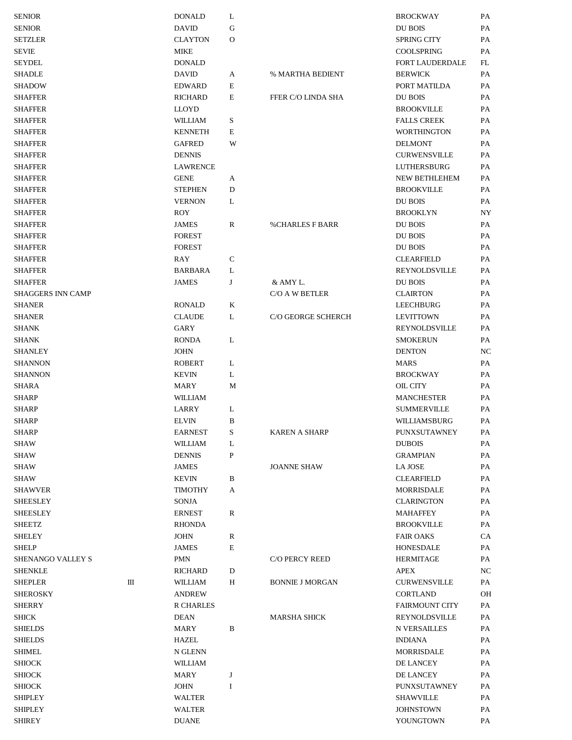| <b>SENIOR</b>            |   | <b>DONALD</b>   | L           |                        | <b>BROCKWAY</b>                        | PA |
|--------------------------|---|-----------------|-------------|------------------------|----------------------------------------|----|
| <b>SENIOR</b>            |   | <b>DAVID</b>    | ${\bf G}$   |                        | <b>DU BOIS</b>                         | PA |
| <b>SETZLER</b>           |   | CLAYTON         | $\mathbf O$ |                        | <b>SPRING CITY</b>                     | PA |
| <b>SEVIE</b>             |   | <b>MIKE</b>     |             |                        | COOLSPRING                             | PA |
| <b>SEYDEL</b>            |   | <b>DONALD</b>   |             |                        | <b>FORT LAUDERDALE</b>                 | FL |
| <b>SHADLE</b>            |   | <b>DAVID</b>    | A           | % MARTHA BEDIENT       | <b>BERWICK</b>                         | PA |
| <b>SHADOW</b>            |   | <b>EDWARD</b>   | Е           |                        | PORT MATILDA                           | PA |
| <b>SHAFFER</b>           |   | <b>RICHARD</b>  | Е           | FFER C/O LINDA SHA     | $\mathop{\rm D}\nolimits {\rm U}$ BOIS | PA |
| <b>SHAFFER</b>           |   | LLOYD           |             |                        | <b>BROOKVILLE</b>                      | PA |
| <b>SHAFFER</b>           |   | WILLIAM         | S           |                        | <b>FALLS CREEK</b>                     | PA |
| <b>SHAFFER</b>           |   | <b>KENNETH</b>  | Е           |                        | <b>WORTHINGTON</b>                     | PA |
| <b>SHAFFER</b>           |   | <b>GAFRED</b>   | W           |                        | <b>DELMONT</b>                         | PA |
| <b>SHAFFER</b>           |   | <b>DENNIS</b>   |             |                        | <b>CURWENSVILLE</b>                    | PA |
| <b>SHAFFER</b>           |   | <b>LAWRENCE</b> |             |                        | LUTHERSBURG                            | PA |
| <b>SHAFFER</b>           |   | <b>GENE</b>     | A           |                        | <b>NEW BETHLEHEM</b>                   | PA |
| <b>SHAFFER</b>           |   | <b>STEPHEN</b>  | D           |                        | <b>BROOKVILLE</b>                      | PA |
| <b>SHAFFER</b>           |   | <b>VERNON</b>   | L           |                        | <b>DU BOIS</b>                         | PA |
| <b>SHAFFER</b>           |   | <b>ROY</b>      |             |                        | <b>BROOKLYN</b>                        | NY |
| <b>SHAFFER</b>           |   | <b>JAMES</b>    | R           | <b>%CHARLES F BARR</b> | DU BOIS                                | PA |
| <b>SHAFFER</b>           |   | <b>FOREST</b>   |             |                        | <b>DU BOIS</b>                         | PA |
| <b>SHAFFER</b>           |   | <b>FOREST</b>   |             |                        | DU BOIS                                | PA |
|                          |   |                 |             |                        |                                        |    |
| <b>SHAFFER</b>           |   | RAY             | C           |                        | <b>CLEARFIELD</b>                      | PA |
| <b>SHAFFER</b>           |   | <b>BARBARA</b>  | L           |                        | REYNOLDSVILLE                          | PA |
| <b>SHAFFER</b>           |   | <b>JAMES</b>    | J           | & AMY L.               | DU BOIS                                | PA |
| <b>SHAGGERS INN CAMP</b> |   |                 |             | C/O A W BETLER         | <b>CLAIRTON</b>                        | PA |
| <b>SHANER</b>            |   | <b>RONALD</b>   | K           |                        | <b>LEECHBURG</b>                       | PA |
| <b>SHANER</b>            |   | <b>CLAUDE</b>   | L           | C/O GEORGE SCHERCH     | <b>LEVITTOWN</b>                       | PA |
| <b>SHANK</b>             |   | <b>GARY</b>     |             |                        | REYNOLDSVILLE                          | PA |
| <b>SHANK</b>             |   | <b>RONDA</b>    | L           |                        | <b>SMOKERUN</b>                        | PA |
| <b>SHANLEY</b>           |   | <b>JOHN</b>     |             |                        | <b>DENTON</b>                          | NC |
| <b>SHANNON</b>           |   | <b>ROBERT</b>   | L           |                        | <b>MARS</b>                            | PA |
| <b>SHANNON</b>           |   | <b>KEVIN</b>    | L           |                        | <b>BROCKWAY</b>                        | PA |
| <b>SHARA</b>             |   | MARY            | М           |                        | OIL CITY                               | PA |
| <b>SHARP</b>             |   | WILLIAM         |             |                        | <b>MANCHESTER</b>                      | PA |
| <b>SHARP</b>             |   | LARRY           | L           |                        | <b>SUMMERVILLE</b>                     | PA |
| <b>SHARP</b>             |   | <b>ELVIN</b>    | B           |                        | WILLIAMSBURG                           | PA |
| SHARP                    |   | <b>EARNEST</b>  | S           | KAREN A SHARP          | PUNXSUTAWNEY                           | PА |
| SHAW                     |   | WILLIAM         | L           |                        | <b>DUBOIS</b>                          | PA |
| <b>SHAW</b>              |   | <b>DENNIS</b>   | P           |                        | <b>GRAMPIAN</b>                        | PA |
| SHAW                     |   | <b>JAMES</b>    |             | <b>JOANNE SHAW</b>     | <b>LA JOSE</b>                         | PA |
| SHAW                     |   | <b>KEVIN</b>    | B           |                        | <b>CLEARFIELD</b>                      | PA |
| <b>SHAWVER</b>           |   | <b>TIMOTHY</b>  | A           |                        | MORRISDALE                             | PA |
| <b>SHEESLEY</b>          |   | <b>SONJA</b>    |             |                        | <b>CLARINGTON</b>                      | PA |
| <b>SHEESLEY</b>          |   | <b>ERNEST</b>   | R           |                        | <b>MAHAFFEY</b>                        | PA |
| <b>SHEETZ</b>            |   | <b>RHONDA</b>   |             |                        | <b>BROOKVILLE</b>                      | PA |
| <b>SHELEY</b>            |   | <b>JOHN</b>     | R           |                        | <b>FAIR OAKS</b>                       | CA |
| <b>SHELP</b>             |   | <b>JAMES</b>    | $\mathbf E$ |                        | <b>HONESDALE</b>                       | PA |
| SHENANGO VALLEY S        |   | <b>PMN</b>      |             | <b>C/O PERCY REED</b>  | <b>HERMITAGE</b>                       | PA |
| <b>SHENKLE</b>           |   | <b>RICHARD</b>  | D           |                        | <b>APEX</b>                            | NC |
| <b>SHEPLER</b>           | Ш | WILLIAM         | H           | <b>BONNIE J MORGAN</b> | <b>CURWENSVILLE</b>                    | PA |
| <b>SHEROSKY</b>          |   | <b>ANDREW</b>   |             |                        | <b>CORTLAND</b>                        | OН |
| <b>SHERRY</b>            |   | R CHARLES       |             |                        | <b>FAIRMOUNT CITY</b>                  | PA |
| <b>SHICK</b>             |   | <b>DEAN</b>     |             | <b>MARSHA SHICK</b>    | REYNOLDSVILLE                          | PA |
| <b>SHIELDS</b>           |   | MARY            | B           |                        | <b>N VERSAILLES</b>                    | PA |
| <b>SHIELDS</b>           |   | <b>HAZEL</b>    |             |                        | <b>INDIANA</b>                         | PA |
| <b>SHIMEL</b>            |   | N GLENN         |             |                        | MORRISDALE                             | PA |
|                          |   |                 |             |                        |                                        |    |
| <b>SHIOCK</b>            |   | WILLIAM         |             |                        | DE LANCEY                              | PA |
| <b>SHIOCK</b>            |   | MARY            | J           |                        | DE LANCEY                              | PA |
| <b>SHIOCK</b>            |   | <b>JOHN</b>     | I           |                        | PUNXSUTAWNEY                           | PA |
| <b>SHIPLEY</b>           |   | <b>WALTER</b>   |             |                        | <b>SHAWVILLE</b>                       | PA |
| <b>SHIPLEY</b>           |   | <b>WALTER</b>   |             |                        | <b>JOHNSTOWN</b>                       | PA |
| <b>SHIREY</b>            |   | <b>DUANE</b>    |             |                        | YOUNGTOWN                              | PA |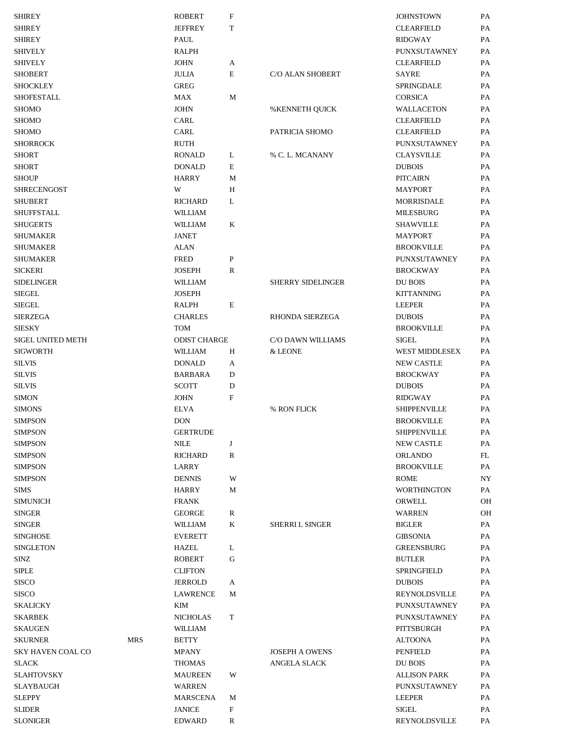| <b>SHIREY</b>            |            | <b>ROBERT</b>       | $\mathbf F$  |                          | <b>JOHNSTOWN</b>      | PA  |
|--------------------------|------------|---------------------|--------------|--------------------------|-----------------------|-----|
| <b>SHIREY</b>            |            | <b>JEFFREY</b>      | $\mathbf T$  |                          | <b>CLEARFIELD</b>     | PA  |
| <b>SHIREY</b>            |            | PAUL                |              |                          | <b>RIDGWAY</b>        | PA  |
| <b>SHIVELY</b>           |            | <b>RALPH</b>        |              |                          | PUNXSUTAWNEY          | PA  |
| <b>SHIVELY</b>           |            | <b>JOHN</b>         | A            |                          | <b>CLEARFIELD</b>     | PA  |
| <b>SHOBERT</b>           |            | <b>JULIA</b>        | E            | C/O ALAN SHOBERT         | <b>SAYRE</b>          | PA  |
| <b>SHOCKLEY</b>          |            | <b>GREG</b>         |              |                          | SPRINGDALE            | PA  |
| SHOFESTALL               |            | <b>MAX</b>          | M            |                          | <b>CORSICA</b>        | PA  |
|                          |            |                     |              |                          |                       |     |
| SHOMO                    |            | <b>JOHN</b>         |              | % KENNETH QUICK          | WALLACETON            | PA  |
| <b>SHOMO</b>             |            | CARL                |              |                          | <b>CLEARFIELD</b>     | PA  |
| <b>SHOMO</b>             |            | CARL                |              | PATRICIA SHOMO           | <b>CLEARFIELD</b>     | PA  |
| <b>SHORROCK</b>          |            | <b>RUTH</b>         |              |                          | PUNXSUTAWNEY          | PA  |
| <b>SHORT</b>             |            | <b>RONALD</b>       | L            | % C.L. MCANANY           | <b>CLAYSVILLE</b>     | PA  |
| <b>SHORT</b>             |            | <b>DONALD</b>       | E            |                          | <b>DUBOIS</b>         | PA  |
| <b>SHOUP</b>             |            | HARRY               | M            |                          | <b>PITCAIRN</b>       | PA  |
| <b>SHRECENGOST</b>       |            | W                   | Н            |                          | <b>MAYPORT</b>        | PA  |
| <b>SHUBERT</b>           |            | <b>RICHARD</b>      | L            |                          | MORRISDALE            | PA  |
| SHUFFSTALL               |            | WILLIAM             |              |                          | MILESBURG             | PA  |
| <b>SHUGERTS</b>          |            | WILLIAM             | $\rm K$      |                          | SHAWVILLE             | PA  |
| <b>SHUMAKER</b>          |            | <b>JANET</b>        |              |                          | <b>MAYPORT</b>        | PA  |
| <b>SHUMAKER</b>          |            |                     |              |                          | <b>BROOKVILLE</b>     |     |
|                          |            | <b>ALAN</b>         |              |                          |                       | PA  |
| <b>SHUMAKER</b>          |            | <b>FRED</b>         | $\mathbf{P}$ |                          | PUNXSUTAWNEY          | PA  |
| <b>SICKERI</b>           |            | <b>JOSEPH</b>       | $\mathbb{R}$ |                          | <b>BROCKWAY</b>       | PA  |
| <b>SIDELINGER</b>        |            | WILLIAM             |              | <b>SHERRY SIDELINGER</b> | DU BOIS               | PA  |
| <b>SIEGEL</b>            |            | <b>JOSEPH</b>       |              |                          | <b>KITTANNING</b>     | PA  |
| <b>SIEGEL</b>            |            | <b>RALPH</b>        | E            |                          | <b>LEEPER</b>         | PA  |
| <b>SIERZEGA</b>          |            | <b>CHARLES</b>      |              | RHONDA SIERZEGA          | <b>DUBOIS</b>         | PA  |
| <b>SIESKY</b>            |            | <b>TOM</b>          |              |                          | <b>BROOKVILLE</b>     | PA  |
| <b>SIGEL UNITED METH</b> |            | <b>ODIST CHARGE</b> |              | C/O DAWN WILLIAMS        | <b>SIGEL</b>          | PA  |
| <b>SIGWORTH</b>          |            | WILLIAM             | Н            | & LEONE                  | <b>WEST MIDDLESEX</b> | PA  |
| <b>SILVIS</b>            |            | <b>DONALD</b>       | A            |                          | <b>NEW CASTLE</b>     | PA  |
| <b>SILVIS</b>            |            | <b>BARBARA</b>      | D            |                          | <b>BROCKWAY</b>       | PA  |
| <b>SILVIS</b>            |            | <b>SCOTT</b>        | D            |                          | <b>DUBOIS</b>         | PA  |
| <b>SIMON</b>             |            | <b>JOHN</b>         | $\mathbf F$  |                          | RIDGWAY               | PA  |
| <b>SIMONS</b>            |            | <b>ELVA</b>         |              | % RON FLICK              | <b>SHIPPENVILLE</b>   | PA  |
| <b>SIMPSON</b>           |            | <b>DON</b>          |              |                          | <b>BROOKVILLE</b>     | PA  |
|                          |            | <b>GERTRUDE</b>     |              |                          |                       |     |
| <b>SIMPSON</b>           |            |                     |              |                          | <b>SHIPPENVILLE</b>   | PA  |
| <b>SIMPSON</b>           |            | $NILE$              | J            |                          | <b>NEW CASTLE</b>     | PA  |
| <b>SIMPSON</b>           |            | <b>RICHARD</b>      | R            |                          | <b>ORLANDO</b>        | FL  |
| <b>SIMPSON</b>           |            | LARRY               |              |                          | <b>BROOKVILLE</b>     | PA  |
| <b>SIMPSON</b>           |            | <b>DENNIS</b>       | W            |                          | ROME                  | NY. |
| SIMS                     |            | <b>HARRY</b>        | M            |                          | <b>WORTHINGTON</b>    | PA  |
| <b>SIMUNICH</b>          |            | <b>FRANK</b>        |              |                          | ORWELL                | OH  |
| <b>SINGER</b>            |            | <b>GEORGE</b>       | $\mathbb R$  |                          | WARREN                | OH  |
| <b>SINGER</b>            |            | <b>WILLIAM</b>      | K            | SHERRI L SINGER          | <b>BIGLER</b>         | PA  |
| <b>SINGHOSE</b>          |            | <b>EVERETT</b>      |              |                          | <b>GIBSONIA</b>       | PA  |
| <b>SINGLETON</b>         |            | <b>HAZEL</b>        | L            |                          | <b>GREENSBURG</b>     | PA  |
| SINZ                     |            | <b>ROBERT</b>       | G            |                          | <b>BUTLER</b>         | PA  |
| <b>SIPLE</b>             |            | <b>CLIFTON</b>      |              |                          | SPRINGFIELD           | PA  |
| SISCO                    |            | <b>JERROLD</b>      | A            |                          | <b>DUBOIS</b>         | PA  |
| SISCO                    |            | LAWRENCE            | M            |                          | REYNOLDSVILLE         | PA  |
| <b>SKALICKY</b>          |            | KIM                 |              |                          | PUNXSUTAWNEY          |     |
|                          |            |                     |              |                          |                       | PA  |
| <b>SKARBEK</b>           |            | <b>NICHOLAS</b>     | T            |                          | PUNXSUTAWNEY          | PA  |
| <b>SKAUGEN</b>           |            | WILLIAM             |              |                          | PITTSBURGH            | PA  |
| <b>SKURNER</b>           | <b>MRS</b> | <b>BETTY</b>        |              |                          | <b>ALTOONA</b>        | PA  |
| <b>SKY HAVEN COAL CO</b> |            | <b>MPANY</b>        |              | <b>JOSEPH A OWENS</b>    | PENFIELD              | PA  |
| <b>SLACK</b>             |            | <b>THOMAS</b>       |              | ANGELA SLACK             | DU BOIS               | PA  |
| <b>SLAHTOVSKY</b>        |            | <b>MAUREEN</b>      | W            |                          | <b>ALLISON PARK</b>   | PA  |
| <b>SLAYBAUGH</b>         |            | WARREN              |              |                          | PUNXSUTAWNEY          | PA  |
| <b>SLEPPY</b>            |            | MARSCENA            | M            |                          | <b>LEEPER</b>         | PA  |
| <b>SLIDER</b>            |            | <b>JANICE</b>       | $\mathbf F$  |                          | <b>SIGEL</b>          | PA  |
| <b>SLONIGER</b>          |            | <b>EDWARD</b>       | R            |                          | REYNOLDSVILLE         | PA  |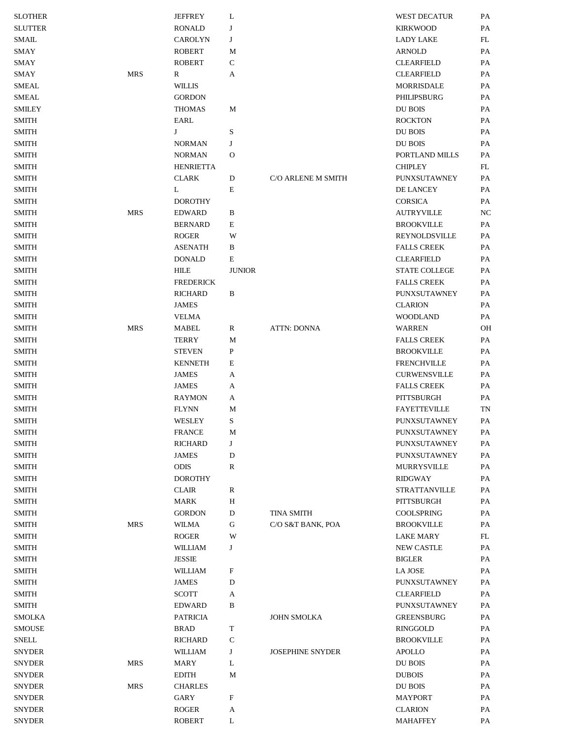| <b>SLOTHER</b> |            | <b>JEFFREY</b>   | L             |                         | <b>WEST DECATUR</b>  | PA         |
|----------------|------------|------------------|---------------|-------------------------|----------------------|------------|
| <b>SLUTTER</b> |            | <b>RONALD</b>    | J             |                         | <b>KIRKWOOD</b>      | PA         |
| <b>SMAIL</b>   |            | CAROLYN          | J             |                         | <b>LADY LAKE</b>     | ${\rm FL}$ |
| SMAY           |            | <b>ROBERT</b>    | M             |                         | <b>ARNOLD</b>        | PA         |
| SMAY           |            | <b>ROBERT</b>    | $\mathsf{C}$  |                         | <b>CLEARFIELD</b>    | PA         |
| SMAY           | <b>MRS</b> | $\mathbb{R}$     | А             |                         | <b>CLEARFIELD</b>    | PA         |
| <b>SMEAL</b>   |            | <b>WILLIS</b>    |               |                         | MORRISDALE           | PA         |
| <b>SMEAL</b>   |            | <b>GORDON</b>    |               |                         | PHILIPSBURG          | PA         |
| <b>SMILEY</b>  |            | <b>THOMAS</b>    | M             |                         | DU BOIS              | PA         |
| <b>SMITH</b>   |            | EARL             |               |                         | <b>ROCKTON</b>       | PA         |
| <b>SMITH</b>   |            | J                | S             |                         | DU BOIS              | PA         |
| <b>SMITH</b>   |            | <b>NORMAN</b>    | J             |                         | DU BOIS              | PA         |
| <b>SMITH</b>   |            | <b>NORMAN</b>    | $\mathbf{O}$  |                         | PORTLAND MILLS       | PA         |
| <b>SMITH</b>   |            | <b>HENRIETTA</b> |               |                         | <b>CHIPLEY</b>       | FL         |
| <b>SMITH</b>   |            | <b>CLARK</b>     | D             | C/O ARLENE M SMITH      | PUNXSUTAWNEY         | PA         |
| <b>SMITH</b>   |            | L                | E             |                         | DE LANCEY            | PA         |
| <b>SMITH</b>   |            | <b>DOROTHY</b>   |               |                         | <b>CORSICA</b>       | PA         |
| <b>SMITH</b>   | <b>MRS</b> | <b>EDWARD</b>    | B             |                         | <b>AUTRYVILLE</b>    | NC         |
|                |            | <b>BERNARD</b>   | $\mathbf E$   |                         |                      |            |
| <b>SMITH</b>   |            |                  |               |                         | <b>BROOKVILLE</b>    | PA         |
| <b>SMITH</b>   |            | <b>ROGER</b>     | W             |                         | <b>REYNOLDSVILLE</b> | PA         |
| <b>SMITH</b>   |            | <b>ASENATH</b>   | B             |                         | <b>FALLS CREEK</b>   | PA         |
| <b>SMITH</b>   |            | <b>DONALD</b>    | $\mathbf E$   |                         | <b>CLEARFIELD</b>    | PA         |
| <b>SMITH</b>   |            | <b>HILE</b>      | <b>JUNIOR</b> |                         | <b>STATE COLLEGE</b> | PA         |
| <b>SMITH</b>   |            | <b>FREDERICK</b> |               |                         | <b>FALLS CREEK</b>   | PA         |
| <b>SMITH</b>   |            | <b>RICHARD</b>   | B             |                         | PUNXSUTAWNEY         | PA         |
| <b>SMITH</b>   |            | <b>JAMES</b>     |               |                         | <b>CLARION</b>       | PA         |
| <b>SMITH</b>   |            | <b>VELMA</b>     |               |                         | <b>WOODLAND</b>      | PA         |
| <b>SMITH</b>   | <b>MRS</b> | <b>MABEL</b>     | R             | <b>ATTN: DONNA</b>      | WARREN               | OH         |
| <b>SMITH</b>   |            | TERRY            | M             |                         | <b>FALLS CREEK</b>   | PA         |
| <b>SMITH</b>   |            | <b>STEVEN</b>    | $\, {\bf P}$  |                         | <b>BROOKVILLE</b>    | PA         |
| <b>SMITH</b>   |            | <b>KENNETH</b>   | E             |                         | <b>FRENCHVILLE</b>   | PA         |
| <b>SMITH</b>   |            | <b>JAMES</b>     | A             |                         | <b>CURWENSVILLE</b>  | PA         |
| <b>SMITH</b>   |            | <b>JAMES</b>     | A             |                         | <b>FALLS CREEK</b>   | PA         |
| <b>SMITH</b>   |            | <b>RAYMON</b>    | A             |                         | PITTSBURGH           | PA         |
| <b>SMITH</b>   |            | <b>FLYNN</b>     | M             |                         | <b>FAYETTEVILLE</b>  | TN         |
| <b>SMITH</b>   |            | <b>WESLEY</b>    | S             |                         | PUNXSUTAWNEY         | PA         |
| <b>SMITH</b>   |            | <b>FRANCE</b>    | M             |                         | PUNXSUTAWNEY         | PA         |
| <b>SMITH</b>   |            | <b>RICHARD</b>   | J             |                         | PUNXSUTAWNEY         | PA         |
| <b>SMITH</b>   |            | <b>JAMES</b>     | ${\bf D}$     |                         | PUNXSUTAWNEY         | PA         |
| <b>SMITH</b>   |            | <b>ODIS</b>      | ${\bf R}$     |                         | <b>MURRYSVILLE</b>   | PA         |
| <b>SMITH</b>   |            | <b>DOROTHY</b>   |               |                         | <b>RIDGWAY</b>       | PA         |
| <b>SMITH</b>   |            | <b>CLAIR</b>     | R             |                         | <b>STRATTANVILLE</b> | PA         |
| <b>SMITH</b>   |            | <b>MARK</b>      | $\,$ H        |                         | PITTSBURGH           | PA         |
| <b>SMITH</b>   |            | <b>GORDON</b>    | D             | <b>TINA SMITH</b>       | <b>COOLSPRING</b>    | PA         |
| <b>SMITH</b>   | <b>MRS</b> | WILMA            | $\mathsf G$   | C/O S&T BANK, POA       | <b>BROOKVILLE</b>    | PA         |
| <b>SMITH</b>   |            | <b>ROGER</b>     | W             |                         | <b>LAKE MARY</b>     | FL         |
| <b>SMITH</b>   |            | <b>WILLIAM</b>   | J             |                         | <b>NEW CASTLE</b>    | PA         |
| <b>SMITH</b>   |            | <b>JESSIE</b>    |               |                         | <b>BIGLER</b>        | PA         |
| <b>SMITH</b>   |            | WILLIAM          | F             |                         | <b>LA JOSE</b>       | PA         |
| <b>SMITH</b>   |            | <b>JAMES</b>     | D             |                         | PUNXSUTAWNEY         | PA         |
| <b>SMITH</b>   |            | <b>SCOTT</b>     | A             |                         | <b>CLEARFIELD</b>    | PA         |
| <b>SMITH</b>   |            | <b>EDWARD</b>    | B             |                         | PUNXSUTAWNEY         | PA         |
| <b>SMOLKA</b>  |            | <b>PATRICIA</b>  |               | <b>JOHN SMOLKA</b>      | <b>GREENSBURG</b>    | PA         |
| <b>SMOUSE</b>  |            | <b>BRAD</b>      | T             |                         | RINGGOLD             | PA         |
| <b>SNELL</b>   |            | <b>RICHARD</b>   | $\mathbf C$   |                         | <b>BROOKVILLE</b>    | PA         |
| <b>SNYDER</b>  |            | <b>WILLIAM</b>   | J             | <b>JOSEPHINE SNYDER</b> | <b>APOLLO</b>        | PA         |
| <b>SNYDER</b>  | <b>MRS</b> | <b>MARY</b>      | L             |                         | DU BOIS              | PA         |
| <b>SNYDER</b>  |            | <b>EDITH</b>     | M             |                         | <b>DUBOIS</b>        | PA         |
| <b>SNYDER</b>  | <b>MRS</b> | <b>CHARLES</b>   |               |                         | DU BOIS              | PA         |
| <b>SNYDER</b>  |            | GARY             | F             |                         | <b>MAYPORT</b>       | PA         |
| <b>SNYDER</b>  |            | <b>ROGER</b>     | А             |                         | <b>CLARION</b>       | PA         |
| <b>SNYDER</b>  |            | <b>ROBERT</b>    | L             |                         | <b>MAHAFFEY</b>      | PA         |
|                |            |                  |               |                         |                      |            |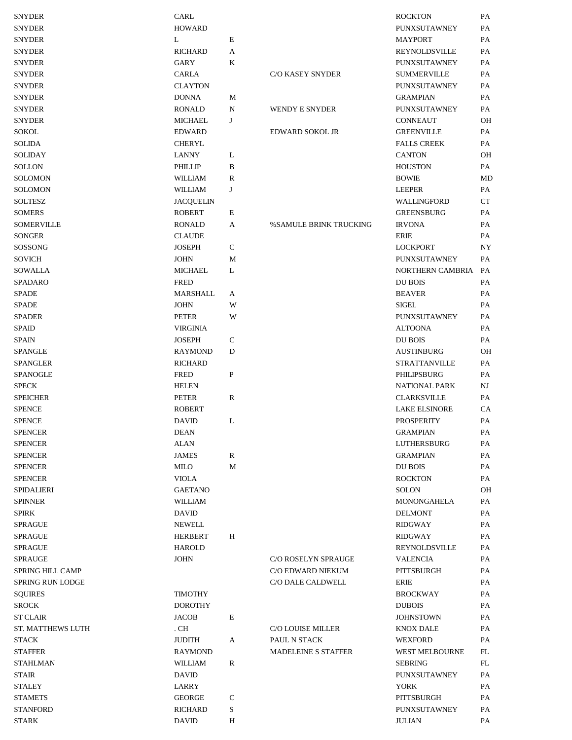| <b>SNYDER</b>           | CARL             |              |                               | <b>ROCKTON</b>                | PA |
|-------------------------|------------------|--------------|-------------------------------|-------------------------------|----|
| <b>SNYDER</b>           | <b>HOWARD</b>    |              |                               | PUNXSUTAWNEY                  | PA |
| <b>SNYDER</b>           | L                | $\mathbf E$  |                               | <b>MAYPORT</b>                | PA |
| <b>SNYDER</b>           | <b>RICHARD</b>   | A            |                               | REYNOLDSVILLE                 | PA |
| <b>SNYDER</b>           | <b>GARY</b>      | K            |                               | PUNXSUTAWNEY                  | PA |
| <b>SNYDER</b>           | <b>CARLA</b>     |              | <b>C/O KASEY SNYDER</b>       | <b>SUMMERVILLE</b>            | PA |
| <b>SNYDER</b>           | <b>CLAYTON</b>   |              |                               | PUNXSUTAWNEY                  | PA |
| <b>SNYDER</b>           | <b>DONNA</b>     | M            |                               | <b>GRAMPIAN</b>               | PA |
| <b>SNYDER</b>           | <b>RONALD</b>    | N            | WENDY E SNYDER                | PUNXSUTAWNEY                  | PA |
| <b>SNYDER</b>           | <b>MICHAEL</b>   | J            |                               | CONNEAUT                      | OН |
| <b>SOKOL</b>            | <b>EDWARD</b>    |              | <b>EDWARD SOKOL JR</b>        | <b>GREENVILLE</b>             | PA |
| <b>SOLIDA</b>           | <b>CHERYL</b>    |              |                               | <b>FALLS CREEK</b>            | PA |
| <b>SOLIDAY</b>          | <b>LANNY</b>     | L            |                               | <b>CANTON</b>                 | OН |
| <b>SOLLON</b>           | PHILLIP          | B            |                               | <b>HOUSTON</b>                | PA |
| <b>SOLOMON</b>          | WILLIAM          | $\mathbb{R}$ |                               | <b>BOWIE</b>                  | MD |
| <b>SOLOMON</b>          | <b>WILLIAM</b>   | J            |                               | <b>LEEPER</b>                 | PA |
| <b>SOLTESZ</b>          | <b>JACQUELIN</b> |              |                               | WALLINGFORD                   | CT |
| <b>SOMERS</b>           | <b>ROBERT</b>    | $\mathbf E$  |                               | <b>GREENSBURG</b>             | PA |
| <b>SOMERVILLE</b>       | <b>RONALD</b>    | А            | <b>%SAMULE BRINK TRUCKING</b> | <b>IRVONA</b>                 | PA |
| <b>SONGER</b>           | <b>CLAUDE</b>    |              |                               | <b>ERIE</b>                   | PA |
| SOSSONG                 | <b>JOSEPH</b>    | $\mathsf{C}$ |                               | <b>LOCKPORT</b>               | NY |
| <b>SOVICH</b>           | <b>JOHN</b>      | M            |                               | PUNXSUTAWNEY                  | PA |
| <b>SOWALLA</b>          | <b>MICHAEL</b>   | L            |                               | NORTHERN CAMBRIA              | PA |
| SPADARO                 | <b>FRED</b>      |              |                               | DU BOIS                       | PA |
| <b>SPADE</b>            | <b>MARSHALL</b>  | A            |                               | <b>BEAVER</b>                 | PA |
| <b>SPADE</b>            | <b>JOHN</b>      | W            |                               | <b>SIGEL</b>                  | PA |
| <b>SPADER</b>           | <b>PETER</b>     | W            |                               | PUNXSUTAWNEY                  | PA |
| <b>SPAID</b>            | <b>VIRGINIA</b>  |              |                               | <b>ALTOONA</b>                | PA |
| <b>SPAIN</b>            | <b>JOSEPH</b>    | $\mathbf C$  |                               | DU BOIS                       | PA |
| <b>SPANGLE</b>          | <b>RAYMOND</b>   | D            |                               | <b>AUSTINBURG</b>             | OН |
| <b>SPANGLER</b>         | <b>RICHARD</b>   |              |                               | <b>STRATTANVILLE</b>          | PA |
| <b>SPANOGLE</b>         | <b>FRED</b>      | $\, {\bf P}$ |                               | PHILIPSBURG                   | PA |
| <b>SPECK</b>            | <b>HELEN</b>     |              |                               | <b>NATIONAL PARK</b>          | NJ |
| <b>SPEICHER</b>         | <b>PETER</b>     | R            |                               | <b>CLARKSVILLE</b>            | PA |
| <b>SPENCE</b>           | <b>ROBERT</b>    |              |                               | <b>LAKE ELSINORE</b>          | CA |
| <b>SPENCE</b>           | <b>DAVID</b>     | L            |                               | <b>PROSPERITY</b>             | PA |
| <b>SPENCER</b>          | <b>DEAN</b>      |              |                               | <b>GRAMPIAN</b>               | PA |
| <b>SPENCER</b>          | <b>ALAN</b>      |              |                               | LUTHERSBURG                   | PA |
| <b>SPENCER</b>          | <b>JAMES</b>     | ${\bf R}$    |                               | <b>GRAMPIAN</b>               | PA |
| <b>SPENCER</b>          | <b>MILO</b>      | M            |                               | <b>DU BOIS</b>                | PA |
| <b>SPENCER</b>          | <b>VIOLA</b>     |              |                               | <b>ROCKTON</b>                | PA |
| <b>SPIDALIERI</b>       | <b>GAETANO</b>   |              |                               | <b>SOLON</b>                  | OH |
| <b>SPINNER</b>          | WILLIAM          |              |                               | MONONGAHELA                   | PA |
| <b>SPIRK</b>            | <b>DAVID</b>     |              |                               | <b>DELMONT</b>                | PA |
| <b>SPRAGUE</b>          | <b>NEWELL</b>    |              |                               | <b>RIDGWAY</b>                | PA |
| <b>SPRAGUE</b>          | <b>HERBERT</b>   | Н            |                               | <b>RIDGWAY</b>                | PA |
| <b>SPRAGUE</b>          | HAROLD           |              |                               | REYNOLDSVILLE                 | PA |
|                         | <b>JOHN</b>      |              |                               |                               |    |
| <b>SPRAUGE</b>          |                  |              | <b>C/O ROSELYN SPRAUGE</b>    | <b>VALENCIA</b><br>PITTSBURGH | PA |
| <b>SPRING HILL CAMP</b> |                  |              | C/O EDWARD NIEKUM             | <b>ERIE</b>                   | PA |
| <b>SPRING RUN LODGE</b> |                  |              | C/O DALE CALDWELL             |                               | PA |
| <b>SQUIRES</b>          | <b>TIMOTHY</b>   |              |                               | <b>BROCKWAY</b>               | PA |
| <b>SROCK</b>            | <b>DOROTHY</b>   |              |                               | <b>DUBOIS</b>                 | PA |
| <b>ST CLAIR</b>         | <b>JACOB</b>     | E            |                               | <b>JOHNSTOWN</b>              | PA |
| ST. MATTHEWS LUTH       | . $CH$           |              | C/O LOUISE MILLER             | <b>KNOX DALE</b>              | PA |
| <b>STACK</b>            | <b>JUDITH</b>    | A            | PAUL N STACK                  | <b>WEXFORD</b>                | PA |
| <b>STAFFER</b>          | <b>RAYMOND</b>   |              | <b>MADELEINE S STAFFER</b>    | <b>WEST MELBOURNE</b>         | FL |
| <b>STAHLMAN</b>         | <b>WILLIAM</b>   | R            |                               | <b>SEBRING</b>                | FL |
| <b>STAIR</b>            | <b>DAVID</b>     |              |                               | PUNXSUTAWNEY                  | PA |
| <b>STALEY</b>           | LARRY            |              |                               | YORK                          | PA |
| <b>STAMETS</b>          | <b>GEORGE</b>    | $\mathbf C$  |                               | PITTSBURGH                    | PA |
| <b>STANFORD</b>         | <b>RICHARD</b>   | S            |                               | PUNXSUTAWNEY                  | PA |
| <b>STARK</b>            | <b>DAVID</b>     | $\,$ H       |                               | <b>JULIAN</b>                 | PA |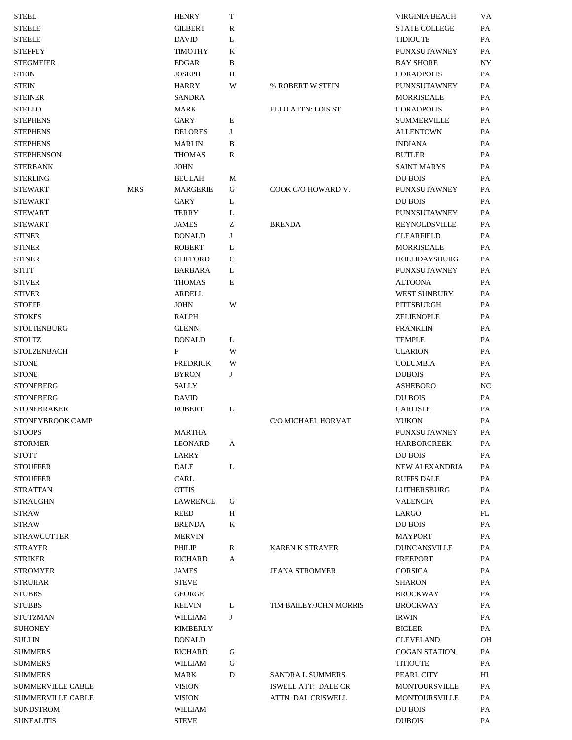| <b>STEEL</b>             |            | <b>HENRY</b>    | T            |                            | <b>VIRGINIA BEACH</b> | VA        |
|--------------------------|------------|-----------------|--------------|----------------------------|-----------------------|-----------|
| <b>STEELE</b>            |            | <b>GILBERT</b>  | R            |                            | <b>STATE COLLEGE</b>  | PA        |
| <b>STEELE</b>            |            | <b>DAVID</b>    | L            |                            | <b>TIDIOUTE</b>       | PA        |
| STEFFEY                  |            | <b>TIMOTHY</b>  | K            |                            | PUNXSUTAWNEY          | PA        |
| STEGMEIER                |            | <b>EDGAR</b>    | B            |                            | <b>BAY SHORE</b>      | NY        |
| STEIN                    |            | <b>JOSEPH</b>   | H            |                            | <b>CORAOPOLIS</b>     | <b>PA</b> |
| <b>STEIN</b>             |            | <b>HARRY</b>    | W            | % ROBERT W STEIN           | PUNXSUTAWNEY          | <b>PA</b> |
| STEINER                  |            | <b>SANDRA</b>   |              |                            | MORRISDALE            | PA        |
| STELLO                   |            | <b>MARK</b>     |              | ELLO ATTN: LOIS ST         | <b>CORAOPOLIS</b>     | PA        |
| <b>STEPHENS</b>          |            | <b>GARY</b>     | E            |                            | <b>SUMMERVILLE</b>    | PA        |
| STEPHENS                 |            | <b>DELORES</b>  | J            |                            | <b>ALLENTOWN</b>      | PA        |
| STEPHENS                 |            | <b>MARLIN</b>   | B            |                            | <b>INDIANA</b>        | PA        |
| STEPHENSON               |            | <b>THOMAS</b>   | R            |                            | <b>BUTLER</b>         | PA        |
| STERBANK                 |            | <b>JOHN</b>     |              |                            | <b>SAINT MARYS</b>    | PA        |
| STERLING                 |            | <b>BEULAH</b>   | M            |                            | DU BOIS               | PA        |
| STEWART                  | <b>MRS</b> | MARGERIE        | G            | COOK C/O HOWARD V.         | PUNXSUTAWNEY          | PA        |
| <b>STEWART</b>           |            | GARY            | L            |                            | DU BOIS               | PA        |
| <b>STEWART</b>           |            | <b>TERRY</b>    | L            |                            | PUNXSUTAWNEY          | PA        |
| <b>STEWART</b>           |            | <b>JAMES</b>    | Z            | <b>BRENDA</b>              | <b>REYNOLDSVILLE</b>  | PA        |
| STINER                   |            | <b>DONALD</b>   | J            |                            | <b>CLEARFIELD</b>     | PA        |
| STINER                   |            | <b>ROBERT</b>   | L            |                            | <b>MORRISDALE</b>     | PA        |
| <b>STINER</b>            |            | <b>CLIFFORD</b> | $\mathsf{C}$ |                            | HOLLIDAYSBURG         | PA        |
| STITT                    |            | <b>BARBARA</b>  | L            |                            | PUNXSUTAWNEY          | <b>PA</b> |
| STIVER                   |            | <b>THOMAS</b>   | E            |                            | <b>ALTOONA</b>        | PA        |
| STIVER                   |            | ARDELL          |              |                            | <b>WEST SUNBURY</b>   | PA        |
| STOEFF                   |            | <b>JOHN</b>     | W            |                            | PITTSBURGH            | PA        |
| STOKES                   |            | <b>RALPH</b>    |              |                            | ZELIENOPLE            | PA        |
| STOLTENBURG              |            | <b>GLENN</b>    |              |                            | <b>FRANKLIN</b>       | PA        |
| STOLTZ                   |            | <b>DONALD</b>   | L            |                            | <b>TEMPLE</b>         | PA        |
| STOLZENBACH              |            | F               | W            |                            | <b>CLARION</b>        | PA        |
| STONE                    |            | <b>FREDRICK</b> | W            |                            | <b>COLUMBIA</b>       | PA        |
| STONE                    |            | <b>BYRON</b>    | J            |                            | <b>DUBOIS</b>         | PA        |
| STONEBERG                |            | <b>SALLY</b>    |              |                            | <b>ASHEBORO</b>       | NC        |
| STONEBERG                |            | <b>DAVID</b>    |              |                            | DU BOIS               | PA        |
| <b>STONEBRAKER</b>       |            | <b>ROBERT</b>   | L            |                            | <b>CARLISLE</b>       | PA        |
| STONEYBROOK CAMP         |            |                 |              | C/O MICHAEL HORVAT         | <b>YUKON</b>          | PA        |
| STOOPS                   |            | MARTHA          |              |                            | PUNXSUTAWNEY          | PA        |
| <b>STORMER</b>           |            | LEONARD         | A            |                            | <b>HARBORCREEK</b>    | PA        |
| <b>STOTT</b>             |            | LARRY           |              |                            | <b>DU BOIS</b>        | PA        |
| STOUFFER                 |            | <b>DALE</b>     | L            |                            | <b>NEW ALEXANDRIA</b> | PA        |
| STOUFFER                 |            | CARL            |              |                            | <b>RUFFS DALE</b>     | PA        |
| STRATTAN                 |            | <b>OTTIS</b>    |              |                            | LUTHERSBURG           | PA        |
| STRAUGHN                 |            | LAWRENCE        | G            |                            | <b>VALENCIA</b>       | PA        |
| <b>STRAW</b>             |            | <b>REED</b>     | Η            |                            | LARGO                 | FL        |
| STRAW                    |            | <b>BRENDA</b>   | K            |                            | <b>DU BOIS</b>        | PA        |
| <b>STRAWCUTTER</b>       |            | <b>MERVIN</b>   |              |                            | <b>MAYPORT</b>        | PA        |
| STRAYER                  |            | PHILIP          | R            | <b>KAREN K STRAYER</b>     | <b>DUNCANSVILLE</b>   | PA        |
| <b>STRIKER</b>           |            | <b>RICHARD</b>  | A            |                            | <b>FREEPORT</b>       | PA        |
| <b>STROMYER</b>          |            | <b>JAMES</b>    |              | <b>JEANA STROMYER</b>      | <b>CORSICA</b>        | PA        |
| <b>STRUHAR</b>           |            | <b>STEVE</b>    |              |                            | <b>SHARON</b>         | PA        |
| <b>STUBBS</b>            |            | <b>GEORGE</b>   |              |                            | <b>BROCKWAY</b>       | PA        |
| STUBBS                   |            | <b>KELVIN</b>   | L            | TIM BAILEY/JOHN MORRIS     | <b>BROCKWAY</b>       | PA        |
| STUTZMAN                 |            | WILLIAM         | J            |                            | <b>IRWIN</b>          | PA        |
| SUHONEY                  |            | <b>KIMBERLY</b> |              |                            | <b>BIGLER</b>         | PA        |
| SULLIN                   |            | <b>DONALD</b>   |              |                            | <b>CLEVELAND</b>      | <b>OH</b> |
| SUMMERS                  |            | <b>RICHARD</b>  | G            |                            | <b>COGAN STATION</b>  | PA        |
| SUMMERS                  |            | WILLIAM         | G            |                            | <b>TITIOUTE</b>       | PA        |
| SUMMERS                  |            | <b>MARK</b>     | D            | <b>SANDRA L SUMMERS</b>    | PEARL CITY            | HІ        |
| SUMMERVILLE CABLE        |            | <b>VISION</b>   |              | <b>ISWELL ATT: DALE CR</b> | MONTOURSVILLE         | PA        |
| <b>SUMMERVILLE CABLE</b> |            | <b>VISION</b>   |              | ATTN DAL CRISWELL          | <b>MONTOURSVILLE</b>  | PA        |
| SUNDSTROM                |            | WILLIAM         |              |                            | DU BOIS               | PA        |
| SUNEALITIS               |            | <b>STEVE</b>    |              |                            | <b>DUBOIS</b>         | PA        |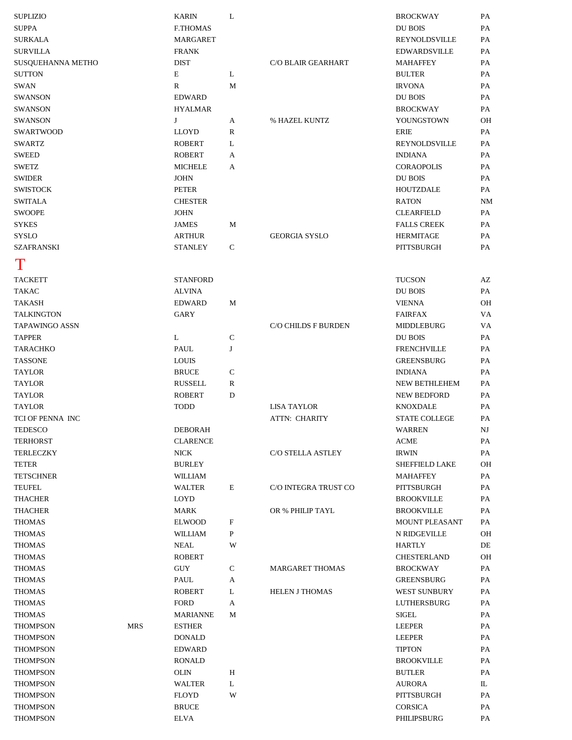<span id="page-47-0"></span>

| <b>SUPLIZIO</b>       |            | <b>KARIN</b>           | L            |                        | <b>BROCKWAY</b>       | PA                     |
|-----------------------|------------|------------------------|--------------|------------------------|-----------------------|------------------------|
| <b>SUPPA</b>          |            | <b>F.THOMAS</b>        |              |                        | DU BOIS               | PA                     |
| <b>SURKALA</b>        |            | MARGARET               |              |                        | <b>REYNOLDSVILLE</b>  | PA                     |
| <b>SURVILLA</b>       |            | <b>FRANK</b>           |              |                        | <b>EDWARDSVILLE</b>   | PA                     |
| SUSQUEHANNA METHO     |            | <b>DIST</b>            |              | C/O BLAIR GEARHART     | <b>MAHAFFEY</b>       | PA                     |
| <b>SUTTON</b>         |            | E                      | L            |                        | <b>BULTER</b>         | PA                     |
| <b>SWAN</b>           |            | $\mathbb{R}$           | M            |                        | <b>IRVONA</b>         | PA                     |
| SWANSON               |            | <b>EDWARD</b>          |              |                        | DU BOIS               | PA                     |
| <b>SWANSON</b>        |            | <b>HYALMAR</b>         |              |                        | <b>BROCKWAY</b>       | PA                     |
| <b>SWANSON</b>        |            | J                      | A            | % HAZEL KUNTZ          | YOUNGSTOWN            | OH                     |
| <b>SWARTWOOD</b>      |            | <b>LLOYD</b>           | R            |                        | ERIE                  | PA                     |
| <b>SWARTZ</b>         |            | <b>ROBERT</b>          | L            |                        | REYNOLDSVILLE         | PA                     |
| <b>SWEED</b>          |            | <b>ROBERT</b>          | A            |                        | <b>INDIANA</b>        | PA                     |
| <b>SWETZ</b>          |            | <b>MICHELE</b>         | A            |                        | <b>CORAOPOLIS</b>     | PA                     |
| <b>SWIDER</b>         |            | <b>JOHN</b>            |              |                        | DU BOIS               | PA                     |
| <b>SWISTOCK</b>       |            | <b>PETER</b>           |              |                        | <b>HOUTZDALE</b>      | PA                     |
| <b>SWITALA</b>        |            | <b>CHESTER</b>         |              |                        | <b>RATON</b>          | NM                     |
| <b>SWOOPE</b>         |            | <b>JOHN</b>            |              |                        | <b>CLEARFIELD</b>     | PA                     |
| <b>SYKES</b>          |            | <b>JAMES</b>           | M            |                        | <b>FALLS CREEK</b>    | PA                     |
| <b>SYSLO</b>          |            | <b>ARTHUR</b>          |              | <b>GEORGIA SYSLO</b>   | <b>HERMITAGE</b>      | PA                     |
| <b>SZAFRANSKI</b>     |            | <b>STANLEY</b>         | $\mathsf{C}$ |                        | PITTSBURGH            | PA                     |
|                       |            |                        |              |                        |                       |                        |
| T                     |            |                        |              |                        |                       |                        |
| <b>TACKETT</b>        |            | <b>STANFORD</b>        |              |                        | <b>TUCSON</b>         | $\mathbf{A}\mathbf{Z}$ |
| <b>TAKAC</b>          |            | <b>ALVINA</b>          |              |                        | DU BOIS               | PA                     |
| <b>TAKASH</b>         |            | <b>EDWARD</b>          | M            |                        | <b>VIENNA</b>         | OH                     |
| <b>TALKINGTON</b>     |            | <b>GARY</b>            |              |                        | <b>FAIRFAX</b>        | VA                     |
| <b>TAPAWINGO ASSN</b> |            |                        |              | C/O CHILDS F BURDEN    | MIDDLEBURG            | VA                     |
| <b>TAPPER</b>         |            | L                      | ${\bf C}$    |                        | DU BOIS               | PA                     |
| <b>TARACHKO</b>       |            | PAUL                   | $\bf J$      |                        | <b>FRENCHVILLE</b>    | PA                     |
| <b>TASSONE</b>        |            | <b>LOUIS</b>           |              |                        | <b>GREENSBURG</b>     | PA                     |
| <b>TAYLOR</b>         |            | <b>BRUCE</b>           | $\mathsf{C}$ |                        | <b>INDIANA</b>        | PA                     |
| <b>TAYLOR</b>         |            | <b>RUSSELL</b>         | $\mathbb{R}$ |                        | NEW BETHLEHEM         | PA                     |
| <b>TAYLOR</b>         |            | <b>ROBERT</b>          | D            |                        | <b>NEW BEDFORD</b>    | PA                     |
| TAYLOR                |            | <b>TODD</b>            |              | <b>LISA TAYLOR</b>     | <b>KNOXDALE</b>       | PA                     |
| TCI OF PENNA INC      |            |                        |              | <b>ATTN: CHARITY</b>   | <b>STATE COLLEGE</b>  | PA                     |
| TEDESCO               |            | <b>DEBORAH</b>         |              |                        | <b>WARREN</b>         | NJ                     |
| <b>TERHORST</b>       |            | <b>CLARENCE</b>        |              |                        | <b>ACME</b>           | PA                     |
| <b>TERLECZKY</b>      |            | <b>NICK</b>            |              | C/O STELLA ASTLEY      | <b>IRWIN</b>          | PA                     |
| <b>TETER</b>          |            | <b>BURLEY</b>          |              |                        | <b>SHEFFIELD LAKE</b> | OH                     |
| <b>TETSCHNER</b>      |            | <b>WILLIAM</b>         |              |                        | <b>MAHAFFEY</b>       | PA                     |
| <b>TEUFEL</b>         |            | <b>WALTER</b>          | $\mathbf E$  | C/O INTEGRA TRUST CO   | PITTSBURGH            | PA                     |
| <b>THACHER</b>        |            | LOYD                   |              |                        | <b>BROOKVILLE</b>     | PA                     |
| <b>THACHER</b>        |            | <b>MARK</b>            |              | OR % PHILIP TAYL       | <b>BROOKVILLE</b>     | PA                     |
| <b>THOMAS</b>         |            | <b>ELWOOD</b>          | F            |                        | <b>MOUNT PLEASANT</b> | PA                     |
| <b>THOMAS</b>         |            | WILLIAM                | P            |                        | N RIDGEVILLE          | OH                     |
| <b>THOMAS</b>         |            | <b>NEAL</b>            | W            |                        | HARTLY                | $\rm DE$               |
| <b>THOMAS</b>         |            | <b>ROBERT</b>          |              |                        | <b>CHESTERLAND</b>    | OH                     |
| <b>THOMAS</b>         |            | <b>GUY</b>             | C            | <b>MARGARET THOMAS</b> | <b>BROCKWAY</b>       | PA                     |
| <b>THOMAS</b>         |            | PAUL                   | A            |                        | <b>GREENSBURG</b>     | PA                     |
| <b>THOMAS</b>         |            | <b>ROBERT</b>          | L            | <b>HELEN J THOMAS</b>  | WEST SUNBURY          | PA                     |
| THOMAS                |            | <b>FORD</b>            | A            |                        | LUTHERSBURG           | PA                     |
| <b>THOMAS</b>         |            | <b>MARIANNE</b>        | M            |                        | <b>SIGEL</b>          | PA                     |
| <b>THOMPSON</b>       | <b>MRS</b> | <b>ESTHER</b>          |              |                        | <b>LEEPER</b>         | PA                     |
| THOMPSON              |            | <b>DONALD</b>          |              |                        | <b>LEEPER</b>         | PA                     |
| THOMPSON              |            | <b>EDWARD</b>          |              |                        | <b>TIPTON</b>         | PA                     |
| THOMPSON              |            | <b>RONALD</b>          |              |                        | <b>BROOKVILLE</b>     | PA                     |
| <b>THOMPSON</b>       |            | <b>OLIN</b>            | $\, {\rm H}$ |                        | <b>BUTLER</b>         | PA                     |
| THOMPSON              |            | <b>WALTER</b>          | L            |                        | <b>AURORA</b>         | L                      |
| THOMPSON              |            | <b>FLOYD</b>           | W            |                        | PITTSBURGH            | PA                     |
| THOMPSON              |            | $\operatorname{BRUCE}$ |              |                        | CORSICA               | PA                     |
| <b>THOMPSON</b>       |            | <b>ELVA</b>            |              |                        | PHILIPSBURG           | PA                     |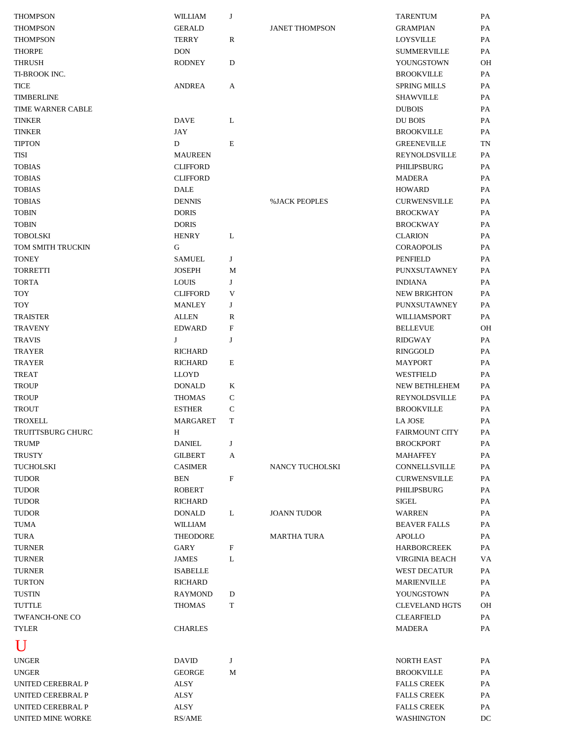<span id="page-48-0"></span>

| <b>THOMPSON</b>       | WILLIAM         | J |                       | <b>TARENTUM</b>       | PA |
|-----------------------|-----------------|---|-----------------------|-----------------------|----|
| <b>THOMPSON</b>       | <b>GERALD</b>   |   | <b>JANET THOMPSON</b> | <b>GRAMPIAN</b>       | PA |
| <b>THOMPSON</b>       | <b>TERRY</b>    | R |                       | <b>LOYSVILLE</b>      | PA |
| <b>THORPE</b>         | <b>DON</b>      |   |                       | <b>SUMMERVILLE</b>    | PA |
|                       |                 |   |                       | YOUNGSTOWN            | OН |
| THRUSH                | <b>RODNEY</b>   | D |                       |                       |    |
| TI-BROOK INC.         |                 |   |                       | <b>BROOKVILLE</b>     | PA |
| <b>TICE</b>           | <b>ANDREA</b>   | A |                       | <b>SPRING MILLS</b>   | PA |
| TIMBERLINE            |                 |   |                       | <b>SHAWVILLE</b>      | PA |
| TIME WARNER CABLE     |                 |   |                       | <b>DUBOIS</b>         | PA |
| <b>TINKER</b>         | <b>DAVE</b>     | L |                       | DU BOIS               | PA |
| <b>TINKER</b>         | <b>JAY</b>      |   |                       | <b>BROOKVILLE</b>     | PA |
| <b>TIPTON</b>         | D               | E |                       | <b>GREENEVILLE</b>    | TN |
| TISI                  | <b>MAUREEN</b>  |   |                       | REYNOLDSVILLE         | PA |
| <b>TOBIAS</b>         | <b>CLIFFORD</b> |   |                       | PHILIPSBURG           | PA |
| <b>TOBIAS</b>         | <b>CLIFFORD</b> |   |                       | <b>MADERA</b>         | PA |
| <b>TOBIAS</b>         | <b>DALE</b>     |   |                       | <b>HOWARD</b>         | PA |
| <b>TOBIAS</b>         | <b>DENNIS</b>   |   | <b>%JACK PEOPLES</b>  | <b>CURWENSVILLE</b>   | PA |
| <b>TOBIN</b>          | <b>DORIS</b>    |   |                       | <b>BROCKWAY</b>       | PA |
| <b>TOBIN</b>          | <b>DORIS</b>    |   |                       | <b>BROCKWAY</b>       | PA |
|                       |                 |   |                       |                       | PA |
| <b>TOBOLSKI</b>       | <b>HENRY</b>    | L |                       | <b>CLARION</b>        |    |
| TOM SMITH TRUCKIN     | G               |   |                       | <b>CORAOPOLIS</b>     | PA |
| <b>TONEY</b>          | <b>SAMUEL</b>   | J |                       | PENFIELD              | PA |
| <b>TORRETTI</b>       | <b>JOSEPH</b>   | M |                       | PUNXSUTAWNEY          | PA |
| <b>TORTA</b>          | <b>LOUIS</b>    | J |                       | <b>INDIANA</b>        | PA |
| <b>TOY</b>            | <b>CLIFFORD</b> | V |                       | <b>NEW BRIGHTON</b>   | PA |
| TOY                   | <b>MANLEY</b>   | J |                       | PUNXSUTAWNEY          | PA |
| <b>TRAISTER</b>       | <b>ALLEN</b>    | R |                       | WILLIAMSPORT          | PA |
| <b>TRAVENY</b>        | <b>EDWARD</b>   | F |                       | <b>BELLEVUE</b>       | OН |
| <b>TRAVIS</b>         | J               | J |                       | <b>RIDGWAY</b>        | PA |
| <b>TRAYER</b>         | <b>RICHARD</b>  |   |                       | RINGGOLD              | PA |
| <b>TRAYER</b>         | <b>RICHARD</b>  | E |                       | <b>MAYPORT</b>        | PA |
| <b>TREAT</b>          | <b>LLOYD</b>    |   |                       | WESTFIELD             | PA |
| <b>TROUP</b>          | <b>DONALD</b>   | K |                       | NEW BETHLEHEM         | PA |
| <b>TROUP</b>          | <b>THOMAS</b>   | C |                       | REYNOLDSVILLE         | PA |
| <b>TROUT</b>          | <b>ESTHER</b>   | C |                       | <b>BROOKVILLE</b>     | PA |
| <b>TROXELL</b>        | <b>MARGARET</b> | T |                       | LA JOSE               |    |
|                       |                 |   |                       |                       | PA |
| TRUITTSBURG CHURC     | H               |   |                       | <b>FAIRMOUNT CITY</b> | PA |
| <b>TRUMP</b>          | <b>DANIEL</b>   | J |                       | <b>BROCKPORT</b>      | PA |
| <b>TRUSTY</b>         | <b>GILBERT</b>  | A |                       | <b>MAHAFFEY</b>       | PA |
| <b>TUCHOLSKI</b>      | <b>CASIMER</b>  |   | NANCY TUCHOLSKI       | CONNELLSVILLE         | PA |
| <b>TUDOR</b>          | <b>BEN</b>      | F |                       | <b>CURWENSVILLE</b>   | PA |
| <b>TUDOR</b>          | <b>ROBERT</b>   |   |                       | PHILIPSBURG           | PA |
| <b>TUDOR</b>          | <b>RICHARD</b>  |   |                       | <b>SIGEL</b>          | PA |
| <b>TUDOR</b>          | <b>DONALD</b>   | L | <b>JOANN TUDOR</b>    | WARREN                | PA |
| TUMA                  | WILLIAM         |   |                       | <b>BEAVER FALLS</b>   | PA |
| <b>TURA</b>           | THEODORE        |   | <b>MARTHA TURA</b>    | <b>APOLLO</b>         | PA |
| <b>TURNER</b>         | GARY            | F |                       | <b>HARBORCREEK</b>    | PA |
| <b>TURNER</b>         | <b>JAMES</b>    | L |                       | <b>VIRGINIA BEACH</b> | VA |
| <b>TURNER</b>         | <b>ISABELLE</b> |   |                       | WEST DECATUR          | PA |
| <b>TURTON</b>         | <b>RICHARD</b>  |   |                       | <b>MARIENVILLE</b>    | PA |
| TUSTIN                | <b>RAYMOND</b>  | D |                       | YOUNGSTOWN            | PA |
|                       |                 | T |                       |                       | OH |
| TUTTLE                | <b>THOMAS</b>   |   |                       | <b>CLEVELAND HGTS</b> |    |
| <b>TWFANCH-ONE CO</b> |                 |   |                       | <b>CLEARFIELD</b>     | PA |
| <b>TYLER</b>          | <b>CHARLES</b>  |   |                       | MADERA                | PA |
| U                     |                 |   |                       |                       |    |
| <b>UNGER</b>          | <b>DAVID</b>    | J |                       | <b>NORTH EAST</b>     | РA |
| <b>UNGER</b>          | <b>GEORGE</b>   | M |                       | <b>BROOKVILLE</b>     | PA |
| UNITED CEREBRAL P     | ALSY            |   |                       | <b>FALLS CREEK</b>    | PA |
|                       |                 |   |                       |                       |    |
| UNITED CEREBRAL P     | ALSY            |   |                       | <b>FALLS CREEK</b>    | PA |
| UNITED CEREBRAL P     | <b>ALSY</b>     |   |                       | <b>FALLS CREEK</b>    | PA |
| UNITED MINE WORKE     | RS/AME          |   |                       | <b>WASHINGTON</b>     | DC |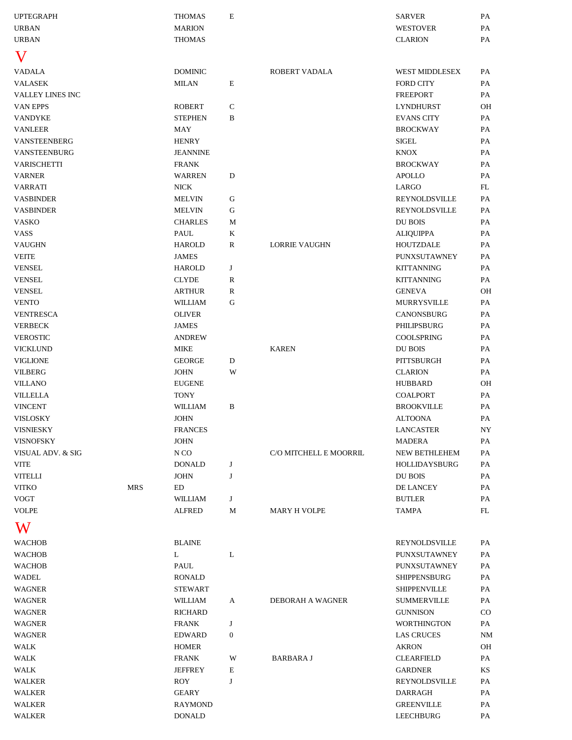<span id="page-49-0"></span>

| <b>UPTEGRAPH</b>  |            | <b>THOMAS</b>   | $\mathbf E$      |                        | <b>SARVER</b>         | PA               |
|-------------------|------------|-----------------|------------------|------------------------|-----------------------|------------------|
| <b>URBAN</b>      |            | <b>MARION</b>   |                  |                        | <b>WESTOVER</b>       | PA               |
| <b>URBAN</b>      |            | <b>THOMAS</b>   |                  |                        | <b>CLARION</b>        | PA               |
| V                 |            |                 |                  |                        |                       |                  |
| <b>VADALA</b>     |            | <b>DOMINIC</b>  |                  | ROBERT VADALA          | <b>WEST MIDDLESEX</b> | PA               |
| <b>VALASEK</b>    |            | <b>MILAN</b>    | E                |                        | <b>FORD CITY</b>      | PA               |
| VALLEY LINES INC  |            |                 |                  |                        | <b>FREEPORT</b>       | PA               |
| <b>VAN EPPS</b>   |            | <b>ROBERT</b>   | $\mathsf{C}$     |                        | <b>LYNDHURST</b>      | <b>OH</b>        |
| <b>VANDYKE</b>    |            | <b>STEPHEN</b>  | B                |                        | <b>EVANS CITY</b>     | PA               |
| <b>VANLEER</b>    |            | MAY             |                  |                        | <b>BROCKWAY</b>       | PA               |
| VANSTEENBERG      |            | <b>HENRY</b>    |                  |                        | <b>SIGEL</b>          | PA               |
| VANSTEENBURG      |            | <b>JEANNINE</b> |                  |                        | <b>KNOX</b>           | PA               |
| VARISCHETTI       |            | <b>FRANK</b>    |                  |                        | <b>BROCKWAY</b>       | PA               |
| <b>VARNER</b>     |            | <b>WARREN</b>   | D                |                        | <b>APOLLO</b>         | PA               |
| <b>VARRATI</b>    |            | <b>NICK</b>     |                  |                        | LARGO                 | FL               |
| <b>VASBINDER</b>  |            | <b>MELVIN</b>   | ${\bf G}$        |                        | REYNOLDSVILLE         | PA               |
| <b>VASBINDER</b>  |            | <b>MELVIN</b>   | G                |                        | REYNOLDSVILLE         | PA               |
| <b>VASKO</b>      |            | <b>CHARLES</b>  | М                |                        | DU BOIS               | PA               |
| <b>VASS</b>       |            | PAUL            | K                |                        | <b>ALIQUIPPA</b>      | PA               |
| <b>VAUGHN</b>     |            | <b>HAROLD</b>   | $\mathbb{R}$     | <b>LORRIE VAUGHN</b>   | <b>HOUTZDALE</b>      | PA               |
| <b>VEITE</b>      |            | <b>JAMES</b>    |                  |                        | PUNXSUTAWNEY          |                  |
| <b>VENSEL</b>     |            |                 |                  |                        |                       | PA               |
| <b>VENSEL</b>     |            | <b>HAROLD</b>   | J                |                        | <b>KITTANNING</b>     | PA               |
| <b>VENSEL</b>     |            | <b>CLYDE</b>    | R                |                        | <b>KITTANNING</b>     | PA<br><b>OH</b>  |
|                   |            | <b>ARTHUR</b>   | R                |                        | <b>GENEVA</b>         |                  |
| <b>VENTO</b>      |            | WILLIAM         | ${\bf G}$        |                        | <b>MURRYSVILLE</b>    | PA               |
| <b>VENTRESCA</b>  |            | <b>OLIVER</b>   |                  |                        | CANONSBURG            | PA               |
| <b>VERBECK</b>    |            | <b>JAMES</b>    |                  |                        | PHILIPSBURG           | PA               |
| <b>VEROSTIC</b>   |            | <b>ANDREW</b>   |                  |                        | COOLSPRING            | PA               |
| <b>VICKLUND</b>   |            | <b>MIKE</b>     |                  | <b>KAREN</b>           | DU BOIS               | PA               |
| <b>VIGLIONE</b>   |            | <b>GEORGE</b>   | D                |                        | PITTSBURGH            | PA               |
| <b>VILBERG</b>    |            | JOHN            | W                |                        | <b>CLARION</b>        | PA               |
| <b>VILLANO</b>    |            | <b>EUGENE</b>   |                  |                        | <b>HUBBARD</b>        | <b>OH</b>        |
| <b>VILLELLA</b>   |            | TONY            |                  |                        | <b>COALPORT</b>       | PA               |
| <b>VINCENT</b>    |            | WILLIAM         | B                |                        | <b>BROOKVILLE</b>     | PA               |
| <b>VISLOSKY</b>   |            | <b>JOHN</b>     |                  |                        | <b>ALTOONA</b>        | PA               |
| <b>VISNIESKY</b>  |            | <b>FRANCES</b>  |                  |                        | <b>LANCASTER</b>      | $_{\mathrm{NY}}$ |
| <b>VISNOFSKY</b>  |            | JOHN            |                  |                        | <b>MADERA</b>         | PA               |
| VISUAL ADV. & SIG |            | N <sub>CO</sub> |                  | C/O MITCHELL E MOORRIL | NEW BETHLEHEM         | PA               |
| <b>VITE</b>       |            | <b>DONALD</b>   | J                |                        | HOLLIDAYSBURG         | PA               |
| <b>VITELLI</b>    |            | <b>JOHN</b>     | J                |                        | DU BOIS               | PA               |
| <b>VITKO</b>      | <b>MRS</b> | ${\rm ED}$      |                  |                        | DE LANCEY             | PA               |
| $\,$ VOGT         |            | WILLIAM         | $J_{\parallel}$  |                        | <b>BUTLER</b>         | PA               |
| <b>VOLPE</b>      |            | ${\sf ALFRED}$  | M                | <b>MARY H VOLPE</b>    | <b>TAMPA</b>          | FL               |
| W                 |            |                 |                  |                        |                       |                  |
| <b>WACHOB</b>     |            | <b>BLAINE</b>   |                  |                        | REYNOLDSVILLE         | PA               |
| <b>WACHOB</b>     |            | L               | L                |                        | PUNXSUTAWNEY          | PA               |
| <b>WACHOB</b>     |            | PAUL            |                  |                        | PUNXSUTAWNEY          | PA               |
| <b>WADEL</b>      |            | RONALD          |                  |                        | <b>SHIPPENSBURG</b>   | PA               |
| <b>WAGNER</b>     |            | <b>STEWART</b>  |                  |                        | <b>SHIPPENVILLE</b>   | PA               |
| <b>WAGNER</b>     |            | WILLIAM         | A                | DEBORAH A WAGNER       | <b>SUMMERVILLE</b>    | PA               |
| <b>WAGNER</b>     |            | <b>RICHARD</b>  |                  |                        | <b>GUNNISON</b>       | CO               |
| <b>WAGNER</b>     |            | <b>FRANK</b>    | J                |                        | <b>WORTHINGTON</b>    | PA               |
| <b>WAGNER</b>     |            | <b>EDWARD</b>   | $\boldsymbol{0}$ |                        | <b>LAS CRUCES</b>     | <b>NM</b>        |
| WALK              |            | <b>HOMER</b>    |                  |                        | AKRON                 | <b>OH</b>        |
| WALK              |            | <b>FRANK</b>    | W                | <b>BARBARAJ</b>        | <b>CLEARFIELD</b>     | PA               |
| WALK              |            | <b>JEFFREY</b>  | E                |                        | <b>GARDNER</b>        | KS               |
| <b>WALKER</b>     |            | ROY             | J                |                        | REYNOLDSVILLE         | PA               |
| <b>WALKER</b>     |            | GEARY           |                  |                        | DARRAGH               | PA               |
| <b>WALKER</b>     |            | <b>RAYMOND</b>  |                  |                        | <b>GREENVILLE</b>     | PA               |
| <b>WALKER</b>     |            | <b>DONALD</b>   |                  |                        | <b>LEECHBURG</b>      | $\mathbf{PA}$    |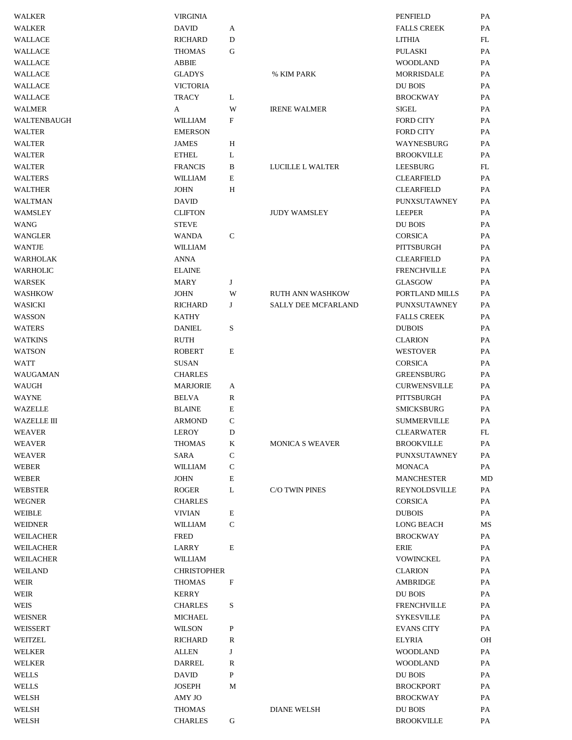| <b>WALKER</b>      | <b>VIRGINIA</b>    |              |                            | PENFIELD            | PA |
|--------------------|--------------------|--------------|----------------------------|---------------------|----|
| <b>WALKER</b>      | <b>DAVID</b>       | А            |                            | <b>FALLS CREEK</b>  | PA |
| <b>WALLACE</b>     | <b>RICHARD</b>     | $\mathbf D$  |                            | LITHIA              | FL |
| WALLACE            | <b>THOMAS</b>      | G            |                            | PULASKI             | PA |
| <b>WALLACE</b>     | <b>ABBIE</b>       |              |                            | <b>WOODLAND</b>     | PA |
| <b>WALLACE</b>     | <b>GLADYS</b>      |              | % KIM PARK                 | <b>MORRISDALE</b>   | PA |
| <b>WALLACE</b>     | <b>VICTORIA</b>    |              |                            | DU BOIS             | PA |
| <b>WALLACE</b>     | TRACY              | L            |                            | <b>BROCKWAY</b>     | PA |
| <b>WALMER</b>      | A                  | W            | <b>IRENE WALMER</b>        | <b>SIGEL</b>        | PA |
| WALTENBAUGH        | WILLIAM            | F            |                            | <b>FORD CITY</b>    | PA |
| <b>WALTER</b>      | <b>EMERSON</b>     |              |                            | FORD CITY           | PA |
| <b>WALTER</b>      | <b>JAMES</b>       | H            |                            | WAYNESBURG          | PA |
| <b>WALTER</b>      | <b>ETHEL</b>       | L            |                            | <b>BROOKVILLE</b>   | PA |
| <b>WALTER</b>      | <b>FRANCIS</b>     | $\, {\bf B}$ | LUCILLE L WALTER           | <b>LEESBURG</b>     | FL |
| <b>WALTERS</b>     | WILLIAM            | $\mathbf E$  |                            | <b>CLEARFIELD</b>   | PA |
| <b>WALTHER</b>     | <b>JOHN</b>        | Н            |                            | <b>CLEARFIELD</b>   | PA |
| <b>WALTMAN</b>     | <b>DAVID</b>       |              |                            | PUNXSUTAWNEY        | PA |
| WAMSLEY            | <b>CLIFTON</b>     |              | <b>JUDY WAMSLEY</b>        | <b>LEEPER</b>       | PA |
| <b>WANG</b>        | <b>STEVE</b>       |              |                            | DU BOIS             | PA |
| WANGLER            | <b>WANDA</b>       | $\mathsf{C}$ |                            | <b>CORSICA</b>      | PA |
| <b>WANTJE</b>      | WILLIAM            |              |                            | PITTSBURGH          | PA |
| <b>WARHOLAK</b>    | <b>ANNA</b>        |              |                            | <b>CLEARFIELD</b>   | PA |
| WARHOLIC           | <b>ELAINE</b>      |              |                            | <b>FRENCHVILLE</b>  | PA |
| WARSEK             | <b>MARY</b>        | J            |                            | <b>GLASGOW</b>      | PA |
| <b>WASHKOW</b>     | <b>JOHN</b>        | W            | <b>RUTH ANN WASHKOW</b>    | PORTLAND MILLS      | PA |
| WASICKI            | <b>RICHARD</b>     | J            | <b>SALLY DEE MCFARLAND</b> | PUNXSUTAWNEY        | PA |
| WASSON             | <b>KATHY</b>       |              |                            | <b>FALLS CREEK</b>  | PA |
|                    |                    | S            |                            | <b>DUBOIS</b>       | PA |
| <b>WATERS</b>      | <b>DANIEL</b>      |              |                            |                     |    |
| <b>WATKINS</b>     | <b>RUTH</b>        |              |                            | <b>CLARION</b>      | PA |
| <b>WATSON</b>      | ROBERT             | E            |                            | <b>WESTOVER</b>     | PA |
| WATT               | <b>SUSAN</b>       |              |                            | <b>CORSICA</b>      | PA |
| WAUGAMAN           | <b>CHARLES</b>     |              |                            | <b>GREENSBURG</b>   | PA |
| WAUGH              | <b>MARJORIE</b>    | А            |                            | <b>CURWENSVILLE</b> | PA |
| <b>WAYNE</b>       | <b>BELVA</b>       | R            |                            | PITTSBURGH          | PA |
| <b>WAZELLE</b>     | <b>BLAINE</b>      | E            |                            | <b>SMICKSBURG</b>   | PA |
| <b>WAZELLE III</b> | <b>ARMOND</b>      | $\mathsf{C}$ |                            | <b>SUMMERVILLE</b>  | PA |
| <b>WEAVER</b>      | LEROY              | D            |                            | <b>CLEARWATER</b>   | FL |
| <b>WEAVER</b>      | <b>THOMAS</b>      | K            | <b>MONICA S WEAVER</b>     | <b>BROOKVILLE</b>   | PA |
| <b>WEAVER</b>      | <b>SARA</b>        | $\mathsf{C}$ |                            | PUNXSUTAWNEY        | PA |
| WEBER              | <b>WILLIAM</b>     | C            |                            | <b>MONACA</b>       | PA |
| WEBER              | <b>JOHN</b>        | E            |                            | <b>MANCHESTER</b>   | MD |
| <b>WEBSTER</b>     | <b>ROGER</b>       | L            | C/O TWIN PINES             | REYNOLDSVILLE       | PA |
| <b>WEGNER</b>      | <b>CHARLES</b>     |              |                            | CORSICA             | PA |
| <b>WEIBLE</b>      | <b>VIVIAN</b>      | E            |                            | <b>DUBOIS</b>       | PA |
| <b>WEIDNER</b>     | WILLIAM            | $\mathsf{C}$ |                            | LONG BEACH          | MS |
| WEILACHER          | <b>FRED</b>        |              |                            | <b>BROCKWAY</b>     | PA |
| WEILACHER          | <b>LARRY</b>       | $\mathbf E$  |                            | <b>ERIE</b>         | PA |
| <b>WEILACHER</b>   | <b>WILLIAM</b>     |              |                            | <b>VOWINCKEL</b>    | PA |
| <b>WEILAND</b>     | <b>CHRISTOPHER</b> |              |                            | <b>CLARION</b>      | PA |
| WEIR               | <b>THOMAS</b>      | $\mathbf F$  |                            | AMBRIDGE            | PA |
| WEIR               | <b>KERRY</b>       |              |                            | DU BOIS             | PA |
| WEIS               | <b>CHARLES</b>     | S            |                            | <b>FRENCHVILLE</b>  | PA |
| <b>WEISNER</b>     | MICHAEL            |              |                            | <b>SYKESVILLE</b>   | PA |
| WEISSERT           | <b>WILSON</b>      | P            |                            | <b>EVANS CITY</b>   | PA |
| WEITZEL            | <b>RICHARD</b>     | R            |                            | <b>ELYRIA</b>       | OH |
| <b>WELKER</b>      | <b>ALLEN</b>       | J            |                            | <b>WOODLAND</b>     | PA |
| <b>WELKER</b>      | DARREL             | R            |                            | <b>WOODLAND</b>     | PA |
| <b>WELLS</b>       | <b>DAVID</b>       | P            |                            | DU BOIS             | PA |
| <b>WELLS</b>       | JOSEPH             | M            |                            | <b>BROCKPORT</b>    | PA |
| <b>WELSH</b>       | AMY JO             |              |                            | <b>BROCKWAY</b>     | PA |
| <b>WELSH</b>       | <b>THOMAS</b>      |              | <b>DIANE WELSH</b>         | DU BOIS             | PA |
| <b>WELSH</b>       | <b>CHARLES</b>     | G            |                            | <b>BROOKVILLE</b>   | PA |
|                    |                    |              |                            |                     |    |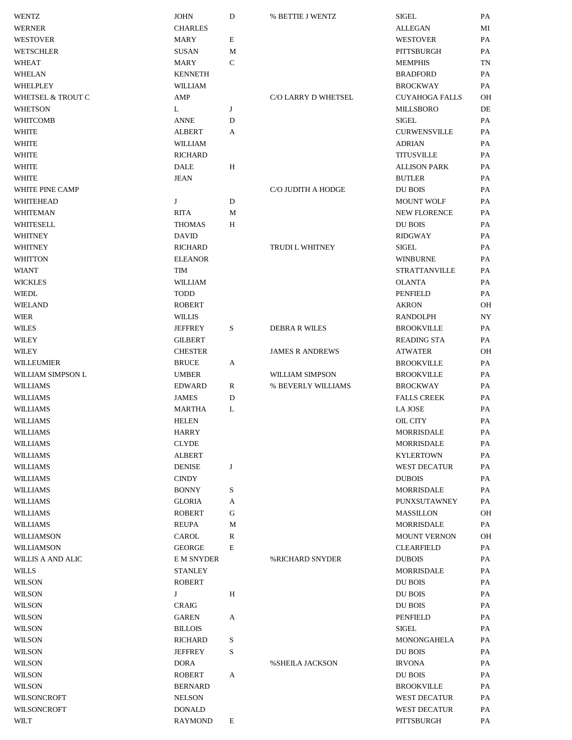| WENTZ             | <b>JOHN</b>            | $\mathbf D$       | % BETTIE J WENTZ       | <b>SIGEL</b>          | PA        |
|-------------------|------------------------|-------------------|------------------------|-----------------------|-----------|
| <b>WERNER</b>     | <b>CHARLES</b>         |                   |                        | <b>ALLEGAN</b>        | MI        |
| <b>WESTOVER</b>   | <b>MARY</b>            | E                 |                        | <b>WESTOVER</b>       | PA        |
| WETSCHLER         | <b>SUSAN</b>           | М                 |                        | PITTSBURGH            | PA        |
| WHEAT             | MARY                   | C                 |                        | <b>MEMPHIS</b>        | TN        |
| WHELAN            | <b>KENNETH</b>         |                   |                        | <b>BRADFORD</b>       | <b>PA</b> |
| WHELPLEY          | <b>WILLIAM</b>         |                   |                        | <b>BROCKWAY</b>       | <b>PA</b> |
| WHETSEL & TROUT C | AMP                    |                   | C/O LARRY D WHETSEL    | <b>CUYAHOGA FALLS</b> | OH        |
| <b>WHETSON</b>    | L                      | J                 |                        | <b>MILLSBORO</b>      | DE        |
| <b>WHITCOMB</b>   | <b>ANNE</b>            | D                 |                        | <b>SIGEL</b>          | PA        |
| <b>WHITE</b>      | <b>ALBERT</b>          | A                 |                        | <b>CURWENSVILLE</b>   | PA        |
| WHITE             | WILLIAM                |                   |                        | <b>ADRIAN</b>         | PA        |
| WHITE             | <b>RICHARD</b>         |                   |                        | <b>TITUSVILLE</b>     | PA        |
| WHITE             | <b>DALE</b>            | H                 |                        | <b>ALLISON PARK</b>   | <b>PA</b> |
| WHITE             | <b>JEAN</b>            |                   |                        | <b>BUTLER</b>         | <b>PA</b> |
| WHITE PINE CAMP   |                        |                   | C/O JUDITH A HODGE     | DU BOIS               | <b>PA</b> |
| WHITEHEAD         | J                      | D                 |                        | <b>MOUNT WOLF</b>     | PA        |
| WHITEMAN          | <b>RITA</b>            | M                 |                        | <b>NEW FLORENCE</b>   | PA        |
| WHITESELL         | <b>THOMAS</b>          | H                 |                        | DU BOIS               | PA        |
| WHITNEY           | <b>DAVID</b>           |                   |                        | <b>RIDGWAY</b>        | PA        |
| WHITNEY           | <b>RICHARD</b>         |                   | <b>TRUDIL WHITNEY</b>  | <b>SIGEL</b>          | PA        |
| <b>WHITTON</b>    | <b>ELEANOR</b>         |                   |                        | <b>WINBURNE</b>       | PA        |
| WIANT             | <b>TIM</b>             |                   |                        | <b>STRATTANVILLE</b>  | <b>PA</b> |
| <b>WICKLES</b>    | <b>WILLIAM</b>         |                   |                        | <b>OLANTA</b>         | PA        |
| <b>WIEDL</b>      | <b>TODD</b>            |                   |                        | <b>PENFIELD</b>       | PA        |
| <b>WIELAND</b>    | <b>ROBERT</b>          |                   |                        | <b>AKRON</b>          | OH        |
| <b>WIER</b>       | <b>WILLIS</b>          |                   |                        | <b>RANDOLPH</b>       | NY        |
| WILES             | <b>JEFFREY</b>         | S                 | <b>DEBRA R WILES</b>   | <b>BROOKVILLE</b>     | PA        |
| WILEY             | <b>GILBERT</b>         |                   |                        | <b>READING STA</b>    | PA        |
| WILEY             | <b>CHESTER</b>         |                   | <b>JAMES R ANDREWS</b> | <b>ATWATER</b>        | OH        |
| WILLEUMIER        | <b>BRUCE</b>           | A                 |                        | <b>BROOKVILLE</b>     | PA        |
| WILLIAM SIMPSON L | <b>UMBER</b>           |                   | <b>WILLIAM SIMPSON</b> | <b>BROOKVILLE</b>     | <b>PA</b> |
| WILLIAMS          | <b>EDWARD</b>          | R                 | % BEVERLY WILLIAMS     | <b>BROCKWAY</b>       | PA        |
| WILLIAMS          | <b>JAMES</b>           | D                 |                        | <b>FALLS CREEK</b>    | PA        |
| WILLIAMS          | <b>MARTHA</b>          | L                 |                        | <b>LA JOSE</b>        | PA        |
| WILLIAMS          | <b>HELEN</b>           |                   |                        | <b>OIL CITY</b>       | PA        |
| WILLIAMS          | HARRY                  |                   |                        | MORRISDALE            | РA        |
| WILLIAMS          | <b>CLYDE</b>           |                   |                        | MORRISDALE            | PA        |
| <b>WILLIAMS</b>   | <b>ALBERT</b>          |                   |                        | <b>KYLERTOWN</b>      | PA        |
| WILLIAMS          | <b>DENISE</b>          | J                 |                        | <b>WEST DECATUR</b>   | PA        |
| WILLIAMS          | <b>CINDY</b>           |                   |                        | <b>DUBOIS</b>         | PA        |
| <b>WILLIAMS</b>   | <b>BONNY</b>           | S                 |                        | <b>MORRISDALE</b>     | PA        |
| <b>WILLIAMS</b>   | <b>GLORIA</b>          |                   |                        | PUNXSUTAWNEY          | PA        |
| WILLIAMS          | <b>ROBERT</b>          | A<br>G            |                        | MASSILLON             | OН        |
| <b>WILLIAMS</b>   | <b>REUPA</b>           |                   |                        | MORRISDALE            | PA        |
|                   |                        | M<br>$\mathbb{R}$ |                        | <b>MOUNT VERNON</b>   | OН        |
| WILLIAMSON        | CAROL<br><b>GEORGE</b> |                   |                        | <b>CLEARFIELD</b>     | PA        |
| WILLIAMSON        |                        | E                 | %RICHARD SNYDER        |                       |           |
| WILLIS A AND ALIC | <b>E M SNYDER</b>      |                   |                        | <b>DUBOIS</b>         | PA        |
| <b>WILLS</b>      | <b>STANLEY</b>         |                   |                        | <b>MORRISDALE</b>     | PA        |
| WILSON            | <b>ROBERT</b>          |                   |                        | DU BOIS               | PA        |
| WILSON            | J                      | H                 |                        | DU BOIS               | PA        |
| WILSON            | <b>CRAIG</b>           |                   |                        | DU BOIS               | PA        |
| WILSON            | <b>GAREN</b>           | A                 |                        | PENFIELD              | PA        |
| WILSON            | <b>BILLOIS</b>         |                   |                        | <b>SIGEL</b>          | PA        |
| WILSON            | <b>RICHARD</b>         | S                 |                        | MONONGAHELA           | PA        |
| WILSON            | <b>JEFFREY</b>         | S                 |                        | DU BOIS               | PA        |
| WILSON            | <b>DORA</b>            |                   | <b>%SHEILA JACKSON</b> | <b>IRVONA</b>         | PA        |
| WILSON            | ROBERT                 | A                 |                        | DU BOIS               | PA        |
| WILSON            | <b>BERNARD</b>         |                   |                        | <b>BROOKVILLE</b>     | PA        |
| WILSONCROFT       | <b>NELSON</b>          |                   |                        | <b>WEST DECATUR</b>   | PA        |
| WILSONCROFT       | <b>DONALD</b>          |                   |                        | <b>WEST DECATUR</b>   | PA        |
| WILT              | <b>RAYMOND</b>         | E                 |                        | PITTSBURGH            | PA        |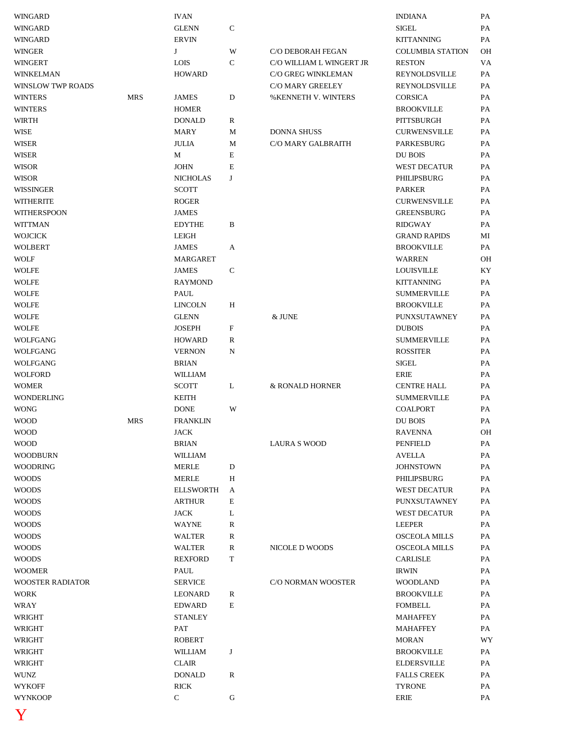| <b>WINGARD</b>           |            | <b>IVAN</b>      |              |                           | <b>INDIANA</b>          | PA |
|--------------------------|------------|------------------|--------------|---------------------------|-------------------------|----|
| <b>WINGARD</b>           |            | <b>GLENN</b>     | ${\bf C}$    |                           | <b>SIGEL</b>            | PA |
| <b>WINGARD</b>           |            | <b>ERVIN</b>     |              |                           | <b>KITTANNING</b>       | PA |
| <b>WINGER</b>            |            | J                | W            | C/O DEBORAH FEGAN         | <b>COLUMBIA STATION</b> | OH |
| <b>WINGERT</b>           |            | <b>LOIS</b>      | $\mathsf{C}$ | C/O WILLIAM L WINGERT JR  | <b>RESTON</b>           | VA |
| <b>WINKELMAN</b>         |            | <b>HOWARD</b>    |              | C/O GREG WINKLEMAN        | REYNOLDSVILLE           | PA |
| <b>WINSLOW TWP ROADS</b> |            |                  |              | C/O MARY GREELEY          | <b>REYNOLDSVILLE</b>    | PA |
| <b>WINTERS</b>           | <b>MRS</b> | <b>JAMES</b>     | D            | % KENNETH V. WINTERS      | <b>CORSICA</b>          | PA |
| <b>WINTERS</b>           |            | <b>HOMER</b>     |              |                           | <b>BROOKVILLE</b>       | PA |
| <b>WIRTH</b>             |            | <b>DONALD</b>    | R            |                           | PITTSBURGH              | PA |
| <b>WISE</b>              |            | MARY             | М            | <b>DONNA SHUSS</b>        | <b>CURWENSVILLE</b>     | PA |
| <b>WISER</b>             |            | <b>JULIA</b>     | М            | <b>C/O MARY GALBRAITH</b> | <b>PARKESBURG</b>       | PA |
| <b>WISER</b>             |            | M                | E            |                           | <b>DU BOIS</b>          | PA |
| <b>WISOR</b>             |            | <b>JOHN</b>      | Е            |                           | WEST DECATUR            | PA |
| <b>WISOR</b>             |            | <b>NICHOLAS</b>  | J            |                           | PHILIPSBURG             | PA |
|                          |            |                  |              |                           |                         | PA |
| <b>WISSINGER</b>         |            | <b>SCOTT</b>     |              |                           | <b>PARKER</b>           |    |
| <b>WITHERITE</b>         |            | <b>ROGER</b>     |              |                           | <b>CURWENSVILLE</b>     | PA |
| <b>WITHERSPOON</b>       |            | <b>JAMES</b>     |              |                           | <b>GREENSBURG</b>       | PA |
| <b>WITTMAN</b>           |            | <b>EDYTHE</b>    | B            |                           | <b>RIDGWAY</b>          | PA |
| <b>WOJCICK</b>           |            | ${\rm LEIGH}$    |              |                           | <b>GRAND RAPIDS</b>     | МI |
| <b>WOLBERT</b>           |            | <b>JAMES</b>     | A            |                           | <b>BROOKVILLE</b>       | PA |
| <b>WOLF</b>              |            | MARGARET         |              |                           | <b>WARREN</b>           | OН |
| <b>WOLFE</b>             |            | <b>JAMES</b>     | $\mathsf{C}$ |                           | <b>LOUISVILLE</b>       | KY |
| <b>WOLFE</b>             |            | <b>RAYMOND</b>   |              |                           | <b>KITTANNING</b>       | PA |
| <b>WOLFE</b>             |            | PAUL             |              |                           | <b>SUMMERVILLE</b>      | PA |
| <b>WOLFE</b>             |            | <b>LINCOLN</b>   | $\,$ H       |                           | <b>BROOKVILLE</b>       | PA |
| <b>WOLFE</b>             |            | <b>GLENN</b>     |              | & JUNE                    | PUNXSUTAWNEY            | PA |
| <b>WOLFE</b>             |            | <b>JOSEPH</b>    | F            |                           | <b>DUBOIS</b>           | PA |
| WOLFGANG                 |            | <b>HOWARD</b>    | $\mathbb{R}$ |                           | <b>SUMMERVILLE</b>      | PA |
| <b>WOLFGANG</b>          |            | <b>VERNON</b>    | ${\bf N}$    |                           | <b>ROSSITER</b>         | PA |
| <b>WOLFGANG</b>          |            | <b>BRIAN</b>     |              |                           | <b>SIGEL</b>            | PA |
| <b>WOLFORD</b>           |            | WILLIAM          |              |                           | <b>ERIE</b>             | PA |
| <b>WOMER</b>             |            | <b>SCOTT</b>     | L            | & RONALD HORNER           | <b>CENTRE HALL</b>      | PA |
| <b>WONDERLING</b>        |            | <b>KEITH</b>     |              |                           | <b>SUMMERVILLE</b>      | PA |
| <b>WONG</b>              |            | <b>DONE</b>      | W            |                           | <b>COALPORT</b>         | PA |
| <b>WOOD</b>              | <b>MRS</b> | <b>FRANKLIN</b>  |              |                           | <b>DU BOIS</b>          | PA |
| <b>WOOD</b>              |            | $_{\rm JACK}$    |              |                           | <b>RAVENNA</b>          | OH |
| <b>WOOD</b>              |            | <b>BRIAN</b>     |              | <b>LAURA S WOOD</b>       | PENFIELD                | PA |
| <b>WOODBURN</b>          |            | WILLIAM          |              |                           | <b>AVELLA</b>           | PA |
| <b>WOODRING</b>          |            | <b>MERLE</b>     | D            |                           | <b>JOHNSTOWN</b>        | PA |
| <b>WOODS</b>             |            | <b>MERLE</b>     | Η            |                           | PHILIPSBURG             | PA |
| <b>WOODS</b>             |            | <b>ELLSWORTH</b> | A            |                           | WEST DECATUR            | PA |
| <b>WOODS</b>             |            | <b>ARTHUR</b>    | Е            |                           | PUNXSUTAWNEY            | PA |
| <b>WOODS</b>             |            | JACK             | L            |                           | <b>WEST DECATUR</b>     | PA |
| <b>WOODS</b>             |            | <b>WAYNE</b>     |              |                           | <b>LEEPER</b>           | PA |
|                          |            |                  | ${\bf R}$    |                           |                         |    |
| <b>WOODS</b>             |            | WALTER           | R            |                           | <b>OSCEOLA MILLS</b>    | PA |
| <b>WOODS</b>             |            | WALTER           | ${\bf R}$    | NICOLE D WOODS            | <b>OSCEOLA MILLS</b>    | PA |
| <b>WOODS</b>             |            | <b>REXFORD</b>   | $\mathbf T$  |                           | <b>CARLISLE</b>         | PA |
| <b>WOOMER</b>            |            | PAUL             |              |                           | <b>IRWIN</b>            | PA |
| <b>WOOSTER RADIATOR</b>  |            | <b>SERVICE</b>   |              | C/O NORMAN WOOSTER        | <b>WOODLAND</b>         | PA |
| <b>WORK</b>              |            | LEONARD          | R            |                           | <b>BROOKVILLE</b>       | PA |
| WRAY                     |            | <b>EDWARD</b>    | $\mathbf E$  |                           | <b>FOMBELL</b>          | PA |
| WRIGHT                   |            | <b>STANLEY</b>   |              |                           | <b>MAHAFFEY</b>         | PA |
| <b>WRIGHT</b>            |            | PAT              |              |                           | <b>MAHAFFEY</b>         | PA |
| WRIGHT                   |            | <b>ROBERT</b>    |              |                           | <b>MORAN</b>            | WY |
| WRIGHT                   |            | WILLIAM          | J            |                           | <b>BROOKVILLE</b>       | PA |
| WRIGHT                   |            | <b>CLAIR</b>     |              |                           | <b>ELDERSVILLE</b>      | PA |
| <b>WUNZ</b>              |            | <b>DONALD</b>    | R            |                           | <b>FALLS CREEK</b>      | PA |
| <b>WYKOFF</b>            |            | <b>RICK</b>      |              |                           | <b>TYRONE</b>           | PA |
| <b>WYNKOOP</b>           |            | ${\bf C}$        | ${\bf G}$    |                           | ERIE                    | PA |
| Y                        |            |                  |              |                           |                         |    |